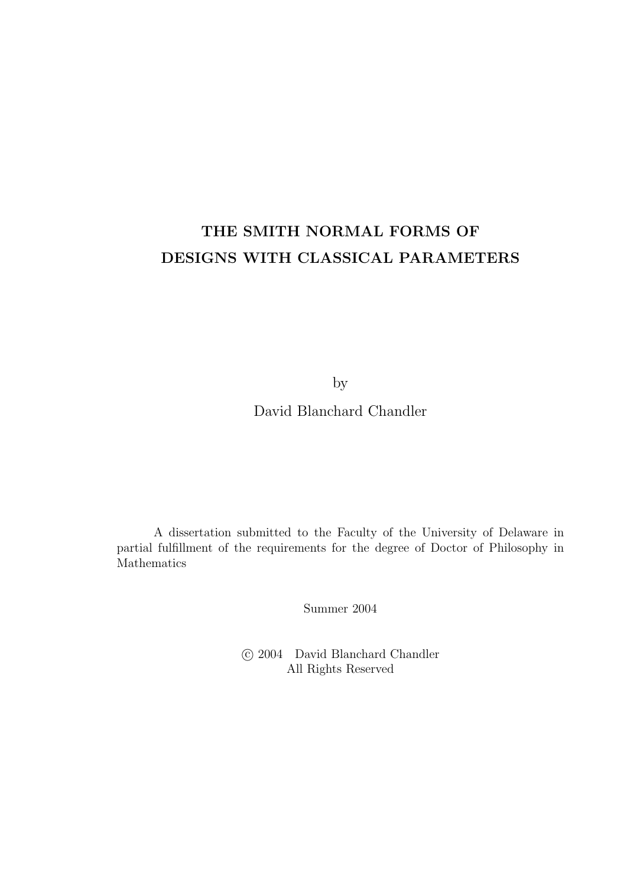# THE SMITH NORMAL FORMS OF DESIGNS WITH CLASSICAL PARAMETERS

by

David Blanchard Chandler

A dissertation submitted to the Faculty of the University of Delaware in partial fulfillment of the requirements for the degree of Doctor of Philosophy in Mathematics

Summer 2004

 c 2004 David Blanchard Chandler All Rights Reserved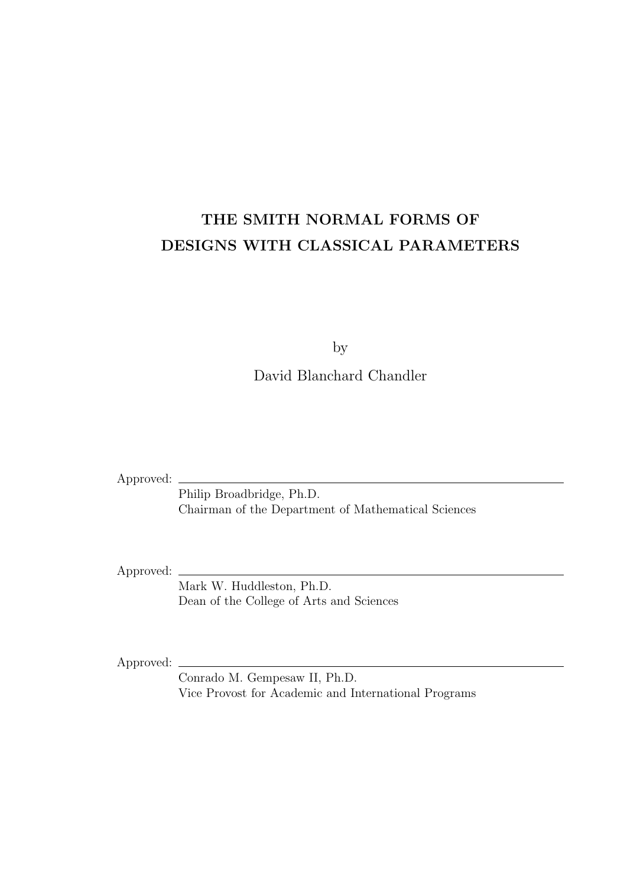# THE SMITH NORMAL FORMS OF DESIGNS WITH CLASSICAL PARAMETERS

by

David Blanchard Chandler

Approved:

Philip Broadbridge, Ph.D. Chairman of the Department of Mathematical Sciences

Approved:

Mark W. Huddleston, Ph.D. Dean of the College of Arts and Sciences

Approved:

Conrado M. Gempesaw II, Ph.D. Vice Provost for Academic and International Programs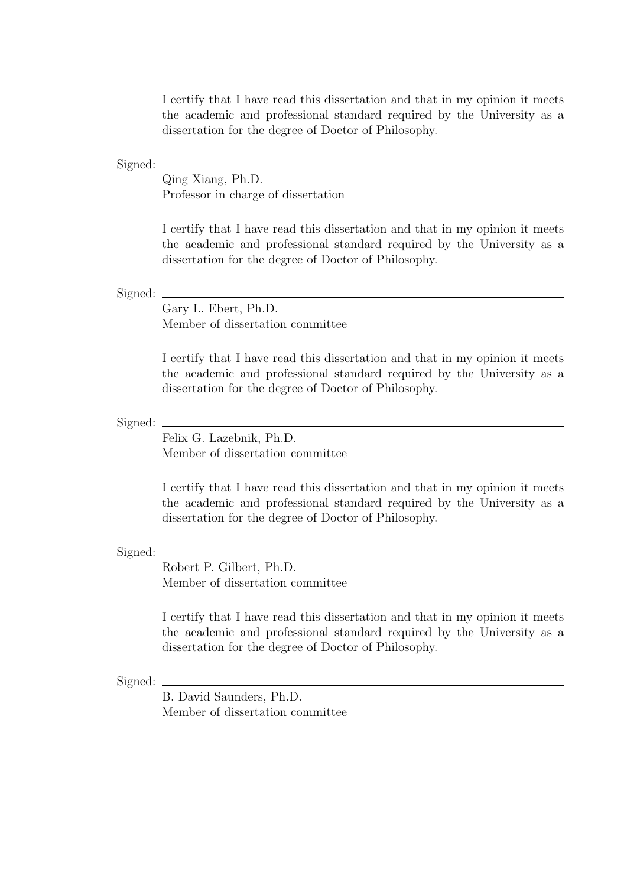I certify that I have read this dissertation and that in my opinion it meets the academic and professional standard required by the University as a dissertation for the degree of Doctor of Philosophy.

Signed:

Qing Xiang, Ph.D. Professor in charge of dissertation

I certify that I have read this dissertation and that in my opinion it meets the academic and professional standard required by the University as a dissertation for the degree of Doctor of Philosophy.

## Signed:

Gary L. Ebert, Ph.D. Member of dissertation committee

I certify that I have read this dissertation and that in my opinion it meets the academic and professional standard required by the University as a dissertation for the degree of Doctor of Philosophy.

## Signed:

Felix G. Lazebnik, Ph.D. Member of dissertation committee

I certify that I have read this dissertation and that in my opinion it meets the academic and professional standard required by the University as a dissertation for the degree of Doctor of Philosophy.

### Signed:

Robert P. Gilbert, Ph.D. Member of dissertation committee

I certify that I have read this dissertation and that in my opinion it meets the academic and professional standard required by the University as a dissertation for the degree of Doctor of Philosophy.

### Signed:

B. David Saunders, Ph.D. Member of dissertation committee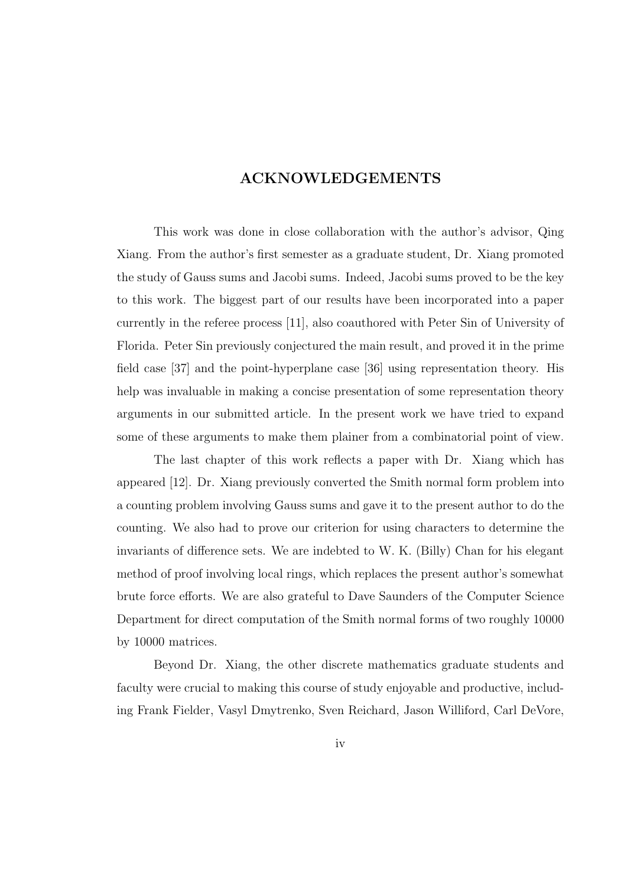## ACKNOWLEDGEMENTS

This work was done in close collaboration with the author's advisor, Qing Xiang. From the author's first semester as a graduate student, Dr. Xiang promoted the study of Gauss sums and Jacobi sums. Indeed, Jacobi sums proved to be the key to this work. The biggest part of our results have been incorporated into a paper currently in the referee process [11], also coauthored with Peter Sin of University of Florida. Peter Sin previously conjectured the main result, and proved it in the prime field case [37] and the point-hyperplane case [36] using representation theory. His help was invaluable in making a concise presentation of some representation theory arguments in our submitted article. In the present work we have tried to expand some of these arguments to make them plainer from a combinatorial point of view.

The last chapter of this work reflects a paper with Dr. Xiang which has appeared [12]. Dr. Xiang previously converted the Smith normal form problem into a counting problem involving Gauss sums and gave it to the present author to do the counting. We also had to prove our criterion for using characters to determine the invariants of difference sets. We are indebted to W. K. (Billy) Chan for his elegant method of proof involving local rings, which replaces the present author's somewhat brute force efforts. We are also grateful to Dave Saunders of the Computer Science Department for direct computation of the Smith normal forms of two roughly 10000 by 10000 matrices.

Beyond Dr. Xiang, the other discrete mathematics graduate students and faculty were crucial to making this course of study enjoyable and productive, including Frank Fielder, Vasyl Dmytrenko, Sven Reichard, Jason Williford, Carl DeVore,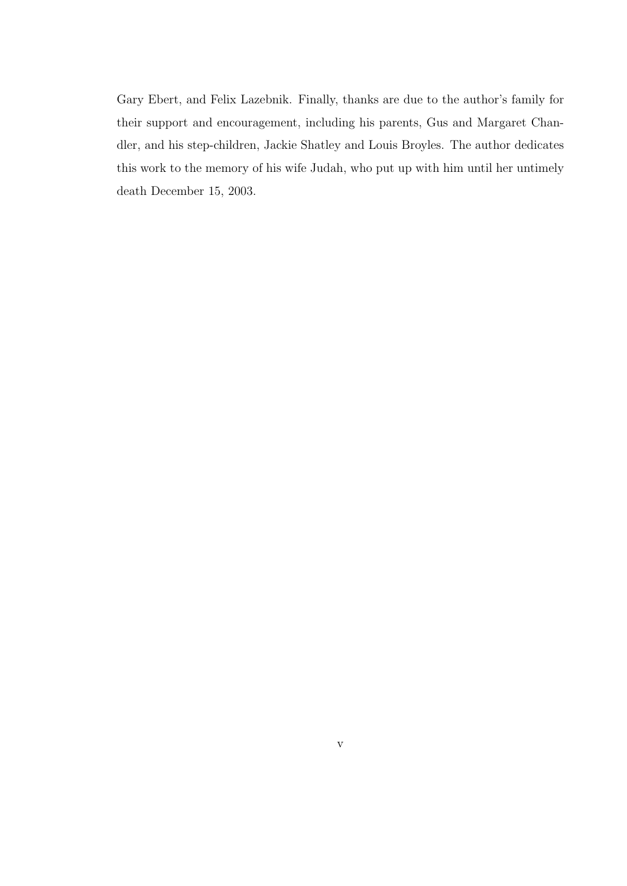Gary Ebert, and Felix Lazebnik. Finally, thanks are due to the author's family for their support and encouragement, including his parents, Gus and Margaret Chandler, and his step-children, Jackie Shatley and Louis Broyles. The author dedicates this work to the memory of his wife Judah, who put up with him until her untimely death December 15, 2003.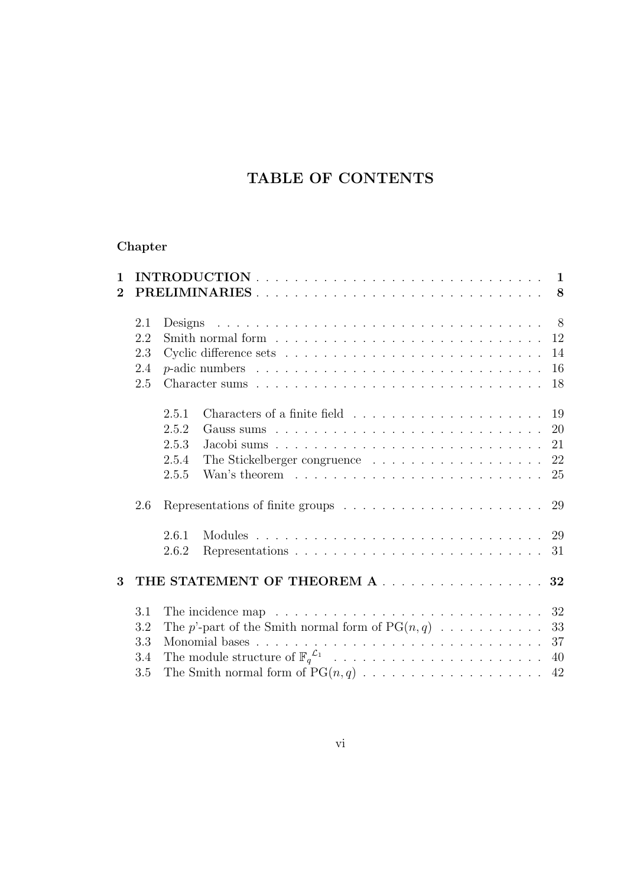# TABLE OF CONTENTS

## Chapter

| $\mathbf{1}$ |         |                                                                                                   |
|--------------|---------|---------------------------------------------------------------------------------------------------|
| $\bf{2}$     |         |                                                                                                   |
|              | 2.1     | Designs                                                                                           |
|              | 2.2     |                                                                                                   |
|              | 2.3     |                                                                                                   |
|              | 2.4     | 16                                                                                                |
|              | 2.5     | 18                                                                                                |
|              |         | 19<br>2.5.1                                                                                       |
|              |         | 20<br>2.5.2                                                                                       |
|              |         | 21<br>2.5.3                                                                                       |
|              |         | 22<br>2.5.4                                                                                       |
|              |         | Wan's theorem $\ldots \ldots \ldots \ldots \ldots \ldots \ldots \ldots \ldots \ldots 25$<br>2.5.5 |
|              | 2.6     | Representations of finite groups $\ldots \ldots \ldots \ldots \ldots \ldots$ 29                   |
|              |         | 2.6.1                                                                                             |
|              |         | 2.6.2                                                                                             |
| 3            |         | THE STATEMENT OF THEOREM A 32                                                                     |
|              | 3.1     | The incidence map $\ldots \ldots \ldots \ldots \ldots \ldots \ldots \ldots \ldots \ldots 32$      |
|              | 3.2     | 33<br>The p'-part of the Smith normal form of $PG(n,q)$                                           |
|              | 3.3     |                                                                                                   |
|              | 3.4     | 40                                                                                                |
|              | $3.5\,$ |                                                                                                   |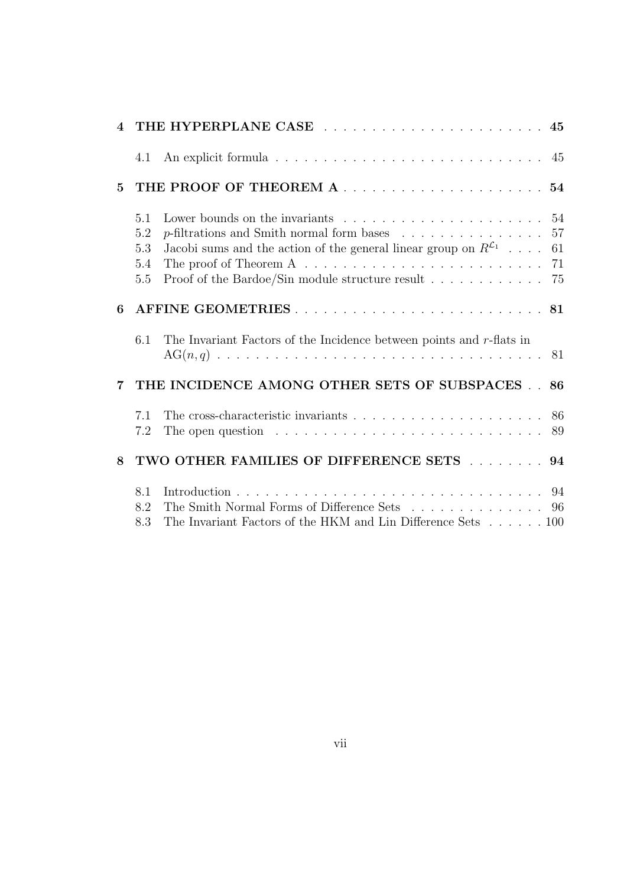|             |                                 | 4 THE HYPERPLANE CASE  45                                                                                                                                                                                                                                    |  |
|-------------|---------------------------------|--------------------------------------------------------------------------------------------------------------------------------------------------------------------------------------------------------------------------------------------------------------|--|
|             | 4.1                             |                                                                                                                                                                                                                                                              |  |
| $5^{\circ}$ |                                 |                                                                                                                                                                                                                                                              |  |
|             | 5.1<br>5.2<br>5.3<br>5.4<br>5.5 | Lower bounds on the invariants $\ldots \ldots \ldots \ldots \ldots \ldots \ldots 54$<br>Jacobi sums and the action of the general linear group on $R^{\mathcal{L}_1}$ 61<br>Proof of the Bardoe/Sin module structure result $\ldots \ldots \ldots \ldots$ 75 |  |
| 6           |                                 |                                                                                                                                                                                                                                                              |  |
|             | 6.1                             | The Invariant Factors of the Incidence between points and $r$ -flats in                                                                                                                                                                                      |  |
| 7           |                                 | THE INCIDENCE AMONG OTHER SETS OF SUBSPACES 86                                                                                                                                                                                                               |  |
|             | 7.1<br>7.2                      | The open question $\ldots \ldots \ldots \ldots \ldots \ldots \ldots \ldots \ldots$                                                                                                                                                                           |  |
| 8           |                                 | TWO OTHER FAMILIES OF DIFFERENCE SETS 94                                                                                                                                                                                                                     |  |
|             | 8.1<br>8.2<br>8.3               | The Smith Normal Forms of Difference Sets 96<br>The Invariant Factors of the HKM and Lin Difference Sets $\ldots \ldots 100$                                                                                                                                 |  |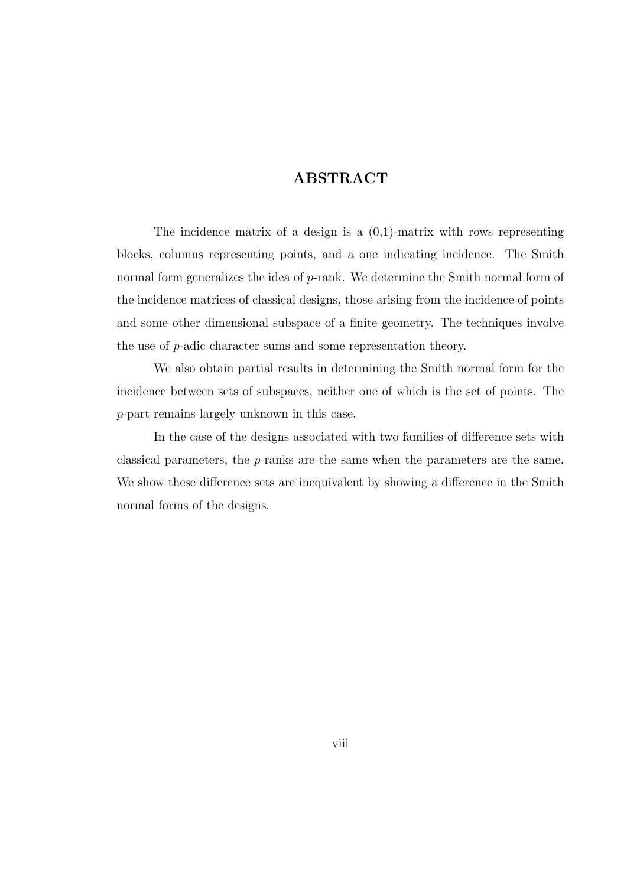## ABSTRACT

The incidence matrix of a design is a  $(0,1)$ -matrix with rows representing blocks, columns representing points, and a one indicating incidence. The Smith normal form generalizes the idea of *p*-rank. We determine the Smith normal form of the incidence matrices of classical designs, those arising from the incidence of points and some other dimensional subspace of a finite geometry. The techniques involve the use of p-adic character sums and some representation theory.

We also obtain partial results in determining the Smith normal form for the incidence between sets of subspaces, neither one of which is the set of points. The p-part remains largely unknown in this case.

In the case of the designs associated with two families of difference sets with classical parameters, the p-ranks are the same when the parameters are the same. We show these difference sets are inequivalent by showing a difference in the Smith normal forms of the designs.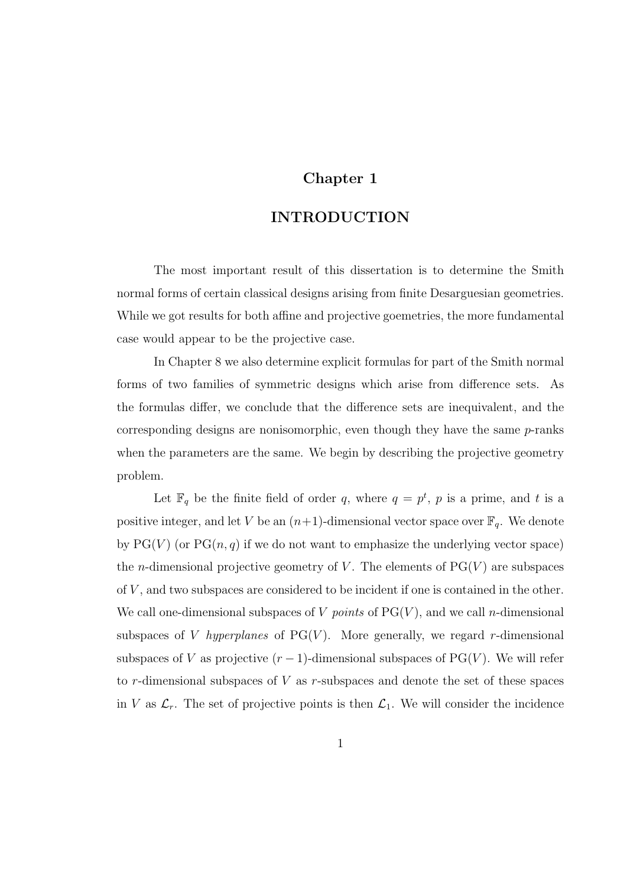## Chapter 1

# INTRODUCTION

The most important result of this dissertation is to determine the Smith normal forms of certain classical designs arising from finite Desarguesian geometries. While we got results for both affine and projective goemetries, the more fundamental case would appear to be the projective case.

In Chapter 8 we also determine explicit formulas for part of the Smith normal forms of two families of symmetric designs which arise from difference sets. As the formulas differ, we conclude that the difference sets are inequivalent, and the corresponding designs are nonisomorphic, even though they have the same  $p$ -ranks when the parameters are the same. We begin by describing the projective geometry problem.

Let  $\mathbb{F}_q$  be the finite field of order q, where  $q = p^t$ , p is a prime, and t is a positive integer, and let V be an  $(n+1)$ -dimensional vector space over  $\mathbb{F}_q$ . We denote by  $PG(V)$  (or  $PG(n, q)$  if we do not want to emphasize the underlying vector space) the *n*-dimensional projective geometry of V. The elements of  $PG(V)$  are subspaces of  $V$ , and two subspaces are considered to be incident if one is contained in the other. We call one-dimensional subspaces of V points of  $PG(V)$ , and we call n-dimensional subspaces of V hyperplanes of  $PG(V)$ . More generally, we regard r-dimensional subspaces of V as projective  $(r-1)$ -dimensional subspaces of PG(V). We will refer to r-dimensional subspaces of  $V$  as r-subspaces and denote the set of these spaces in V as  $\mathcal{L}_r$ . The set of projective points is then  $\mathcal{L}_1$ . We will consider the incidence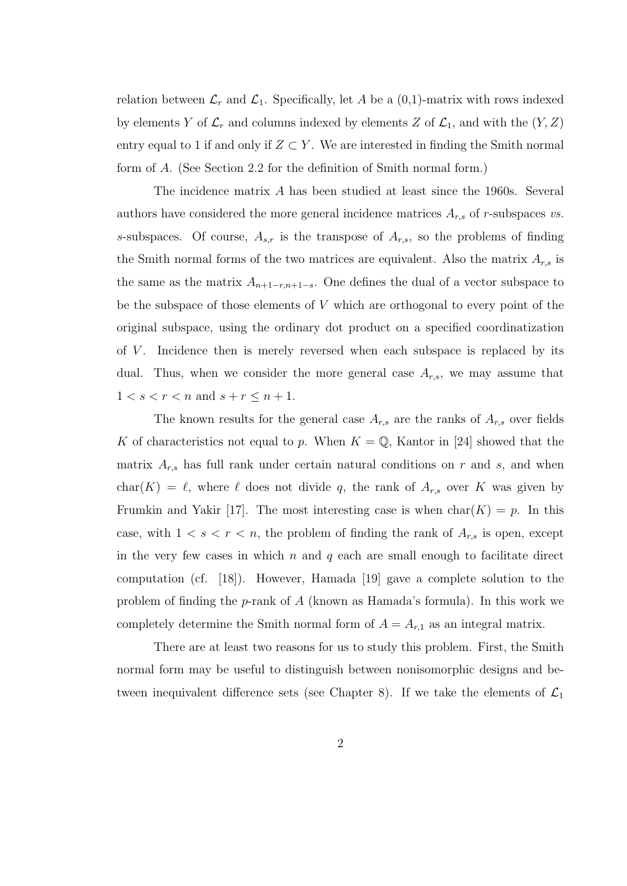relation between  $\mathcal{L}_r$  and  $\mathcal{L}_1$ . Specifically, let A be a (0,1)-matrix with rows indexed by elements Y of  $\mathcal{L}_r$  and columns indexed by elements Z of  $\mathcal{L}_1$ , and with the  $(Y, Z)$ entry equal to 1 if and only if  $Z \subset Y$ . We are interested in finding the Smith normal form of A. (See Section 2.2 for the definition of Smith normal form.)

The incidence matrix A has been studied at least since the 1960s. Several authors have considered the more general incidence matrices  $A_{r,s}$  of r-subspaces vs. s-subspaces. Of course,  $A_{s,r}$  is the transpose of  $A_{r,s}$ , so the problems of finding the Smith normal forms of the two matrices are equivalent. Also the matrix  $A_{r,s}$  is the same as the matrix  $A_{n+1-r,n+1-s}$ . One defines the dual of a vector subspace to be the subspace of those elements of V which are orthogonal to every point of the original subspace, using the ordinary dot product on a specified coordinatization of  $V$ . Incidence then is merely reversed when each subspace is replaced by its dual. Thus, when we consider the more general case  $A_{r,s}$ , we may assume that  $1 < s < r < n$  and  $s + r \le n + 1$ .

The known results for the general case  $A_{r,s}$  are the ranks of  $A_{r,s}$  over fields K of characteristics not equal to p. When  $K = \mathbb{Q}$ , Kantor in [24] showed that the matrix  $A_{r,s}$  has full rank under certain natural conditions on r and s, and when char(K) =  $\ell$ , where  $\ell$  does not divide q, the rank of  $A_{r,s}$  over K was given by Frumkin and Yakir [17]. The most interesting case is when  $char(K) = p$ . In this case, with  $1 \lt s \lt r \lt n$ , the problem of finding the rank of  $A_{r,s}$  is open, except in the very few cases in which  $n$  and  $q$  each are small enough to facilitate direct computation (cf. [18]). However, Hamada [19] gave a complete solution to the problem of finding the p-rank of A (known as Hamada's formula). In this work we completely determine the Smith normal form of  $A = A_{r,1}$  as an integral matrix.

There are at least two reasons for us to study this problem. First, the Smith normal form may be useful to distinguish between nonisomorphic designs and between inequivalent difference sets (see Chapter 8). If we take the elements of  $\mathcal{L}_1$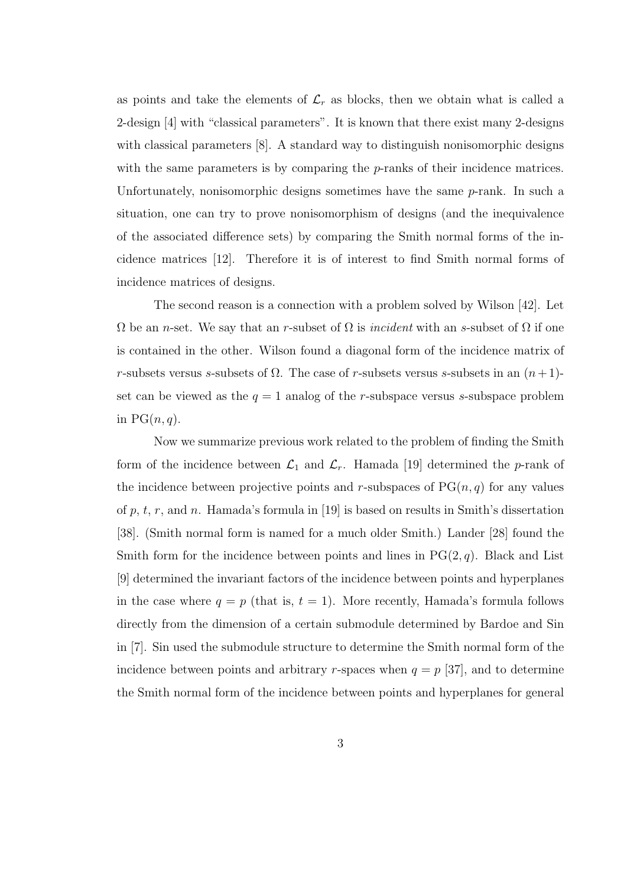as points and take the elements of  $\mathcal{L}_r$  as blocks, then we obtain what is called a 2-design [4] with "classical parameters". It is known that there exist many 2-designs with classical parameters [8]. A standard way to distinguish nonisomorphic designs with the same parameters is by comparing the *p*-ranks of their incidence matrices. Unfortunately, nonisomorphic designs sometimes have the same  $p$ -rank. In such a situation, one can try to prove nonisomorphism of designs (and the inequivalence of the associated difference sets) by comparing the Smith normal forms of the incidence matrices [12]. Therefore it is of interest to find Smith normal forms of incidence matrices of designs.

The second reason is a connection with a problem solved by Wilson [42]. Let  $\Omega$  be an *n*-set. We say that an *r*-subset of  $\Omega$  is *incident* with an *s*-subset of  $\Omega$  if one is contained in the other. Wilson found a diagonal form of the incidence matrix of r-subsets versus s-subsets of  $\Omega$ . The case of r-subsets versus s-subsets in an  $(n+1)$ set can be viewed as the  $q = 1$  analog of the r-subspace versus s-subspace problem in  $PG(n, q)$ .

Now we summarize previous work related to the problem of finding the Smith form of the incidence between  $\mathcal{L}_1$  and  $\mathcal{L}_r$ . Hamada [19] determined the p-rank of the incidence between projective points and r-subspaces of  $PG(n, q)$  for any values of p, t, r, and n. Hamada's formula in [19] is based on results in Smith's dissertation [38]. (Smith normal form is named for a much older Smith.) Lander [28] found the Smith form for the incidence between points and lines in  $PG(2, q)$ . Black and List [9] determined the invariant factors of the incidence between points and hyperplanes in the case where  $q = p$  (that is,  $t = 1$ ). More recently, Hamada's formula follows directly from the dimension of a certain submodule determined by Bardoe and Sin in [7]. Sin used the submodule structure to determine the Smith normal form of the incidence between points and arbitrary r-spaces when  $q = p$  [37], and to determine the Smith normal form of the incidence between points and hyperplanes for general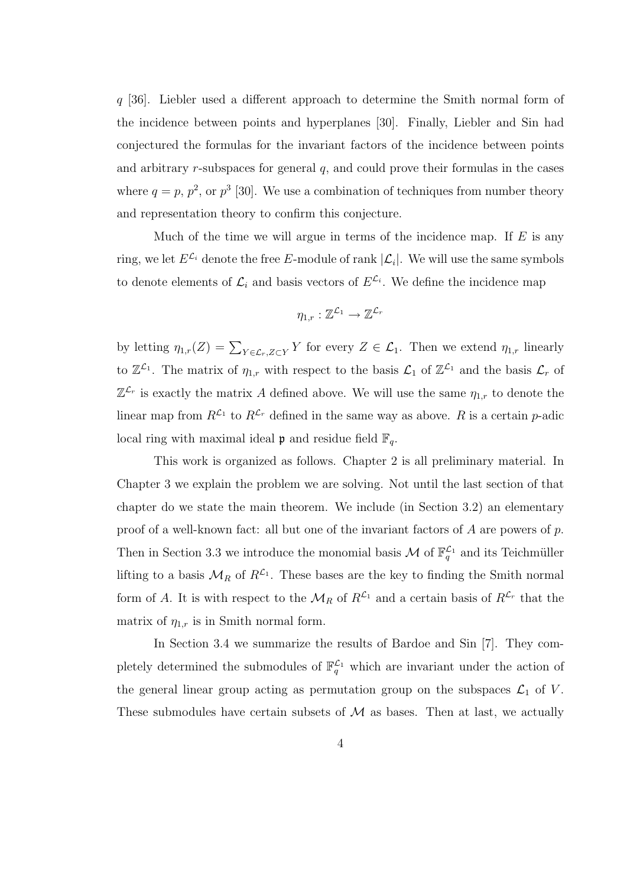q [36]. Liebler used a different approach to determine the Smith normal form of the incidence between points and hyperplanes [30]. Finally, Liebler and Sin had conjectured the formulas for the invariant factors of the incidence between points and arbitrary  $r$ -subspaces for general  $q$ , and could prove their formulas in the cases where  $q = p, p^2$ , or  $p^3$  [30]. We use a combination of techniques from number theory and representation theory to confirm this conjecture.

Much of the time we will argue in terms of the incidence map. If  $E$  is any ring, we let  $E^{\mathcal{L}_i}$  denote the free E-module of rank  $|\mathcal{L}_i|$ . We will use the same symbols to denote elements of  $\mathcal{L}_i$  and basis vectors of  $E^{\mathcal{L}_i}$ . We define the incidence map

$$
\eta_{1,r}:\mathbb{Z}^{\mathcal{L}_1}\rightarrow\mathbb{Z}^{\mathcal{L}_r}
$$

by letting  $\eta_{1,r}(Z) = \sum_{Y \in \mathcal{L}_r, Z \subset Y} Y$  for every  $Z \in \mathcal{L}_1$ . Then we extend  $\eta_{1,r}$  linearly to  $\mathbb{Z}^{\mathcal{L}_1}$ . The matrix of  $\eta_{1,r}$  with respect to the basis  $\mathcal{L}_1$  of  $\mathbb{Z}^{\mathcal{L}_1}$  and the basis  $\mathcal{L}_r$  of  $\mathbb{Z}^{\mathcal{L}_r}$  is exactly the matrix A defined above. We will use the same  $\eta_{1,r}$  to denote the linear map from  $R^{\mathcal{L}_1}$  to  $R^{\mathcal{L}_r}$  defined in the same way as above. R is a certain p-adic local ring with maximal ideal  $\mathfrak p$  and residue field  $\mathbb F_q$ .

This work is organized as follows. Chapter 2 is all preliminary material. In Chapter 3 we explain the problem we are solving. Not until the last section of that chapter do we state the main theorem. We include (in Section 3.2) an elementary proof of a well-known fact: all but one of the invariant factors of A are powers of p. Then in Section 3.3 we introduce the monomial basis  $\mathcal M$  of  $\mathbb{F}_q^{\mathcal L_1}$  and its Teichmüller lifting to a basis  $\mathcal{M}_R$  of  $R^{\mathcal{L}_1}$ . These bases are the key to finding the Smith normal form of A. It is with respect to the  $\mathcal{M}_R$  of  $R^{\mathcal{L}_1}$  and a certain basis of  $R^{\mathcal{L}_r}$  that the matrix of  $\eta_{1,r}$  is in Smith normal form.

In Section 3.4 we summarize the results of Bardoe and Sin [7]. They completely determined the submodules of  $\mathbb{F}_q^{\mathcal{L}_1}$  which are invariant under the action of the general linear group acting as permutation group on the subspaces  $\mathcal{L}_1$  of V. These submodules have certain subsets of  $M$  as bases. Then at last, we actually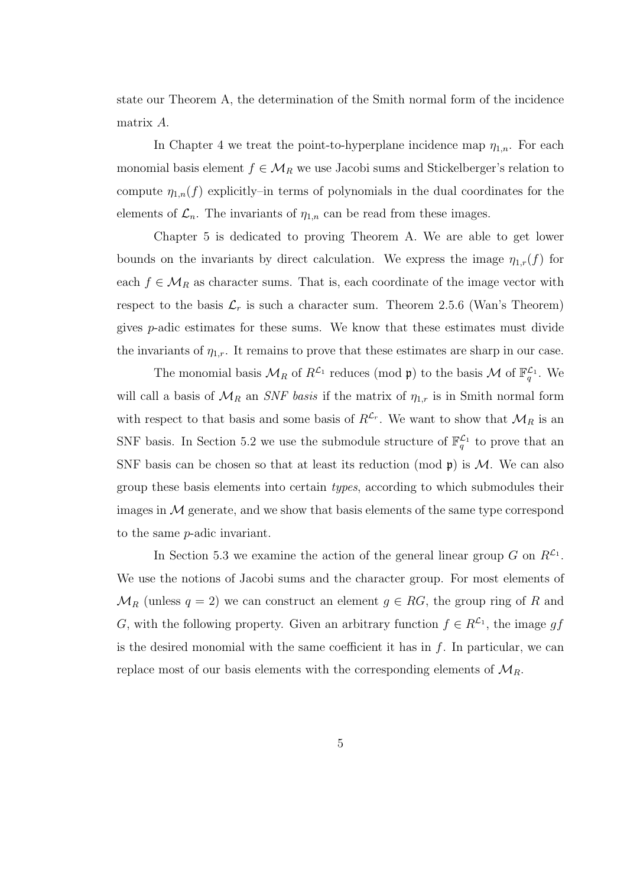state our Theorem A, the determination of the Smith normal form of the incidence matrix A.

In Chapter 4 we treat the point-to-hyperplane incidence map  $\eta_{1,n}$ . For each monomial basis element  $f \in \mathcal{M}_R$  we use Jacobi sums and Stickelberger's relation to compute  $\eta_{1,n}(f)$  explicitly–in terms of polynomials in the dual coordinates for the elements of  $\mathcal{L}_n$ . The invariants of  $\eta_{1,n}$  can be read from these images.

Chapter 5 is dedicated to proving Theorem A. We are able to get lower bounds on the invariants by direct calculation. We express the image  $\eta_{1,r}(f)$  for each  $f \in M_R$  as character sums. That is, each coordinate of the image vector with respect to the basis  $\mathcal{L}_r$  is such a character sum. Theorem 2.5.6 (Wan's Theorem) gives  $p$ -adic estimates for these sums. We know that these estimates must divide the invariants of  $\eta_{1,r}$ . It remains to prove that these estimates are sharp in our case.

The monomial basis  $\mathcal{M}_R$  of  $R^{\mathcal{L}_1}$  reduces (mod  $\mathfrak{p}$ ) to the basis  $\mathcal{M}$  of  $\mathbb{F}_q^{\mathcal{L}_1}$ . We will call a basis of  $\mathcal{M}_R$  an SNF basis if the matrix of  $\eta_{1,r}$  is in Smith normal form with respect to that basis and some basis of  $R^{\mathcal{L}_r}$ . We want to show that  $\mathcal{M}_R$  is an SNF basis. In Section 5.2 we use the submodule structure of  $\mathbb{F}_q^{\mathcal{L}_1}$  to prove that an SNF basis can be chosen so that at least its reduction (mod  $\mathfrak{p}$ ) is M. We can also group these basis elements into certain types, according to which submodules their images in  $\mathcal M$  generate, and we show that basis elements of the same type correspond to the same p-adic invariant.

In Section 5.3 we examine the action of the general linear group G on  $R^{\mathcal{L}_1}$ . We use the notions of Jacobi sums and the character group. For most elements of  $\mathcal{M}_R$  (unless  $q = 2$ ) we can construct an element  $g \in RG$ , the group ring of R and G, with the following property. Given an arbitrary function  $f \in R^{\mathcal{L}_1}$ , the image gf is the desired monomial with the same coefficient it has in  $f$ . In particular, we can replace most of our basis elements with the corresponding elements of  $\mathcal{M}_{R}$ .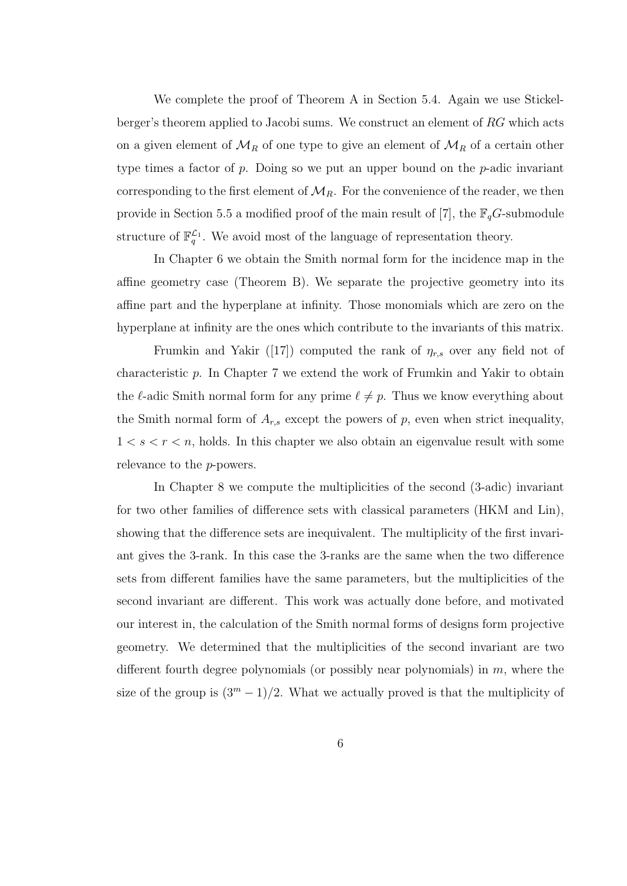We complete the proof of Theorem A in Section 5.4. Again we use Stickelberger's theorem applied to Jacobi sums. We construct an element of  $RG$  which acts on a given element of  $\mathcal{M}_R$  of one type to give an element of  $\mathcal{M}_R$  of a certain other type times a factor of  $p$ . Doing so we put an upper bound on the  $p$ -adic invariant corresponding to the first element of  $\mathcal{M}_R$ . For the convenience of the reader, we then provide in Section 5.5 a modified proof of the main result of [7], the  $\mathbb{F}_{q}G$ -submodule structure of  $\mathbb{F}_q^{\mathcal{L}_1}$ . We avoid most of the language of representation theory.

In Chapter 6 we obtain the Smith normal form for the incidence map in the affine geometry case (Theorem B). We separate the projective geometry into its affine part and the hyperplane at infinity. Those monomials which are zero on the hyperplane at infinity are the ones which contribute to the invariants of this matrix.

Frumkin and Yakir ([17]) computed the rank of  $\eta_{r,s}$  over any field not of characteristic p. In Chapter 7 we extend the work of Frumkin and Yakir to obtain the  $\ell$ -adic Smith normal form for any prime  $\ell \neq p$ . Thus we know everything about the Smith normal form of  $A_{r,s}$  except the powers of p, even when strict inequality,  $1 < s < r < n$ , holds. In this chapter we also obtain an eigenvalue result with some relevance to the p-powers.

In Chapter 8 we compute the multiplicities of the second (3-adic) invariant for two other families of difference sets with classical parameters (HKM and Lin), showing that the difference sets are inequivalent. The multiplicity of the first invariant gives the 3-rank. In this case the 3-ranks are the same when the two difference sets from different families have the same parameters, but the multiplicities of the second invariant are different. This work was actually done before, and motivated our interest in, the calculation of the Smith normal forms of designs form projective geometry. We determined that the multiplicities of the second invariant are two different fourth degree polynomials (or possibly near polynomials) in  $m$ , where the size of the group is  $(3<sup>m</sup> - 1)/2$ . What we actually proved is that the multiplicity of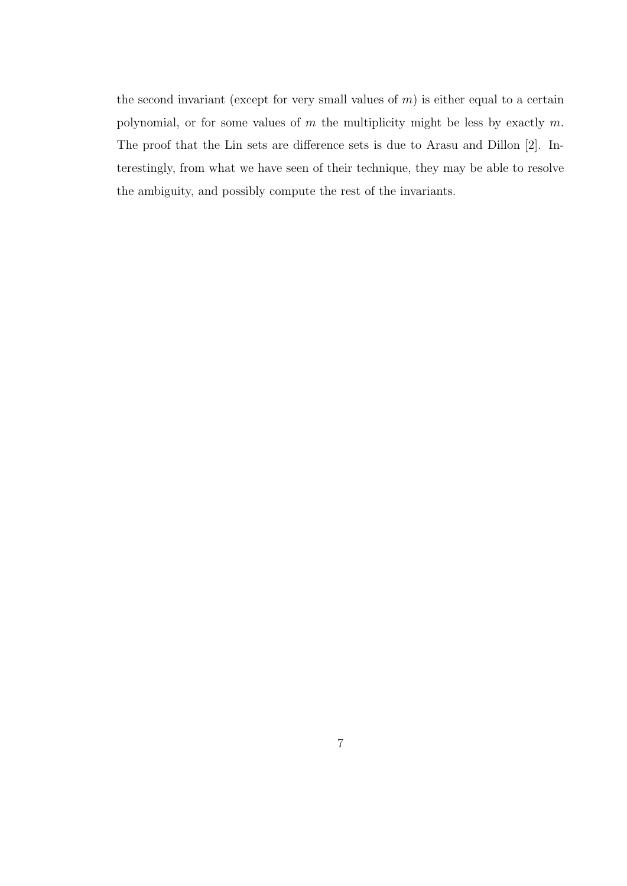the second invariant (except for very small values of  $m$ ) is either equal to a certain polynomial, or for some values of  $m$  the multiplicity might be less by exactly  $m$ . The proof that the Lin sets are difference sets is due to Arasu and Dillon [2]. Interestingly, from what we have seen of their technique, they may be able to resolve the ambiguity, and possibly compute the rest of the invariants.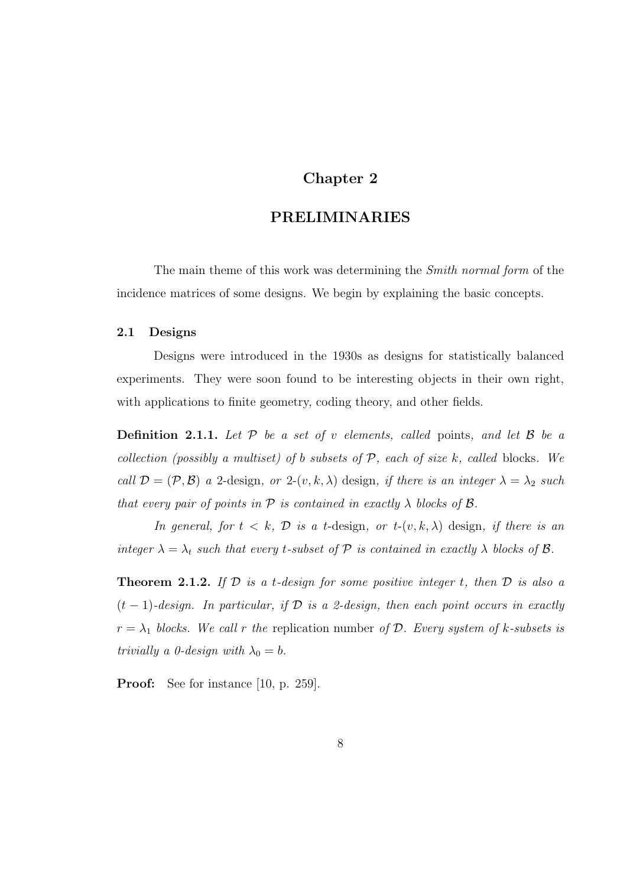## Chapter 2

## PRELIMINARIES

The main theme of this work was determining the *Smith normal form* of the incidence matrices of some designs. We begin by explaining the basic concepts.

## 2.1 Designs

Designs were introduced in the 1930s as designs for statistically balanced experiments. They were soon found to be interesting objects in their own right, with applications to finite geometry, coding theory, and other fields.

**Definition 2.1.1.** Let  $P$  be a set of v elements, called points, and let  $B$  be a collection (possibly a multiset) of b subsets of  $P$ , each of size k, called blocks. We call  $\mathcal{D} = (\mathcal{P}, \mathcal{B})$  a 2-design, or 2- $(v, k, \lambda)$  design, if there is an integer  $\lambda = \lambda_2$  such that every pair of points in  $P$  is contained in exactly  $\lambda$  blocks of  $\beta$ .

In general, for  $t < k$ ,  $\mathcal{D}$  is a t-design, or  $t-(v, k, \lambda)$  design, if there is an integer  $\lambda = \lambda_t$  such that every t-subset of  $P$  is contained in exactly  $\lambda$  blocks of  $\beta$ .

**Theorem 2.1.2.** If  $D$  is a t-design for some positive integer t, then  $D$  is also a  $(t-1)$ -design. In particular, if  $\mathcal D$  is a 2-design, then each point occurs in exactly  $r = \lambda_1$  blocks. We call r the replication number of D. Every system of k-subsets is trivially a 0-design with  $\lambda_0 = b$ .

**Proof:** See for instance [10, p. 259].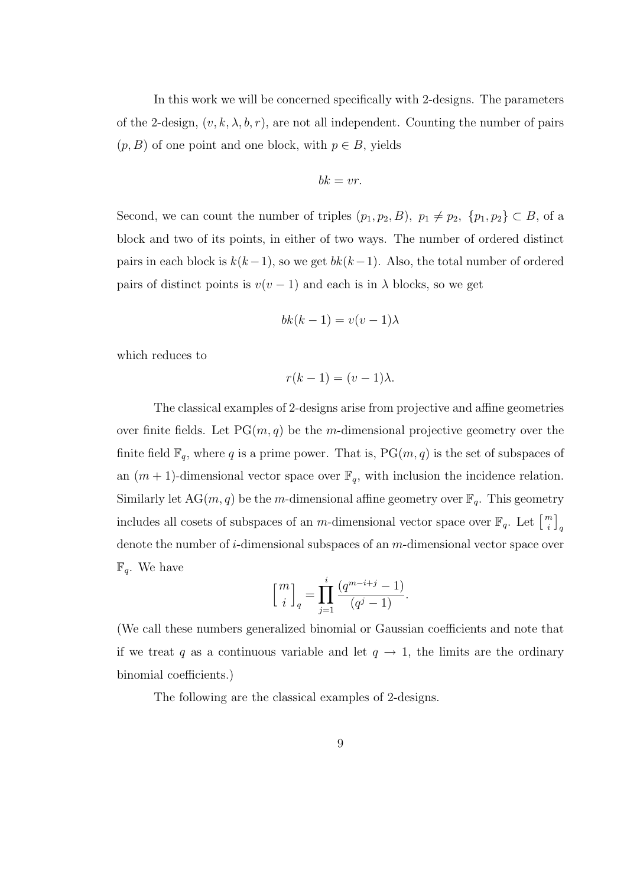In this work we will be concerned specifically with 2-designs. The parameters of the 2-design,  $(v, k, \lambda, b, r)$ , are not all independent. Counting the number of pairs  $(p, B)$  of one point and one block, with  $p \in B$ , yields

$$
bk = vr.
$$

Second, we can count the number of triples  $(p_1, p_2, B)$ ,  $p_1 \neq p_2$ ,  $\{p_1, p_2\} \subset B$ , of a block and two of its points, in either of two ways. The number of ordered distinct pairs in each block is  $k(k-1)$ , so we get  $bk(k-1)$ . Also, the total number of ordered pairs of distinct points is  $v(v-1)$  and each is in  $\lambda$  blocks, so we get

$$
bk(k-1) = v(v-1)\lambda
$$

which reduces to

$$
r(k-1) = (v-1)\lambda.
$$

The classical examples of 2-designs arise from projective and affine geometries over finite fields. Let  $PG(m, q)$  be the m-dimensional projective geometry over the finite field  $\mathbb{F}_q$ , where q is a prime power. That is,  $PG(m, q)$  is the set of subspaces of an  $(m + 1)$ -dimensional vector space over  $\mathbb{F}_q$ , with inclusion the incidence relation. Similarly let  $AG(m, q)$  be the m-dimensional affine geometry over  $\mathbb{F}_q$ . This geometry includes all cosets of subspaces of an *m*-dimensional vector space over  $\mathbb{F}_q$ . Let  $\begin{bmatrix} m \\ i \end{bmatrix}$  $\left[\begin{matrix} m \ i \end{matrix}\right]_q$ denote the number of  $i$ -dimensional subspaces of an  $m$ -dimensional vector space over  $\mathbb{F}_q$ . We have

$$
\begin{bmatrix} m \\ i \end{bmatrix}_q = \prod_{j=1}^i \frac{(q^{m-i+j} - 1)}{(q^j - 1)}.
$$

(We call these numbers generalized binomial or Gaussian coefficients and note that if we treat q as a continuous variable and let  $q \to 1$ , the limits are the ordinary binomial coefficients.)

The following are the classical examples of 2-designs.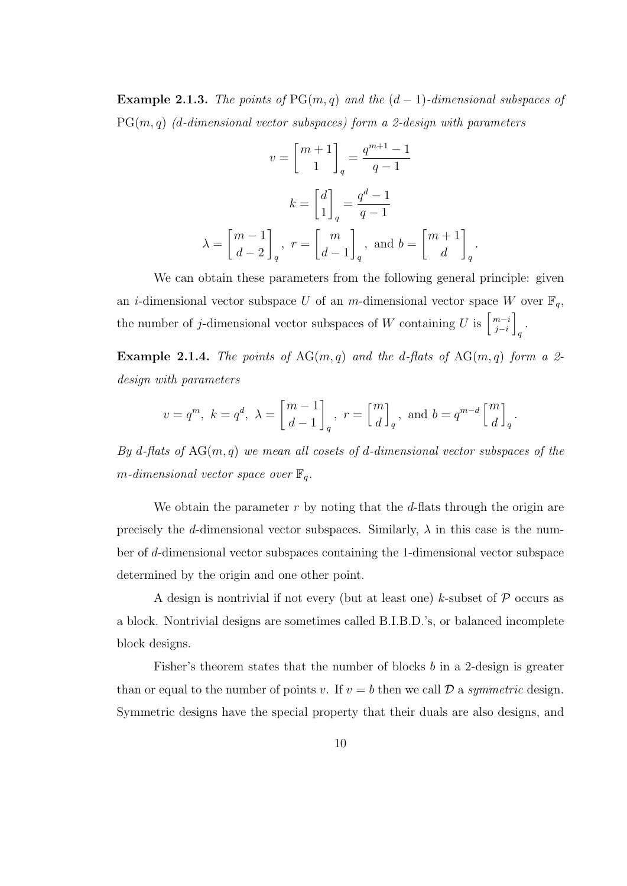Example 2.1.3. The points of  $PG(m, q)$  and the  $(d-1)$ -dimensional subspaces of  $PG(m, q)$  (d-dimensional vector subspaces) form a 2-design with parameters

$$
v = \begin{bmatrix} m+1 \\ 1 \end{bmatrix}_q = \frac{q^{m+1}-1}{q-1}
$$

$$
k = \begin{bmatrix} d \\ 1 \end{bmatrix}_q = \frac{q^d-1}{q-1}
$$

$$
\lambda = \begin{bmatrix} m-1 \\ d-2 \end{bmatrix}_q, r = \begin{bmatrix} m \\ d-1 \end{bmatrix}_q, \text{ and } b = \begin{bmatrix} m+1 \\ d \end{bmatrix}_q
$$

.

We can obtain these parameters from the following general principle: given an *i*-dimensional vector subspace U of an *m*-dimensional vector space W over  $\mathbb{F}_q$ , the number of j-dimensional vector subspaces of W containing U is  $\begin{bmatrix} m-i \\ i-i \end{bmatrix}$  $\begin{bmatrix} m-i \\ j-i \end{bmatrix}$  $\frac{1}{q}$ 

**Example 2.1.4.** The points of  $AG(m, q)$  and the d-flats of  $AG(m, q)$  form a 2design with parameters

$$
v = q^m
$$
,  $k = q^d$ ,  $\lambda = \begin{bmatrix} m-1 \\ d-1 \end{bmatrix}_q$ ,  $r = \begin{bmatrix} m \\ d \end{bmatrix}_q$ , and  $b = q^{m-d} \begin{bmatrix} m \\ d \end{bmatrix}_q$ .

By d-flats of  $AG(m, q)$  we mean all cosets of d-dimensional vector subspaces of the m-dimensional vector space over  $\mathbb{F}_q$ .

We obtain the parameter r by noting that the d-flats through the origin are precisely the d-dimensional vector subspaces. Similarly,  $\lambda$  in this case is the number of d-dimensional vector subspaces containing the 1-dimensional vector subspace determined by the origin and one other point.

A design is nontrivial if not every (but at least one) k-subset of  $P$  occurs as a block. Nontrivial designs are sometimes called B.I.B.D.'s, or balanced incomplete block designs.

Fisher's theorem states that the number of blocks b in a 2-design is greater than or equal to the number of points v. If  $v = b$  then we call  $D$  a symmetric design. Symmetric designs have the special property that their duals are also designs, and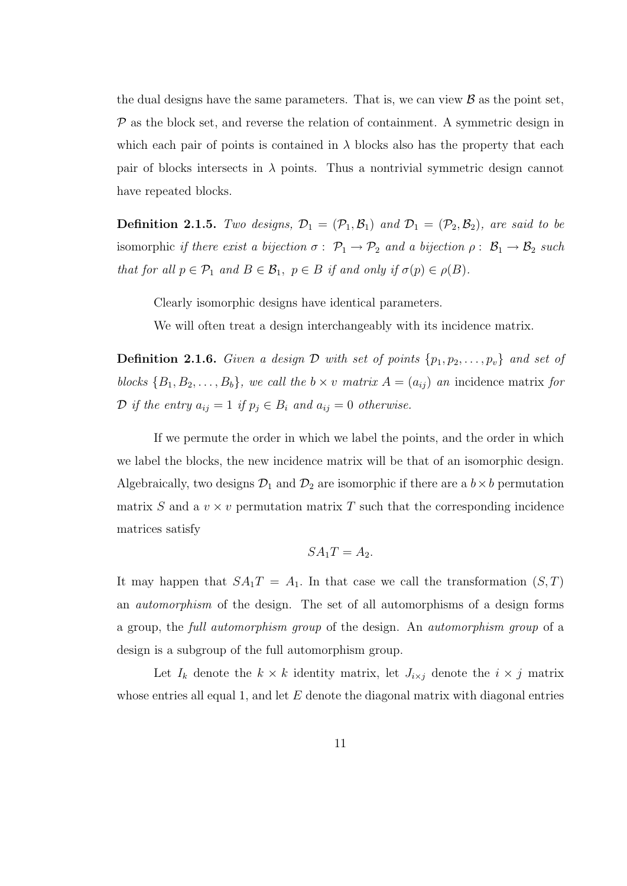the dual designs have the same parameters. That is, we can view  $\beta$  as the point set,  $P$  as the block set, and reverse the relation of containment. A symmetric design in which each pair of points is contained in  $\lambda$  blocks also has the property that each pair of blocks intersects in  $\lambda$  points. Thus a nontrivial symmetric design cannot have repeated blocks.

**Definition 2.1.5.** Two designs,  $\mathcal{D}_1 = (\mathcal{P}_1, \mathcal{B}_1)$  and  $\mathcal{D}_1 = (\mathcal{P}_2, \mathcal{B}_2)$ , are said to be isomorphic if there exist a bijection  $\sigma: \mathcal{P}_1 \to \mathcal{P}_2$  and a bijection  $\rho: \mathcal{B}_1 \to \mathcal{B}_2$  such that for all  $p \in \mathcal{P}_1$  and  $B \in \mathcal{B}_1$ ,  $p \in B$  if and only if  $\sigma(p) \in \rho(B)$ .

Clearly isomorphic designs have identical parameters.

We will often treat a design interchangeably with its incidence matrix.

**Definition 2.1.6.** Given a design  $D$  with set of points  $\{p_1, p_2, \ldots, p_v\}$  and set of blocks  $\{B_1, B_2, \ldots, B_b\}$ , we call the  $b \times v$  matrix  $A = (a_{ij})$  an incidence matrix for D if the entry  $a_{ij} = 1$  if  $p_j \in B_i$  and  $a_{ij} = 0$  otherwise.

If we permute the order in which we label the points, and the order in which we label the blocks, the new incidence matrix will be that of an isomorphic design. Algebraically, two designs  $\mathcal{D}_1$  and  $\mathcal{D}_2$  are isomorphic if there are a  $b \times b$  permutation matrix S and a  $v \times v$  permutation matrix T such that the corresponding incidence matrices satisfy

$$
SA_1T=A_2.
$$

It may happen that  $SA_1T = A_1$ . In that case we call the transformation  $(S, T)$ an automorphism of the design. The set of all automorphisms of a design forms a group, the full automorphism group of the design. An automorphism group of a design is a subgroup of the full automorphism group.

Let  $I_k$  denote the  $k \times k$  identity matrix, let  $J_{i \times j}$  denote the  $i \times j$  matrix whose entries all equal 1, and let  $E$  denote the diagonal matrix with diagonal entries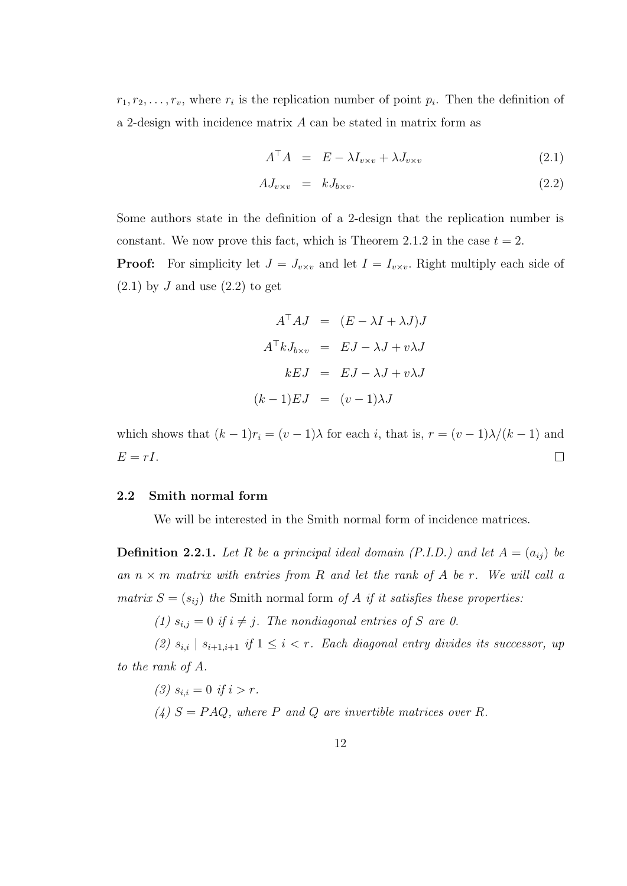$r_1, r_2, \ldots, r_v$ , where  $r_i$  is the replication number of point  $p_i$ . Then the definition of a 2-design with incidence matrix A can be stated in matrix form as

$$
A^{\top}A = E - \lambda I_{v \times v} + \lambda J_{v \times v}
$$
\n(2.1)

$$
AJ_{v \times v} = kJ_{b \times v}.
$$
\n
$$
(2.2)
$$

Some authors state in the definition of a 2-design that the replication number is constant. We now prove this fact, which is Theorem 2.1.2 in the case  $t = 2$ .

**Proof:** For simplicity let  $J = J_{v \times v}$  and let  $I = I_{v \times v}$ . Right multiply each side of  $(2.1)$  by J and use  $(2.2)$  to get

$$
A^{\top}AJ = (E - \lambda I + \lambda J)J
$$

$$
A^{\top}kJ_{b\times v} = EJ - \lambda J + v\lambda J
$$

$$
kEJ = EJ - \lambda J + v\lambda J
$$

$$
(k-1)EJ = (v-1)\lambda J
$$

which shows that  $(k - 1)r_i = (v - 1)\lambda$  for each i, that is,  $r = (v - 1)\lambda/(k - 1)$  and  $E = rI$ .  $\Box$ 

#### 2.2 Smith normal form

We will be interested in the Smith normal form of incidence matrices.

**Definition 2.2.1.** Let R be a principal ideal domain (P.I.D.) and let  $A = (a_{ij})$  be an  $n \times m$  matrix with entries from R and let the rank of A be r. We will call a matrix  $S = (s_{ij})$  the Smith normal form of A if it satisfies these properties:

(1)  $s_{i,j} = 0$  if  $i \neq j$ . The nondiagonal entries of S are 0.

(2)  $s_{i,i}$  |  $s_{i+1,i+1}$  if  $1 \leq i < r$ . Each diagonal entry divides its successor, up to the rank of A.

(3)  $s_{i,i} = 0$  if  $i > r$ .

(4)  $S = PAQ$ , where P and Q are invertible matrices over R.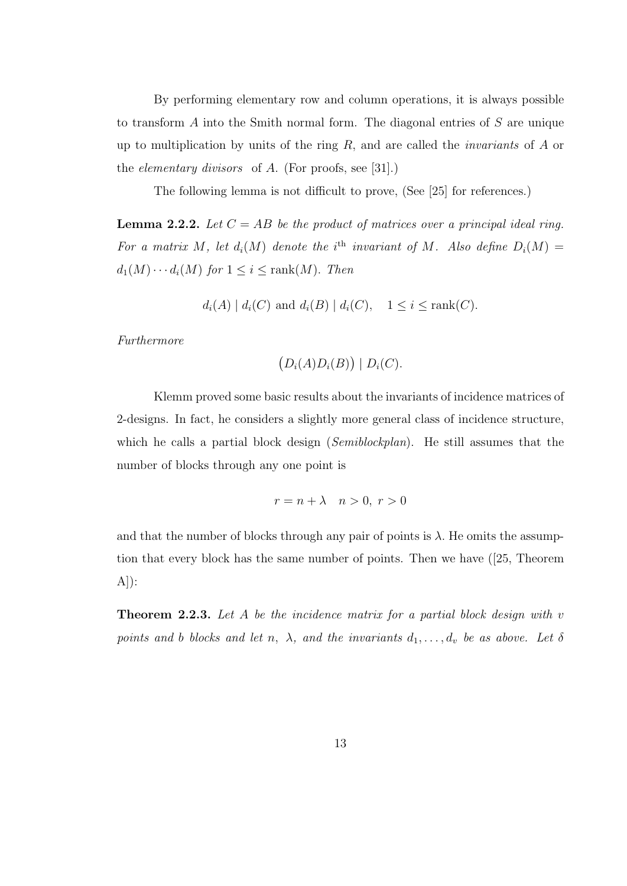By performing elementary row and column operations, it is always possible to transform A into the Smith normal form. The diagonal entries of S are unique up to multiplication by units of the ring  $R$ , and are called the *invariants* of  $A$  or the *elementary divisors* of A. (For proofs, see [31].)

The following lemma is not difficult to prove, (See [25] for references.)

**Lemma 2.2.2.** Let  $C = AB$  be the product of matrices over a principal ideal ring. For a matrix M, let  $d_i(M)$  denote the i<sup>th</sup> invariant of M. Also define  $D_i(M)$  =  $d_1(M) \cdots d_i(M)$  for  $1 \leq i \leq \text{rank}(M)$ . Then

$$
d_i(A) | d_i(C) \text{ and } d_i(B) | d_i(C), \quad 1 \leq i \leq \text{rank}(C).
$$

Furthermore

$$
(D_i(A)D_i(B)) | D_i(C).
$$

Klemm proved some basic results about the invariants of incidence matrices of 2-designs. In fact, he considers a slightly more general class of incidence structure, which he calls a partial block design (*Semiblockplan*). He still assumes that the number of blocks through any one point is

$$
r = n + \lambda \quad n > 0, \ r > 0
$$

and that the number of blocks through any pair of points is  $\lambda$ . He omits the assumption that every block has the same number of points. Then we have ([25, Theorem  $A$ ] $):$ 

Theorem 2.2.3. Let A be the incidence matrix for a partial block design with v points and b blocks and let n,  $\lambda$ , and the invariants  $d_1, \ldots, d_v$  be as above. Let  $\delta$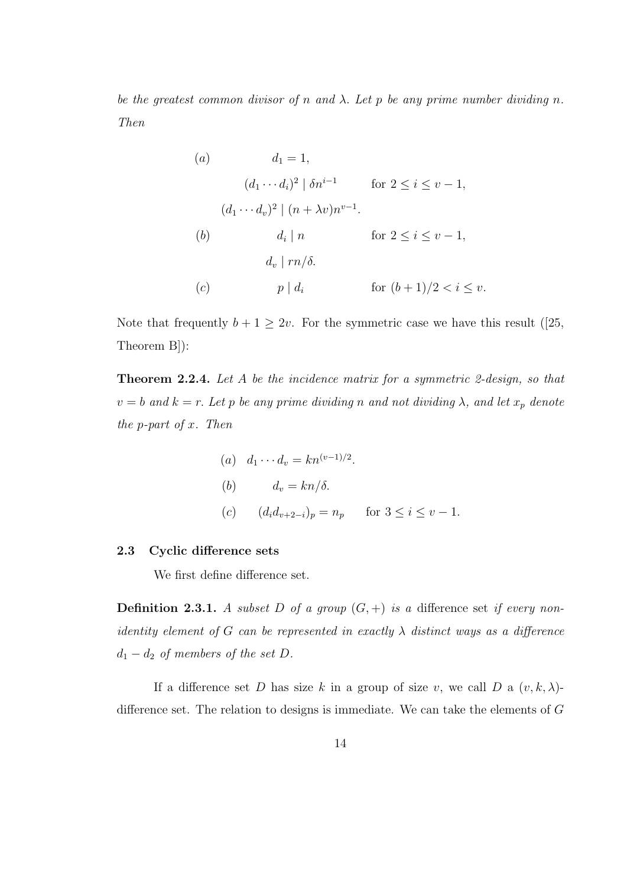be the greatest common divisor of n and  $\lambda$ . Let p be any prime number dividing n. Then

\n- (a) 
$$
d_1 = 1
$$
,  $(d_1 \cdots d_i)^2 \mid \delta n^{i-1}$  for  $2 \leq i \leq v-1$ ,  $(d_1 \cdots d_v)^2 \mid (n + \lambda v)n^{v-1}$ .
\n- (b)  $d_i \mid n$  for  $2 \leq i \leq v-1$ ,  $d_v \mid rn/\delta$ .
\n- (c)  $p \mid d_i$  for  $(b+1)/2 < i \leq v$ .
\n

Note that frequently  $b + 1 \geq 2v$ . For the symmetric case we have this result ([25, Theorem B]):

Theorem 2.2.4. Let A be the incidence matrix for a symmetric 2-design, so that  $v = b$  and  $k = r$ . Let p be any prime dividing n and not dividing  $\lambda$ , and let  $x_p$  denote the p-part of  $x$ . Then

\n- (a) 
$$
d_1 \cdots d_v = kn^{(v-1)/2}
$$
.
\n- (b)  $d_v = kn/\delta$ .
\n- (c)  $(d_i d_{v+2-i})_p = n_p$  for  $3 \leq i \leq v-1$ .
\n

#### 2.3 Cyclic difference sets

We first define difference set.

**Definition 2.3.1.** A subset D of a group  $(G,+)$  is a difference set if every nonidentity element of G can be represented in exactly  $\lambda$  distinct ways as a difference  $d_1 - d_2$  of members of the set D.

If a difference set D has size k in a group of size v, we call D a  $(v, k, \lambda)$ difference set. The relation to designs is immediate. We can take the elements of G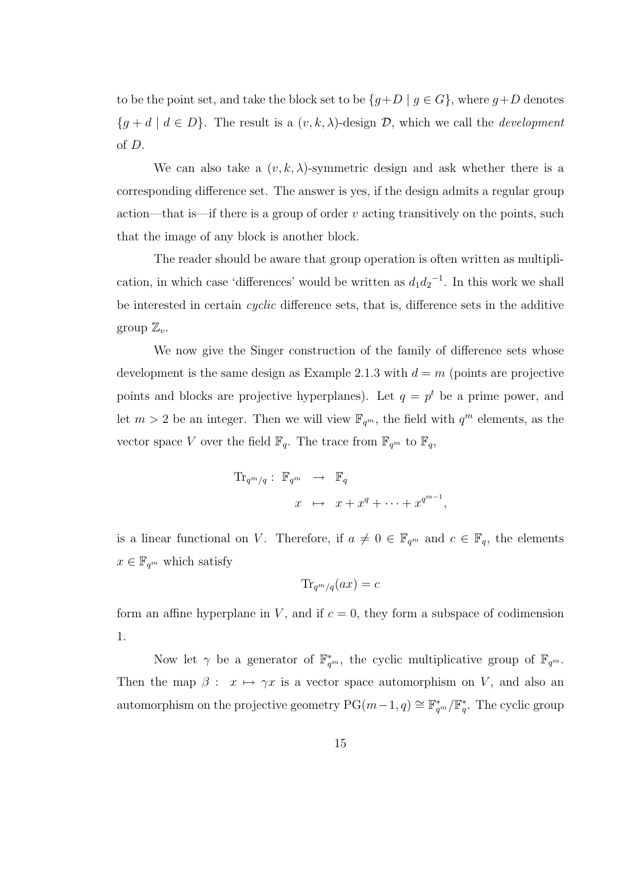to be the point set, and take the block set to be  $\{g+D \mid g \in G\}$ , where  $g+D$  denotes  ${g + d \mid d \in D}$ . The result is a  $(v, k, \lambda)$ -design  $D$ , which we call the *development* of D.

We can also take a  $(v, k, \lambda)$ -symmetric design and ask whether there is a corresponding difference set. The answer is yes, if the design admits a regular group action—that is—if there is a group of order  $v$  acting transitively on the points, such that the image of any block is another block.

The reader should be aware that group operation is often written as multiplication, in which case 'differences' would be written as  $d_1 d_2^{-1}$ . In this work we shall be interested in certain cyclic difference sets, that is, difference sets in the additive group  $\mathbb{Z}_v$ .

We now give the Singer construction of the family of difference sets whose development is the same design as Example 2.1.3 with  $d = m$  (points are projective points and blocks are projective hyperplanes). Let  $q = p<sup>t</sup>$  be a prime power, and let  $m > 2$  be an integer. Then we will view  $\mathbb{F}_{q^m}$ , the field with  $q^m$  elements, as the vector space V over the field  $\mathbb{F}_q$ . The trace from  $\mathbb{F}_{q^m}$  to  $\mathbb{F}_q$ ,

$$
\begin{array}{rcl}\n\operatorname{Tr}_{q^m/q} : & \mathbb{F}_{q^m} \quad \to \quad \mathbb{F}_q \\
x \quad \mapsto \quad x + x^q + \dots + x^{q^{m-1}},\n\end{array}
$$

is a linear functional on V. Therefore, if  $a \neq 0 \in \mathbb{F}_{q^m}$  and  $c \in \mathbb{F}_q$ , the elements  $x \in \mathbb{F}_{q^m}$  which satisfy

$$
\text{Tr}_{q^m/q}(ax) = c
$$

form an affine hyperplane in V, and if  $c = 0$ , they form a subspace of codimension 1.

Now let  $\gamma$  be a generator of  $\mathbb{F}_{q^m}^*$ , the cyclic multiplicative group of  $\mathbb{F}_{q^m}$ . Then the map  $\beta : x \mapsto \gamma x$  is a vector space automorphism on V, and also an automorphism on the projective geometry  $PG(m-1, q) \cong \mathbb{F}_{q^m}^* / \mathbb{F}_{q}^*$ . The cyclic group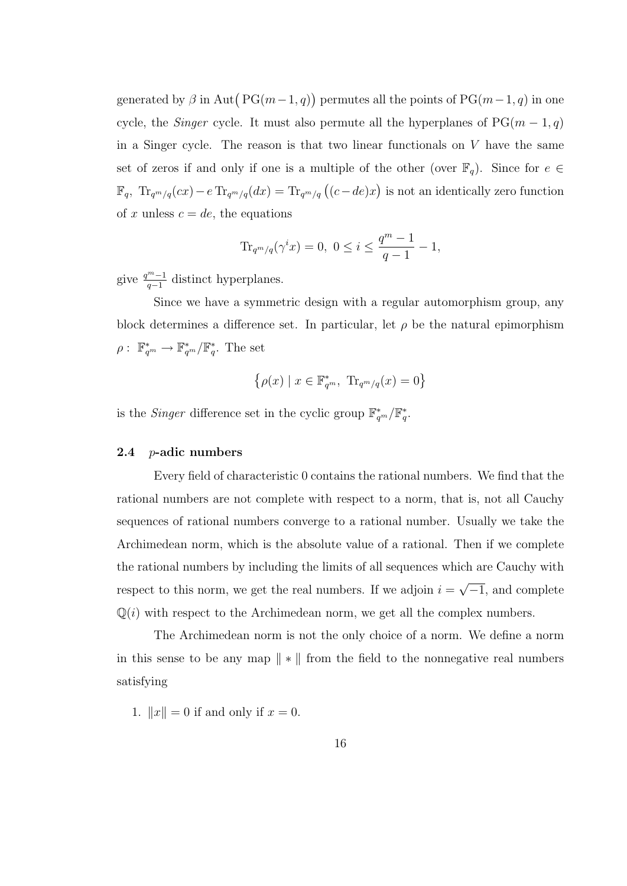generated by  $\beta$  in Aut(PG( $m-1, q$ )) permutes all the points of PG( $m-1, q$ ) in one cycle, the *Singer* cycle. It must also permute all the hyperplanes of  $PG(m-1, q)$ in a Singer cycle. The reason is that two linear functionals on  $V$  have the same set of zeros if and only if one is a multiple of the other (over  $\mathbb{F}_q$ ). Since for  $e \in$  $\mathbb{F}_q$ ,  $\text{Tr}_{q^m/q}(cx) - e \text{Tr}_{q^m/q}(dx) = \text{Tr}_{q^m/q}((c-de)x)$  is not an identically zero function of x unless  $c = de$ , the equations

$$
\text{Tr}_{q^m/q}(\gamma^i x) = 0, \ 0 \le i \le \frac{q^m - 1}{q - 1} - 1,
$$

give  $\frac{q^m-1}{q-1}$  distinct hyperplanes.

Since we have a symmetric design with a regular automorphism group, any block determines a difference set. In particular, let  $\rho$  be the natural epimorphism  $\rho: \mathbb{F}_{q^m}^* \to \mathbb{F}_{q^m}^*/\mathbb{F}_q^*.$  The set

$$
\left\{ \rho(x) \mid x \in \mathbb{F}_{q^m}^*, \ \text{Tr}_{q^m/q}(x) = 0 \right\}
$$

is the *Singer* difference set in the cyclic group  $\mathbb{F}_{q^m}^*/\mathbb{F}_q^*$ .

### 2.4 p-adic numbers

Every field of characteristic 0 contains the rational numbers. We find that the rational numbers are not complete with respect to a norm, that is, not all Cauchy sequences of rational numbers converge to a rational number. Usually we take the Archimedean norm, which is the absolute value of a rational. Then if we complete the rational numbers by including the limits of all sequences which are Cauchy with respect to this norm, we get the real numbers. If we adjoin  $i =$ √  $\overline{-1}$ , and complete  $\mathbb{Q}(i)$  with respect to the Archimedean norm, we get all the complex numbers.

The Archimedean norm is not the only choice of a norm. We define a norm in this sense to be any map  $\Vert * \Vert$  from the field to the nonnegative real numbers satisfying

1.  $||x|| = 0$  if and only if  $x = 0$ .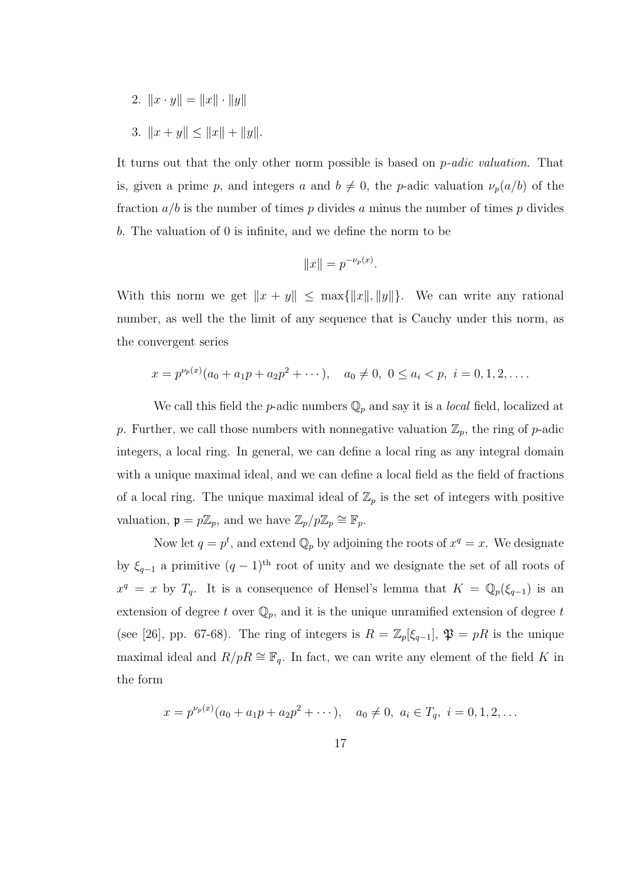- 2.  $||x \cdot y|| = ||x|| \cdot ||y||$
- 3.  $||x + y|| \le ||x|| + ||y||$ .

It turns out that the only other norm possible is based on p-adic valuation. That is, given a prime p, and integers a and  $b \neq 0$ , the p-adic valuation  $\nu_p(a/b)$  of the fraction  $a/b$  is the number of times p divides a minus the number of times p divides b. The valuation of 0 is infinite, and we define the norm to be

$$
||x|| = p^{-\nu_p(x)}.
$$

With this norm we get  $||x + y|| \leq \max{||x||, ||y||}$ . We can write any rational number, as well the the limit of any sequence that is Cauchy under this norm, as the convergent series

$$
x = p^{\nu_p(x)}(a_0 + a_1p + a_2p^2 + \cdots), \quad a_0 \neq 0, \ 0 \le a_i < p, \ i = 0, 1, 2, \ldots.
$$

We call this field the *p*-adic numbers  $\mathbb{Q}_p$  and say it is a *local* field, localized at p. Further, we call those numbers with nonnegative valuation  $\mathbb{Z}_p$ , the ring of p-adic integers, a local ring. In general, we can define a local ring as any integral domain with a unique maximal ideal, and we can define a local field as the field of fractions of a local ring. The unique maximal ideal of  $\mathbb{Z}_p$  is the set of integers with positive valuation,  $\mathfrak{p} = p\mathbb{Z}_p$ , and we have  $\mathbb{Z}_p/p\mathbb{Z}_p \cong \mathbb{F}_p$ .

Now let  $q = p^t$ , and extend  $\mathbb{Q}_p$  by adjoining the roots of  $x^q = x$ . We designate by  $\xi_{q-1}$  a primitive  $(q-1)$ <sup>th</sup> root of unity and we designate the set of all roots of  $x^q = x$  by  $T_q$ . It is a consequence of Hensel's lemma that  $K = \mathbb{Q}_p(\xi_{q-1})$  is an extension of degree t over  $\mathbb{Q}_p$ , and it is the unique unramified extension of degree t (see [26], pp. 67-68). The ring of integers is  $R = \mathbb{Z}_p[\xi_{q-1}]$ ,  $\mathfrak{P} = pR$  is the unique maximal ideal and  $R/pR \cong \mathbb{F}_q$ . In fact, we can write any element of the field K in the form

$$
x = p^{\nu_p(x)}(a_0 + a_1p + a_2p^2 + \cdots), \quad a_0 \neq 0, \ a_i \in T_q, \ i = 0, 1, 2, \ldots
$$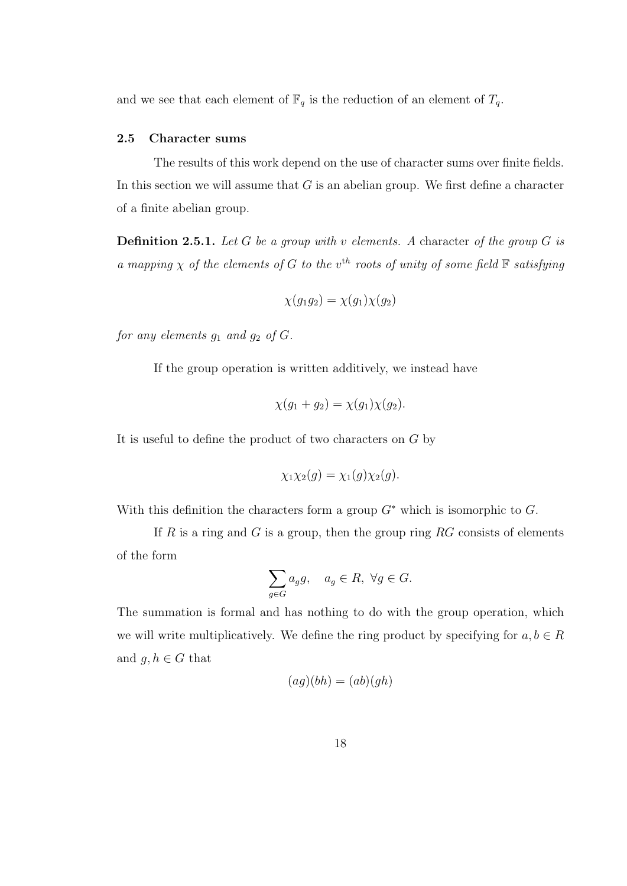and we see that each element of  $\mathbb{F}_q$  is the reduction of an element of  $T_q$ .

#### 2.5 Character sums

The results of this work depend on the use of character sums over finite fields. In this section we will assume that  $G$  is an abelian group. We first define a character of a finite abelian group.

**Definition 2.5.1.** Let G be a group with v elements. A character of the group G is a mapping  $\chi$  of the elements of G to the  $v^{th}$  roots of unity of some field  $\mathbb F$  satisfying

$$
\chi(g_1g_2) = \chi(g_1)\chi(g_2)
$$

for any elements  $g_1$  and  $g_2$  of  $G$ .

If the group operation is written additively, we instead have

$$
\chi(g_1 + g_2) = \chi(g_1)\chi(g_2).
$$

It is useful to define the product of two characters on G by

$$
\chi_1\chi_2(g)=\chi_1(g)\chi_2(g).
$$

With this definition the characters form a group  $G^*$  which is isomorphic to  $G$ .

If R is a ring and G is a group, then the group ring  $RG$  consists of elements of the form

$$
\sum_{g \in G} a_g g, \quad a_g \in R, \ \forall g \in G.
$$

The summation is formal and has nothing to do with the group operation, which we will write multiplicatively. We define the ring product by specifying for  $a, b \in R$ and  $g, h \in G$  that

$$
(ag)(bh) = (ab)(gh)
$$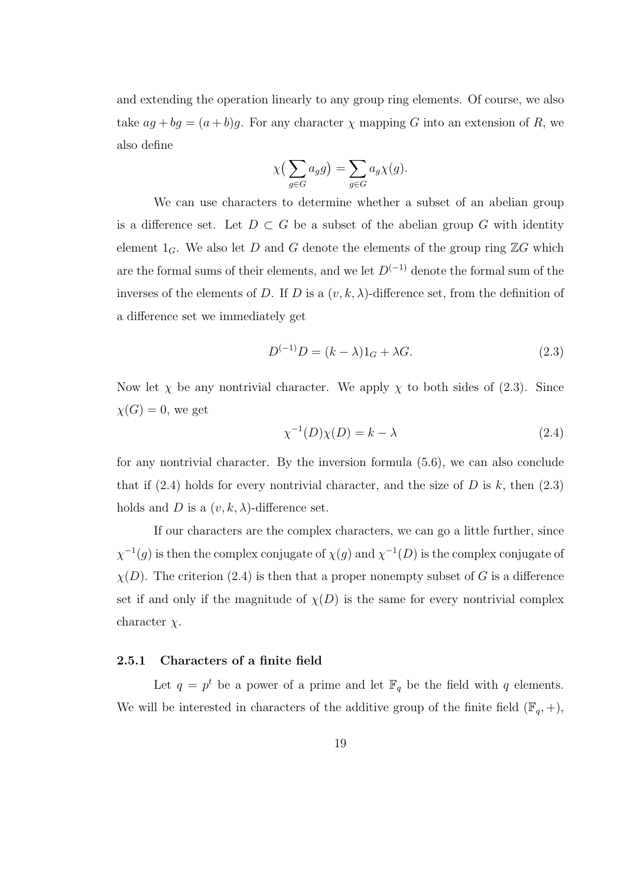and extending the operation linearly to any group ring elements. Of course, we also take  $ag + bg = (a + b)g$ . For any character  $\chi$  mapping G into an extension of R, we also define

$$
\chi\big(\sum_{g\in G}a_gg\big)=\sum_{g\in G}a_g\chi(g).
$$

We can use characters to determine whether a subset of an abelian group is a difference set. Let  $D \subset G$  be a subset of the abelian group G with identity element  $1_G$ . We also let D and G denote the elements of the group ring  $\mathbb{Z}G$  which are the formal sums of their elements, and we let  $D^{(-1)}$  denote the formal sum of the inverses of the elements of D. If D is a  $(v, k, \lambda)$ -difference set, from the definition of a difference set we immediately get

$$
D^{(-1)}D = (k - \lambda)1_G + \lambda G.
$$
\n
$$
(2.3)
$$

Now let  $\chi$  be any nontrivial character. We apply  $\chi$  to both sides of (2.3). Since  $\chi(G) = 0$ , we get

$$
\chi^{-1}(D)\chi(D) = k - \lambda \tag{2.4}
$$

for any nontrivial character. By the inversion formula (5.6), we can also conclude that if  $(2.4)$  holds for every nontrivial character, and the size of D is k, then  $(2.3)$ holds and D is a  $(v, k, \lambda)$ -difference set.

If our characters are the complex characters, we can go a little further, since  $\chi^{-1}(g)$  is then the complex conjugate of  $\chi(g)$  and  $\chi^{-1}(D)$  is the complex conjugate of  $\chi(D)$ . The criterion (2.4) is then that a proper nonempty subset of G is a difference set if and only if the magnitude of  $\chi(D)$  is the same for every nontrivial complex character  $\chi$ .

## 2.5.1 Characters of a finite field

Let  $q = p^t$  be a power of a prime and let  $\mathbb{F}_q$  be the field with q elements. We will be interested in characters of the additive group of the finite field  $(\mathbb{F}_q, +)$ ,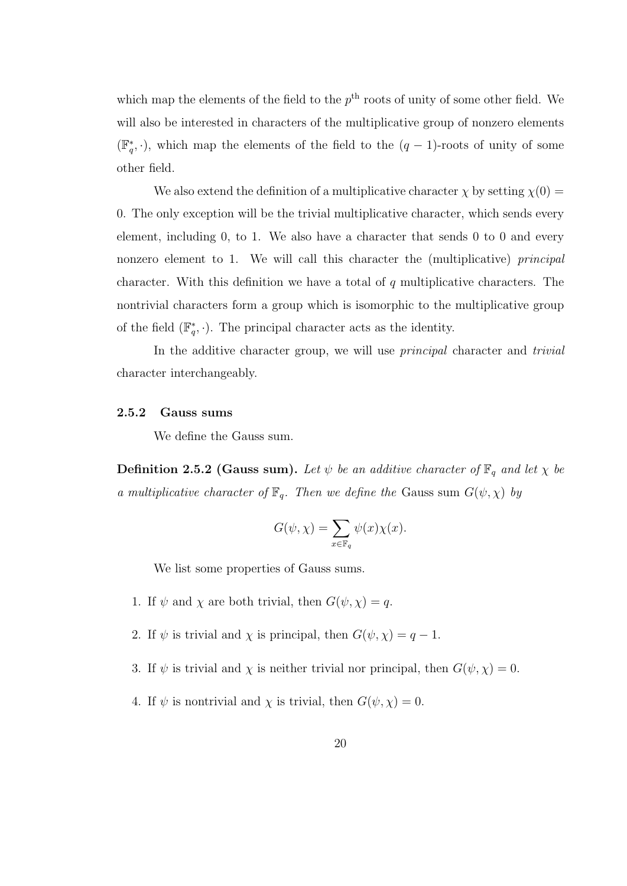which map the elements of the field to the  $p<sup>th</sup>$  roots of unity of some other field. We will also be interested in characters of the multiplicative group of nonzero elements  $(\mathbb{F}_q^*, \cdot)$ , which map the elements of the field to the  $(q-1)$ -roots of unity of some other field.

We also extend the definition of a multiplicative character  $\chi$  by setting  $\chi$ (0) = 0. The only exception will be the trivial multiplicative character, which sends every element, including 0, to 1. We also have a character that sends 0 to 0 and every nonzero element to 1. We will call this character the (multiplicative) *principal* character. With this definition we have a total of  $q$  multiplicative characters. The nontrivial characters form a group which is isomorphic to the multiplicative group of the field  $(\mathbb{F}_q^*, \cdot)$ . The principal character acts as the identity.

In the additive character group, we will use *principal* character and *trivial* character interchangeably.

## 2.5.2 Gauss sums

We define the Gauss sum.

**Definition 2.5.2 (Gauss sum).** Let  $\psi$  be an additive character of  $\mathbb{F}_q$  and let  $\chi$  be a multiplicative character of  $\mathbb{F}_q$ . Then we define the Gauss sum  $G(\psi, \chi)$  by

$$
G(\psi, \chi) = \sum_{x \in \mathbb{F}_q} \psi(x) \chi(x).
$$

We list some properties of Gauss sums.

- 1. If  $\psi$  and  $\chi$  are both trivial, then  $G(\psi, \chi) = q$ .
- 2. If  $\psi$  is trivial and  $\chi$  is principal, then  $G(\psi, \chi) = q 1$ .
- 3. If  $\psi$  is trivial and  $\chi$  is neither trivial nor principal, then  $G(\psi, \chi) = 0$ .
- 4. If  $\psi$  is nontrivial and  $\chi$  is trivial, then  $G(\psi, \chi) = 0$ .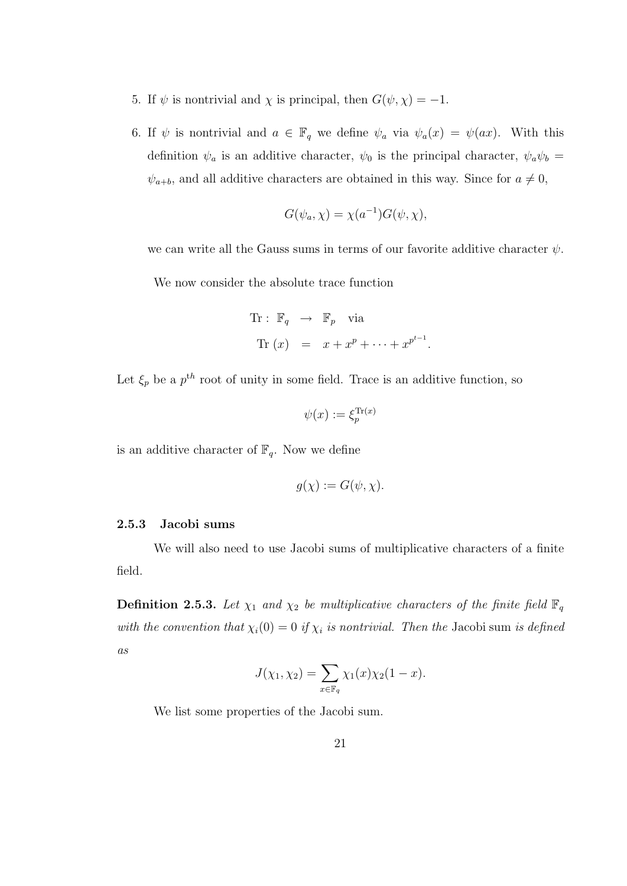- 5. If  $\psi$  is nontrivial and  $\chi$  is principal, then  $G(\psi, \chi) = -1$ .
- 6. If  $\psi$  is nontrivial and  $a \in \mathbb{F}_q$  we define  $\psi_a$  via  $\psi_a(x) = \psi(ax)$ . With this definition  $\psi_a$  is an additive character,  $\psi_0$  is the principal character,  $\psi_a \psi_b =$  $\psi_{a+b}$ , and all additive characters are obtained in this way. Since for  $a \neq 0$ ,

$$
G(\psi_a, \chi) = \chi(a^{-1})G(\psi, \chi),
$$

we can write all the Gauss sums in terms of our favorite additive character  $\psi$ .

We now consider the absolute trace function

Tr: 
$$
\mathbb{F}_q \to \mathbb{F}_p
$$
 via  
Tr  $(x) = x + x^p + \cdots + x^{p^{t-1}}$ .

Let  $\xi_p$  be a  $p^{th}$  root of unity in some field. Trace is an additive function, so

$$
\psi(x) := \xi_p^{\text{Tr}(x)}
$$

is an additive character of  $\mathbb{F}_q$ . Now we define

$$
g(\chi) := G(\psi, \chi).
$$

## 2.5.3 Jacobi sums

We will also need to use Jacobi sums of multiplicative characters of a finite field.

**Definition 2.5.3.** Let  $\chi_1$  and  $\chi_2$  be multiplicative characters of the finite field  $\mathbb{F}_q$ with the convention that  $\chi_i(0) = 0$  if  $\chi_i$  is nontrivial. Then the Jacobi sum is defined as

$$
J(\chi_1, \chi_2) = \sum_{x \in \mathbb{F}_q} \chi_1(x) \chi_2(1-x).
$$

We list some properties of the Jacobi sum.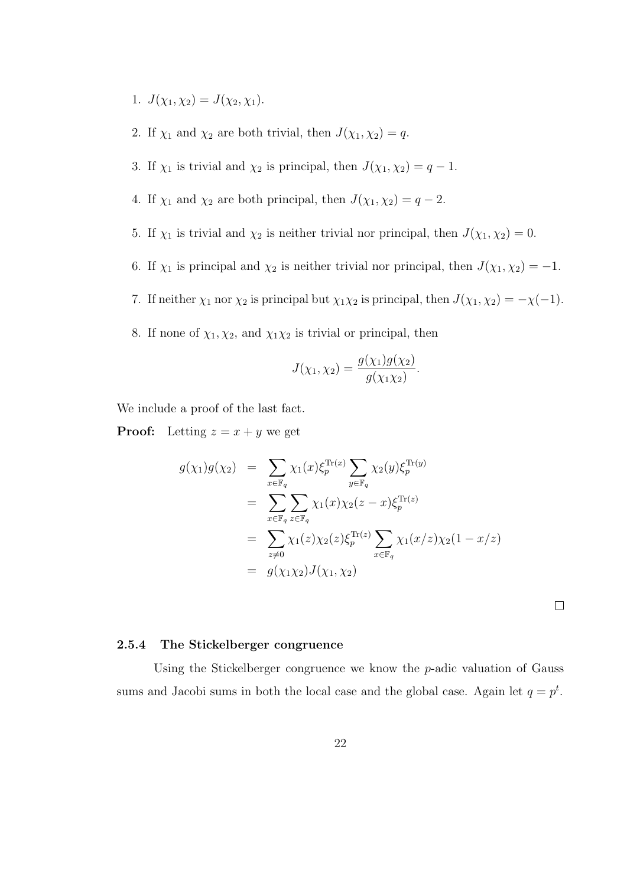- 1.  $J(\chi_1, \chi_2) = J(\chi_2, \chi_1)$ .
- 2. If  $\chi_1$  and  $\chi_2$  are both trivial, then  $J(\chi_1, \chi_2) = q$ .
- 3. If  $\chi_1$  is trivial and  $\chi_2$  is principal, then  $J(\chi_1, \chi_2) = q 1$ .
- 4. If  $\chi_1$  and  $\chi_2$  are both principal, then  $J(\chi_1, \chi_2) = q 2$ .
- 5. If  $\chi_1$  is trivial and  $\chi_2$  is neither trivial nor principal, then  $J(\chi_1, \chi_2) = 0$ .
- 6. If  $\chi_1$  is principal and  $\chi_2$  is neither trivial nor principal, then  $J(\chi_1, \chi_2) = -1$ .
- 7. If neither  $\chi_1$  nor  $\chi_2$  is principal but  $\chi_1 \chi_2$  is principal, then  $J(\chi_1, \chi_2) = -\chi(-1)$ .
- 8. If none of  $\chi_1, \chi_2$ , and  $\chi_1 \chi_2$  is trivial or principal, then

$$
J(\chi_1, \chi_2) = \frac{g(\chi_1)g(\chi_2)}{g(\chi_1 \chi_2)}.
$$

We include a proof of the last fact.

**Proof:** Letting  $z = x + y$  we get

$$
g(\chi_1)g(\chi_2) = \sum_{x \in \mathbb{F}_q} \chi_1(x)\xi_p^{\text{Tr}(x)} \sum_{y \in \mathbb{F}_q} \chi_2(y)\xi_p^{\text{Tr}(y)}
$$
  
\n
$$
= \sum_{x \in \mathbb{F}_q} \sum_{z \in \mathbb{F}_q} \chi_1(x)\chi_2(z-x)\xi_p^{\text{Tr}(z)}
$$
  
\n
$$
= \sum_{z \neq 0} \chi_1(z)\chi_2(z)\xi_p^{\text{Tr}(z)} \sum_{x \in \mathbb{F}_q} \chi_1(x/z)\chi_2(1-x/z)
$$
  
\n
$$
= g(\chi_1\chi_2)J(\chi_1, \chi_2)
$$

 $\Box$ 

## 2.5.4 The Stickelberger congruence

Using the Stickelberger congruence we know the p-adic valuation of Gauss sums and Jacobi sums in both the local case and the global case. Again let  $q = p<sup>t</sup>$ .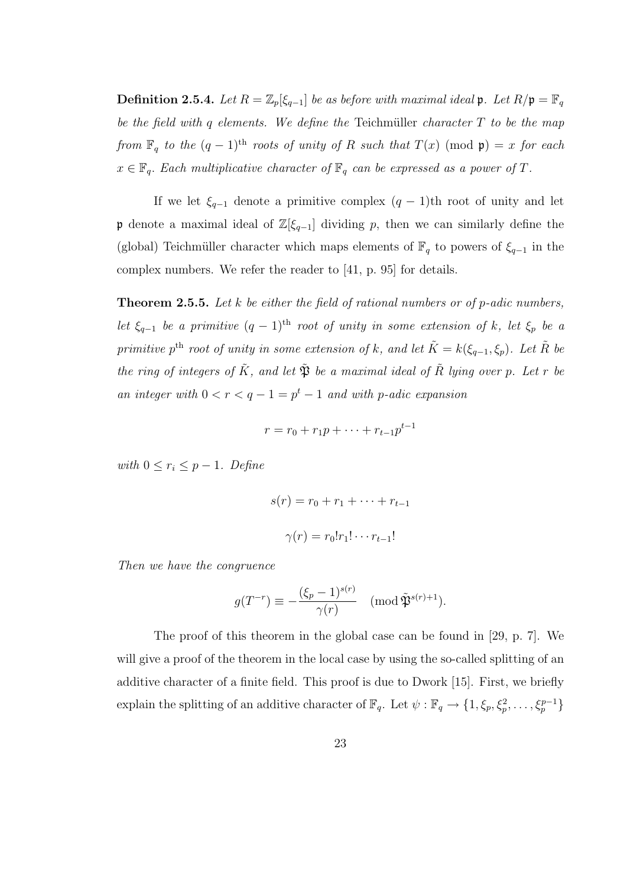**Definition 2.5.4.** Let  $R = \mathbb{Z}_p[\xi_{q-1}]$  be as before with maximal ideal  $\mathfrak{p}$ . Let  $R/\mathfrak{p} = \mathbb{F}_q$ be the field with q elements. We define the Teichmüller character  $T$  to be the map from  $\mathbb{F}_q$  to the  $(q-1)$ <sup>th</sup> roots of unity of R such that  $T(x)$  (mod  $\mathfrak{p}) = x$  for each  $x \in \mathbb{F}_q$ . Each multiplicative character of  $\mathbb{F}_q$  can be expressed as a power of T.

If we let  $\xi_{q-1}$  denote a primitive complex  $(q-1)$ th root of unity and let p denote a maximal ideal of  $\mathbb{Z}[\xi_{q-1}]$  dividing p, then we can similarly define the (global) Teichmüller character which maps elements of  $\mathbb{F}_q$  to powers of  $\xi_{q-1}$  in the complex numbers. We refer the reader to [41, p. 95] for details.

**Theorem 2.5.5.** Let k be either the field of rational numbers or of p-adic numbers, let  $\xi_{q-1}$  be a primitive  $(q-1)$ <sup>th</sup> root of unity in some extension of k, let  $\xi_p$  be a primitive p<sup>th</sup> root of unity in some extension of k, and let  $\tilde{K} = k(\xi_{q-1}, \xi_p)$ . Let  $\tilde{R}$  be the ring of integers of  $\tilde{K}$ , and let  $\tilde{\mathfrak{P}}$  be a maximal ideal of  $\tilde{R}$  lying over p. Let r be an integer with  $0 < r < q - 1 = p<sup>t</sup> - 1$  and with p-adic expansion

$$
r = r_0 + r_1 p + \dots + r_{t-1} p^{t-1}
$$

with  $0 \leq r_i \leq p-1$ . Define

$$
s(r) = r_0 + r_1 + \dots + r_{t-1}
$$

$$
\gamma(r) = r_0! r_1! \dots r_{t-1}!
$$

Then we have the congruence

$$
g(T^{-r}) \equiv -\frac{(\xi_p - 1)^{s(r)}}{\gamma(r)} \quad (\text{mod } \tilde{\mathfrak{P}}^{s(r)+1}).
$$

The proof of this theorem in the global case can be found in [29, p. 7]. We will give a proof of the theorem in the local case by using the so-called splitting of an additive character of a finite field. This proof is due to Dwork [15]. First, we briefly explain the splitting of an additive character of  $\mathbb{F}_q$ . Let  $\psi : \mathbb{F}_q \to \{1, \xi_p, \xi_p^2, \ldots, \xi_p^{p-1}\}\$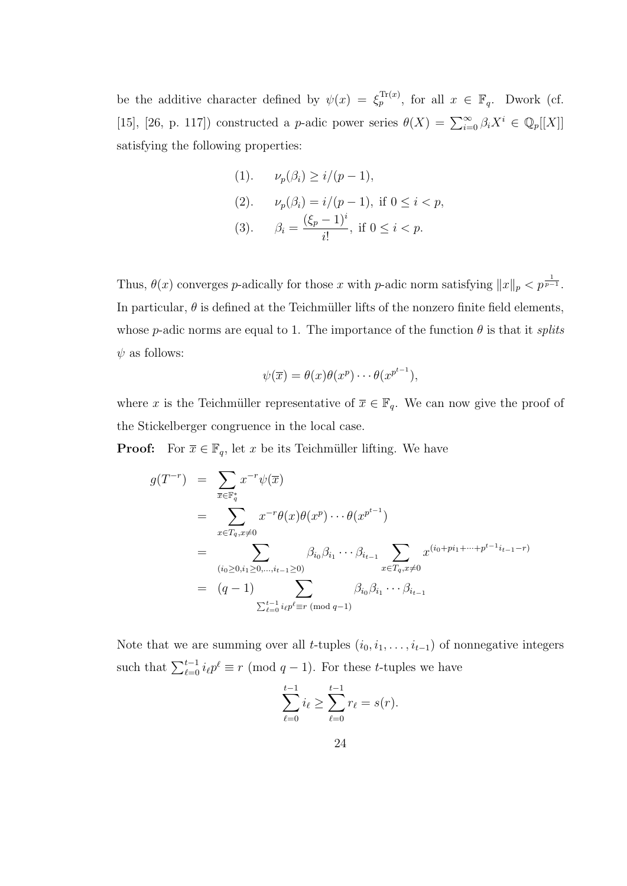be the additive character defined by  $\psi(x) = \xi_p^{\text{Tr}(x)}$ , for all  $x \in \mathbb{F}_q$ . Dwork (cf. [15], [26, p. 117]) constructed a p-adic power series  $\theta(X) = \sum_{i=0}^{\infty} \beta_i X^i \in \mathbb{Q}_p[[X]]$ satisfying the following properties:

(1). 
$$
\nu_p(\beta_i) \ge i/(p-1),
$$
  
\n(2).  $\nu_p(\beta_i) = i/(p-1), \text{ if } 0 \le i < p,$   
\n(3).  $\beta_i = \frac{(\xi_p - 1)^i}{i!}, \text{ if } 0 \le i < p.$ 

Thus,  $\theta(x)$  converges p-adically for those x with p-adic norm satisfying  $||x||_p < p^{\frac{1}{p-1}}$ . In particular,  $\theta$  is defined at the Teichmüller lifts of the nonzero finite field elements, whose p-adic norms are equal to 1. The importance of the function  $\theta$  is that it splits  $\psi$  as follows:

$$
\psi(\overline{x}) = \theta(x)\theta(x^p)\cdots\theta(x^{p^{t-1}}),
$$

where x is the Teichmüller representative of  $\overline{x} \in \mathbb{F}_q$ . We can now give the proof of the Stickelberger congruence in the local case.

**Proof:** For  $\overline{x} \in \mathbb{F}_q$ , let x be its Teichmüller lifting. We have

$$
g(T^{-r}) = \sum_{\bar{x} \in \mathbb{F}_q^*} x^{-r} \psi(\bar{x})
$$
  
\n
$$
= \sum_{x \in T_q, x \neq 0} x^{-r} \theta(x) \theta(x^p) \cdots \theta(x^{p^{t-1}})
$$
  
\n
$$
= \sum_{(i_0 \ge 0, i_1 \ge 0, \dots, i_{t-1} \ge 0)} \beta_{i_0} \beta_{i_1} \cdots \beta_{i_{t-1}} \sum_{x \in T_q, x \neq 0} x^{(i_0 + pi_1 + \dots + p^{t-1}i_{t-1} - r)}
$$
  
\n
$$
= (q - 1) \sum_{\substack{\sum_{\ell=0}^{t-1} i_{\ell} p^{\ell} \equiv r \pmod{q-1}}} \beta_{i_0} \beta_{i_1} \cdots \beta_{i_{t-1}}
$$

Note that we are summing over all t-tuples  $(i_0, i_1, \ldots, i_{t-1})$  of nonnegative integers such that  $\sum_{\ell=0}^{t-1} i_{\ell} p^{\ell} \equiv r \pmod{q-1}$ . For these t-tuples we have

$$
\sum_{\ell=0}^{t-1} i_{\ell} \ge \sum_{\ell=0}^{t-1} r_{\ell} = s(r).
$$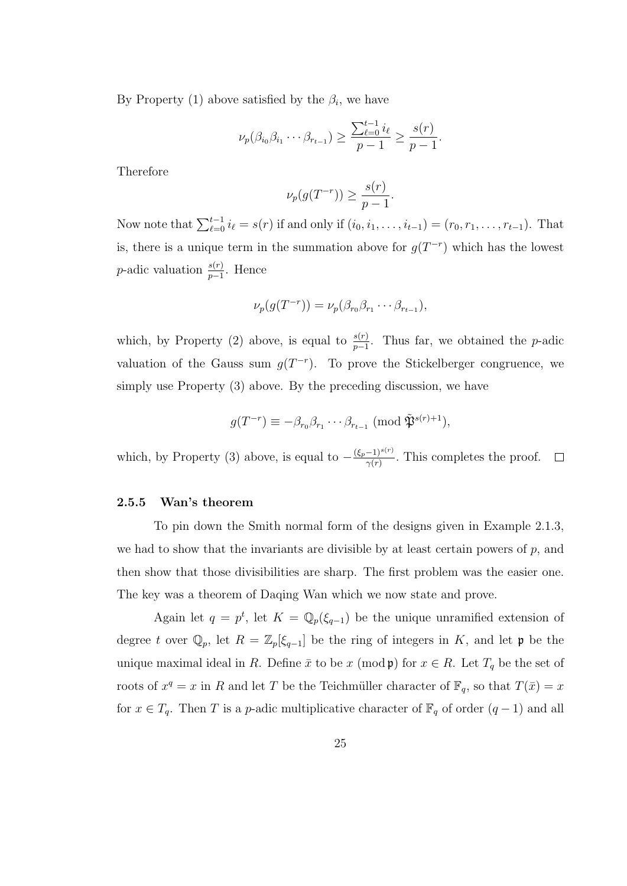By Property (1) above satisfied by the  $\beta_i$ , we have

$$
\nu_p(\beta_{i_0}\beta_{i_1}\cdots \beta_{r_{t-1}}) \ge \frac{\sum_{\ell=0}^{t-1} i_{\ell}}{p-1} \ge \frac{s(r)}{p-1}.
$$

Therefore

$$
\nu_p(g(T^{-r})) \ge \frac{s(r)}{p-1}.
$$

Now note that  $\sum_{\ell=0}^{t-1} i_{\ell} = s(r)$  if and only if  $(i_0, i_1, \ldots, i_{t-1}) = (r_0, r_1, \ldots, r_{t-1})$ . That is, there is a unique term in the summation above for  $g(T^{-r})$  which has the lowest *p*-adic valuation  $\frac{s(r)}{p-1}$ . Hence

$$
\nu_p(g(T^{-r})) = \nu_p(\beta_{r_0}\beta_{r_1}\cdots\beta_{r_{t-1}}),
$$

which, by Property (2) above, is equal to  $\frac{s(r)}{p-1}$ . Thus far, we obtained the p-adic valuation of the Gauss sum  $g(T^{-r})$ . To prove the Stickelberger congruence, we simply use Property (3) above. By the preceding discussion, we have

$$
g(T^{-r}) \equiv -\beta_{r_0}\beta_{r_1}\cdots\beta_{r_{t-1}} \pmod{\tilde{\mathfrak{P}}^{s(r)+1}},
$$

which, by Property (3) above, is equal to  $-\frac{(\xi_p-1)^{s(r)}}{2^{(r)}}$  $\frac{-1}{\gamma(r)}$ . This completes the proof.  $\Box$ 

## 2.5.5 Wan's theorem

To pin down the Smith normal form of the designs given in Example 2.1.3, we had to show that the invariants are divisible by at least certain powers of  $p$ , and then show that those divisibilities are sharp. The first problem was the easier one. The key was a theorem of Daqing Wan which we now state and prove.

Again let  $q = p^t$ , let  $K = \mathbb{Q}_p(\xi_{q-1})$  be the unique unramified extension of degree t over  $\mathbb{Q}_p$ , let  $R = \mathbb{Z}_p[\xi_{q-1}]$  be the ring of integers in K, and let p be the unique maximal ideal in R. Define  $\bar{x}$  to be  $x \pmod{\mathfrak{p}}$  for  $x \in R$ . Let  $T_q$  be the set of roots of  $x^q = x$  in R and let T be the Teichmüller character of  $\mathbb{F}_q$ , so that  $T(\bar{x}) = x$ for  $x \in T_q$ . Then T is a p-adic multiplicative character of  $\mathbb{F}_q$  of order  $(q-1)$  and all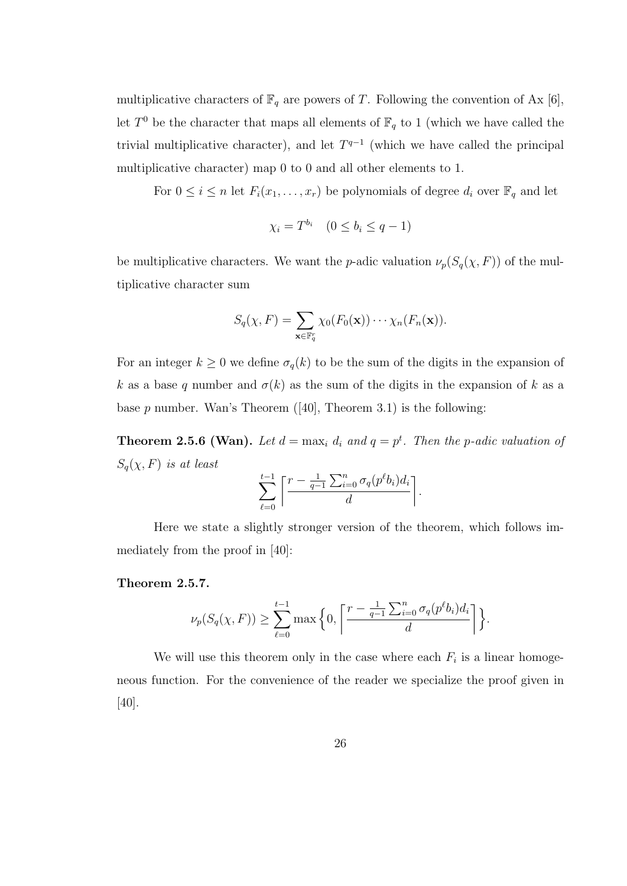multiplicative characters of  $\mathbb{F}_q$  are powers of T. Following the convention of Ax [6], let  $T^0$  be the character that maps all elements of  $\mathbb{F}_q$  to 1 (which we have called the trivial multiplicative character), and let  $T^{q-1}$  (which we have called the principal multiplicative character) map 0 to 0 and all other elements to 1.

For  $0 \leq i \leq n$  let  $F_i(x_1, \ldots, x_r)$  be polynomials of degree  $d_i$  over  $\mathbb{F}_q$  and let

$$
\chi_i = T^{b_i} \quad (0 \le b_i \le q - 1)
$$

be multiplicative characters. We want the *p*-adic valuation  $\nu_p(S_q(\chi, F))$  of the multiplicative character sum

$$
S_q(\chi, F) = \sum_{\mathbf{x} \in \mathbb{F}_q^r} \chi_0(F_0(\mathbf{x})) \cdots \chi_n(F_n(\mathbf{x})).
$$

For an integer  $k \geq 0$  we define  $\sigma_q(k)$  to be the sum of the digits in the expansion of k as a base q number and  $\sigma(k)$  as the sum of the digits in the expansion of k as a base  $p$  number. Wan's Theorem  $([40],$  Theorem 3.1) is the following:

**Theorem 2.5.6 (Wan).** Let  $d = \max_i d_i$  and  $q = p^t$ . Then the p-adic valuation of  $S_q(\chi, F)$  is at least

$$
\sum_{\ell=0}^{t-1} \left\lceil \frac{r - \frac{1}{q-1} \sum_{i=0}^n \sigma_q(p^{\ell}b_i) d_i}{d} \right\rceil.
$$

Here we state a slightly stronger version of the theorem, which follows immediately from the proof in [40]:

### Theorem 2.5.7.

$$
\nu_p(S_q(\chi, F)) \ge \sum_{\ell=0}^{t-1} \max\Big\{0, \left\lceil \frac{r - \frac{1}{q-1} \sum_{i=0}^n \sigma_q(p^{\ell} b_i) d_i}{d} \right\rceil \Big\}.
$$

We will use this theorem only in the case where each  $F_i$  is a linear homogeneous function. For the convenience of the reader we specialize the proof given in [40].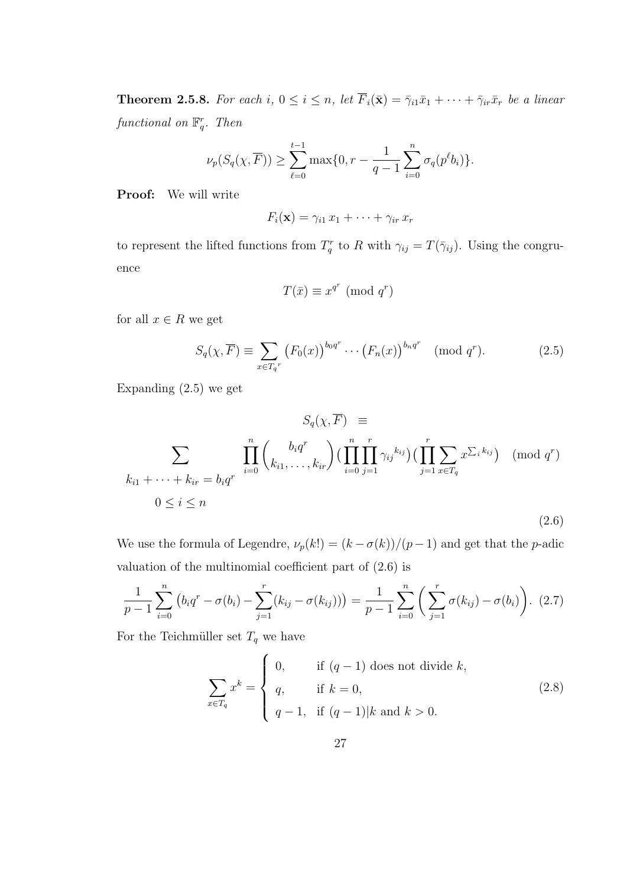**Theorem 2.5.8.** For each i,  $0 \le i \le n$ , let  $\overline{F}_i(\overline{\mathbf{x}}) = \overline{\gamma}_{i1}\overline{x}_1 + \cdots + \overline{\gamma}_{ir}\overline{x}_r$  be a linear functional on  $\mathbb{F}_q^r$ . Then

$$
\nu_p(S_q(\chi, \overline{F})) \ge \sum_{\ell=0}^{t-1} \max\{0, r - \frac{1}{q-1} \sum_{i=0}^n \sigma_q(p^{\ell}b_i)\}.
$$

Proof: We will write

$$
F_i(\mathbf{x}) = \gamma_{i1} x_1 + \cdots + \gamma_{ir} x_r
$$

to represent the lifted functions from  $T_q^r$  to R with  $\gamma_{ij} = T(\bar{\gamma}_{ij})$ . Using the congruence

$$
T(\bar{x}) \equiv x^{q^r} \pmod{q^r}
$$

for all  $x \in R$  we get

$$
S_q(\chi, \overline{F}) \equiv \sum_{x \in T_q^r} \left( F_0(x) \right)^{b_0 q^r} \cdots \left( F_n(x) \right)^{b_n q^r} \pmod{q^r}.
$$
 (2.5)

Expanding (2.5) we get

$$
S_q(\chi, \overline{F}) \equiv
$$
  
\n
$$
\sum_{i=0}^{n} \prod_{j=1}^{n} {b_i q^r \choose k_{i1}, \dots, k_{ir}} (\prod_{i=0}^{n} \prod_{j=1}^{r} \gamma_{ij}^{k_{ij}}) (\prod_{j=1}^{r} \sum_{x \in T_q} x^{\sum_i k_{ij}}) \pmod{q^r}
$$
  
\n
$$
0 \le i \le n
$$
\n(2.6)

We use the formula of Legendre,  $\nu_p(k!) = (k - \sigma(k))/(p - 1)$  and get that the *p*-adic valuation of the multinomial coefficient part of (2.6) is

$$
\frac{1}{p-1}\sum_{i=0}^{n} (b_i q^r - \sigma(b_i) - \sum_{j=1}^{r} (k_{ij} - \sigma(k_{ij}))) = \frac{1}{p-1}\sum_{i=0}^{n} \left(\sum_{j=1}^{r} \sigma(k_{ij}) - \sigma(b_i)\right).
$$
 (2.7)

For the Teichmüller set  $\mathcal{T}_q$  we have

$$
\sum_{x \in T_q} x^k = \begin{cases} 0, & \text{if } (q-1) \text{ does not divide } k, \\ q, & \text{if } k = 0, \\ q-1, & \text{if } (q-1)|k \text{ and } k > 0. \end{cases} \tag{2.8}
$$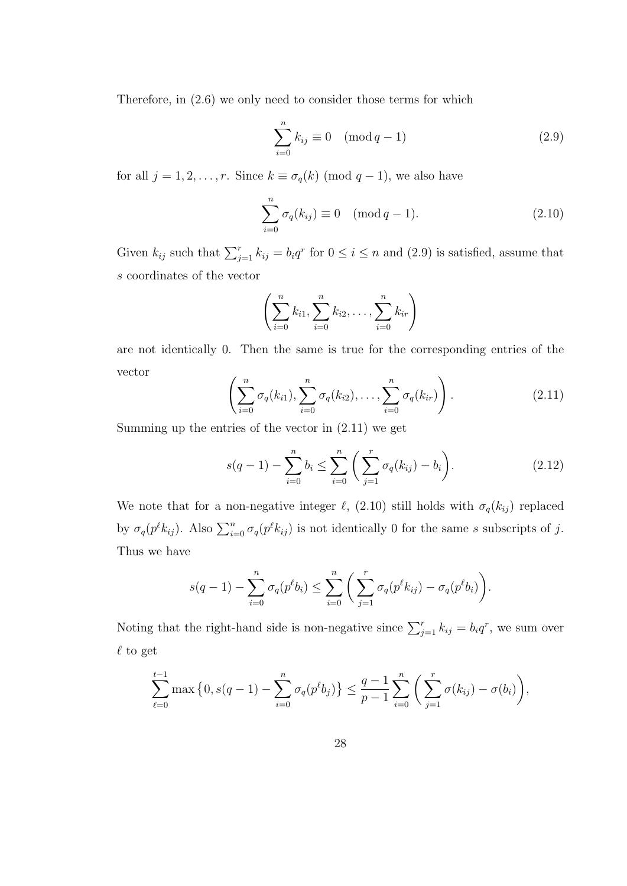Therefore, in (2.6) we only need to consider those terms for which

$$
\sum_{i=0}^{n} k_{ij} \equiv 0 \pmod{q-1}
$$
 (2.9)

for all  $j = 1, 2, \ldots, r$ . Since  $k \equiv \sigma_q(k) \pmod{q-1}$ , we also have

$$
\sum_{i=0}^{n} \sigma_q(k_{ij}) \equiv 0 \pmod{q-1}.
$$
 (2.10)

Given  $k_{ij}$  such that  $\sum_{j=1}^r k_{ij} = b_i q^r$  for  $0 \le i \le n$  and  $(2.9)$  is satisfied, assume that s coordinates of the vector

$$
\left(\sum_{i=0}^{n} k_{i1}, \sum_{i=0}^{n} k_{i2}, \ldots, \sum_{i=0}^{n} k_{ir}\right)
$$

are not identically 0. Then the same is true for the corresponding entries of the vector

$$
\left(\sum_{i=0}^{n} \sigma_q(k_{i1}), \sum_{i=0}^{n} \sigma_q(k_{i2}), \dots, \sum_{i=0}^{n} \sigma_q(k_{ir})\right).
$$
 (2.11)

Summing up the entries of the vector in (2.11) we get

$$
s(q-1) - \sum_{i=0}^{n} b_i \le \sum_{i=0}^{n} \left( \sum_{j=1}^{r} \sigma_q(k_{ij}) - b_i \right).
$$
 (2.12)

We note that for a non-negative integer  $\ell$ , (2.10) still holds with  $\sigma_q(k_{ij})$  replaced by  $\sigma_q(p^{\ell}k_{ij})$ . Also  $\sum_{i=0}^n \sigma_q(p^{\ell}k_{ij})$  is not identically 0 for the same s subscripts of j. Thus we have

$$
s(q-1) - \sum_{i=0}^{n} \sigma_q(p^{\ell} b_i) \leq \sum_{i=0}^{n} \left( \sum_{j=1}^{r} \sigma_q(p^{\ell} k_{ij}) - \sigma_q(p^{\ell} b_i) \right).
$$

Noting that the right-hand side is non-negative since  $\sum_{j=1}^{r} k_{ij} = b_i q^r$ , we sum over  $\ell$  to get

$$
\sum_{\ell=0}^{t-1} \max\big\{0, s(q-1) - \sum_{i=0}^n \sigma_q(p^{\ell}b_j)\big\} \leq \frac{q-1}{p-1} \sum_{i=0}^n \bigg(\sum_{j=1}^r \sigma(k_{ij}) - \sigma(b_i)\bigg),
$$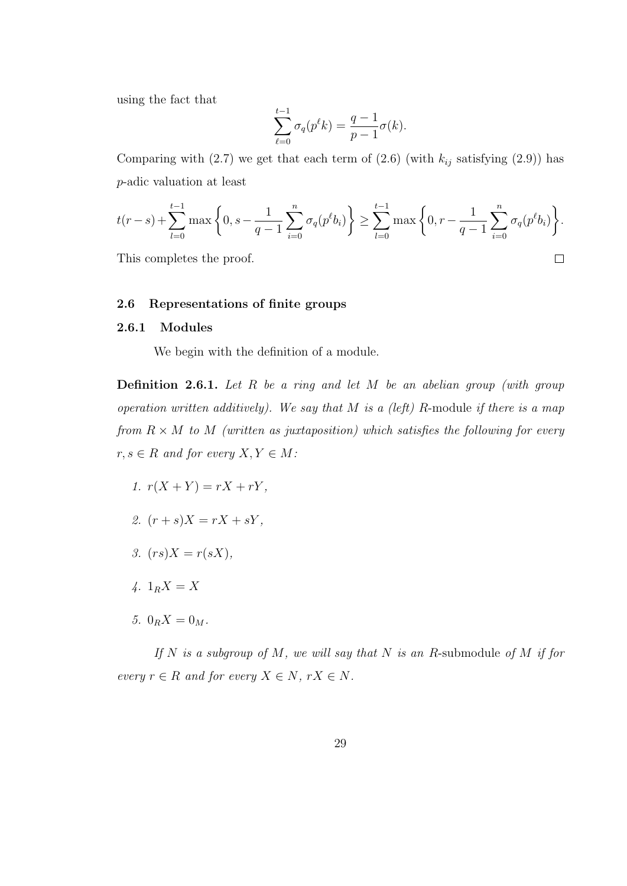using the fact that

$$
\sum_{\ell=0}^{t-1} \sigma_q(p^{\ell} k) = \frac{q-1}{p-1} \sigma(k).
$$

Comparing with  $(2.7)$  we get that each term of  $(2.6)$  (with  $k_{ij}$  satisfying  $(2.9)$ ) has p-adic valuation at least

$$
t(r-s) + \sum_{l=0}^{t-1} \max\left\{0, s - \frac{1}{q-1} \sum_{i=0}^n \sigma_q(p^{\ell}b_i) \right\} \ge \sum_{l=0}^{t-1} \max\left\{0, r - \frac{1}{q-1} \sum_{i=0}^n \sigma_q(p^{\ell}b_i) \right\}.
$$

 $\Box$ 

This completes the proof.

### 2.6 Representations of finite groups

### 2.6.1 Modules

We begin with the definition of a module.

**Definition 2.6.1.** Let R be a ring and let M be an abelian group (with group operation written additively). We say that M is a (left) R-module if there is a map from  $R \times M$  to M (written as juxtaposition) which satisfies the following for every  $r, s \in R$  and for every  $X, Y \in M$ :

- 1.  $r(X + Y) = rX + rY$ ,
- 2.  $(r + s)X = rX + sY$ ,
- 3.  $(rs)X = r(sX)$ ,
- 4.  $1_RX = X$
- 5.  $0_R X = 0_M$ .

If N is a subgroup of M, we will say that N is an R-submodule of M if for every  $r \in R$  and for every  $X \in N$ ,  $rX \in N$ .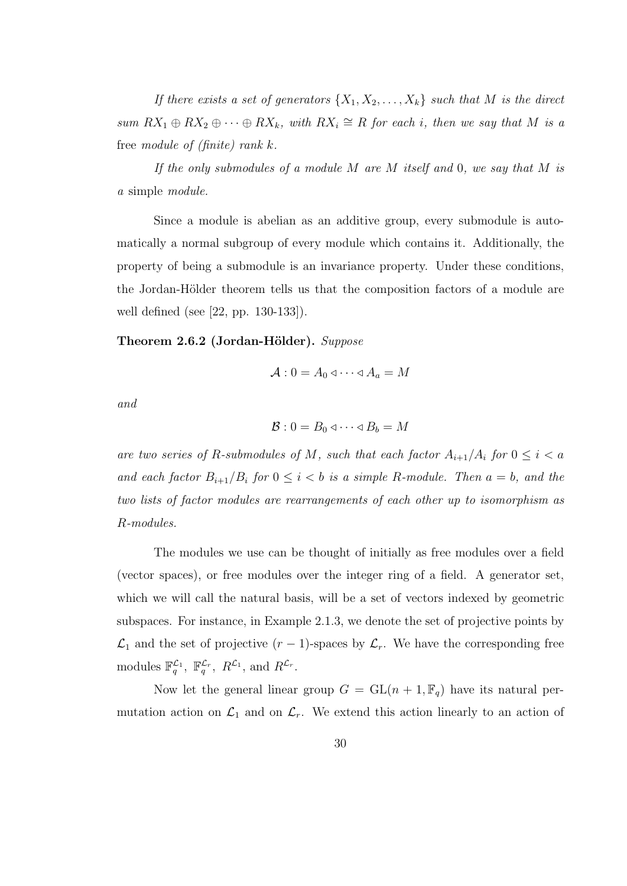If there exists a set of generators  $\{X_1, X_2, \ldots, X_k\}$  such that M is the direct sum  $RX_1 \oplus RX_2 \oplus \cdots \oplus RX_k$ , with  $RX_i \cong R$  for each i, then we say that M is a free module of (finite) rank  $k$ .

If the only submodules of a module  $M$  are  $M$  itself and 0, we say that  $M$  is a simple module.

Since a module is abelian as an additive group, every submodule is automatically a normal subgroup of every module which contains it. Additionally, the property of being a submodule is an invariance property. Under these conditions, the Jordan-Hölder theorem tells us that the composition factors of a module are well defined (see [22, pp. 130-133]).

### Theorem 2.6.2 (Jordan-Hölder). Suppose

$$
\mathcal{A}: 0 = A_0 \triangleleft \cdots \triangleleft A_a = M
$$

and

$$
\mathcal{B}: 0 = B_0 \triangleleft \cdots \triangleleft B_b = M
$$

are two series of R-submodules of M, such that each factor  $A_{i+1}/A_i$  for  $0 \leq i < a$ and each factor  $B_{i+1}/B_i$  for  $0 \leq i < b$  is a simple R-module. Then  $a = b$ , and the two lists of factor modules are rearrangements of each other up to isomorphism as R-modules.

The modules we use can be thought of initially as free modules over a field (vector spaces), or free modules over the integer ring of a field. A generator set, which we will call the natural basis, will be a set of vectors indexed by geometric subspaces. For instance, in Example 2.1.3, we denote the set of projective points by  $\mathcal{L}_1$  and the set of projective  $(r-1)$ -spaces by  $\mathcal{L}_r$ . We have the corresponding free modules  $\mathbb{F}_q^{\mathcal{L}_1}$ ,  $\mathbb{F}_q^{\mathcal{L}_r}$ ,  $R^{\mathcal{L}_1}$ , and  $R^{\mathcal{L}_r}$ .

Now let the general linear group  $G = GL(n + 1, \mathbb{F}_q)$  have its natural permutation action on  $\mathcal{L}_1$  and on  $\mathcal{L}_r$ . We extend this action linearly to an action of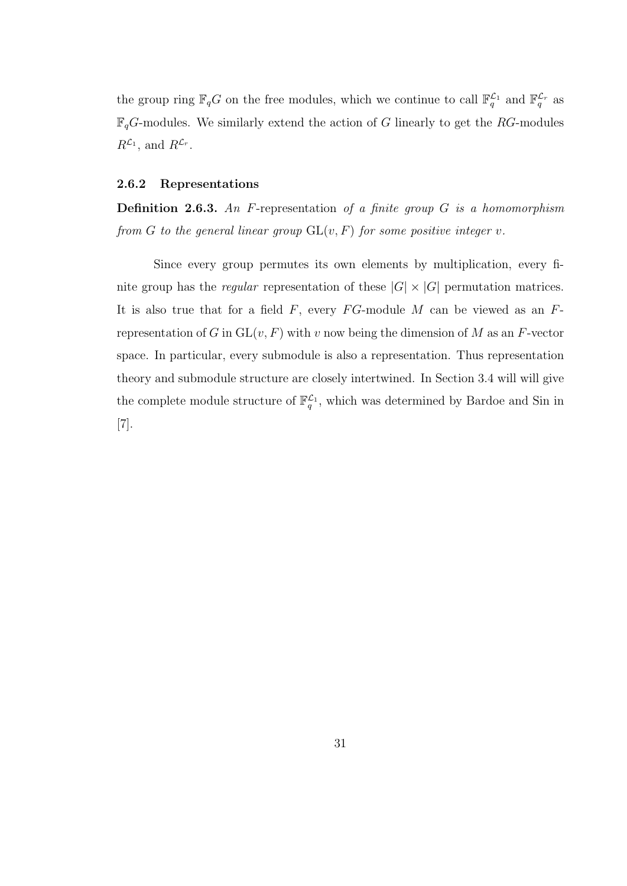the group ring  $\mathbb{F}_q G$  on the free modules, which we continue to call  $\mathbb{F}_q^{\mathcal{L}_1}$  and  $\mathbb{F}_q^{\mathcal{L}_r}$  as  $\mathbb{F}_qG$ -modules. We similarly extend the action of G linearly to get the RG-modules  $R^{\mathcal{L}_1}$ , and  $R^{\mathcal{L}_r}$ .

### 2.6.2 Representations

**Definition 2.6.3.** An F-representation of a finite group  $G$  is a homomorphism from G to the general linear group  $GL(v, F)$  for some positive integer v.

Since every group permutes its own elements by multiplication, every finite group has the *regular* representation of these  $|G| \times |G|$  permutation matrices. It is also true that for a field  $F$ , every  $FG$ -module  $M$  can be viewed as an  $F$ representation of G in  $GL(v, F)$  with v now being the dimension of M as an F-vector space. In particular, every submodule is also a representation. Thus representation theory and submodule structure are closely intertwined. In Section 3.4 will will give the complete module structure of  $\mathbb{F}_q^{\mathcal{L}_1}$ , which was determined by Bardoe and Sin in [7].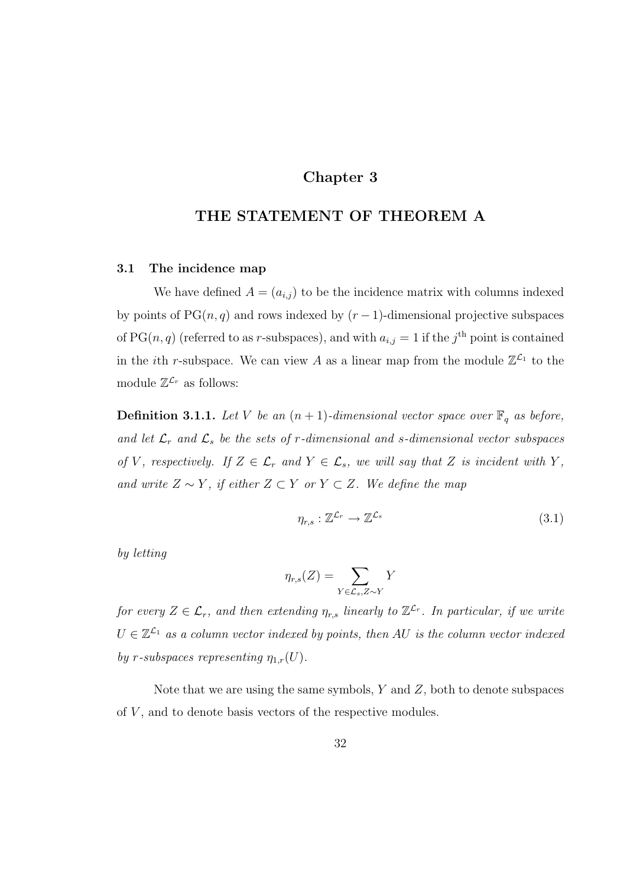## Chapter 3

## THE STATEMENT OF THEOREM A

#### 3.1 The incidence map

We have defined  $A = (a_{i,j})$  to be the incidence matrix with columns indexed by points of  $PG(n, q)$  and rows indexed by  $(r-1)$ -dimensional projective subspaces of PG(n, q) (referred to as r-subspaces), and with  $a_{i,j} = 1$  if the j<sup>th</sup> point is contained in the *i*th r-subspace. We can view A as a linear map from the module  $\mathbb{Z}^{\mathcal{L}_1}$  to the module  $\mathbb{Z}^{\mathcal{L}_r}$  as follows:

**Definition 3.1.1.** Let V be an  $(n + 1)$ -dimensional vector space over  $\mathbb{F}_q$  as before, and let  $\mathcal{L}_r$  and  $\mathcal{L}_s$  be the sets of r-dimensional and s-dimensional vector subspaces of V, respectively. If  $Z \in \mathcal{L}_r$  and  $Y \in \mathcal{L}_s$ , we will say that Z is incident with Y, and write  $Z \sim Y$ , if either  $Z \subset Y$  or  $Y \subset Z$ . We define the map

$$
\eta_{r,s} : \mathbb{Z}^{\mathcal{L}_r} \to \mathbb{Z}^{\mathcal{L}_s} \tag{3.1}
$$

by letting

$$
\eta_{r,s}(Z)=\sum_{Y\in\mathcal{L}_s,Z\sim Y}Y
$$

for every  $Z \in \mathcal{L}_r$ , and then extending  $\eta_{r,s}$  linearly to  $\mathbb{Z}^{\mathcal{L}_r}$ . In particular, if we write  $U \in \mathbb{Z}^{\mathcal{L}_1}$  as a column vector indexed by points, then AU is the column vector indexed by r-subspaces representing  $\eta_{1,r}(U)$ .

Note that we are using the same symbols,  $Y$  and  $Z$ , both to denote subspaces of  $V$ , and to denote basis vectors of the respective modules.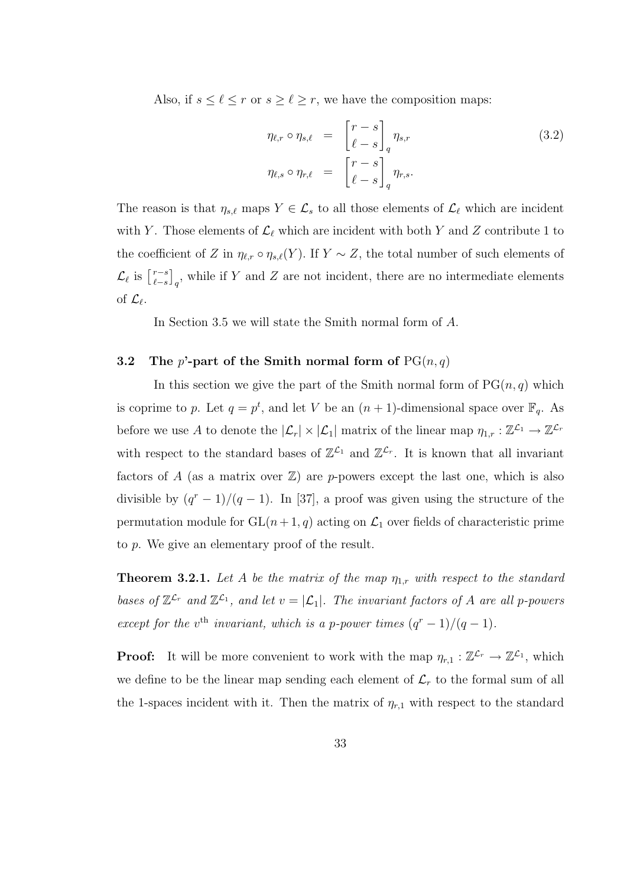Also, if  $s \leq \ell \leq r$  or  $s \geq \ell \geq r$ , we have the composition maps:

$$
\eta_{\ell,r} \circ \eta_{s,\ell} = \begin{bmatrix} r-s \\ \ell-s \end{bmatrix}_q \eta_{s,r}
$$
\n
$$
\eta_{\ell,s} \circ \eta_{r,\ell} = \begin{bmatrix} r-s \\ \ell-s \end{bmatrix}_q \eta_{r,s}.
$$
\n(3.2)

The reason is that  $\eta_{s,\ell}$  maps  $Y \in \mathcal{L}_s$  to all those elements of  $\mathcal{L}_\ell$  which are incident with Y. Those elements of  $\mathcal{L}_\ell$  which are incident with both Y and Z contribute 1 to the coefficient of Z in  $\eta_{\ell,r} \circ \eta_{s,\ell}(Y)$ . If  $Y \sim Z$ , the total number of such elements of  $\mathcal{L}_{\ell}$  is  $\begin{bmatrix} r-s \\ r-s \end{bmatrix}$  $\binom{r-s}{\ell-s}_q$ , while if Y and Z are not incident, there are no intermediate elements of  $\mathcal{L}_{\ell}$ .

In Section 3.5 we will state the Smith normal form of A.

### 3.2 The p'-part of the Smith normal form of  $PG(n, q)$

In this section we give the part of the Smith normal form of  $PG(n, q)$  which is coprime to p. Let  $q = p^t$ , and let V be an  $(n + 1)$ -dimensional space over  $\mathbb{F}_q$ . As before we use A to denote the  $|\mathcal{L}_r| \times |\mathcal{L}_1|$  matrix of the linear map  $\eta_{1,r} : \mathbb{Z}^{\mathcal{L}_1} \to \mathbb{Z}^{\mathcal{L}_r}$ with respect to the standard bases of  $\mathbb{Z}^{\mathcal{L}_1}$  and  $\mathbb{Z}^{\mathcal{L}_r}$ . It is known that all invariant factors of A (as a matrix over  $\mathbb{Z}$ ) are p-powers except the last one, which is also divisible by  $(q^r - 1)/(q - 1)$ . In [37], a proof was given using the structure of the permutation module for  $GL(n+1, q)$  acting on  $\mathcal{L}_1$  over fields of characteristic prime to p. We give an elementary proof of the result.

**Theorem 3.2.1.** Let A be the matrix of the map  $\eta_{1,r}$  with respect to the standard bases of  $\mathbb{Z}^{\mathcal{L}_r}$  and  $\mathbb{Z}^{\mathcal{L}_1}$ , and let  $v = |\mathcal{L}_1|$ . The invariant factors of A are all p-powers except for the v<sup>th</sup> invariant, which is a p-power times  $(q^r - 1)/(q - 1)$ .

**Proof:** It will be more convenient to work with the map  $\eta_{r,1} : \mathbb{Z}^{\mathcal{L}_r} \to \mathbb{Z}^{\mathcal{L}_1}$ , which we define to be the linear map sending each element of  $\mathcal{L}_r$  to the formal sum of all the 1-spaces incident with it. Then the matrix of  $\eta_{r,1}$  with respect to the standard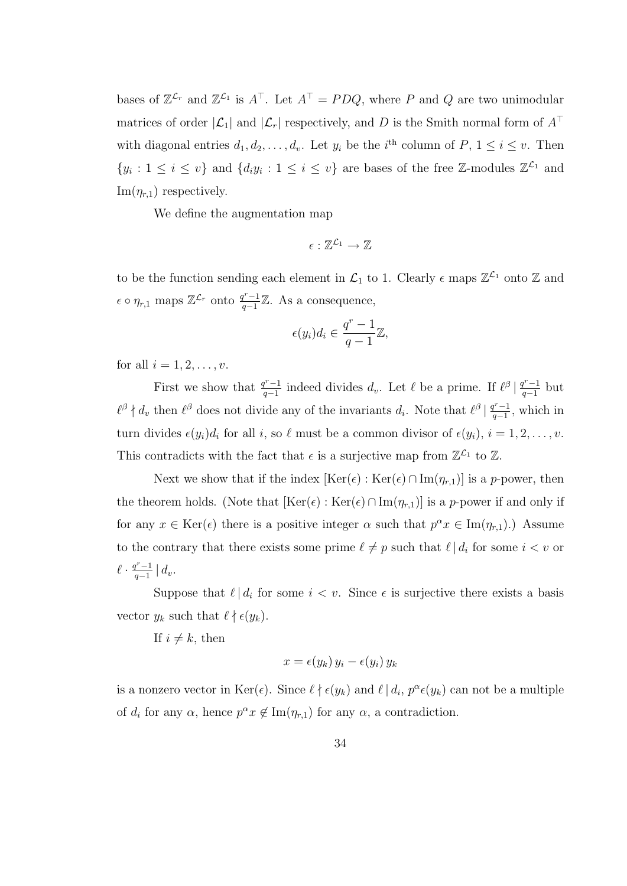bases of  $\mathbb{Z}^{\mathcal{L}_r}$  and  $\mathbb{Z}^{\mathcal{L}_1}$  is  $A^{\top}$ . Let  $A^{\top} = PDQ$ , where P and Q are two unimodular matrices of order  $|\mathcal{L}_1|$  and  $|\mathcal{L}_r|$  respectively, and D is the Smith normal form of  $A^{\top}$ with diagonal entries  $d_1, d_2, \ldots, d_v$ . Let  $y_i$  be the i<sup>th</sup> column of  $P, 1 \le i \le v$ . Then  $\{y_i : 1 \le i \le v\}$  and  $\{d_i y_i : 1 \le i \le v\}$  are bases of the free Z-modules  $\mathbb{Z}^{\mathcal{L}_1}$  and  $\text{Im}(\eta_{r,1})$  respectively.

We define the augmentation map

$$
\epsilon:\mathbb{Z}^{{\mathcal L}_1}\to \mathbb{Z}
$$

to be the function sending each element in  $\mathcal{L}_1$  to 1. Clearly  $\epsilon$  maps  $\mathbb{Z}^{\mathcal{L}_1}$  onto  $\mathbb Z$  and  $\epsilon \circ \eta_{r,1}$  maps  $\mathbb{Z}^{\mathcal{L}_r}$  onto  $\frac{q^r-1}{q-1}$  $q^{-1}$ Z. As a consequence,

$$
\epsilon(y_i)d_i\in \frac{q^r-1}{q-1}\mathbb{Z},
$$

for all  $i = 1, 2, \ldots, v$ .

First we show that  $\frac{q^r-1}{q-1}$  $\frac{q^{r}-1}{q-1}$  indeed divides  $d_v$ . Let  $\ell$  be a prime. If  $\ell^{\beta} \mid \frac{q^{r}-1}{q-1}$  $\frac{q'-1}{q-1}$  but  $\ell^{\beta} \nmid d_v$  then  $\ell^{\beta}$  does not divide any of the invariants  $d_i$ . Note that  $\ell^{\beta} \mid \frac{q^r-1}{q-1}$  $\frac{q'-1}{q-1}$ , which in turn divides  $\epsilon(y_i)d_i$  for all i, so  $\ell$  must be a common divisor of  $\epsilon(y_i)$ ,  $i = 1, 2, \ldots, v$ . This contradicts with the fact that  $\epsilon$  is a surjective map from  $\mathbb{Z}^{\mathcal{L}_1}$  to  $\mathbb{Z}$ .

Next we show that if the index  $[\text{Ker}(\epsilon) : \text{Ker}(\epsilon) \cap \text{Im}(\eta_{r,1})]$  is a p-power, then the theorem holds. (Note that  $[\text{Ker}(\epsilon) : \text{Ker}(\epsilon) \cap \text{Im}(\eta_{r,1})]$  is a p-power if and only if for any  $x \in \text{Ker}(\epsilon)$  there is a positive integer  $\alpha$  such that  $p^{\alpha} x \in \text{Im}(\eta_{r,1})$ .) Assume to the contrary that there exists some prime  $\ell \neq p$  such that  $\ell | d_i$  for some  $i < v$  or  $\ell \cdot \frac{q^r-1}{q-1}$  $\frac{q^r-1}{q-1} \mid d_v.$ 

Suppose that  $\ell | d_i$  for some  $i < v$ . Since  $\epsilon$  is surjective there exists a basis vector  $y_k$  such that  $\ell \nmid \epsilon(y_k)$ .

If  $i \neq k$ , then

$$
x = \epsilon(y_k) y_i - \epsilon(y_i) y_k
$$

is a nonzero vector in  $\text{Ker}(\epsilon)$ . Since  $\ell \nmid \epsilon(y_k)$  and  $\ell \mid d_i$ ,  $p^{\alpha} \epsilon(y_k)$  can not be a multiple of  $d_i$  for any  $\alpha$ , hence  $p^{\alpha} x \notin \text{Im}(\eta_{r,1})$  for any  $\alpha$ , a contradiction.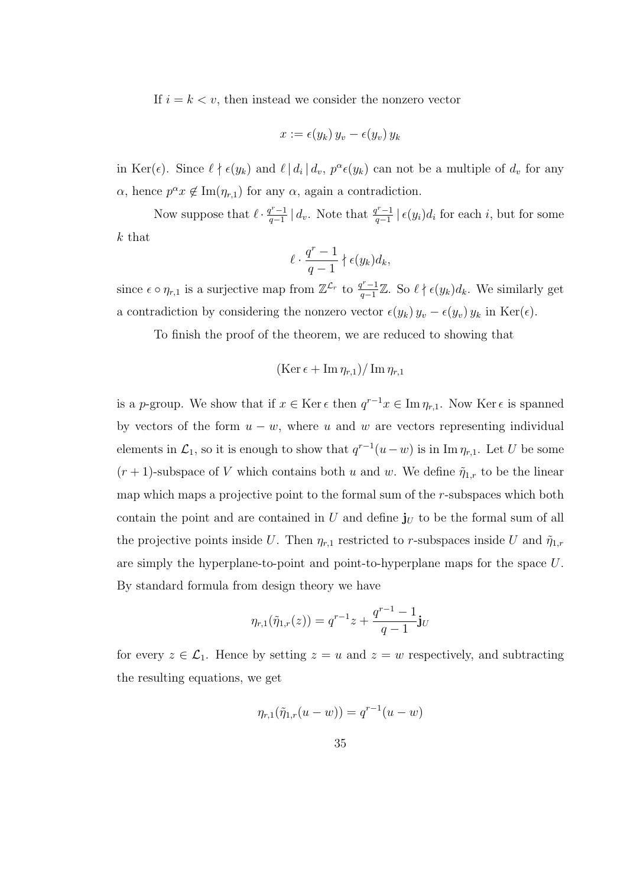If  $i = k < v$ , then instead we consider the nonzero vector

$$
x := \epsilon(y_k) y_v - \epsilon(y_v) y_k
$$

in Ker( $\epsilon$ ). Since  $\ell \nmid \epsilon(y_k)$  and  $\ell \mid d_i \mid d_v$ ,  $p^{\alpha} \epsilon(y_k)$  can not be a multiple of  $d_v$  for any  $\alpha$ , hence  $p^{\alpha}x \notin \text{Im}(\eta_{r,1})$  for any  $\alpha$ , again a contradiction.

Now suppose that  $\ell \cdot \frac{q^r - 1}{q - 1}$  $\frac{q^{r}-1}{q-1}$  |  $d_v$ . Note that  $\frac{q^{r}-1}{q-1}$  $\frac{q^{i}-1}{q-1}$  |  $\epsilon(y_i)d_i$  for each i, but for some  $k$  that

$$
\ell \cdot \frac{q^r-1}{q-1} \nmid \epsilon(y_k) d_k,
$$

since  $\epsilon \circ \eta_{r,1}$  is a surjective map from  $\mathbb{Z}^{\mathcal{L}_r}$  to  $\frac{q^r-1}{q-1}$  $\frac{q^{r}-1}{q-1}$ Z. So  $\ell \nmid \epsilon(y_k)d_k$ . We similarly get a contradiction by considering the nonzero vector  $\epsilon(y_k) y_v - \epsilon(y_v) y_k$  in Ker( $\epsilon$ ).

To finish the proof of the theorem, we are reduced to showing that

$$
(\operatorname{Ker} \epsilon + \operatorname{Im} \eta_{r,1}) / \operatorname{Im} \eta_{r,1}
$$

is a p-group. We show that if  $x \in \text{Ker } \epsilon$  then  $q^{r-1}x \in \text{Im } \eta_{r,1}$ . Now  $\text{Ker } \epsilon$  is spanned by vectors of the form  $u - w$ , where u and w are vectors representing individual elements in  $\mathcal{L}_1$ , so it is enough to show that  $q^{r-1}(u-w)$  is in Im  $\eta_{r,1}$ . Let U be some  $(r + 1)$ -subspace of V which contains both u and w. We define  $\tilde{\eta}_{1,r}$  to be the linear map which maps a projective point to the formal sum of the r-subspaces which both contain the point and are contained in U and define  $\mathbf{j}_U$  to be the formal sum of all the projective points inside U. Then  $\eta_{r,1}$  restricted to r-subspaces inside U and  $\tilde{\eta}_{1,r}$ are simply the hyperplane-to-point and point-to-hyperplane maps for the space U. By standard formula from design theory we have

$$
\eta_{r,1}(\tilde{\eta}_{1,r}(z)) = q^{r-1}z + \frac{q^{r-1}-1}{q-1}\mathbf{j}_U
$$

for every  $z \in \mathcal{L}_1$ . Hence by setting  $z = u$  and  $z = w$  respectively, and subtracting the resulting equations, we get

$$
\eta_{r,1}(\tilde{\eta}_{1,r}(u-w)) = q^{r-1}(u-w)
$$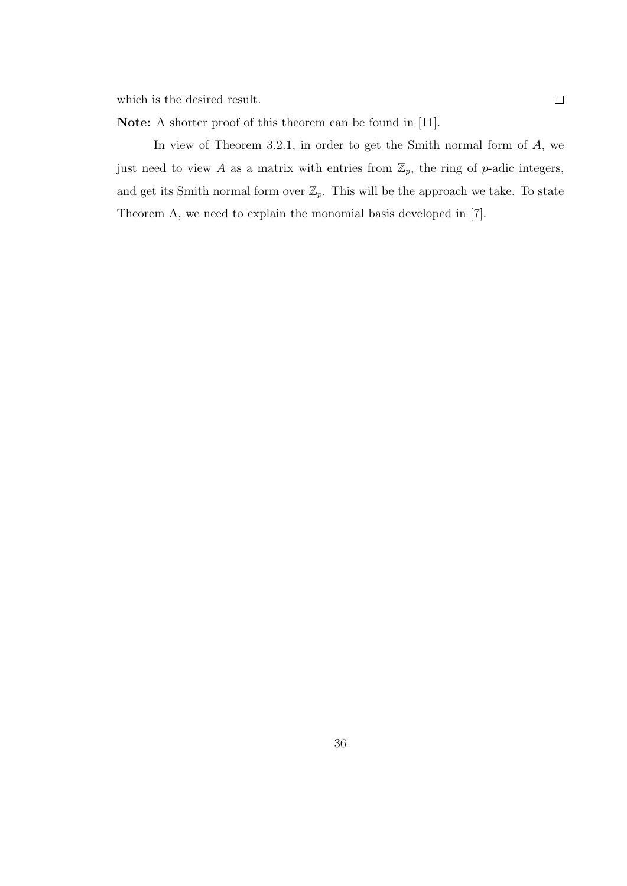which is the desired result.

Note: A shorter proof of this theorem can be found in [11].

In view of Theorem 3.2.1, in order to get the Smith normal form of A, we just need to view A as a matrix with entries from  $\mathbb{Z}_p$ , the ring of p-adic integers, and get its Smith normal form over  $\mathbb{Z}_p$ . This will be the approach we take. To state Theorem A, we need to explain the monomial basis developed in [7].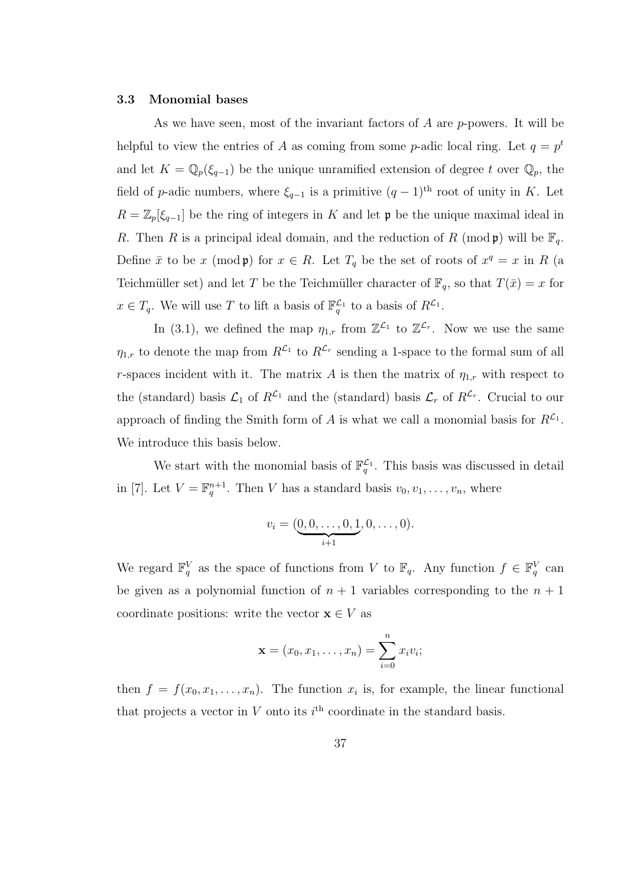### 3.3 Monomial bases

As we have seen, most of the invariant factors of  $A$  are p-powers. It will be helpful to view the entries of A as coming from some p-adic local ring. Let  $q = p<sup>t</sup>$ and let  $K = \mathbb{Q}_p(\xi_{q-1})$  be the unique unramified extension of degree t over  $\mathbb{Q}_p$ , the field of p-adic numbers, where  $\xi_{q-1}$  is a primitive  $(q-1)$ <sup>th</sup> root of unity in K. Let  $R = \mathbb{Z}_p[\xi_{q-1}]$  be the ring of integers in K and let p be the unique maximal ideal in R. Then R is a principal ideal domain, and the reduction of R (mod  $\mathfrak{p}$ ) will be  $\mathbb{F}_q$ . Define  $\bar{x}$  to be x (mod p) for  $x \in R$ . Let  $T_q$  be the set of roots of  $x^q = x$  in R (a Teichmüller set) and let T be the Teichmüller character of  $\mathbb{F}_q$ , so that  $T(\bar{x}) = x$  for  $x \in T_q$ . We will use T to lift a basis of  $\mathbb{F}_q^{\mathcal{L}_1}$  to a basis of  $R^{\mathcal{L}_1}$ .

In (3.1), we defined the map  $\eta_{1,r}$  from  $\mathbb{Z}^{\mathcal{L}_1}$  to  $\mathbb{Z}^{\mathcal{L}_r}$ . Now we use the same  $\eta_{1,r}$  to denote the map from  $R^{\mathcal{L}_1}$  to  $R^{\mathcal{L}_r}$  sending a 1-space to the formal sum of all r-spaces incident with it. The matrix A is then the matrix of  $\eta_{1,r}$  with respect to the (standard) basis  $\mathcal{L}_1$  of  $R^{\mathcal{L}_1}$  and the (standard) basis  $\mathcal{L}_r$  of  $R^{\mathcal{L}_r}$ . Crucial to our approach of finding the Smith form of A is what we call a monomial basis for  $R^{\mathcal{L}_1}$ . We introduce this basis below.

We start with the monomial basis of  $\mathbb{F}_q^{\mathcal{L}_1}$ . This basis was discussed in detail in [7]. Let  $V = \mathbb{F}_q^{n+1}$ . Then V has a standard basis  $v_0, v_1, \ldots, v_n$ , where

$$
v_i = (\underbrace{0, 0, \dots, 0, 1}_{i+1}, 0, \dots, 0).
$$

We regard  $\mathbb{F}_q^V$  as the space of functions from V to  $\mathbb{F}_q$ . Any function  $f \in \mathbb{F}_q^V$  can be given as a polynomial function of  $n + 1$  variables corresponding to the  $n + 1$ coordinate positions: write the vector  $\mathbf{x} \in V$  as

$$
\mathbf{x} = (x_0, x_1, \dots, x_n) = \sum_{i=0}^n x_i v_i;
$$

then  $f = f(x_0, x_1, \ldots, x_n)$ . The function  $x_i$  is, for example, the linear functional that projects a vector in  $V$  onto its  $i<sup>th</sup>$  coordinate in the standard basis.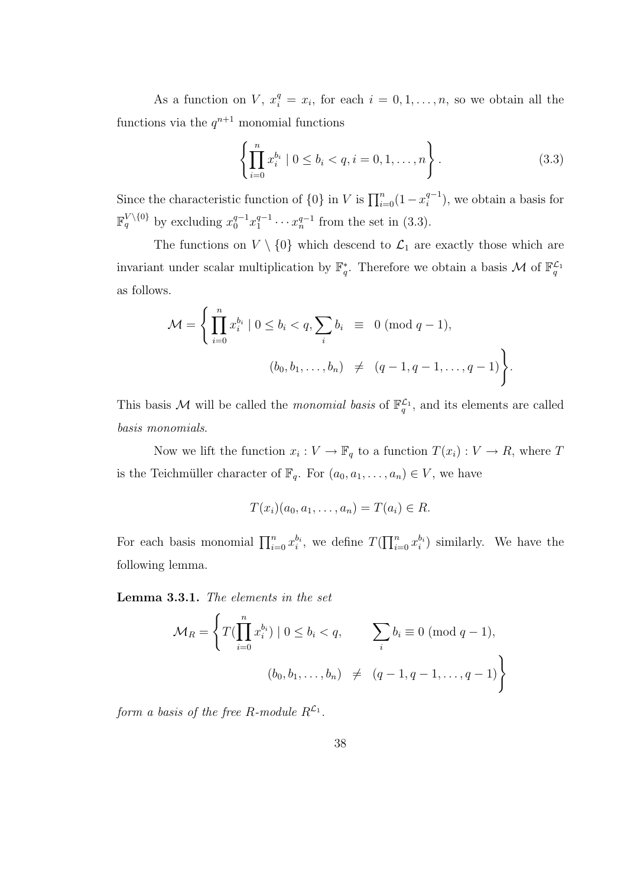As a function on V,  $x_i^q = x_i$ , for each  $i = 0, 1, ..., n$ , so we obtain all the functions via the  $q^{n+1}$  monomial functions

$$
\left\{\prod_{i=0}^{n} x_i^{b_i} \mid 0 \le b_i < q, i = 0, 1, \dots, n\right\}.\tag{3.3}
$$

Since the characteristic function of  $\{0\}$  in V is  $\prod_{i=0}^{n} (1 - x_i^{q-1})$  $\binom{q-1}{i}$ , we obtain a basis for  $\mathbb{F}_q^{V \setminus \{0\}}$  by excluding  $x_0^{q-1} x_1^{q-1}$  $x_1^{q-1} \cdots x_n^{q-1}$  from the set in (3.3).

The functions on  $V \setminus \{0\}$  which descend to  $\mathcal{L}_1$  are exactly those which are invariant under scalar multiplication by  $\mathbb{F}_q^*$ . Therefore we obtain a basis M of  $\mathbb{F}_q^{\mathcal{L}_1}$ as follows.

$$
\mathcal{M} = \left\{ \prod_{i=0}^{n} x_i^{b_i} \mid 0 \le b_i < q, \sum_i b_i \equiv 0 \pmod{q-1}, \\ (b_0, b_1, \dots, b_n) \ne (q-1, q-1, \dots, q-1) \right\}.
$$

This basis M will be called the *monomial basis* of  $\mathbb{F}_q^{\mathcal{L}_1}$ , and its elements are called basis monomials.

Now we lift the function  $x_i: V \to \mathbb{F}_q$  to a function  $T(x_i): V \to R$ , where T is the Teichmüller character of  $\mathbb{F}_q$ . For  $(a_0, a_1, \ldots, a_n) \in V$ , we have

$$
T(x_i)(a_0,a_1,\ldots,a_n)=T(a_i)\in R.
$$

For each basis monomial  $\prod_{i=0}^n x_i^{b_i}$ , we define  $T(\prod_{i=0}^n x_i^{b_i})$  similarly. We have the following lemma.

Lemma 3.3.1. The elements in the set

$$
\mathcal{M}_R = \left\{ T(\prod_{i=0}^n x_i^{b_i}) \mid 0 \le b_i < q, \sum_i b_i \equiv 0 \pmod{q-1}, \\ (b_0, b_1, \dots, b_n) \neq (q-1, q-1, \dots, q-1) \right\}
$$

form a basis of the free R-module  $R^{\mathcal{L}_1}$ .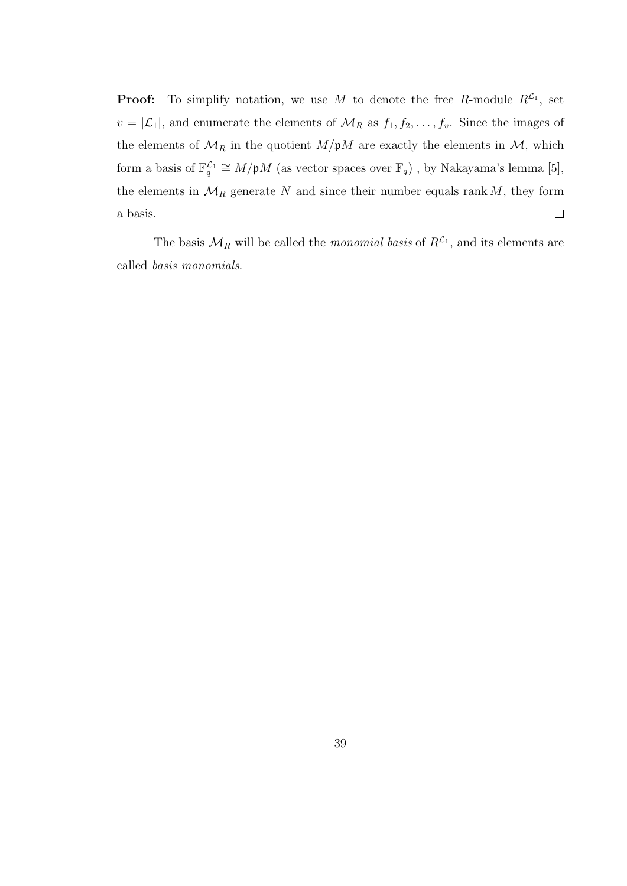**Proof:** To simplify notation, we use M to denote the free R-module  $R^{\mathcal{L}_1}$ , set  $v = |\mathcal{L}_1|$ , and enumerate the elements of  $\mathcal{M}_R$  as  $f_1, f_2, \ldots, f_v$ . Since the images of the elements of  $\mathcal{M}_R$  in the quotient  $M/\mathfrak{p}M$  are exactly the elements in  $\mathcal{M}$ , which form a basis of  $\mathbb{F}_q^{\mathcal{L}_1} \cong M/\mathfrak{p}M$  (as vector spaces over  $\mathbb{F}_q$ ), by Nakayama's lemma [5], the elements in  $\mathcal{M}_R$  generate N and since their number equals rank M, they form  $\Box$ a basis.

The basis  $\mathcal{M}_R$  will be called the *monomial basis* of  $R^{\mathcal{L}_1}$ , and its elements are called basis monomials.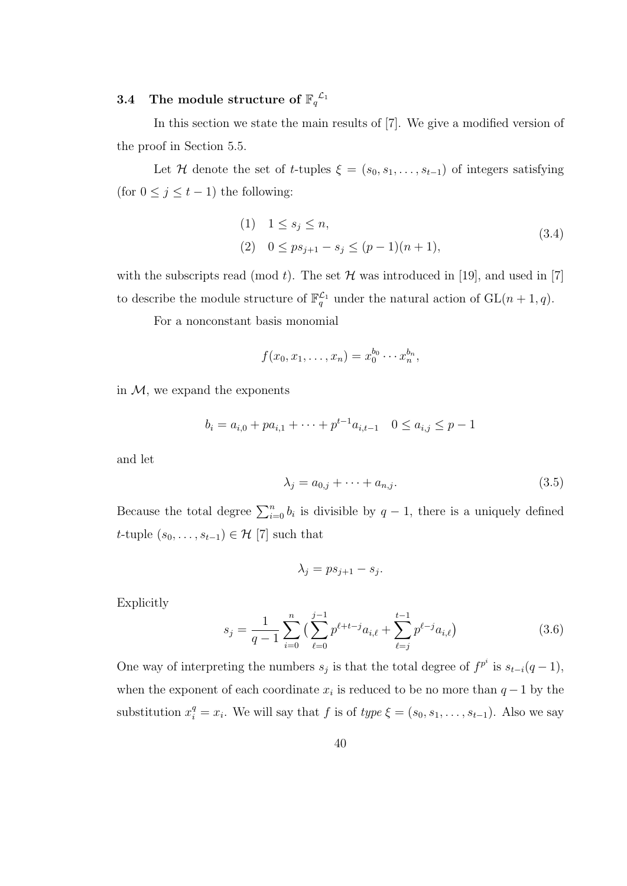# $3.4$  The module structure of  $\mathbb{F}_q^{\mathcal{L}_1}$

In this section we state the main results of [7]. We give a modified version of the proof in Section 5.5.

Let H denote the set of t-tuples  $\xi = (s_0, s_1, \ldots, s_{t-1})$  of integers satisfying (for  $0 \leq j \leq t-1$ ) the following:

(1) 
$$
1 \le s_j \le n
$$
,  
\n(2)  $0 \le ps_{j+1} - s_j \le (p-1)(n+1)$ , (3.4)

with the subscripts read (mod t). The set  $\mathcal H$  was introduced in [19], and used in [7] to describe the module structure of  $\mathbb{F}_q^{\mathcal{L}_1}$  under the natural action of  $GL(n+1, q)$ .

For a nonconstant basis monomial

$$
f(x_0,x_1,\ldots,x_n)=x_0^{b_0}\cdots x_n^{b_n},
$$

in  $M$ , we expand the exponents

$$
b_i = a_{i,0} + p a_{i,1} + \dots + p^{t-1} a_{i,t-1} \quad 0 \le a_{i,j} \le p-1
$$

and let

$$
\lambda_j = a_{0,j} + \dots + a_{n,j}.\tag{3.5}
$$

Because the total degree  $\sum_{i=0}^{n} b_i$  is divisible by  $q-1$ , there is a uniquely defined t-tuple  $(s_0, \ldots, s_{t-1}) \in \mathcal{H}$  [7] such that

$$
\lambda_j = p s_{j+1} - s_j.
$$

Explicitly

$$
s_j = \frac{1}{q-1} \sum_{i=0}^n \left( \sum_{\ell=0}^{j-1} p^{\ell+\ell-j} a_{i,\ell} + \sum_{\ell=j}^{t-1} p^{\ell-j} a_{i,\ell} \right) \tag{3.6}
$$

One way of interpreting the numbers  $s_j$  is that the total degree of  $f^{p^i}$  is  $s_{t-i}(q-1)$ , when the exponent of each coordinate  $x_i$  is reduced to be no more than  $q-1$  by the substitution  $x_i^q = x_i$ . We will say that f is of type  $\xi = (s_0, s_1, \ldots, s_{t-1})$ . Also we say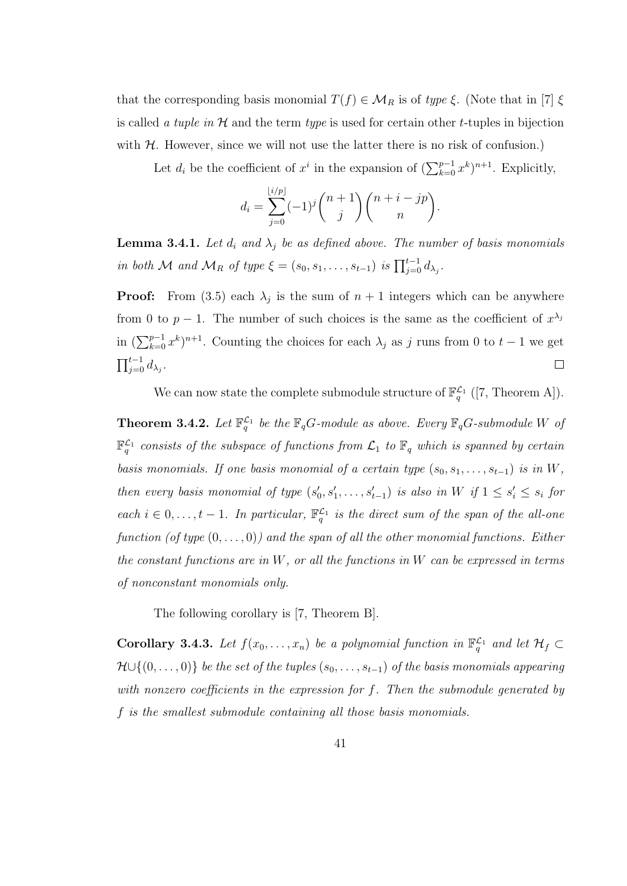that the corresponding basis monomial  $T(f) \in \mathcal{M}_R$  is of type  $\xi$ . (Note that in [7]  $\xi$ is called a tuple in  $H$  and the term type is used for certain other t-tuples in bijection with  $H$ . However, since we will not use the latter there is no risk of confusion.)

Let  $d_i$  be the coefficient of  $x^i$  in the expansion of  $(\sum_{k=0}^{p-1} x^k)^{n+1}$ . Explicitly,

$$
d_i = \sum_{j=0}^{\lfloor i/p \rfloor} (-1)^j \binom{n+1}{j} \binom{n+i-jp}{n}.
$$

**Lemma 3.4.1.** Let  $d_i$  and  $\lambda_j$  be as defined above. The number of basis monomials in both M and  $\mathcal{M}_R$  of type  $\xi = (s_0, s_1, \ldots, s_{t-1})$  is  $\prod_{j=0}^{t-1} d_{\lambda_j}$ .

**Proof:** From (3.5) each  $\lambda_j$  is the sum of  $n+1$  integers which can be anywhere from 0 to  $p-1$ . The number of such choices is the same as the coefficient of  $x^{\lambda_j}$ in  $(\sum_{k=0}^{p-1} x^k)^{n+1}$ . Counting the choices for each  $\lambda_j$  as j runs from 0 to  $t-1$  we get  $\prod_{j=0}^{t-1} d_{\lambda_j}.$  $\Box$ 

We can now state the complete submodule structure of  $\mathbb{F}_q^{\mathcal{L}_1}$  ([7, Theorem A]).

**Theorem 3.4.2.** Let  $\mathbb{F}_q^{\mathcal{L}_1}$  be the  $\mathbb{F}_qG$ -module as above. Every  $\mathbb{F}_qG$ -submodule W of  $\mathbb{F}_q^{\mathcal{L}_1}$  consists of the subspace of functions from  $\mathcal{L}_1$  to  $\mathbb{F}_q$  which is spanned by certain basis monomials. If one basis monomial of a certain type  $(s_0, s_1, \ldots, s_{t-1})$  is in W, then every basis monomial of type  $(s'_0, s'_1, \ldots, s'_{t-1})$  is also in W if  $1 \leq s'_i \leq s_i$  for each  $i \in 0, \ldots, t-1$ . In particular,  $\mathbb{F}_q^{\mathcal{L}_1}$  is the direct sum of the span of the all-one function (of type  $(0, \ldots, 0)$ ) and the span of all the other monomial functions. Either the constant functions are in  $W$ , or all the functions in  $W$  can be expressed in terms of nonconstant monomials only.

The following corollary is [7, Theorem B].

**Corollary 3.4.3.** Let  $f(x_0, \ldots, x_n)$  be a polynomial function in  $\mathbb{F}_q^{\mathcal{L}_1}$  and let  $\mathcal{H}_f \subset$  $\mathcal{H} \cup \{(0,\ldots,0)\}\;$  be the set of the tuples  $(s_0,\ldots,s_{t-1})$  of the basis monomials appearing with nonzero coefficients in the expression for f. Then the submodule generated by f is the smallest submodule containing all those basis monomials.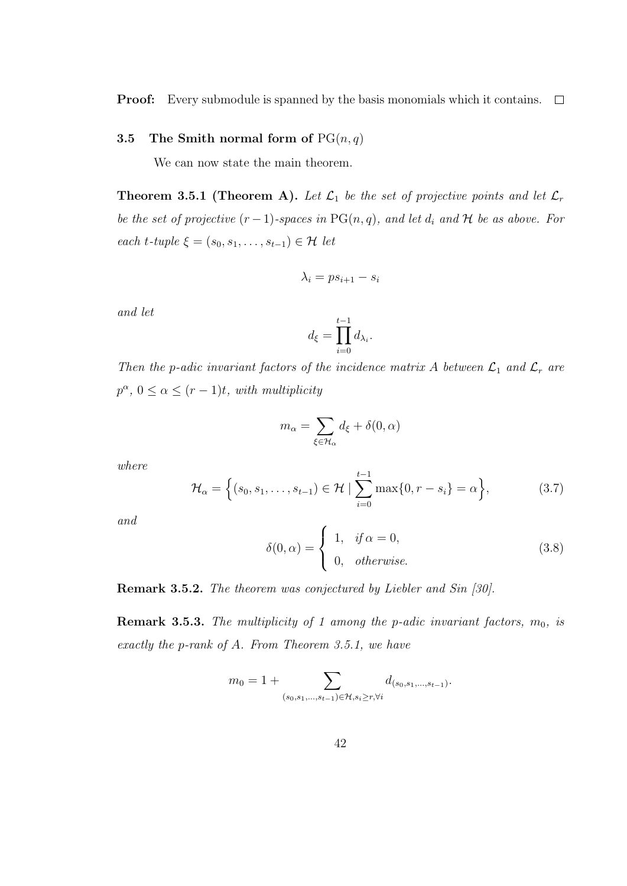**Proof:** Every submodule is spanned by the basis monomials which it contains.  $\Box$ 

### 3.5 The Smith normal form of  $PG(n, q)$

We can now state the main theorem.

**Theorem 3.5.1 (Theorem A).** Let  $\mathcal{L}_1$  be the set of projective points and let  $\mathcal{L}_r$ be the set of projective  $(r-1)$ -spaces in PG $(n, q)$ , and let  $d_i$  and  $H$  be as above. For each t-tuple  $\xi = (s_0, s_1, \ldots, s_{t-1}) \in \mathcal{H}$  let

$$
\lambda_i = p s_{i+1} - s_i
$$

and let

$$
d_{\xi} = \prod_{i=0}^{t-1} d_{\lambda_i}.
$$

Then the p-adic invariant factors of the incidence matrix A between  $\mathcal{L}_1$  and  $\mathcal{L}_r$  are  $p^{\alpha}, 0 \leq \alpha \leq (r-1)t$ , with multiplicity

$$
m_{\alpha} = \sum_{\xi \in \mathcal{H}_{\alpha}} d_{\xi} + \delta(0, \alpha)
$$

where

$$
\mathcal{H}_{\alpha} = \left\{ (s_0, s_1, \dots, s_{t-1}) \in \mathcal{H} \mid \sum_{i=0}^{t-1} \max\{0, r - s_i\} = \alpha \right\},\tag{3.7}
$$

and

$$
\delta(0,\alpha) = \begin{cases} 1, & \text{if } \alpha = 0, \\ 0, & \text{otherwise.} \end{cases}
$$
 (3.8)

Remark 3.5.2. The theorem was conjectured by Liebler and Sin [30].

**Remark 3.5.3.** The multiplicity of 1 among the p-adic invariant factors,  $m_0$ , is exactly the p-rank of A. From Theorem 3.5.1, we have

$$
m_0 = 1 + \sum_{(s_0, s_1, \dots, s_{t-1}) \in \mathcal{H}, s_i \ge r, \forall i} d_{(s_0, s_1, \dots, s_{t-1})}.
$$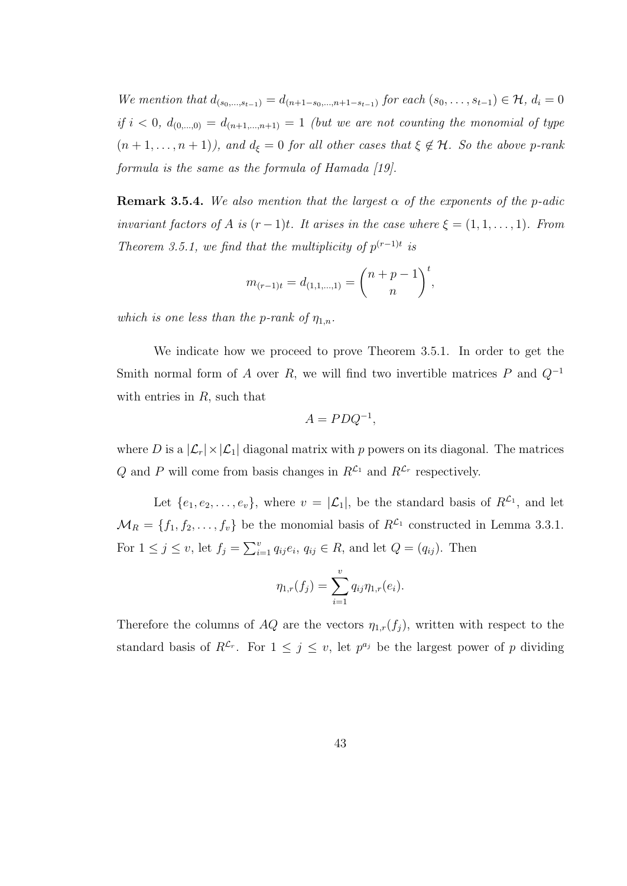We mention that  $d_{(s_0,...,s_{t-1})} = d_{(n+1-s_0,...,n+1-s_{t-1})}$  for each  $(s_0,...,s_{t-1}) \in \mathcal{H}$ ,  $d_i = 0$ if  $i < 0$ ,  $d_{(0,...,0)} = d_{(n+1,...,n+1)} = 1$  (but we are not counting the monomial of type  $(n+1,\ldots,n+1)$ , and  $d_{\xi}=0$  for all other cases that  $\xi \notin \mathcal{H}$ . So the above p-rank formula is the same as the formula of Hamada [19].

**Remark 3.5.4.** We also mention that the largest  $\alpha$  of the exponents of the p-adic invariant factors of A is  $(r-1)t$ . It arises in the case where  $\xi = (1, 1, \ldots, 1)$ . From Theorem 3.5.1, we find that the multiplicity of  $p^{(r-1)t}$  is

$$
m_{(r-1)t} = d_{(1,1,\dots,1)} = {n+p-1 \choose n},
$$

which is one less than the p-rank of  $\eta_{1,n}$ .

We indicate how we proceed to prove Theorem 3.5.1. In order to get the Smith normal form of A over R, we will find two invertible matrices P and  $Q^{-1}$ with entries in  $R$ , such that

$$
A = PDQ^{-1},
$$

where D is a  $|\mathcal{L}_r| \times |\mathcal{L}_1|$  diagonal matrix with p powers on its diagonal. The matrices Q and P will come from basis changes in  $R^{\mathcal{L}_1}$  and  $R^{\mathcal{L}_r}$  respectively.

Let  $\{e_1, e_2, \ldots, e_v\}$ , where  $v = |\mathcal{L}_1|$ , be the standard basis of  $R^{\mathcal{L}_1}$ , and let  $\mathcal{M}_R = \{f_1, f_2, \ldots, f_v\}$  be the monomial basis of  $R^{\mathcal{L}_1}$  constructed in Lemma 3.3.1. For  $1 \leq j \leq v$ , let  $f_j = \sum_{i=1}^v q_{ij} e_i$ ,  $q_{ij} \in R$ , and let  $Q = (q_{ij})$ . Then

$$
\eta_{1,r}(f_j) = \sum_{i=1}^v q_{ij} \eta_{1,r}(e_i).
$$

Therefore the columns of AQ are the vectors  $\eta_{1,r}(f_j)$ , written with respect to the standard basis of  $R^{\mathcal{L}_r}$ . For  $1 \leq j \leq v$ , let  $p^{a_j}$  be the largest power of p dividing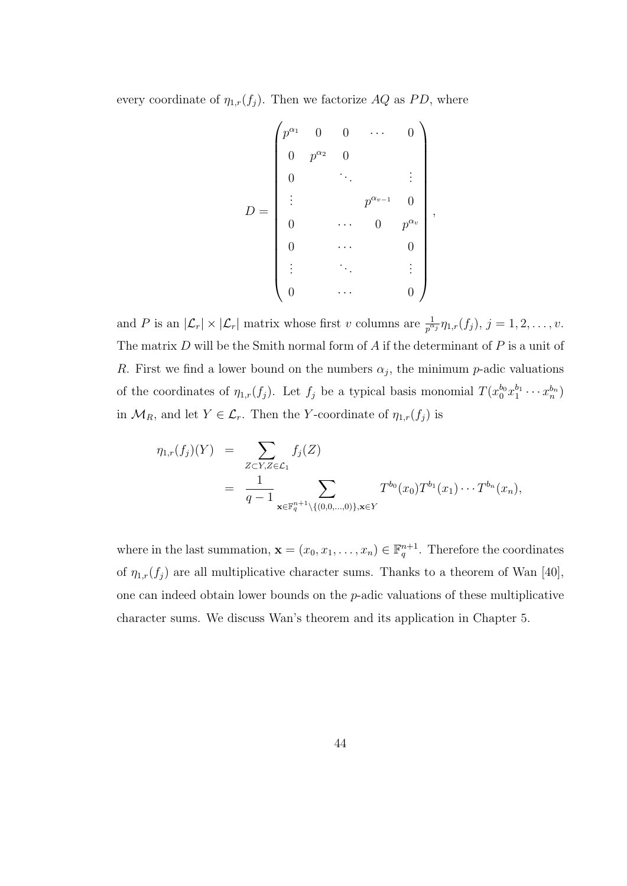every coordinate of  $\eta_{1,r}(f_i)$ . Then we factorize AQ as PD, where

$$
D = \begin{pmatrix} p^{\alpha_1} & 0 & 0 & \cdots & 0 \\ 0 & p^{\alpha_2} & 0 & & & \\ 0 & & \ddots & & \vdots \\ \vdots & & & p^{\alpha_{v-1}} & 0 \\ 0 & & \cdots & 0 & p^{\alpha_v} \\ 0 & & \cdots & & 0 \\ \vdots & & & \vdots & \vdots \\ 0 & & \cdots & & 0 \end{pmatrix},
$$

and P is an  $|\mathcal{L}_r| \times |\mathcal{L}_r|$  matrix whose first v columns are  $\frac{1}{p^{\alpha_j}} \eta_{1,r}(f_j)$ ,  $j = 1, 2, \ldots, v$ . The matrix  $D$  will be the Smith normal form of  $A$  if the determinant of  $P$  is a unit of R. First we find a lower bound on the numbers  $\alpha_j$ , the minimum p-adic valuations of the coordinates of  $\eta_{1,r}(f_j)$ . Let  $f_j$  be a typical basis monomial  $T(x_0^{b_0}x_1^{b_1}\cdots x_n^{b_n})$ in  $\mathcal{M}_R$ , and let  $Y \in \mathcal{L}_r$ . Then the Y-coordinate of  $\eta_{1,r}(f_j)$  is

$$
\eta_{1,r}(f_j)(Y) = \sum_{Z \subset Y, Z \in \mathcal{L}_1} f_j(Z)
$$
  
= 
$$
\frac{1}{q-1} \sum_{\mathbf{x} \in \mathbb{F}_q^{n+1} \setminus \{(0,0,\dots,0)\}, \mathbf{x} \in Y} T^{b_0}(x_0) T^{b_1}(x_1) \cdots T^{b_n}(x_n),
$$

where in the last summation,  $\mathbf{x} = (x_0, x_1, \dots, x_n) \in \mathbb{F}_q^{n+1}$ . Therefore the coordinates of  $\eta_{1,r}(f_j)$  are all multiplicative character sums. Thanks to a theorem of Wan [40], one can indeed obtain lower bounds on the p-adic valuations of these multiplicative character sums. We discuss Wan's theorem and its application in Chapter 5.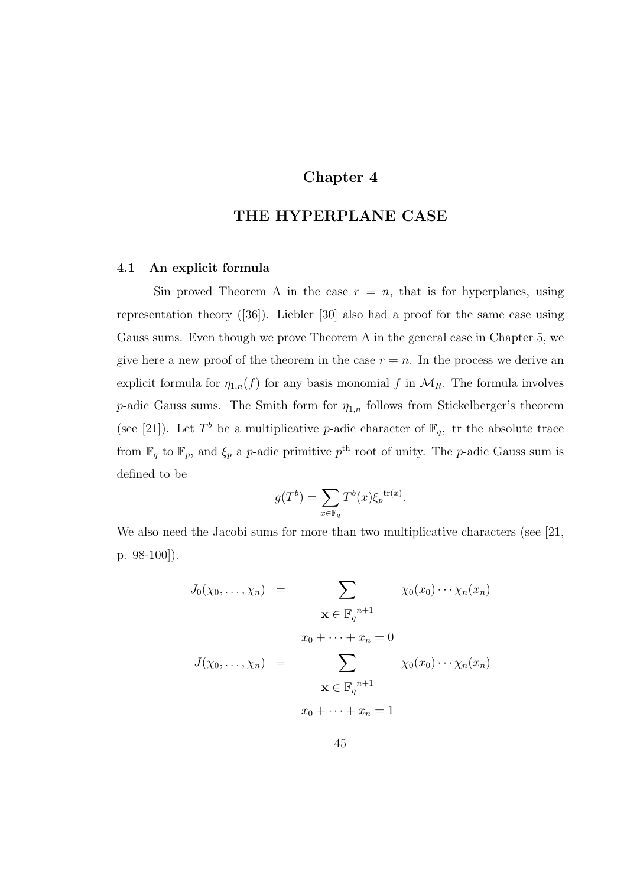## Chapter 4

## THE HYPERPLANE CASE

### 4.1 An explicit formula

Sin proved Theorem A in the case  $r = n$ , that is for hyperplanes, using representation theory ([36]). Liebler [30] also had a proof for the same case using Gauss sums. Even though we prove Theorem A in the general case in Chapter 5, we give here a new proof of the theorem in the case  $r = n$ . In the process we derive an explicit formula for  $\eta_{1,n}(f)$  for any basis monomial f in  $\mathcal{M}_R$ . The formula involves *p*-adic Gauss sums. The Smith form for  $\eta_{1,n}$  follows from Stickelberger's theorem (see [21]). Let  $T^b$  be a multiplicative *p*-adic character of  $\mathbb{F}_q$ , tr the absolute trace from  $\mathbb{F}_q$  to  $\mathbb{F}_p$ , and  $\xi_p$  a p-adic primitive  $p^{\text{th}}$  root of unity. The p-adic Gauss sum is defined to be

$$
g(T^{b}) = \sum_{x \in \mathbb{F}_q} T^{b}(x) \xi_p^{\text{tr}(x)}.
$$

We also need the Jacobi sums for more than two multiplicative characters (see [21, p. 98-100]).

$$
J_0(\chi_0, \dots, \chi_n) = \sum_{\mathbf{x} \in \mathbb{F}_q^{n+1}} \chi_0(x_0) \cdots \chi_n(x_n)
$$
  

$$
J(\chi_0, \dots, \chi_n) = \sum_{\mathbf{x} \in \mathbb{F}_q^{n+1}} \chi_0(x_0) \cdots \chi_n(x_n)
$$
  

$$
\mathbf{x} \in \mathbb{F}_q^{n+1}
$$
  

$$
x_0 + \cdots + x_n = 1
$$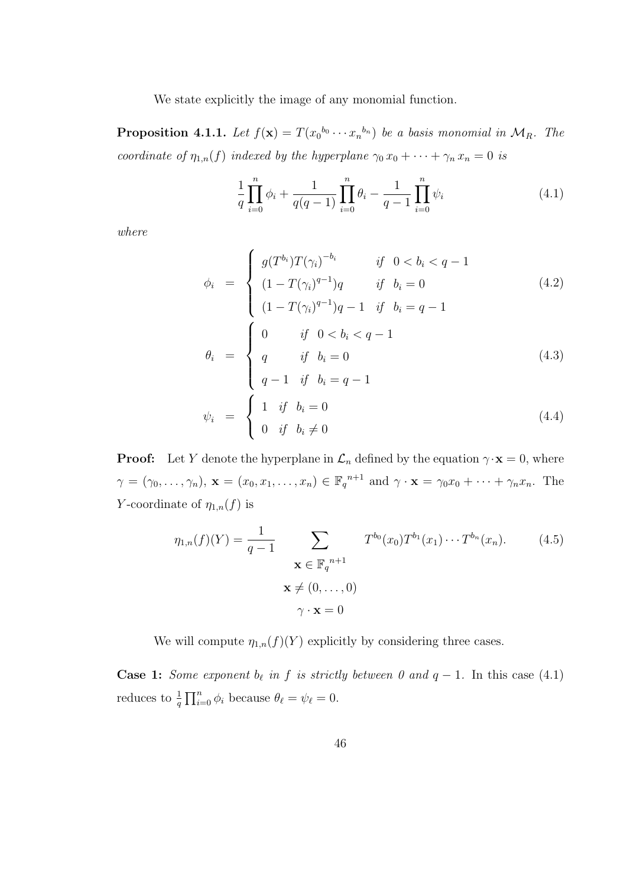We state explicitly the image of any monomial function.

**Proposition 4.1.1.** Let  $f(\mathbf{x}) = T(x_0^{b_0} \cdots x_n^{b_n})$  be a basis monomial in  $\mathcal{M}_R$ . The coordinate of  $\eta_{1,n}(f)$  indexed by the hyperplane  $\gamma_0 x_0 + \cdots + \gamma_n x_n = 0$  is

$$
\frac{1}{q} \prod_{i=0}^{n} \phi_i + \frac{1}{q(q-1)} \prod_{i=0}^{n} \theta_i - \frac{1}{q-1} \prod_{i=0}^{n} \psi_i
$$
\n(4.1)

where

$$
\phi_i = \begin{cases}\ng(T^{b_i})T(\gamma_i)^{-b_i} & \text{if } 0 < b_i < q - 1 \\
(1 - T(\gamma_i)^{q-1})q & \text{if } b_i = 0 \\
(1 - T(\gamma_i)^{q-1})q - 1 & \text{if } b_i = q - 1\n\end{cases}\n\tag{4.2}
$$
\n
$$
\theta_i = \begin{cases}\n0 & \text{if } 0 < b_i < q - 1 \\
q & \text{if } b_i = 0 \\
q - 1 & \text{if } b_i = q - 1\n\end{cases}\n\tag{4.3}
$$
\n
$$
\psi_i = \begin{cases}\n1 & \text{if } b_i = 0 \\
0 & \text{if } b_i \neq 0\n\end{cases}\n\tag{4.4}
$$

**Proof:** Let Y denote the hyperplane in  $\mathcal{L}_n$  defined by the equation  $\gamma \cdot \mathbf{x} = 0$ , where  $\gamma = (\gamma_0, \ldots, \gamma_n), \mathbf{x} = (x_0, x_1, \ldots, x_n) \in \mathbb{F}_q^{n+1}$  and  $\gamma \cdot \mathbf{x} = \gamma_0 x_0 + \cdots + \gamma_n x_n$ . The Y-coordinate of  $\eta_{1,n}(f)$  is

$$
\eta_{1,n}(f)(Y) = \frac{1}{q-1} \sum_{\mathbf{x} \in \mathbb{F}_q^{n+1}} T^{b_0}(x_0) T^{b_1}(x_1) \cdots T^{b_n}(x_n).
$$
 (4.5)  

$$
\mathbf{x} \neq (0, ..., 0)
$$
  

$$
\gamma \cdot \mathbf{x} = 0
$$

We will compute  $\eta_{1,n}(f)(Y)$  explicitly by considering three cases.

**Case 1:** Some exponent  $b_{\ell}$  in f is strictly between 0 and  $q - 1$ . In this case (4.1) reduces to  $\frac{1}{q} \prod_{i=0}^{n} \phi_i$  because  $\theta_{\ell} = \psi_{\ell} = 0$ .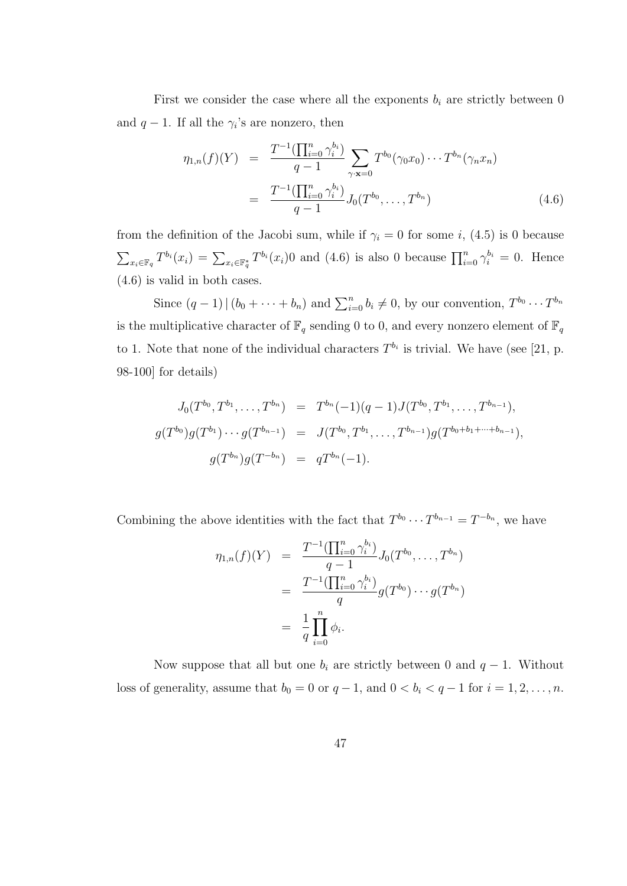First we consider the case where all the exponents  $b_i$  are strictly between 0 and  $q-1$ . If all the  $\gamma_i$ 's are nonzero, then

$$
\eta_{1,n}(f)(Y) = \frac{T^{-1}(\prod_{i=0}^{n} \gamma_i^{b_i})}{q-1} \sum_{\gamma \cdot \mathbf{x} = 0} T^{b_0}(\gamma_0 x_0) \cdots T^{b_n}(\gamma_n x_n)
$$

$$
= \frac{T^{-1}(\prod_{i=0}^{n} \gamma_i^{b_i})}{q-1} J_0(T^{b_0}, \dots, T^{b_n}) \tag{4.6}
$$

from the definition of the Jacobi sum, while if  $\gamma_i = 0$  for some i, (4.5) is 0 because  $\sum_{x_i\in\mathbb{F}_q} T^{b_i}(x_i) = \sum_{x_i\in\mathbb{F}_q^*} T^{b_i}(x_i)0$  and (4.6) is also 0 because  $\prod_{i=0}^n \gamma_i^{b_i} = 0$ . Hence (4.6) is valid in both cases.

Since  $(q-1) | (b_0 + \cdots + b_n)$  and  $\sum_{i=0}^n b_i \neq 0$ , by our convention,  $T^{b_0} \cdots T^{b_n}$ is the multiplicative character of  $\mathbb{F}_q$  sending 0 to 0, and every nonzero element of  $\mathbb{F}_q$ to 1. Note that none of the individual characters  $T^{b_i}$  is trivial. We have (see [21, p. 98-100] for details)

$$
J_0(T^{b_0}, T^{b_1}, \dots, T^{b_n}) = T^{b_n}(-1)(q-1)J(T^{b_0}, T^{b_1}, \dots, T^{b_{n-1}}),
$$
  

$$
g(T^{b_0})g(T^{b_1})\cdots g(T^{b_{n-1}}) = J(T^{b_0}, T^{b_1}, \dots, T^{b_{n-1}})g(T^{b_0+b_1+\dots+b_{n-1}}),
$$
  

$$
g(T^{b_n})g(T^{-b_n}) = qT^{b_n}(-1).
$$

Combining the above identities with the fact that  $T^{b_0} \cdots T^{b_{n-1}} = T^{-b_n}$ , we have

$$
\eta_{1,n}(f)(Y) = \frac{T^{-1}(\prod_{i=0}^{n} \gamma_i^{b_i})}{q-1} J_0(T^{b_0}, \dots, T^{b_n})
$$
  
= 
$$
\frac{T^{-1}(\prod_{i=0}^{n} \gamma_i^{b_i})}{q} g(T^{b_0}) \cdots g(T^{b_n})
$$
  
= 
$$
\frac{1}{q} \prod_{i=0}^{n} \phi_i.
$$

Now suppose that all but one  $b_i$  are strictly between 0 and  $q-1$ . Without loss of generality, assume that  $b_0 = 0$  or  $q - 1$ , and  $0 < b_i < q - 1$  for  $i = 1, 2, ..., n$ .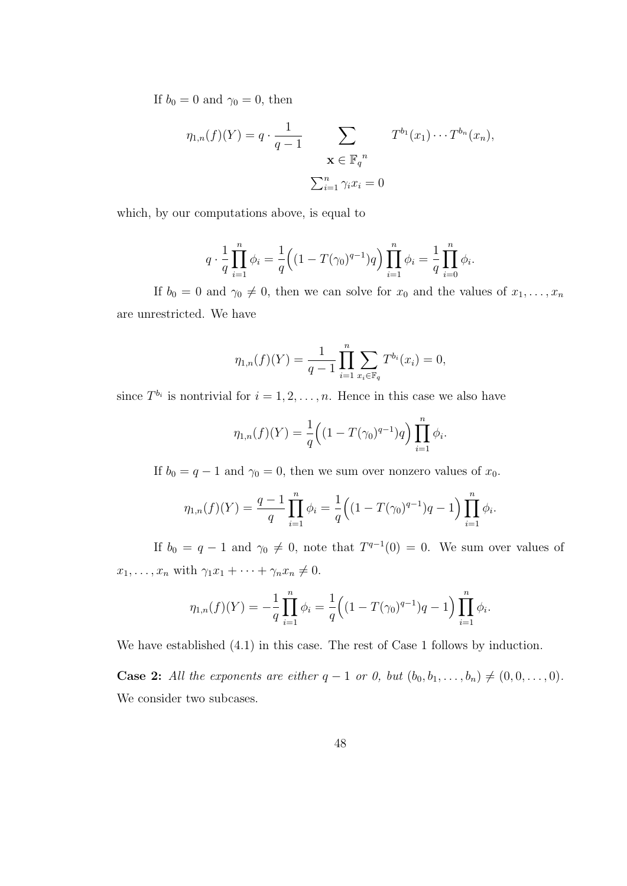If  $b_0 = 0$  and  $\gamma_0 = 0$ , then

$$
\eta_{1,n}(f)(Y) = q \cdot \frac{1}{q-1} \sum_{\mathbf{x} \in \mathbb{F}_q^n} T^{b_1}(x_1) \cdots T^{b_n}(x_n),
$$

$$
\sum_{i=1}^n \gamma_i x_i = 0
$$

which, by our computations above, is equal to

$$
q \cdot \frac{1}{q} \prod_{i=1}^{n} \phi_i = \frac{1}{q} \Big( (1 - T(\gamma_0)^{q-1}) q \Big) \prod_{i=1}^{n} \phi_i = \frac{1}{q} \prod_{i=0}^{n} \phi_i.
$$

If  $b_0 = 0$  and  $\gamma_0 \neq 0$ , then we can solve for  $x_0$  and the values of  $x_1, \ldots, x_n$ are unrestricted. We have

$$
\eta_{1,n}(f)(Y) = \frac{1}{q-1} \prod_{i=1}^{n} \sum_{x_i \in \mathbb{F}_q} T^{b_i}(x_i) = 0,
$$

since  $T^{b_i}$  is nontrivial for  $i = 1, 2, \ldots, n$ . Hence in this case we also have

$$
\eta_{1,n}(f)(Y) = \frac{1}{q} \left( (1 - T(\gamma_0)^{q-1}) q \right) \prod_{i=1}^n \phi_i.
$$

If  $b_0 = q - 1$  and  $\gamma_0 = 0$ , then we sum over nonzero values of  $x_0$ .

$$
\eta_{1,n}(f)(Y) = \frac{q-1}{q} \prod_{i=1}^n \phi_i = \frac{1}{q} \Big( (1 - T(\gamma_0)^{q-1})q - 1 \Big) \prod_{i=1}^n \phi_i.
$$

If  $b_0 = q - 1$  and  $\gamma_0 \neq 0$ , note that  $T^{q-1}(0) = 0$ . We sum over values of  $x_1, \ldots, x_n$  with  $\gamma_1 x_1 + \cdots + \gamma_n x_n \neq 0$ .

$$
\eta_{1,n}(f)(Y) = -\frac{1}{q} \prod_{i=1}^{n} \phi_i = \frac{1}{q} \Big( (1 - T(\gamma_0)^{q-1}) q - 1 \Big) \prod_{i=1}^{n} \phi_i.
$$

We have established  $(4.1)$  in this case. The rest of Case 1 follows by induction.

**Case 2:** All the exponents are either  $q - 1$  or 0, but  $(b_0, b_1, \ldots, b_n) \neq (0, 0, \ldots, 0)$ . We consider two subcases.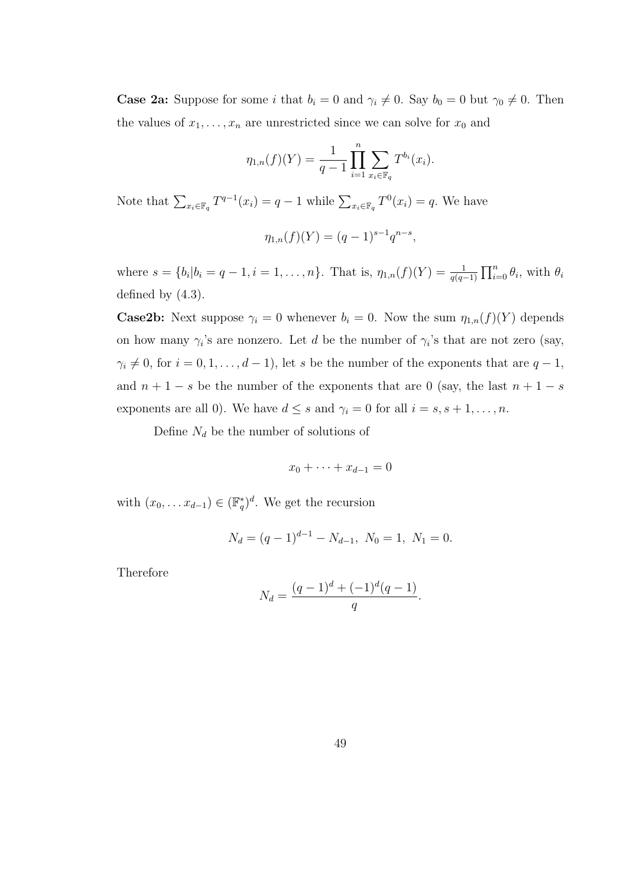**Case 2a:** Suppose for some i that  $b_i = 0$  and  $\gamma_i \neq 0$ . Say  $b_0 = 0$  but  $\gamma_0 \neq 0$ . Then the values of  $x_1, \ldots, x_n$  are unrestricted since we can solve for  $x_0$  and

$$
\eta_{1,n}(f)(Y) = \frac{1}{q-1} \prod_{i=1}^{n} \sum_{x_i \in \mathbb{F}_q} T^{b_i}(x_i).
$$

Note that  $\sum_{x_i \in \mathbb{F}_q} T^{q-1}(x_i) = q-1$  while  $\sum_{x_i \in \mathbb{F}_q} T^0(x_i) = q$ . We have

$$
\eta_{1,n}(f)(Y) = (q-1)^{s-1} q^{n-s},
$$

where  $s = \{b_i | b_i = q - 1, i = 1, ..., n\}$ . That is,  $\eta_{1,n}(f)(Y) = \frac{1}{q(q-1)} \prod_{i=0}^{n} \theta_i$ , with  $\theta_i$ defined by (4.3).

**Case2b:** Next suppose  $\gamma_i = 0$  whenever  $b_i = 0$ . Now the sum  $\eta_{1,n}(f)(Y)$  depends on how many  $\gamma_i$ 's are nonzero. Let d be the number of  $\gamma_i$ 's that are not zero (say,  $\gamma_i \neq 0$ , for  $i = 0, 1, \ldots, d - 1$ , let s be the number of the exponents that are  $q - 1$ , and  $n + 1 - s$  be the number of the exponents that are 0 (say, the last  $n + 1 - s$ ) exponents are all 0). We have  $d \leq s$  and  $\gamma_i = 0$  for all  $i = s, s + 1, \ldots, n$ .

Define  $N_d$  be the number of solutions of

$$
x_0 + \cdots + x_{d-1} = 0
$$

with  $(x_0, \ldots, x_{d-1}) \in (\mathbb{F}_q^*)^d$ . We get the recursion

$$
N_d = (q-1)^{d-1} - N_{d-1}, \ N_0 = 1, \ N_1 = 0.
$$

Therefore

$$
N_d = \frac{(q-1)^d + (-1)^d (q-1)}{q}.
$$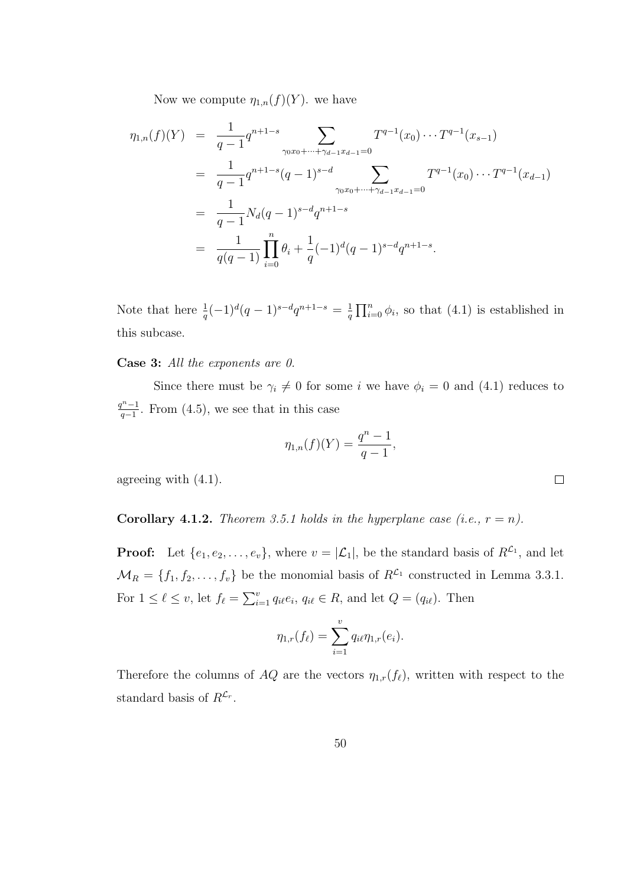Now we compute  $\eta_{1,n}(f)(Y)$ . we have

$$
\eta_{1,n}(f)(Y) = \frac{1}{q-1} q^{n+1-s} \sum_{\gamma_0 x_0 + \dots + \gamma_{d-1} x_{d-1} = 0} T^{q-1}(x_0) \dots T^{q-1}(x_{s-1})
$$
  
\n
$$
= \frac{1}{q-1} q^{n+1-s} (q-1)^{s-d} \sum_{\gamma_0 x_0 + \dots + \gamma_{d-1} x_{d-1} = 0} T^{q-1}(x_0) \dots T^{q-1}(x_{d-1})
$$
  
\n
$$
= \frac{1}{q-1} N_d (q-1)^{s-d} q^{n+1-s}
$$
  
\n
$$
= \frac{1}{q(q-1)} \prod_{i=0}^n \theta_i + \frac{1}{q} (-1)^d (q-1)^{s-d} q^{n+1-s}.
$$

Note that here  $\frac{1}{q}(-1)^d(q-1)^{s-d}q^{n+1-s} = \frac{1}{q}$  $\frac{1}{q} \prod_{i=0}^{n} \phi_i$ , so that  $(4.1)$  is established in this subcase.

Case 3: All the exponents are 0.

Since there must be  $\gamma_i \neq 0$  for some i we have  $\phi_i = 0$  and (4.1) reduces to  $q^n-1$  $\frac{q^{n}-1}{q-1}$ . From (4.5), we see that in this case

$$
\eta_{1,n}(f)(Y) = \frac{q^n - 1}{q - 1},
$$

agreeing with (4.1).

**Corollary 4.1.2.** Theorem 3.5.1 holds in the hyperplane case (i.e.,  $r = n$ ).

**Proof:** Let  $\{e_1, e_2, \ldots, e_v\}$ , where  $v = |\mathcal{L}_1|$ , be the standard basis of  $R^{\mathcal{L}_1}$ , and let  $\mathcal{M}_R = \{f_1, f_2, \ldots, f_v\}$  be the monomial basis of  $R^{\mathcal{L}_1}$  constructed in Lemma 3.3.1. For  $1 \leq \ell \leq v$ , let  $f_{\ell} = \sum_{i=1}^{v} q_{i\ell} e_i$ ,  $q_{i\ell} \in R$ , and let  $Q = (q_{i\ell})$ . Then

$$
\eta_{1,r}(f_{\ell}) = \sum_{i=1}^{v} q_{i\ell} \eta_{1,r}(e_i).
$$

Therefore the columns of AQ are the vectors  $\eta_{1,r}(f_\ell)$ , written with respect to the standard basis of  $R^{\mathcal{L}_r}$ .

 $\Box$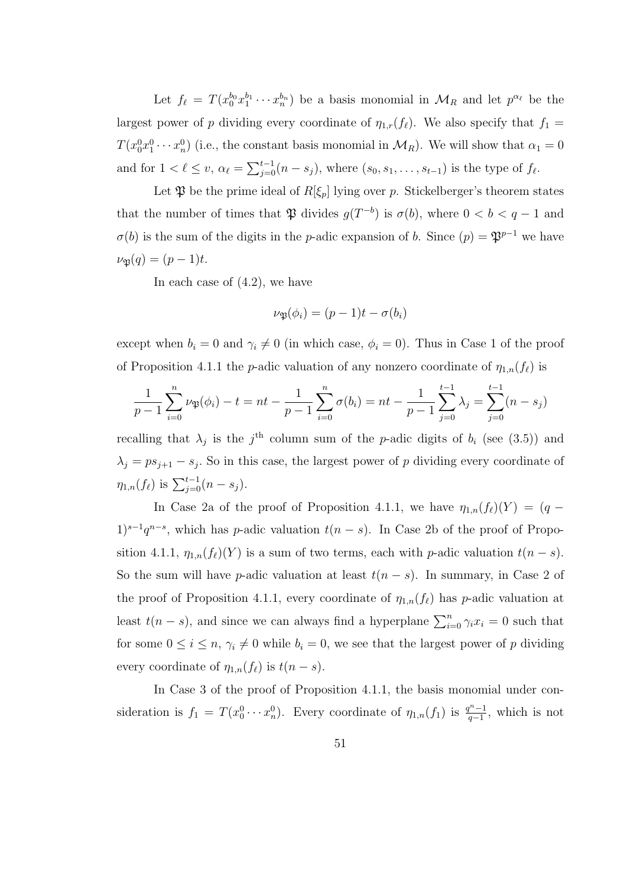Let  $f_{\ell} = T(x_0^{b_0}x_1^{b_1}\cdots x_n^{b_n})$  be a basis monomial in  $\mathcal{M}_R$  and let  $p^{\alpha_{\ell}}$  be the largest power of p dividing every coordinate of  $\eta_{1,r}(f_\ell)$ . We also specify that  $f_1 =$  $T(x_0^0x_1^0\cdots x_n^0)$  (i.e., the constant basis monomial in  $\mathcal{M}_R$ ). We will show that  $\alpha_1=0$ and for  $1 < \ell \leq v$ ,  $\alpha_{\ell} = \sum_{j=0}^{t-1} (n - s_j)$ , where  $(s_0, s_1, \ldots, s_{t-1})$  is the type of  $f_{\ell}$ .

Let  $\mathfrak P$  be the prime ideal of  $R[\xi_p]$  lying over p. Stickelberger's theorem states that the number of times that  $\mathfrak{P}$  divides  $g(T^{-b})$  is  $\sigma(b)$ , where  $0 < b < q - 1$  and  $\sigma(b)$  is the sum of the digits in the *p*-adic expansion of b. Since  $(p) = \mathfrak{P}^{p-1}$  we have  $\nu_{\mathfrak{P}}(q) = (p-1)t.$ 

In each case of  $(4.2)$ , we have

$$
\nu_{\mathfrak{P}}(\phi_i) = (p-1)t - \sigma(b_i)
$$

except when  $b_i = 0$  and  $\gamma_i \neq 0$  (in which case,  $\phi_i = 0$ ). Thus in Case 1 of the proof of Proposition 4.1.1 the p-adic valuation of any nonzero coordinate of  $\eta_{1,n}(f_{\ell})$  is

$$
\frac{1}{p-1}\sum_{i=0}^{n}\nu_{\mathfrak{P}}(\phi_i)-t=nt-\frac{1}{p-1}\sum_{i=0}^{n}\sigma(b_i)=nt-\frac{1}{p-1}\sum_{j=0}^{t-1}\lambda_j=\sum_{j=0}^{t-1}(n-s_j)
$$

recalling that  $\lambda_j$  is the j<sup>th</sup> column sum of the p-adic digits of  $b_i$  (see (3.5)) and  $\lambda_j = ps_{j+1} - s_j$ . So in this case, the largest power of p dividing every coordinate of  $\eta_{1,n}(f_{\ell})$  is  $\sum_{j=0}^{t-1}(n-s_j)$ .

In Case 2a of the proof of Proposition 4.1.1, we have  $\eta_{1,n}(f_{\ell})(Y) = (q 1)^{s-1}q^{n-s}$ , which has p-adic valuation  $t(n-s)$ . In Case 2b of the proof of Proposition 4.1.1,  $\eta_{1,n}(f_{\ell})(Y)$  is a sum of two terms, each with p-adic valuation  $t(n - s)$ . So the sum will have p-adic valuation at least  $t(n - s)$ . In summary, in Case 2 of the proof of Proposition 4.1.1, every coordinate of  $\eta_{1,n}(f_{\ell})$  has p-adic valuation at least  $t(n-s)$ , and since we can always find a hyperplane  $\sum_{i=0}^{n} \gamma_i x_i = 0$  such that for some  $0 \le i \le n$ ,  $\gamma_i \ne 0$  while  $b_i = 0$ , we see that the largest power of p dividing every coordinate of  $\eta_{1,n}(f_{\ell})$  is  $t(n - s)$ .

In Case 3 of the proof of Proposition 4.1.1, the basis monomial under consideration is  $f_1 = T(x_0^0 \cdots x_n^0)$ . Every coordinate of  $\eta_{1,n}(f_1)$  is  $\frac{q^n-1}{q-1}$  $\frac{q^n-1}{q-1}$ , which is not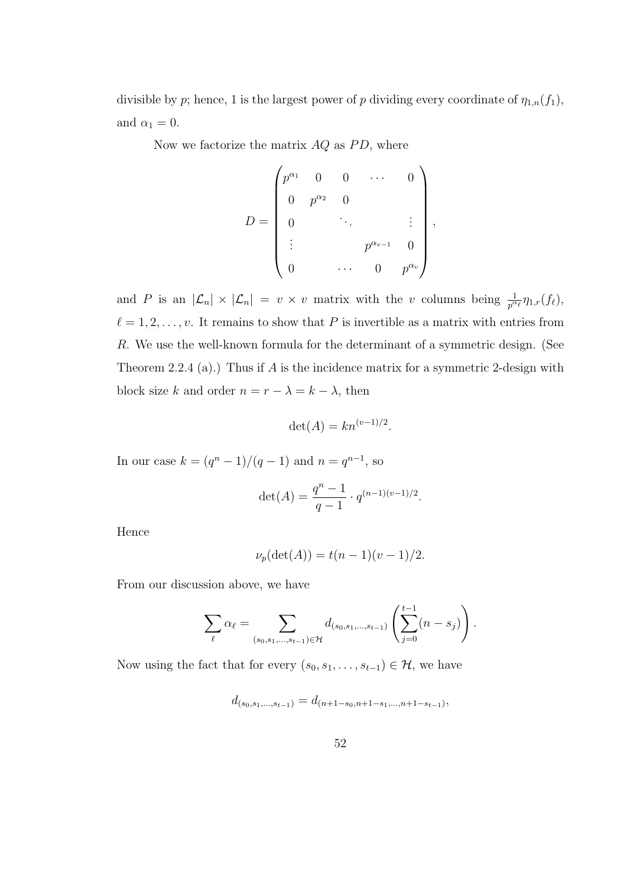divisible by p; hence, 1 is the largest power of p dividing every coordinate of  $\eta_{1,n}(f_1)$ , and  $\alpha_1 = 0$ .

Now we factorize the matrix  $AQ$  as  $PD$ , where

$$
D = \begin{pmatrix} p^{\alpha_1} & 0 & 0 & \cdots & 0 \\ 0 & p^{\alpha_2} & 0 & & \\ 0 & & \ddots & & \vdots \\ \vdots & & & p^{\alpha_{v-1}} & 0 \\ 0 & & \cdots & 0 & p^{\alpha_v} \end{pmatrix},
$$

and P is an  $|\mathcal{L}_n| \times |\mathcal{L}_n| = v \times v$  matrix with the v columns being  $\frac{1}{p^{\alpha_{\ell}}} \eta_{1,r}(f_{\ell}),$  $\ell = 1, 2, \ldots, v$ . It remains to show that P is invertible as a matrix with entries from R. We use the well-known formula for the determinant of a symmetric design. (See Theorem 2.2.4 (a).) Thus if  $A$  is the incidence matrix for a symmetric 2-design with block size k and order  $n = r - \lambda = k - \lambda$ , then

$$
\det(A) = kn^{(v-1)/2}.
$$

In our case  $k = (q^n - 1)/(q - 1)$  and  $n = q^{n-1}$ , so

$$
\det(A) = \frac{q^n - 1}{q - 1} \cdot q^{(n-1)(v-1)/2}.
$$

Hence

$$
\nu_p(\det(A)) = t(n-1)(v-1)/2.
$$

From our discussion above, we have

$$
\sum_{\ell} \alpha_{\ell} = \sum_{(s_0, s_1, \dots, s_{t-1}) \in \mathcal{H}} d_{(s_0, s_1, \dots, s_{t-1})} \left( \sum_{j=0}^{t-1} (n - s_j) \right).
$$

Now using the fact that for every  $(s_0, s_1, \ldots, s_{t-1}) \in \mathcal{H}$ , we have

$$
d_{(s_0,s_1,\ldots,s_{t-1})}=d_{(n+1-s_0,n+1-s_1,\ldots,n+1-s_{t-1})},
$$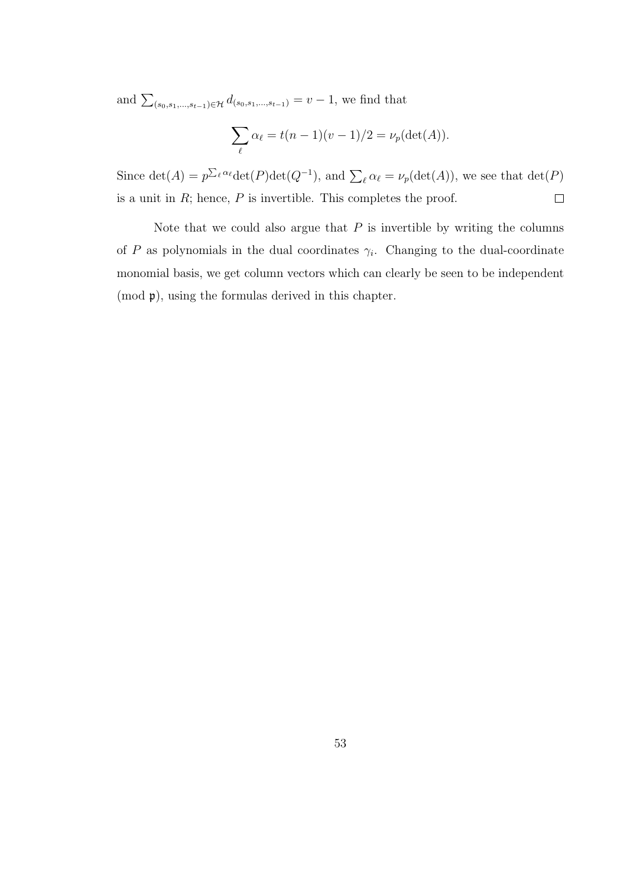and  $\sum_{(s_0,s_1,...,s_{t-1})\in\mathcal{H}} d_{(s_0,s_1,...,s_{t-1})} = v - 1$ , we find that

$$
\sum_{\ell} \alpha_{\ell} = t(n-1)(v-1)/2 = \nu_p(\det(A)).
$$

Since  $\det(A) = p^{\sum_{\ell} \alpha_{\ell}} \det(P) \det(Q^{-1}),$  and  $\sum_{\ell} \alpha_{\ell} = \nu_p(\det(A)),$  we see that  $\det(P)$ is a unit in  $R$ ; hence,  $P$  is invertible. This completes the proof.  $\Box$ 

Note that we could also argue that  $P$  is invertible by writing the columns of P as polynomials in the dual coordinates  $\gamma_i$ . Changing to the dual-coordinate monomial basis, we get column vectors which can clearly be seen to be independent (mod p), using the formulas derived in this chapter.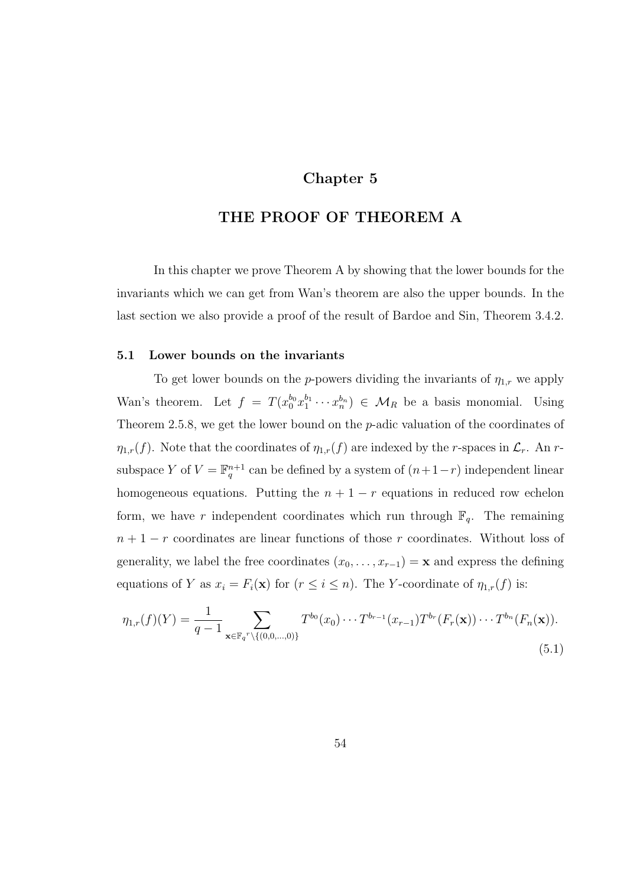## Chapter 5

## THE PROOF OF THEOREM A

In this chapter we prove Theorem A by showing that the lower bounds for the invariants which we can get from Wan's theorem are also the upper bounds. In the last section we also provide a proof of the result of Bardoe and Sin, Theorem 3.4.2.

### 5.1 Lower bounds on the invariants

To get lower bounds on the *p*-powers dividing the invariants of  $\eta_{1,r}$  we apply Wan's theorem. Let  $f = T(x_0^{b_0}x_1^{b_1}\cdots x_n^{b_n}) \in M_R$  be a basis monomial. Using Theorem 2.5.8, we get the lower bound on the p-adic valuation of the coordinates of  $\eta_{1,r}(f)$ . Note that the coordinates of  $\eta_{1,r}(f)$  are indexed by the r-spaces in  $\mathcal{L}_r$ . An rsubspace Y of  $V = \mathbb{F}_q^{n+1}$  can be defined by a system of  $(n+1-r)$  independent linear homogeneous equations. Putting the  $n + 1 - r$  equations in reduced row echelon form, we have r independent coordinates which run through  $\mathbb{F}_q$ . The remaining  $n + 1 - r$  coordinates are linear functions of those r coordinates. Without loss of generality, we label the free coordinates  $(x_0, \ldots, x_{r-1}) = \mathbf{x}$  and express the defining equations of Y as  $x_i = F_i(\mathbf{x})$  for  $(r \leq i \leq n)$ . The Y-coordinate of  $\eta_{1,r}(f)$  is:

$$
\eta_{1,r}(f)(Y) = \frac{1}{q-1} \sum_{\mathbf{x} \in \mathbb{F}_q^r \backslash \{(0,0,\dots,0)\}} T^{b_0}(x_0) \cdots T^{b_{r-1}}(x_{r-1}) T^{b_r}(F_r(\mathbf{x})) \cdots T^{b_n}(F_n(\mathbf{x})).
$$
\n(5.1)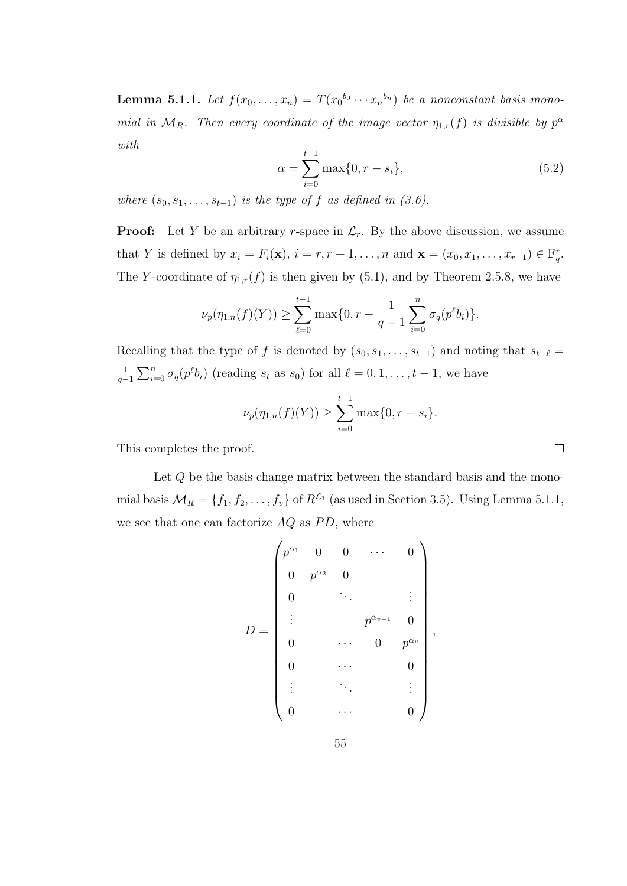**Lemma 5.1.1.** Let  $f(x_0, \ldots, x_n) = T(x_0^{b_0} \cdots x_n^{b_n})$  be a nonconstant basis monomial in  $\mathcal{M}_R$ . Then every coordinate of the image vector  $\eta_{1,r}(f)$  is divisible by  $p^{\alpha}$ with

$$
\alpha = \sum_{i=0}^{t-1} \max\{0, r - s_i\},\tag{5.2}
$$

where  $(s_0, s_1, \ldots, s_{t-1})$  is the type of f as defined in (3.6).

**Proof:** Let Y be an arbitrary r-space in  $\mathcal{L}_r$ . By the above discussion, we assume that Y is defined by  $x_i = F_i(\mathbf{x}), i = r, r + 1, \ldots, n$  and  $\mathbf{x} = (x_0, x_1, \ldots, x_{r-1}) \in \mathbb{F}_q^r$ . The Y-coordinate of  $\eta_{1,r}(f)$  is then given by (5.1), and by Theorem 2.5.8, we have

$$
\nu_p(\eta_{1,n}(f)(Y)) \ge \sum_{\ell=0}^{t-1} \max\{0, r - \frac{1}{q-1} \sum_{i=0}^n \sigma_q(p^{\ell}b_i)\}.
$$

Recalling that the type of f is denoted by  $(s_0, s_1, \ldots, s_{t-1})$  and noting that  $s_{t-\ell} =$ 1  $\frac{1}{q-1}\sum_{i=0}^n \sigma_q(p^{\ell}b_i)$  (reading  $s_t$  as  $s_0$ ) for all  $\ell = 0, 1, \ldots, t-1$ , we have

$$
\nu_p(\eta_{1,n}(f)(Y)) \ge \sum_{i=0}^{t-1} \max\{0, r - s_i\}.
$$

This completes the proof.

Let Q be the basis change matrix between the standard basis and the monomial basis  $\mathcal{M}_R = \{f_1, f_2, \ldots, f_v\}$  of  $R^{\mathcal{L}_1}$  (as used in Section 3.5). Using Lemma 5.1.1, we see that one can factorize  $AQ$  as  $PD$ , where

$$
D = \begin{pmatrix} p^{\alpha_1} & 0 & 0 & \cdots & 0 \\ 0 & p^{\alpha_2} & 0 & & & \\ & \ddots & & & \vdots \\ \vdots & & & p^{\alpha_{v-1}} & 0 \\ 0 & & \cdots & 0 & p^{\alpha_v} \\ 0 & & \cdots & & 0 \\ \vdots & & & \ddots & & \vdots \\ 0 & & \cdots & & & 0 \end{pmatrix},
$$

55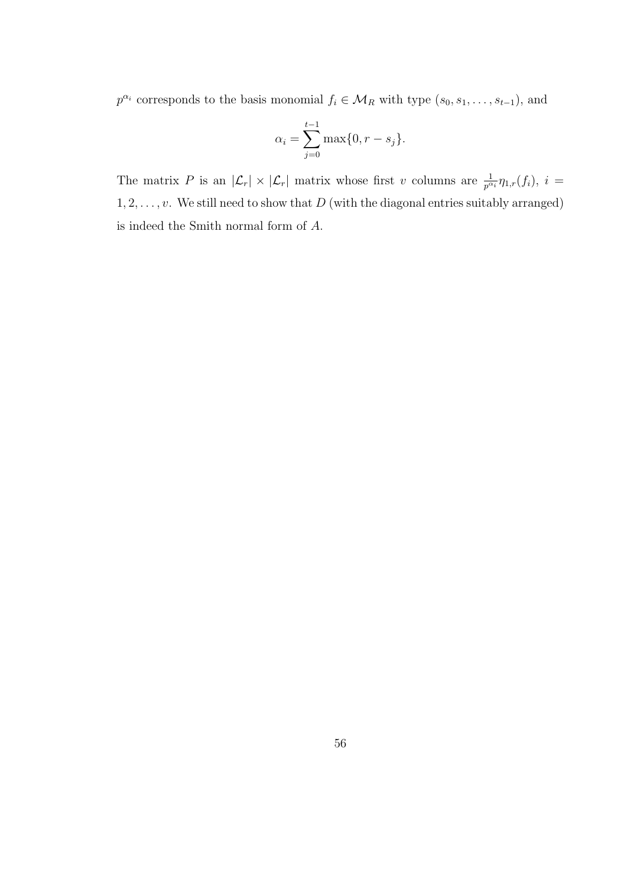$p^{\alpha_i}$  corresponds to the basis monomial  $f_i \in \mathcal{M}_R$  with type  $(s_0, s_1, \ldots, s_{t-1})$ , and

$$
\alpha_i = \sum_{j=0}^{t-1} \max\{0, r - s_j\}.
$$

The matrix P is an  $|\mathcal{L}_r| \times |\mathcal{L}_r|$  matrix whose first v columns are  $\frac{1}{p^{\alpha_i}}\eta_{1,r}(f_i)$ ,  $i=$  $1, 2, \ldots, v$ . We still need to show that  $D$  (with the diagonal entries suitably arranged) is indeed the Smith normal form of A.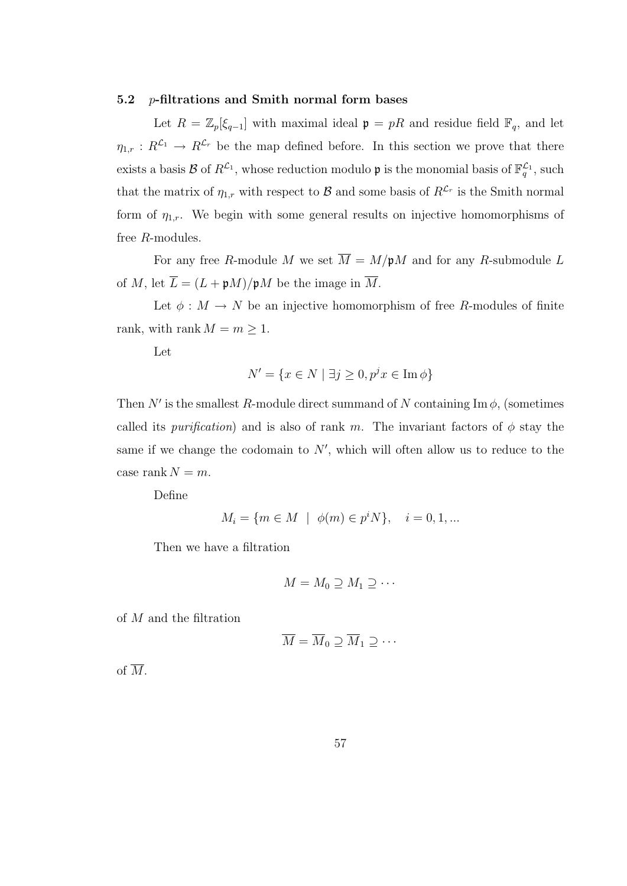### 5.2 p-filtrations and Smith normal form bases

Let  $R = \mathbb{Z}_p[\xi_{q-1}]$  with maximal ideal  $\mathfrak{p} = pR$  and residue field  $\mathbb{F}_q$ , and let  $\eta_{1,r}: R^{\mathcal{L}_1} \to R^{\mathcal{L}_r}$  be the map defined before. In this section we prove that there exists a basis  $\mathcal B$  of  $R^{\mathcal L_1}$ , whose reduction modulo  $\mathfrak p$  is the monomial basis of  $\mathbb F_q^{\mathcal L_1}$ , such that the matrix of  $\eta_{1,r}$  with respect to B and some basis of  $R^{\mathcal{L}_r}$  is the Smith normal form of  $\eta_{1,r}$ . We begin with some general results on injective homomorphisms of free R-modules.

For any free R-module M we set  $\overline{M} = M/\mathfrak{p}M$  and for any R-submodule L of M, let  $\overline{L} = (L + \mathfrak{p}M)/\mathfrak{p}M$  be the image in  $\overline{M}$ .

Let  $\phi : M \to N$  be an injective homomorphism of free R-modules of finite rank, with rank  $M = m \geq 1$ .

Let

$$
N' = \{ x \in N \mid \exists j \ge 0, p^j x \in \operatorname{Im} \phi \}
$$

Then N' is the smallest R-module direct summand of N containing Im  $\phi$ , (sometimes called its *purification*) and is also of rank m. The invariant factors of  $\phi$  stay the same if we change the codomain to  $N'$ , which will often allow us to reduce to the case rank  $N = m$ .

Define

$$
M_i = \{ m \in M \mid \phi(m) \in p^i N \}, \quad i = 0, 1, ...
$$

Then we have a filtration

$$
M=M_0\supseteq M_1\supseteq\cdots
$$

of M and the filtration

$$
\overline{M} = \overline{M}_0 \supseteq \overline{M}_1 \supseteq \cdots
$$

of  $\overline{M}$ .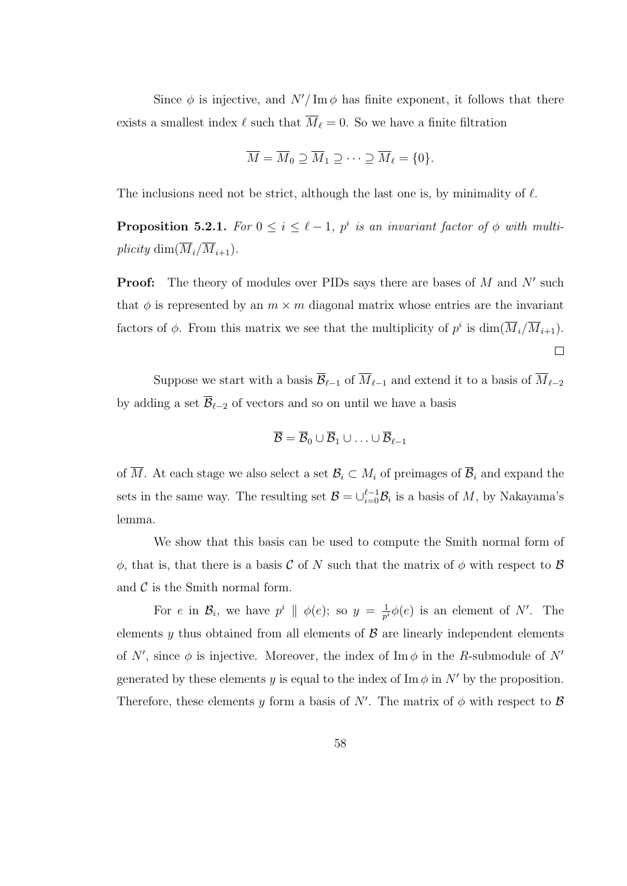Since  $\phi$  is injective, and  $N'/\text{Im }\phi$  has finite exponent, it follows that there exists a smallest index  $\ell$  such that  $\overline{M}_{\ell} = 0$ . So we have a finite filtration

$$
\overline{M} = \overline{M}_0 \supseteq \overline{M}_1 \supseteq \cdots \supseteq \overline{M}_{\ell} = \{0\}.
$$

The inclusions need not be strict, although the last one is, by minimality of  $\ell$ .

**Proposition 5.2.1.** For  $0 \leq i \leq \ell - 1$ ,  $p^i$  is an invariant factor of  $\phi$  with multiplicity dim $(\overline{M}_i/\overline{M}_{i+1})$ .

**Proof:** The theory of modules over PIDs says there are bases of  $M$  and  $N'$  such that  $\phi$  is represented by an  $m \times m$  diagonal matrix whose entries are the invariant factors of  $\phi$ . From this matrix we see that the multiplicity of  $p^i$  is  $\dim(\overline{M}_i/\overline{M}_{i+1})$ .  $\Box$ 

Suppose we start with a basis  $\overline{\mathcal{B}}_{\ell-1}$  of  $\overline{M}_{\ell-1}$  and extend it to a basis of  $\overline{M}_{\ell-2}$ by adding a set  $\overline{B}_{\ell-2}$  of vectors and so on until we have a basis

$$
\overline{\mathcal{B}} = \overline{\mathcal{B}}_0 \cup \overline{\mathcal{B}}_1 \cup \ldots \cup \overline{\mathcal{B}}_{\ell-1}
$$

of  $\overline{M}$ . At each stage we also select a set  $\mathcal{B}_i \subset M_i$  of preimages of  $\overline{\mathcal{B}}_i$  and expand the sets in the same way. The resulting set  $\mathcal{B} = \cup_{i=0}^{\ell-1} \mathcal{B}_i$  is a basis of M, by Nakayama's lemma.

We show that this basis can be used to compute the Smith normal form of  $\phi$ , that is, that there is a basis C of N such that the matrix of  $\phi$  with respect to B and  $\mathcal C$  is the Smith normal form.

For e in  $\mathcal{B}_i$ , we have  $p^i \parallel \phi(e)$ ; so  $y = \frac{1}{p^i}$  $\frac{1}{p^i}\phi(e)$  is an element of N'. The elements y thus obtained from all elements of  $\beta$  are linearly independent elements of N', since  $\phi$  is injective. Moreover, the index of Im  $\phi$  in the R-submodule of N' generated by these elements y is equal to the index of Im  $\phi$  in N' by the proposition. Therefore, these elements y form a basis of N'. The matrix of  $\phi$  with respect to B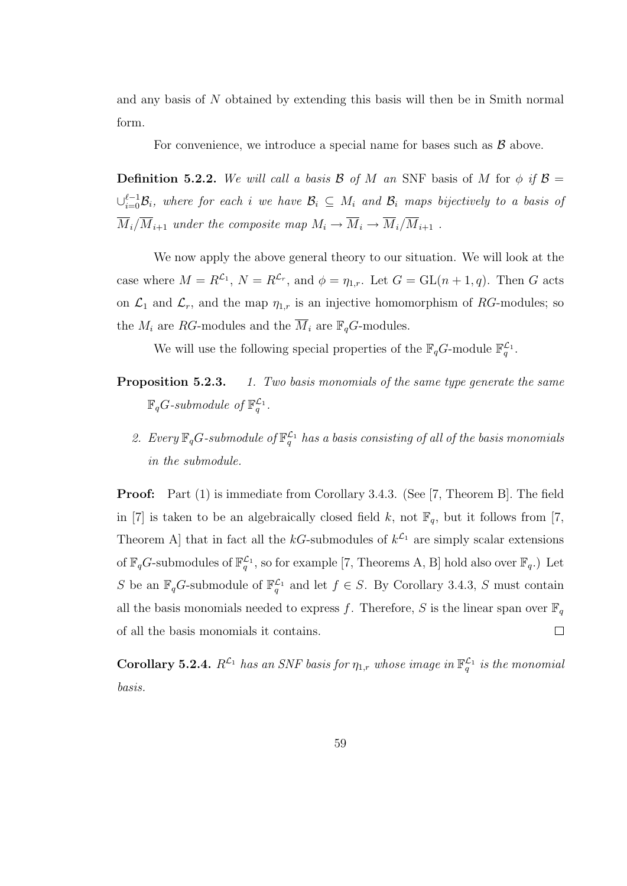and any basis of N obtained by extending this basis will then be in Smith normal form.

For convenience, we introduce a special name for bases such as  $\beta$  above.

**Definition 5.2.2.** We will call a basis B of M an SNF basis of M for  $\phi$  if  $\beta$  =  $\cup_{i=0}^{\ell-1} \mathcal{B}_i$ , where for each i we have  $\mathcal{B}_i \subseteq M_i$  and  $\mathcal{B}_i$  maps bijectively to a basis of  $\overline{M}_i/\overline{M}_{i+1}$  under the composite map  $M_i \to \overline{M}_i \to \overline{M}_i/\overline{M}_{i+1}$ .

We now apply the above general theory to our situation. We will look at the case where  $M = R^{\mathcal{L}_1}$ ,  $N = R^{\mathcal{L}_r}$ , and  $\phi = \eta_{1,r}$ . Let  $G = GL(n+1,q)$ . Then G acts on  $\mathcal{L}_1$  and  $\mathcal{L}_r$ , and the map  $\eta_{1,r}$  is an injective homomorphism of RG-modules; so the  $M_i$  are RG-modules and the  $\overline{M}_i$  are  $\mathbb{F}_q$ G-modules.

We will use the following special properties of the  $\mathbb{F}_qG$ -module  $\mathbb{F}_q^{\mathcal{L}_1}$ .

- **Proposition 5.2.3.** 1. Two basis monomials of the same type generate the same  $\mathbb{F}_qG$ -submodule of  $\mathbb{F}_q^{\mathcal{L}_1}$ .
	- 2. Every  $\mathbb{F}_q$ G-submodule of  $\mathbb{F}_q^{\mathcal{L}_1}$  has a basis consisting of all of the basis monomials in the submodule.

Proof: Part (1) is immediate from Corollary 3.4.3. (See [7, Theorem B]. The field in [7] is taken to be an algebraically closed field k, not  $\mathbb{F}_q$ , but it follows from [7, Theorem A that in fact all the kG-submodules of  $k^{\mathcal{L}_1}$  are simply scalar extensions of  $\mathbb{F}_qG$ -submodules of  $\mathbb{F}_q^{\mathcal{L}_1}$ , so for example [7, Theorems A, B] hold also over  $\mathbb{F}_q$ .) Let S be an  $\mathbb{F}_q$ G-submodule of  $\mathbb{F}_q^{\mathcal{L}_1}$  and let  $f \in S$ . By Corollary 3.4.3, S must contain all the basis monomials needed to express f. Therefore, S is the linear span over  $\mathbb{F}_q$ of all the basis monomials it contains.  $\Box$ 

**Corollary 5.2.4.**  $R^{\mathcal{L}_1}$  has an SNF basis for  $\eta_{1,r}$  whose image in  $\mathbb{F}_q^{\mathcal{L}_1}$  is the monomial basis.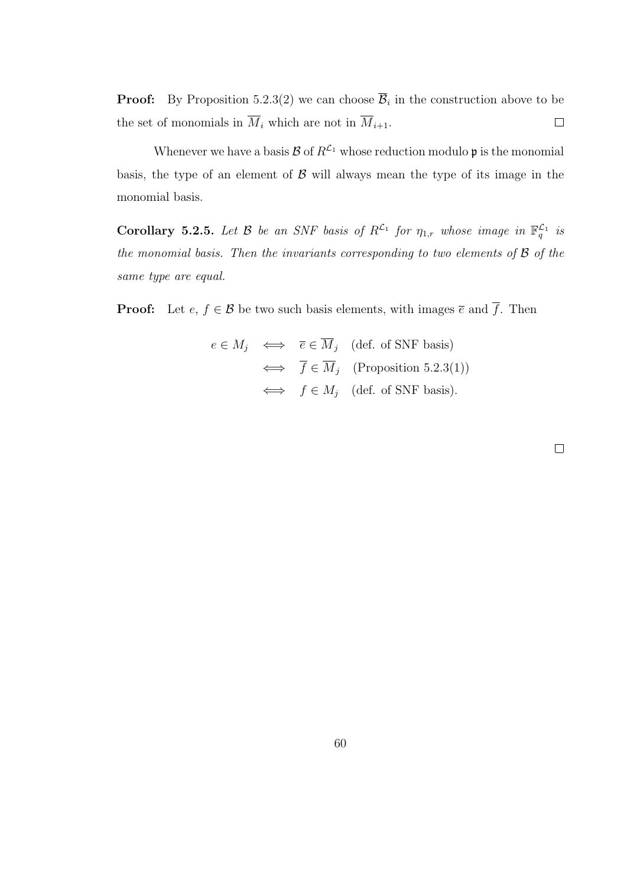**Proof:** By Proposition 5.2.3(2) we can choose  $\overline{\mathcal{B}}_i$  in the construction above to be the set of monomials in  $\overline{M}_i$  which are not in  $\overline{M}_{i+1}.$  $\Box$ 

Whenever we have a basis  $\mathcal{B}$  of  $R^{\mathcal{L}_1}$  whose reduction modulo  $\mathfrak{p}$  is the monomial basis, the type of an element of  $\beta$  will always mean the type of its image in the monomial basis.

**Corollary 5.2.5.** Let  $\mathcal{B}$  be an SNF basis of  $R^{\mathcal{L}_1}$  for  $\eta_{1,r}$  whose image in  $\mathbb{F}_q^{\mathcal{L}_1}$  is the monomial basis. Then the invariants corresponding to two elements of  $\beta$  of the same type are equal.

**Proof:** Let  $e, f \in \mathcal{B}$  be two such basis elements, with images  $\overline{e}$  and  $\overline{f}$ . Then

$$
e \in M_j \iff \overline{e} \in \overline{M}_j \quad \text{(def. of SNF basis)}
$$

$$
\iff \overline{f} \in \overline{M}_j \quad \text{(Proposition 5.2.3(1))}
$$

$$
\iff f \in M_j \quad \text{(def. of SNF basis)}.
$$

 $\Box$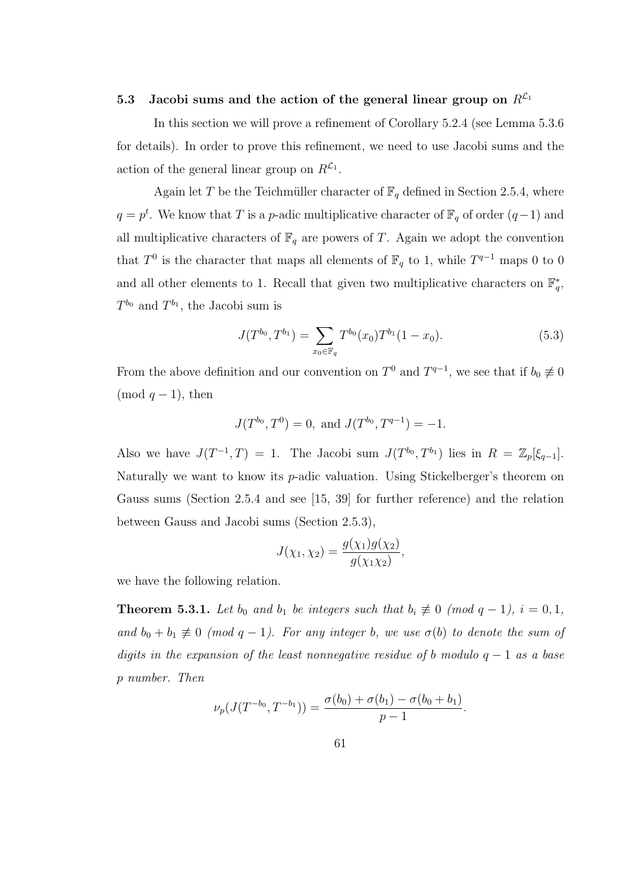## 5.3 Jacobi sums and the action of the general linear group on  $R^{\mathcal{L}_1}$

In this section we will prove a refinement of Corollary 5.2.4 (see Lemma 5.3.6 for details). In order to prove this refinement, we need to use Jacobi sums and the action of the general linear group on  $R^{\mathcal{L}_1}$ .

Again let T be the Teichmüller character of  $\mathbb{F}_q$  defined in Section 2.5.4, where  $q = p<sup>t</sup>$ . We know that T is a p-adic multiplicative character of  $\mathbb{F}_q$  of order  $(q-1)$  and all multiplicative characters of  $\mathbb{F}_q$  are powers of T. Again we adopt the convention that  $T^0$  is the character that maps all elements of  $\mathbb{F}_q$  to 1, while  $T^{q-1}$  maps 0 to 0 and all other elements to 1. Recall that given two multiplicative characters on  $\mathbb{F}_q^*$ ,  $T^{b_0}$  and  $T^{b_1}$ , the Jacobi sum is

$$
J(T^{b_0}, T^{b_1}) = \sum_{x_0 \in \mathbb{F}_q} T^{b_0}(x_0) T^{b_1}(1 - x_0).
$$
 (5.3)

From the above definition and our convention on  $T^0$  and  $T^{q-1}$ , we see that if  $b_0 \neq 0$ (mod  $q-1$ ), then

$$
J(T^{b_0}, T^0) = 0
$$
, and  $J(T^{b_0}, T^{q-1}) = -1$ .

Also we have  $J(T^{-1},T) = 1$ . The Jacobi sum  $J(T^{b_0}, T^{b_1})$  lies in  $R = \mathbb{Z}_p[\xi_{q-1}]$ . Naturally we want to know its  $p$ -adic valuation. Using Stickelberger's theorem on Gauss sums (Section 2.5.4 and see [15, 39] for further reference) and the relation between Gauss and Jacobi sums (Section 2.5.3),

$$
J(\chi_1, \chi_2) = \frac{g(\chi_1)g(\chi_2)}{g(\chi_1 \chi_2)},
$$

we have the following relation.

**Theorem 5.3.1.** Let  $b_0$  and  $b_1$  be integers such that  $b_i \not\equiv 0 \pmod{q-1}$ ,  $i = 0, 1$ , and  $b_0 + b_1 \not\equiv 0 \pmod{q-1}$ . For any integer b, we use  $\sigma(b)$  to denote the sum of digits in the expansion of the least nonnegative residue of b modulo  $q - 1$  as a base p number. Then

$$
\nu_p(J(T^{-b_0}, T^{-b_1})) = \frac{\sigma(b_0) + \sigma(b_1) - \sigma(b_0 + b_1)}{p - 1}.
$$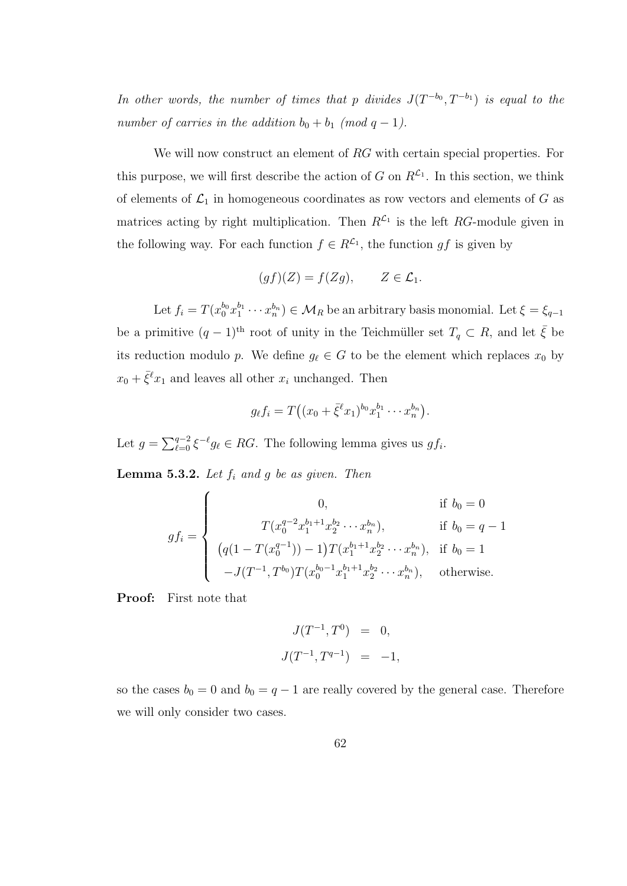In other words, the number of times that p divides  $J(T^{-b_0}, T^{-b_1})$  is equal to the number of carries in the addition  $b_0 + b_1 \pmod{q-1}$ .

We will now construct an element of RG with certain special properties. For this purpose, we will first describe the action of G on  $R^{\mathcal{L}_1}$ . In this section, we think of elements of  $\mathcal{L}_1$  in homogeneous coordinates as row vectors and elements of G as matrices acting by right multiplication. Then  $R^{\mathcal{L}_1}$  is the left RG-module given in the following way. For each function  $f \in R^{\mathcal{L}_1}$ , the function gf is given by

$$
(gf)(Z) = f(Zg), \qquad Z \in \mathcal{L}_1.
$$

Let  $f_i = T(x_0^{b_0}x_1^{b_1}\cdots x_n^{b_n}) \in M_R$  be an arbitrary basis monomial. Let  $\xi = \xi_{q-1}$ be a primitive  $(q-1)$ <sup>th</sup> root of unity in the Teichmüller set  $T_q \subset R$ , and let  $\bar{\xi}$  be its reduction modulo p. We define  $g_{\ell} \in G$  to be the element which replaces  $x_0$  by  $x_0 + \bar{\xi}^{\ell} x_1$  and leaves all other  $x_i$  unchanged. Then

$$
g_{\ell}f_i = T((x_0 + \bar{\xi}^{\ell}x_1)^{b_0}x_1^{b_1}\cdots x_n^{b_n}).
$$

Let  $g = \sum_{\ell=0}^{q-2} \xi^{-\ell} g_{\ell} \in RG$ . The following lemma gives us  $gf_i$ .

**Lemma 5.3.2.** Let  $f_i$  and  $g$  be as given. Then

$$
gf_i = \begin{cases} 0, & \text{if } b_0 = 0\\ T(x_0^{q-2}x_1^{b_1+1}x_2^{b_2}\cdots x_n^{b_n}), & \text{if } b_0 = q-1\\ (q(1 - T(x_0^{q-1})) - 1)T(x_1^{b_1+1}x_2^{b_2}\cdots x_n^{b_n}), & \text{if } b_0 = 1\\ -J(T^{-1}, T^{b_0})T(x_0^{b_0-1}x_1^{b_1+1}x_2^{b_2}\cdots x_n^{b_n}), & \text{otherwise.} \end{cases}
$$

Proof: First note that

$$
J(T^{-1}, T^0) = 0,
$$
  

$$
J(T^{-1}, T^{q-1}) = -1,
$$

so the cases  $b_0 = 0$  and  $b_0 = q - 1$  are really covered by the general case. Therefore we will only consider two cases.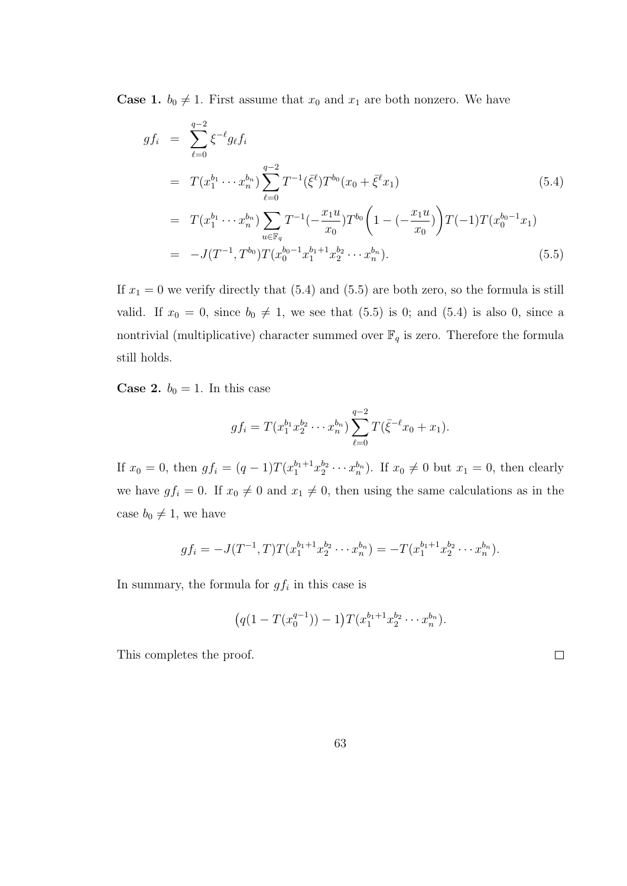**Case 1.**  $b_0 \neq 1$ . First assume that  $x_0$  and  $x_1$  are both nonzero. We have

$$
gf_{i} = \sum_{\ell=0}^{q-2} \xi^{-\ell} g_{\ell} f_{i}
$$
  
\n
$$
= T(x_{1}^{b_{1}} \cdots x_{n}^{b_{n}}) \sum_{\ell=0}^{q-2} T^{-1}(\bar{\xi}^{\ell}) T^{b_{0}}(x_{0} + \bar{\xi}^{\ell} x_{1})
$$
  
\n
$$
= T(x_{1}^{b_{1}} \cdots x_{n}^{b_{n}}) \sum_{u \in \mathbb{F}_{q}} T^{-1}(-\frac{x_{1}u}{x_{0}}) T^{b_{0}} \left(1 - (-\frac{x_{1}u}{x_{0}})\right) T(-1) T(x_{0}^{b_{0}-1} x_{1})
$$
  
\n
$$
= -J(T^{-1}, T^{b_{0}}) T(x_{0}^{b_{0}-1} x_{1}^{b_{1}+1} x_{2}^{b_{2}} \cdots x_{n}^{b_{n}}).
$$
\n(5.5)

If  $x_1 = 0$  we verify directly that (5.4) and (5.5) are both zero, so the formula is still valid. If  $x_0 = 0$ , since  $b_0 \neq 1$ , we see that (5.5) is 0; and (5.4) is also 0, since a nontrivial (multiplicative) character summed over  $\mathbb{F}_q$  is zero. Therefore the formula still holds.

**Case 2.**  $b_0 = 1$ . In this case

$$
gf_i = T(x_1^{b_1} x_2^{b_2} \cdots x_n^{b_n}) \sum_{\ell=0}^{q-2} T(\bar{\xi}^{-\ell} x_0 + x_1).
$$

If  $x_0 = 0$ , then  $gf_i = (q-1)T(x_1^{b_1+1}x_2^{b_2}\cdots x_n^{b_n})$ . If  $x_0 \neq 0$  but  $x_1 = 0$ , then clearly we have  $gf_i = 0$ . If  $x_0 \neq 0$  and  $x_1 \neq 0$ , then using the same calculations as in the case  $b_0 \neq 1$ , we have

$$
gf_i = -J(T^{-1},T)T(x_1^{b_1+1}x_2^{b_2}\cdots x_n^{b_n}) = -T(x_1^{b_1+1}x_2^{b_2}\cdots x_n^{b_n}).
$$

In summary, the formula for  $gf_i$  in this case is

$$
(q(1-T(x_0^{q-1}))-1)T(x_1^{b_1+1}x_2^{b_2}\cdots x_n^{b_n}).
$$

 $\Box$ 

This completes the proof.

63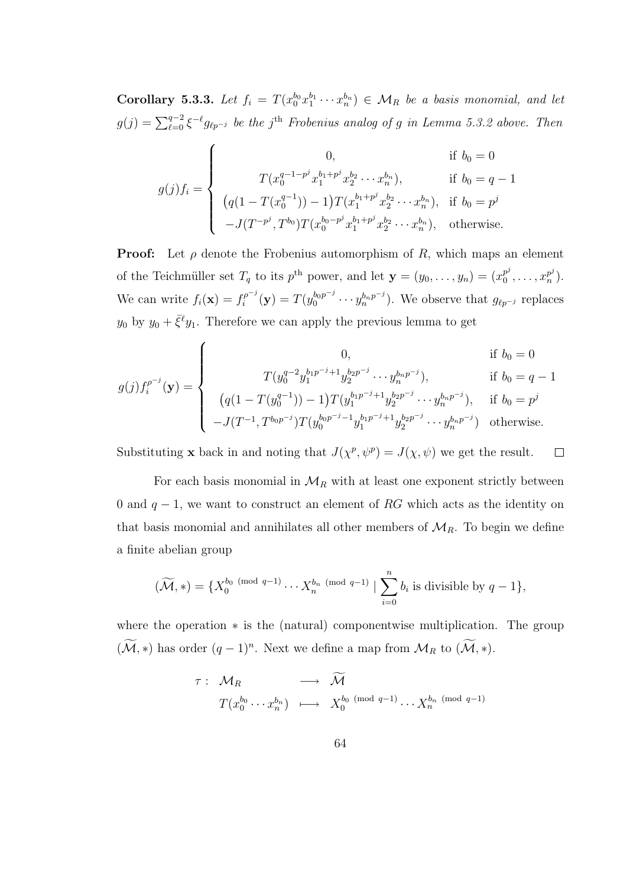Corollary 5.3.3. Let  $f_i = T(x_0^{b_0}x_1^{b_1}\cdots x_n^{b_n}) \in \mathcal{M}_R$  be a basis monomial, and let  $g(j) = \sum_{\ell=0}^{q-2} \xi^{-\ell} g_{\ell p^{-j}}$  be the j<sup>th</sup> Frobenius analog of g in Lemma 5.3.2 above. Then

$$
g(j)f_i = \begin{cases} 0, & \text{if } b_0 = 0\\ T(x_0^{q-1-p^j}x_1^{b_1+p^j}x_2^{b_2}\cdots x_n^{b_n}), & \text{if } b_0 = q-1\\ (q(1-T(x_0^{q-1}))-1)T(x_1^{b_1+p^j}x_2^{b_2}\cdots x_n^{b_n}), & \text{if } b_0 = p^j\\ -J(T^{-p^j}, T^{b_0})T(x_0^{b_0-p^j}x_1^{b_1+p^j}x_2^{b_2}\cdots x_n^{b_n}), & \text{otherwise.} \end{cases}
$$

**Proof:** Let  $\rho$  denote the Frobenius automorphism of R, which maps an element of the Teichmüller set  $T_q$  to its  $p^{\text{th}}$  power, and let  $\mathbf{y} = (y_0, \ldots, y_n) = (x_0^{p^j})$  $x_0^{p^j}, \ldots, x_n^{p^j}$  $\binom{p^{\jmath}}{n}$ . We can write  $f_i(\mathbf{x}) = f_i^{\rho^{-j}}$  $i^{p-j}(y) = T(y_0^{b_0 p^{-j}} \cdots y_n^{b_n p^{-j}})$ . We observe that  $g_{\ell p^{-j}}$  replaces  $y_0$  by  $y_0 + \bar{\xi}^{\ell} y_1$ . Therefore we can apply the previous lemma to get

$$
g(j)f_i^{p^{-j}}(\mathbf{y}) = \begin{cases} 0, & \text{if } b_0 = 0\\ T(y_0^{q-2}y_1^{b_1p^{-j}+1}y_2^{b_2p^{-j}}\cdots y_n^{b_np^{-j}}), & \text{if } b_0 = q-1\\ (q(1-T(y_0^{q-1}))-1)T(y_1^{b_1p^{-j}+1}y_2^{b_2p^{-j}}\cdots y_n^{b_np^{-j}}), & \text{if } b_0 = p^j\\ -J(T^{-1}, T^{b_0p^{-j}})T(y_0^{b_0p^{-j}-1}y_1^{b_1p^{-j}+1}y_2^{b_2p^{-j}}\cdots y_n^{b_np^{-j}}) & \text{otherwise.} \end{cases}
$$

Substituting **x** back in and noting that  $J(\chi^p, \psi^p) = J(\chi, \psi)$  we get the result.  $\Box$ 

For each basis monomial in  $\mathcal{M}_R$  with at least one exponent strictly between 0 and  $q-1$ , we want to construct an element of RG which acts as the identity on that basis monomial and annihilates all other members of  $\mathcal{M}_R$ . To begin we define a finite abelian group

$$
(\widetilde{\mathcal{M}},*) = \{X_0^{b_0 \pmod{q-1}} \cdots X_n^{b_n \pmod{q-1}} \mid \sum_{i=0}^n b_i \text{ is divisible by } q-1\},\
$$

where the operation  $*$  is the (natural) componentwise multiplication. The group  $(\mathcal{M}, *)$  has order  $(q-1)^n$ . Next we define a map from  $\mathcal{M}_R$  to  $(\mathcal{M}, *)$ .

$$
\tau: \mathcal{M}_R \longrightarrow \widetilde{\mathcal{M}}
$$
  

$$
T(x_0^{b_0} \cdots x_n^{b_n}) \longmapsto X_0^{b_0 \pmod{q-1}} \cdots X_n^{b_n \pmod{q-1}}
$$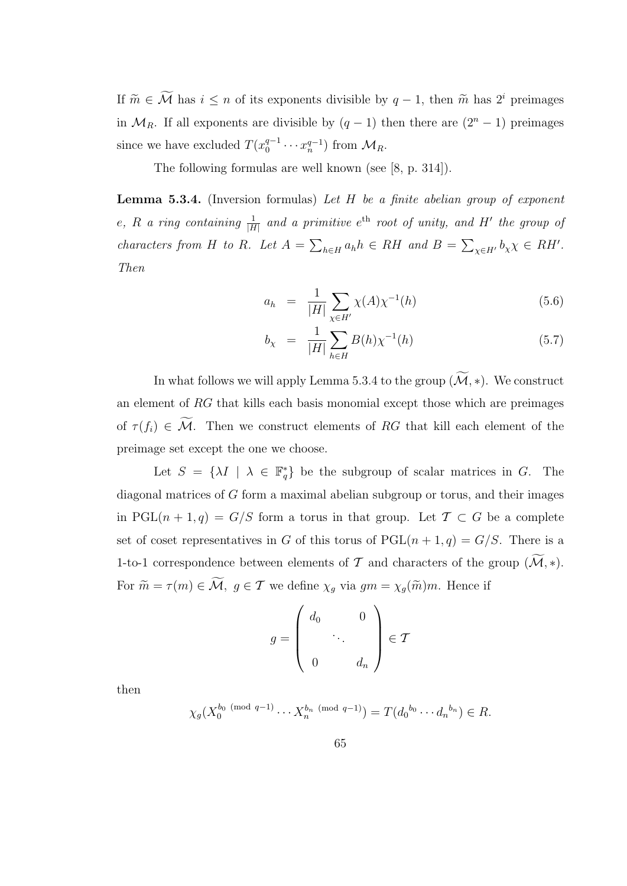If  $\widetilde{m} \in \widetilde{\mathcal{M}}$  has  $i \leq n$  of its exponents divisible by  $q - 1$ , then  $\widetilde{m}$  has  $2^i$  preimages in  $\mathcal{M}_R$ . If all exponents are divisible by  $(q-1)$  then there are  $(2^n - 1)$  preimages since we have excluded  $T(x_0^{q-1})$  $y_0^{q-1} \cdots x_n^{q-1}$  from  $\mathcal{M}_R$ .

The following formulas are well known (see [8, p. 314]).

**Lemma 5.3.4.** (Inversion formulas) Let  $H$  be a finite abelian group of exponent e, R a ring containing  $\frac{1}{|H|}$  and a primitive  $e^{\text{th}}$  root of unity, and H' the group of characters from H to R. Let  $A = \sum_{h \in H} a_h h \in RH$  and  $B = \sum_{\chi \in H'} b_{\chi} \chi \in RH'$ . Then

$$
a_h = \frac{1}{|H|} \sum_{\chi \in H'} \chi(A) \chi^{-1}(h) \tag{5.6}
$$

$$
b_{\chi} = \frac{1}{|H|} \sum_{h \in H} B(h) \chi^{-1}(h) \tag{5.7}
$$

In what follows we will apply Lemma 5.3.4 to the group  $(\widetilde{\mathcal{M}}, *)$ . We construct an element of RG that kills each basis monomial except those which are preimages of  $\tau(f_i) \in \widetilde{\mathcal{M}}$ . Then we construct elements of RG that kill each element of the preimage set except the one we choose.

Let  $S = \{ \lambda I \mid \lambda \in \mathbb{F}_q^* \}$  be the subgroup of scalar matrices in G. The diagonal matrices of G form a maximal abelian subgroup or torus, and their images in PGL $(n+1,q) = G/S$  form a torus in that group. Let  $\mathcal{T} \subset G$  be a complete set of coset representatives in G of this torus of  $PGL(n + 1, q) = G/S$ . There is a 1-to-1 correspondence between elements of T and characters of the group  $(\mathcal{M}, *)$ . For  $\widetilde{m} = \tau(m) \in \widetilde{\mathcal{M}}$ ,  $g \in \mathcal{T}$  we define  $\chi_g$  via  $gm = \chi_g(\widetilde{m})m$ . Hence if

$$
g = \left(\begin{array}{ccc} d_0 & & 0 \\ & \ddots & \\ 0 & & d_n \end{array}\right) \in \mathcal{T}
$$

then

$$
\chi_g(X_0^{b_0 \pmod{q-1}} \cdots X_n^{b_n \pmod{q-1}}) = T(d_0^{b_0} \cdots d_n^{b_n}) \in R.
$$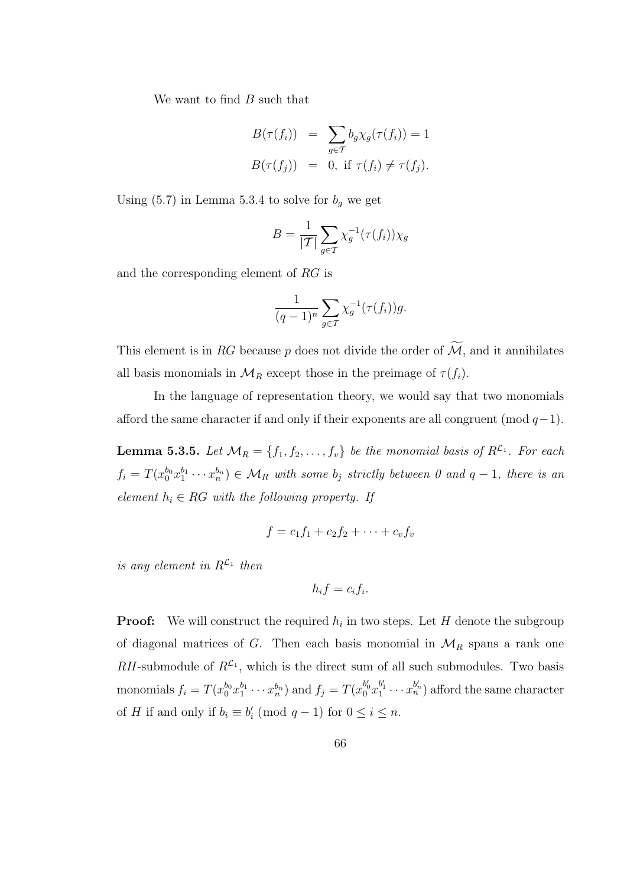We want to find  $B$  such that

$$
B(\tau(f_i)) = \sum_{g \in \mathcal{T}} b_g \chi_g(\tau(f_i)) = 1
$$
  

$$
B(\tau(f_j)) = 0, \text{ if } \tau(f_i) \neq \tau(f_j).
$$

Using  $(5.7)$  in Lemma 5.3.4 to solve for  $b_g$  we get

$$
B = \frac{1}{|\mathcal{T}|} \sum_{g \in \mathcal{T}} \chi_g^{-1}(\tau(f_i)) \chi_g
$$

and the corresponding element of RG is

$$
\frac{1}{(q-1)^n} \sum_{g \in \mathcal{T}} \chi_g^{-1}(\tau(f_i))g.
$$

This element is in RG because p does not divide the order of  $\widetilde{\mathcal{M}}$ , and it annihilates all basis monomials in  $\mathcal{M}_R$  except those in the preimage of  $\tau(f_i)$ .

In the language of representation theory, we would say that two monomials afford the same character if and only if their exponents are all congruent (mod  $q-1$ ).

**Lemma 5.3.5.** Let  $\mathcal{M}_R = \{f_1, f_2, \ldots, f_v\}$  be the monomial basis of  $R^{\mathcal{L}_1}$ . For each  $f_i = T(x_0^{b_0}x_1^{b_1}\cdots x_n^{b_n}) \in \mathcal{M}_R$  with some  $b_j$  strictly between 0 and  $q-1$ , there is an element  $h_i \in RG$  with the following property. If

$$
f = c_1 f_1 + c_2 f_2 + \cdots + c_v f_v
$$

is any element in  $R^{\mathcal{L}_1}$  then

$$
h_i f = c_i f_i.
$$

**Proof:** We will construct the required  $h_i$  in two steps. Let H denote the subgroup of diagonal matrices of G. Then each basis monomial in  $\mathcal{M}_R$  spans a rank one RH-submodule of  $R^{\mathcal{L}_1}$ , which is the direct sum of all such submodules. Two basis monomials  $f_i = T(x_0^{b_0}x_1^{b_1}\cdots x_n^{b_n})$  and  $f_j = T(x_0^{b'_0}x_1^{b'_1}\cdots x_n^{b'_n})$  afford the same character of H if and only if  $b_i \equiv b'_i \pmod{q-1}$  for  $0 \le i \le n$ .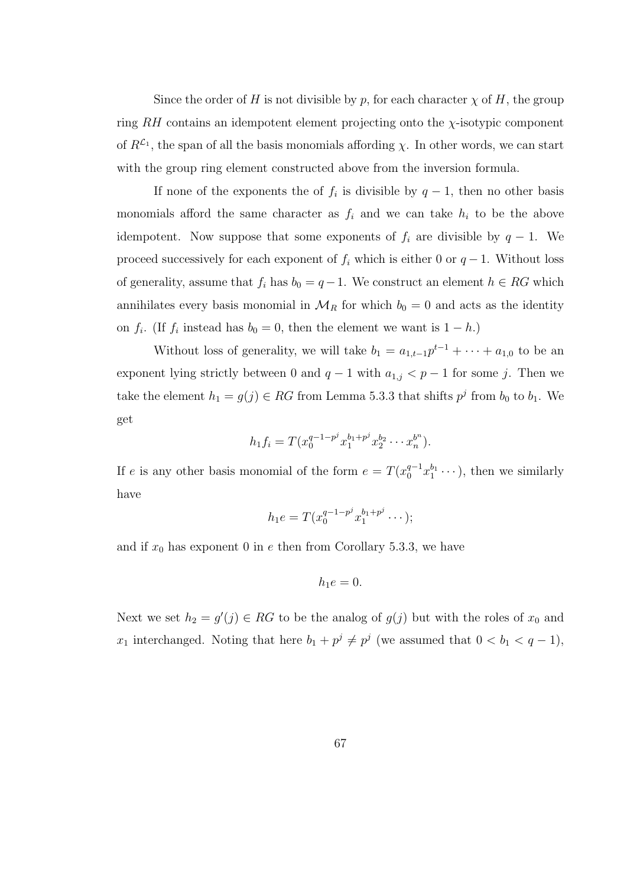Since the order of H is not divisible by p, for each character  $\chi$  of H, the group ring  $RH$  contains an idempotent element projecting onto the  $\chi$ -isotypic component of  $R^{\mathcal{L}_1}$ , the span of all the basis monomials affording  $\chi$ . In other words, we can start with the group ring element constructed above from the inversion formula.

If none of the exponents the of  $f_i$  is divisible by  $q-1$ , then no other basis monomials afford the same character as  $f_i$  and we can take  $h_i$  to be the above idempotent. Now suppose that some exponents of  $f_i$  are divisible by  $q - 1$ . We proceed successively for each exponent of  $f_i$  which is either 0 or  $q-1$ . Without loss of generality, assume that  $f_i$  has  $b_0 = q - 1$ . We construct an element  $h \in RG$  which annihilates every basis monomial in  $\mathcal{M}_R$  for which  $b_0 = 0$  and acts as the identity on  $f_i$ . (If  $f_i$  instead has  $b_0 = 0$ , then the element we want is  $1 - h$ .)

Without loss of generality, we will take  $b_1 = a_{1,t-1}p^{t-1} + \cdots + a_{1,0}$  to be an exponent lying strictly between 0 and  $q-1$  with  $a_{1,j} < p-1$  for some j. Then we take the element  $h_1 = g(j) \in RG$  from Lemma 5.3.3 that shifts  $p^j$  from  $b_0$  to  $b_1$ . We get

$$
h_1f_i = T(x_0^{q-1-p^j}x_1^{b_1+p^j}x_2^{b_2}\cdots x_n^{b^n}).
$$

If e is any other basis monomial of the form  $e = T(x_0^{q-1}x_1^{b_1}\cdots)$ , then we similarly have

$$
h_1e = T(x_0^{q-1-p^j}x_1^{b_1+p^j}\cdots);
$$

and if  $x_0$  has exponent 0 in e then from Corollary 5.3.3, we have

$$
h_1e=0.
$$

Next we set  $h_2 = g'(j) \in RG$  to be the analog of  $g(j)$  but with the roles of  $x_0$  and  $x_1$  interchanged. Noting that here  $b_1 + p^j \neq p^j$  (we assumed that  $0 < b_1 < q - 1$ ),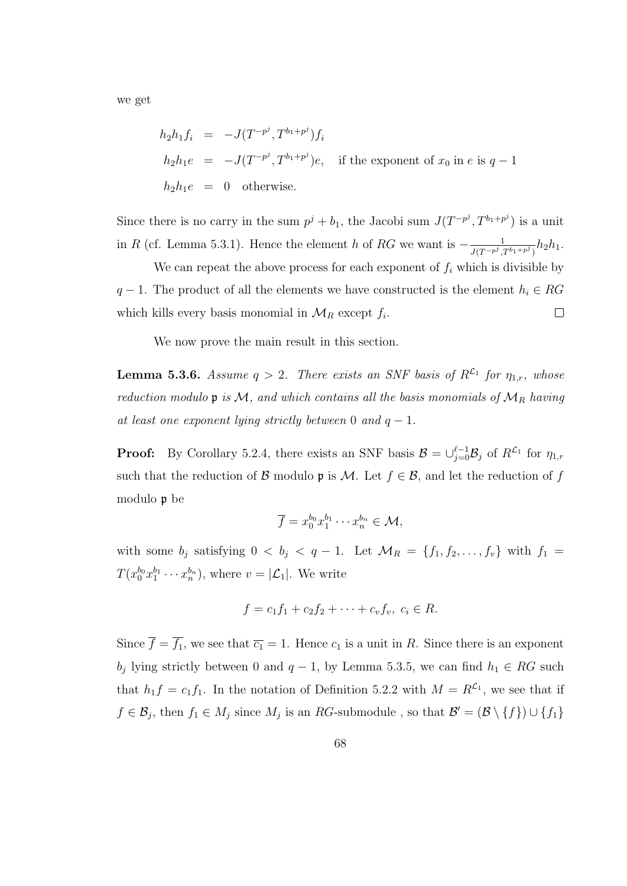we get

$$
h_2h_1f_i = -J(T^{-p^j}, T^{b_1+p^j})f_i
$$
  
\n
$$
h_2h_1e = -J(T^{-p^j}, T^{b_1+p^j})e
$$
, if the exponent of  $x_0$  in  $e$  is  $q-1$   
\n
$$
h_2h_1e = 0 \text{ otherwise.}
$$

Since there is no carry in the sum  $p^j + b_1$ , the Jacobi sum  $J(T^{-p^j}, T^{b_1+p^j})$  is a unit in R (cf. Lemma 5.3.1). Hence the element h of RG we want is  $-\frac{1}{\sqrt{2}}$  $\frac{1}{J(T^{-p^j},T^{b_1+p^j})}h_2h_1.$ 

We can repeat the above process for each exponent of  $f_i$  which is divisible by  $q-1$ . The product of all the elements we have constructed is the element  $h_i \in RG$ which kills every basis monomial in  $\mathcal{M}_R$  except  $f_i$ .  $\Box$ 

We now prove the main result in this section.

**Lemma 5.3.6.** Assume  $q > 2$ . There exists an SNF basis of  $R^{\mathcal{L}_1}$  for  $\eta_{1,r}$ , whose reduction modulo  $\mathfrak p$  is  $\mathcal M$ , and which contains all the basis monomials of  $\mathcal M_R$  having at least one exponent lying strictly between 0 and  $q-1$ .

**Proof:** By Corollary 5.2.4, there exists an SNF basis  $\mathcal{B} = \bigcup_{j=0}^{\ell-1} \mathcal{B}_j$  of  $R^{\mathcal{L}_1}$  for  $\eta_{1,r}$ such that the reduction of B modulo **p** is M. Let  $f \in \mathcal{B}$ , and let the reduction of f modulo p be

$$
\overline{f} = x_0^{b_0} x_1^{b_1} \cdots x_n^{b_n} \in \mathcal{M},
$$

with some  $b_j$  satisfying  $0 < b_j < q - 1$ . Let  $\mathcal{M}_R = \{f_1, f_2, \ldots, f_v\}$  with  $f_1 =$  $T(x_0^{b_0}x_1^{b_1}\cdots x_n^{b_n}),$  where  $v=|\mathcal{L}_1|$ . We write

$$
f = c_1 f_1 + c_2 f_2 + \dots + c_v f_v, \ c_i \in R.
$$

Since  $\overline{f} = \overline{f_1}$ , we see that  $\overline{c_1} = 1$ . Hence  $c_1$  is a unit in R. Since there is an exponent  $b_j$  lying strictly between 0 and  $q-1$ , by Lemma 5.3.5, we can find  $h_1 \in RG$  such that  $h_1 f = c_1 f_1$ . In the notation of Definition 5.2.2 with  $M = R^{\mathcal{L}_1}$ , we see that if  $f \in \mathcal{B}_j$ , then  $f_1 \in M_j$  since  $M_j$  is an RG-submodule, so that  $\mathcal{B}' = (\mathcal{B} \setminus \{f\}) \cup \{f_1\}$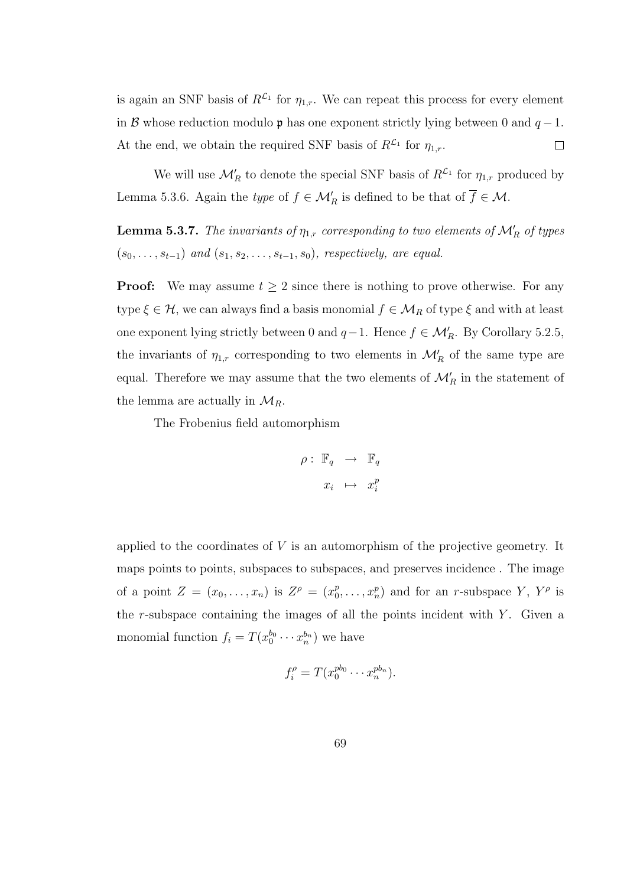is again an SNF basis of  $R^{\mathcal{L}_1}$  for  $\eta_{1,r}$ . We can repeat this process for every element in B whose reduction modulo **p** has one exponent strictly lying between 0 and  $q - 1$ . At the end, we obtain the required SNF basis of  $R^{\mathcal{L}_1}$  for  $\eta_{1,r}$ .  $\Box$ 

We will use  $\mathcal{M}'_R$  to denote the special SNF basis of  $R^{\mathcal{L}_1}$  for  $\eta_{1,r}$  produced by Lemma 5.3.6. Again the *type* of  $f \in \mathcal{M}'_R$  is defined to be that of  $\overline{f} \in \mathcal{M}$ .

**Lemma 5.3.7.** The invariants of  $\eta_{1,r}$  corresponding to two elements of  $\mathcal{M}'_R$  of types  $(s_0, \ldots, s_{t-1})$  and  $(s_1, s_2, \ldots, s_{t-1}, s_0)$ , respectively, are equal.

**Proof:** We may assume  $t \geq 2$  since there is nothing to prove otherwise. For any type  $\xi \in \mathcal{H}$ , we can always find a basis monomial  $f \in \mathcal{M}_R$  of type  $\xi$  and with at least one exponent lying strictly between 0 and  $q-1$ . Hence  $f \in \mathcal{M}'_R$ . By Corollary 5.2.5, the invariants of  $\eta_{1,r}$  corresponding to two elements in  $\mathcal{M}'_R$  of the same type are equal. Therefore we may assume that the two elements of  $\mathcal{M}'_R$  in the statement of the lemma are actually in  $\mathcal{M}_R$ .

The Frobenius field automorphism

$$
\rho: \mathbb{F}_q \to \mathbb{F}_q
$$

$$
x_i \mapsto x_i^p
$$

applied to the coordinates of  $V$  is an automorphism of the projective geometry. It maps points to points, subspaces to subspaces, and preserves incidence . The image of a point  $Z = (x_0, \ldots, x_n)$  is  $Z^{\rho} = (x_0^p)$  $(v_0^p, \ldots, x_n^p)$  and for an *r*-subspace  $Y, Y^{\rho}$  is the  $r$ -subspace containing the images of all the points incident with  $Y$ . Given a monomial function  $f_i = T(x_0^{b_0} \cdots x_n^{b_n})$  we have

$$
f_i^{\rho} = T(x_0^{pb_0} \cdots x_n^{pb_n}).
$$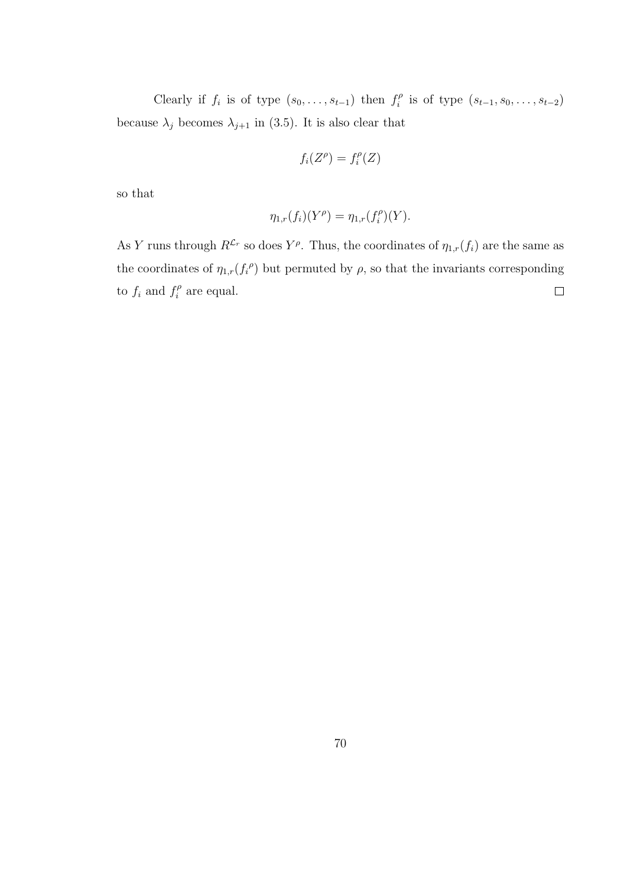Clearly if  $f_i$  is of type  $(s_0, \ldots, s_{t-1})$  then  $f_i^{\rho}$  $i<sup>°</sup>$  is of type  $(s<sub>t-1</sub>, s<sub>0</sub>, ..., s<sub>t-2</sub>)$ because  $\lambda_j$  becomes  $\lambda_{j+1}$  in (3.5). It is also clear that

$$
f_i(Z^{\rho}) = f_i^{\rho}(Z)
$$

so that

$$
\eta_{1,r}(f_i)(Y^{\rho}) = \eta_{1,r}(f_i^{\rho})(Y).
$$

As Y runs through  $R^{\mathcal{L}_r}$  so does  $Y^{\rho}$ . Thus, the coordinates of  $\eta_{1,r}(f_i)$  are the same as the coordinates of  $\eta_{1,r}(f_i^{\rho})$  but permuted by  $\rho$ , so that the invariants corresponding to  $f_i$  and  $f_i^{\rho}$  $\Box$  $i^{\rho}$  are equal.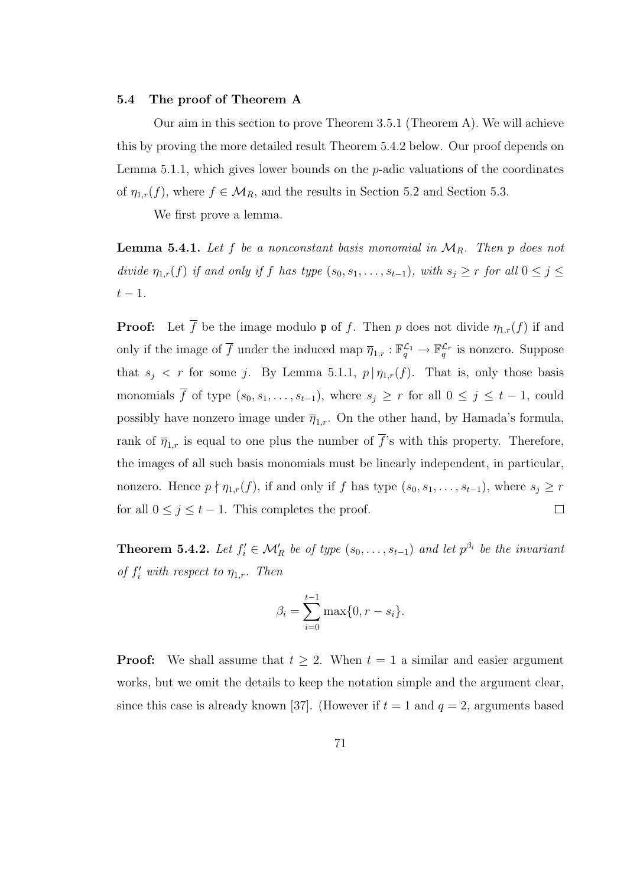#### 5.4 The proof of Theorem A

Our aim in this section to prove Theorem 3.5.1 (Theorem A). We will achieve this by proving the more detailed result Theorem 5.4.2 below. Our proof depends on Lemma 5.1.1, which gives lower bounds on the  $p$ -adic valuations of the coordinates of  $\eta_{1,r}(f)$ , where  $f \in \mathcal{M}_R$ , and the results in Section 5.2 and Section 5.3.

We first prove a lemma.

**Lemma 5.4.1.** Let f be a nonconstant basis monomial in  $\mathcal{M}_R$ . Then p does not divide  $\eta_{1,r}(f)$  if and only if f has type  $(s_0, s_1, \ldots, s_{t-1})$ , with  $s_j \geq r$  for all  $0 \leq j \leq$  $t-1$ .

**Proof:** Let  $\overline{f}$  be the image modulo **p** of f. Then p does not divide  $\eta_{1,r}(f)$  if and only if the image of  $\overline{f}$  under the induced map  $\overline{\eta}_{1,r} : \mathbb{F}_q^{\mathcal{L}_1} \to \mathbb{F}_q^{\mathcal{L}_r}$  is nonzero. Suppose that  $s_j < r$  for some j. By Lemma 5.1.1,  $p | \eta_{1,r}(f)$ . That is, only those basis monomials  $\overline{f}$  of type  $(s_0, s_1, \ldots, s_{t-1})$ , where  $s_j \geq r$  for all  $0 \leq j \leq t-1$ , could possibly have nonzero image under  $\overline{\eta}_{1,r}$ . On the other hand, by Hamada's formula, rank of  $\overline{\eta}_{1,r}$  is equal to one plus the number of  $\overline{f}$ 's with this property. Therefore, the images of all such basis monomials must be linearly independent, in particular, nonzero. Hence  $p \nmid \eta_{1,r}(f)$ , if and only if f has type  $(s_0, s_1, \ldots, s_{t-1})$ , where  $s_j \geq r$ for all  $0 \leq j \leq t - 1$ . This completes the proof.  $\Box$ 

**Theorem 5.4.2.** Let  $f'_i \in \mathcal{M}'_R$  be of type  $(s_0, \ldots, s_{t-1})$  and let  $p^{\beta_i}$  be the invariant of  $f'_i$  with respect to  $\eta_{1,r}$ . Then

$$
\beta_i = \sum_{i=0}^{t-1} \max\{0, r - s_i\}.
$$

**Proof:** We shall assume that  $t \geq 2$ . When  $t = 1$  a similar and easier argument works, but we omit the details to keep the notation simple and the argument clear, since this case is already known [37]. (However if  $t = 1$  and  $q = 2$ , arguments based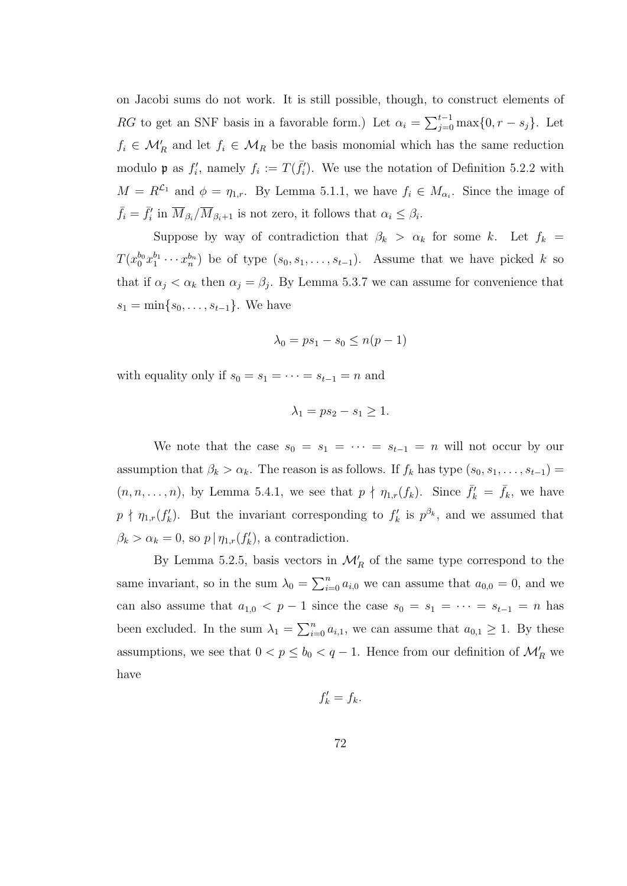on Jacobi sums do not work. It is still possible, though, to construct elements of RG to get an SNF basis in a favorable form.) Let  $\alpha_i = \sum_{j=0}^{t-1} \max\{0, r - s_j\}$ . Let  $f_i \in \mathcal{M}'_R$  and let  $f_i \in \mathcal{M}_R$  be the basis monomial which has the same reduction modulo **p** as  $f'_i$ , namely  $f_i := T(\bar{f}'_i)$ . We use the notation of Definition 5.2.2 with  $M = R^{\mathcal{L}_1}$  and  $\phi = \eta_{1,r}$ . By Lemma 5.1.1, we have  $f_i \in M_{\alpha_i}$ . Since the image of  $\bar{f}_i = \bar{f}_i'$  in  $\overline{M}_{\beta_i}/\overline{M}_{\beta_i+1}$  is not zero, it follows that  $\alpha_i \leq \beta_i$ .

Suppose by way of contradiction that  $\beta_k > \alpha_k$  for some k. Let  $f_k =$  $T(x_0^{b_0}x_1^{b_1}\cdots x_n^{b_n})$  be of type  $(s_0, s_1, \ldots, s_{t-1})$ . Assume that we have picked k so that if  $\alpha_j < \alpha_k$  then  $\alpha_j = \beta_j$ . By Lemma 5.3.7 we can assume for convenience that  $s_1 = \min\{s_0, \ldots, s_{t-1}\}.$  We have

$$
\lambda_0 = ps_1 - s_0 \le n(p-1)
$$

with equality only if  $s_0 = s_1 = \cdots = s_{t-1} = n$  and

$$
\lambda_1 = ps_2 - s_1 \ge 1.
$$

We note that the case  $s_0 = s_1 = \cdots = s_{t-1} = n$  will not occur by our assumption that  $\beta_k > \alpha_k$ . The reason is as follows. If  $f_k$  has type  $(s_0, s_1, \ldots, s_{t-1}) =$  $(n, n, \ldots, n)$ , by Lemma 5.4.1, we see that  $p \nmid \eta_{1,r}(f_k)$ . Since  $\bar{f}_k = \bar{f}_k$ , we have  $p \nmid \eta_{1,r}(f_k')$ . But the invariant corresponding to  $f_k'$  is  $p^{\beta_k}$ , and we assumed that  $\beta_k > \alpha_k = 0$ , so  $p \mid \eta_{1,r}(f'_k)$ , a contradiction.

By Lemma 5.2.5, basis vectors in  $\mathcal{M}'_R$  of the same type correspond to the same invariant, so in the sum  $\lambda_0 = \sum_{i=0}^n a_{i,0}$  we can assume that  $a_{0,0} = 0$ , and we can also assume that  $a_{1,0} < p-1$  since the case  $s_0 = s_1 = \cdots = s_{t-1} = n$  has been excluded. In the sum  $\lambda_1 = \sum_{i=0}^n a_{i,1}$ , we can assume that  $a_{0,1} \geq 1$ . By these assumptions, we see that  $0 < p \le b_0 < q - 1$ . Hence from our definition of  $\mathcal{M}'_R$  we have

$$
f'_k = f_k.
$$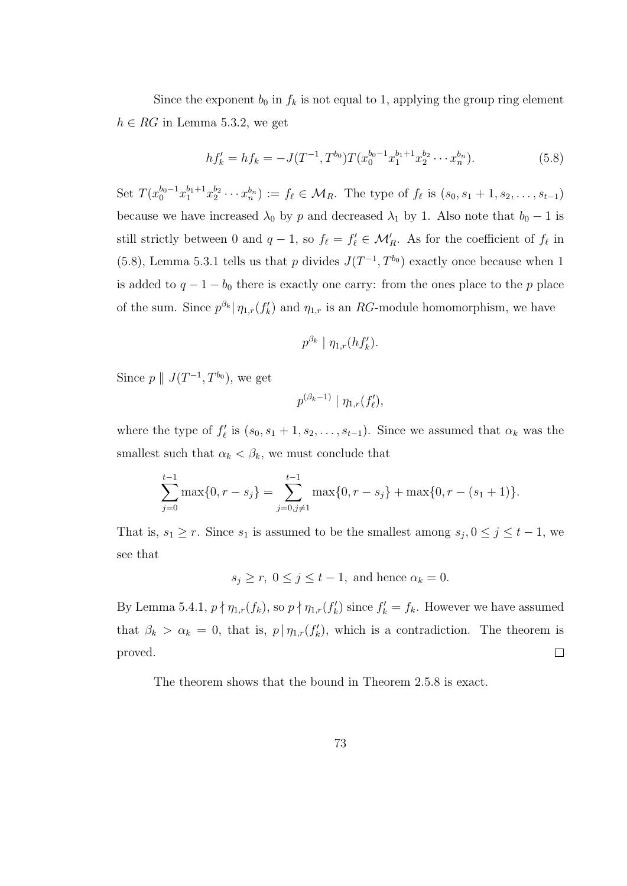Since the exponent  $b_0$  in  $f_k$  is not equal to 1, applying the group ring element  $h \in RG$  in Lemma 5.3.2, we get

$$
hf'_{k} = hf_{k} = -J(T^{-1}, T^{b_0})T(x_0^{b_0-1}x_1^{b_1+1}x_2^{b_2}\cdots x_n^{b_n}).
$$
\n(5.8)

Set  $T(x_0^{b_0-1}x_1^{b_1+1}x_2^{b_2}\cdots x_n^{b_n}) := f_\ell \in \mathcal{M}_R$ . The type of  $f_\ell$  is  $(s_0, s_1 + 1, s_2, \ldots, s_{t-1})$ because we have increased  $\lambda_0$  by p and decreased  $\lambda_1$  by 1. Also note that  $b_0 - 1$  is still strictly between 0 and  $q - 1$ , so  $f_{\ell} = f'_{\ell} \in \mathcal{M}'_R$ . As for the coefficient of  $f_{\ell}$  in (5.8), Lemma 5.3.1 tells us that p divides  $J(T^{-1}, T^{b_0})$  exactly once because when 1 is added to  $q - 1 - b_0$  there is exactly one carry: from the ones place to the p place of the sum. Since  $p^{\beta_k} | \eta_{1,r}(f'_k)$  and  $\eta_{1,r}$  is an RG-module homomorphism, we have

$$
p^{\beta_k} \mid \eta_{1,r}(hf_k').
$$

Since  $p \parallel J(T^{-1}, T^{b_0})$ , we get

$$
p^{(\beta_k-1)} \mid \eta_{1,r}(f_\ell'),
$$

where the type of  $f'_{\ell}$  is  $(s_0, s_1 + 1, s_2, \ldots, s_{t-1})$ . Since we assumed that  $\alpha_k$  was the smallest such that  $\alpha_k < \beta_k,$  we must conclude that

$$
\sum_{j=0}^{t-1} \max\{0, r - s_j\} = \sum_{j=0, j \neq 1}^{t-1} \max\{0, r - s_j\} + \max\{0, r - (s_1 + 1)\}.
$$

That is,  $s_1 \geq r$ . Since  $s_1$  is assumed to be the smallest among  $s_j$ ,  $0 \leq j \leq t-1$ , we see that

$$
s_j \ge r, 0 \le j \le t-1
$$
, and hence  $\alpha_k = 0$ .

By Lemma 5.4.1,  $p \nmid \eta_{1,r}(f_k)$ , so  $p \nmid \eta_{1,r}(f_k')$  since  $f_k' = f_k$ . However we have assumed that  $\beta_k > \alpha_k = 0$ , that is,  $p | \eta_{1,r}(f'_k)$ , which is a contradiction. The theorem is proved.  $\Box$ 

The theorem shows that the bound in Theorem 2.5.8 is exact.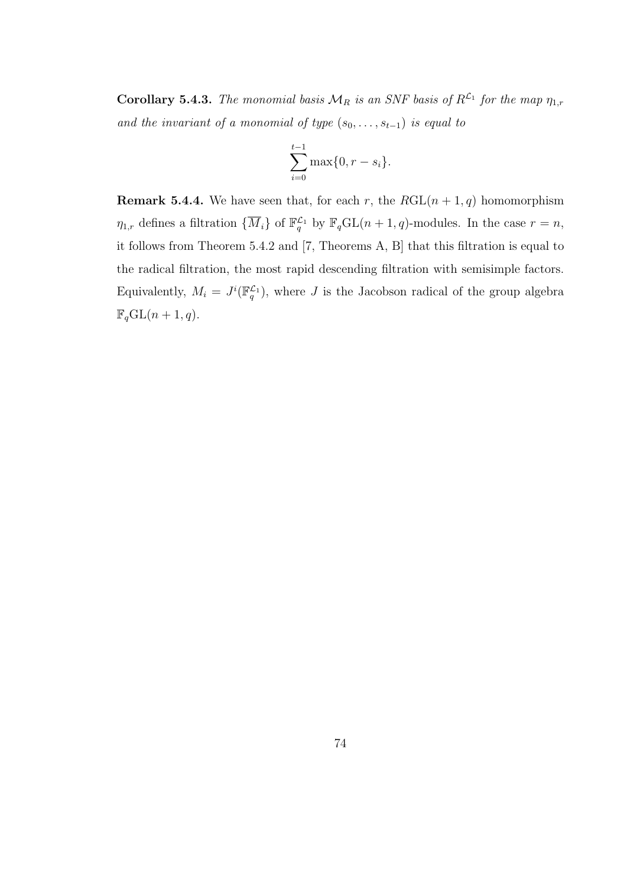**Corollary 5.4.3.** The monomial basis  $\mathcal{M}_R$  is an SNF basis of  $R^{\mathcal{L}_1}$  for the map  $\eta_{1,r}$ and the invariant of a monomial of type  $(s_0, \ldots, s_{t-1})$  is equal to

$$
\sum_{i=0}^{t-1} \max\{0, r - s_i\}.
$$

**Remark 5.4.4.** We have seen that, for each r, the  $RGL(n + 1, q)$  homomorphism  $\eta_{1,r}$  defines a filtration  $\{\overline{M}_i\}$  of  $\mathbb{F}_q^{\mathcal{L}_1}$  by  $\mathbb{F}_q \text{GL}(n+1,q)$ -modules. In the case  $r = n$ , it follows from Theorem 5.4.2 and [7, Theorems A, B] that this filtration is equal to the radical filtration, the most rapid descending filtration with semisimple factors. Equivalently,  $M_i = J^i(\mathbb{F}_q^{\mathcal{L}_1})$ , where J is the Jacobson radical of the group algebra  $\mathbb{F}_q\mathrm{GL}(n+1,q).$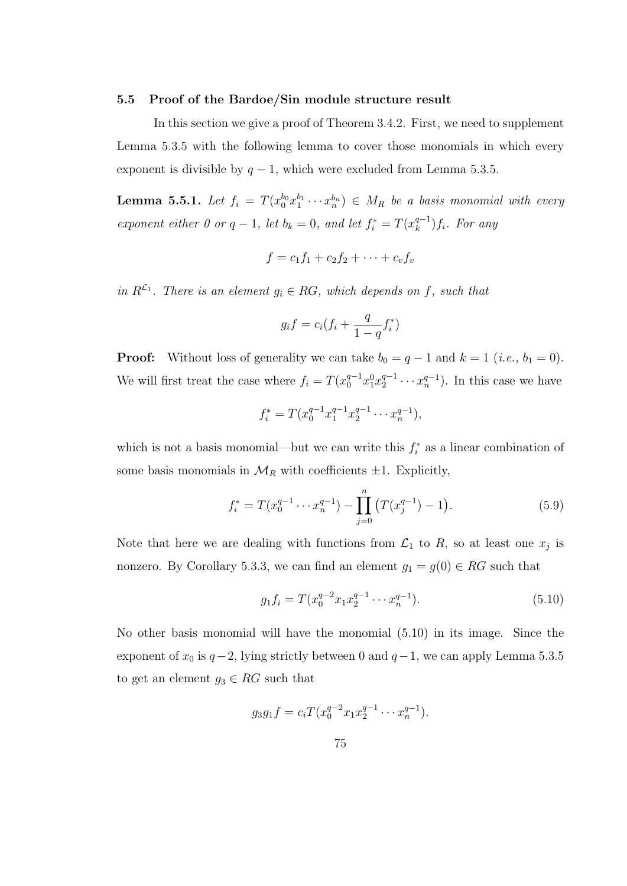#### 5.5 Proof of the Bardoe/Sin module structure result

In this section we give a proof of Theorem 3.4.2. First, we need to supplement Lemma 5.3.5 with the following lemma to cover those monomials in which every exponent is divisible by  $q - 1$ , which were excluded from Lemma 5.3.5.

**Lemma 5.5.1.** Let  $f_i = T(x_0^{b_0}x_1^{b_1}\cdots x_n^{b_n}) \in M_R$  be a basis monomial with every exponent either 0 or  $q-1$ , let  $b_k = 0$ , and let  $f_i^* = T(x_k^{q-1})$  $\binom{q-1}{k}$ f<sub>i</sub>. For any

$$
f = c_1 f_1 + c_2 f_2 + \cdots + c_v f_v
$$

in  $R^{\mathcal{L}_1}$ . There is an element  $g_i \in RG$ , which depends on f, such that

$$
g_i f = c_i (f_i + \frac{q}{1-q} f_i^*)
$$

**Proof:** Without loss of generality we can take  $b_0 = q - 1$  and  $k = 1$  (*i.e.*,  $b_1 = 0$ ). We will first treat the case where  $f_i = T(x_0^{q-1}x_1^0x_2^{q-1})$  $x_2^{q-1} \cdots x_n^{q-1}$ ). In this case we have

$$
f_i^* = T(x_0^{q-1}x_1^{q-1}x_2^{q-1}\cdots x_n^{q-1}),
$$

which is not a basis monomial—but we can write this  $f_i^*$  as a linear combination of some basis monomials in  $\mathcal{M}_R$  with coefficients  $\pm 1.$  Explicitly,

$$
f_i^* = T(x_0^{q-1} \cdots x_n^{q-1}) - \prod_{j=0}^n (T(x_j^{q-1}) - 1).
$$
 (5.9)

Note that here we are dealing with functions from  $\mathcal{L}_1$  to R, so at least one  $x_j$  is nonzero. By Corollary 5.3.3, we can find an element  $g_1 = g(0) \in RG$  such that

$$
g_1 f_i = T(x_0^{q-2} x_1 x_2^{q-1} \cdots x_n^{q-1}).
$$
\n(5.10)

No other basis monomial will have the monomial (5.10) in its image. Since the exponent of  $x_0$  is  $q-2$ , lying strictly between 0 and  $q-1$ , we can apply Lemma 5.3.5 to get an element  $g_3 \in RG$  such that

$$
g_3g_1f = c_iT(x_0^{q-2}x_1x_2^{q-1}\cdots x_n^{q-1}).
$$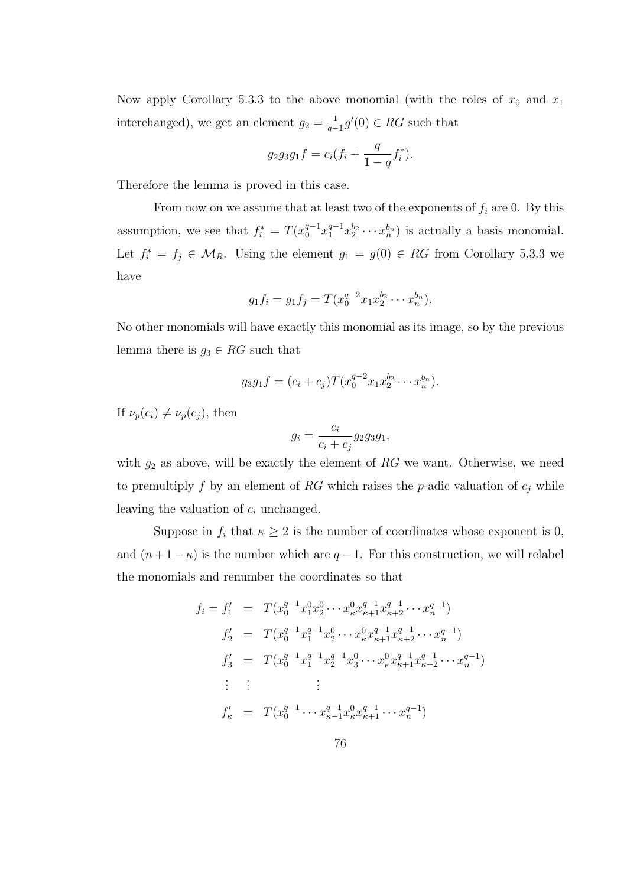Now apply Corollary 5.3.3 to the above monomial (with the roles of  $x_0$  and  $x_1$ ) interchanged), we get an element  $g_2 = \frac{1}{g_1}$  $\frac{1}{q-1}g'(0) \in RG$  such that

$$
g_2 g_3 g_1 f = c_i (f_i + \frac{q}{1-q} f_i^*).
$$

Therefore the lemma is proved in this case.

From now on we assume that at least two of the exponents of  $f_i$  are 0. By this assumption, we see that  $f_i^* = T(x_0^{q-1}x_1^{q-1}x_2^{b_2}\cdots x_n^{b_n})$  is actually a basis monomial. Let  $f_i^* = f_j \in \mathcal{M}_R$ . Using the element  $g_1 = g(0) \in RG$  from Corollary 5.3.3 we have

$$
g_1f_i = g_1f_j = T(x_0^{q-2}x_1x_2^{b_2}\cdots x_n^{b_n}).
$$

No other monomials will have exactly this monomial as its image, so by the previous lemma there is  $g_3 \in RG$  such that

$$
g_3g_1f = (c_i + c_j)T(x_0^{q-2}x_1x_2^{b_2}\cdots x_n^{b_n}).
$$

If  $\nu_p(c_i) \neq \nu_p(c_j)$ , then

$$
g_i = \frac{c_i}{c_i + c_j} g_2 g_3 g_1,
$$

with  $g_2$  as above, will be exactly the element of RG we want. Otherwise, we need to premultiply f by an element of RG which raises the p-adic valuation of  $c_j$  while leaving the valuation of  $c_i$  unchanged.

Suppose in  $f_i$  that  $\kappa \geq 2$  is the number of coordinates whose exponent is 0, and  $(n+1-\kappa)$  is the number which are  $q-1$ . For this construction, we will relabel the monomials and renumber the coordinates so that

$$
f_i = f'_1 = T(x_0^{q-1}x_1^0x_2^0 \cdots x_{\kappa}^0x_{\kappa+1}^{q-1}x_{\kappa+2}^{q-1} \cdots x_n^{q-1})
$$
  
\n
$$
f'_2 = T(x_0^{q-1}x_1^{q-1}x_2^0 \cdots x_{\kappa}^0x_{\kappa+1}^{q-1}x_{\kappa+2}^{q-1} \cdots x_n^{q-1})
$$
  
\n
$$
f'_3 = T(x_0^{q-1}x_1^{q-1}x_2^{q-1}x_3^0 \cdots x_{\kappa}^0x_{\kappa+1}^{q-1}x_{\kappa+2}^{q-1} \cdots x_n^{q-1})
$$
  
\n
$$
\vdots \qquad \vdots
$$
  
\n
$$
f'_{\kappa} = T(x_0^{q-1} \cdots x_{\kappa-1}^{q-1}x_{\kappa}^0x_{\kappa+1}^{q-1} \cdots x_n^{q-1})
$$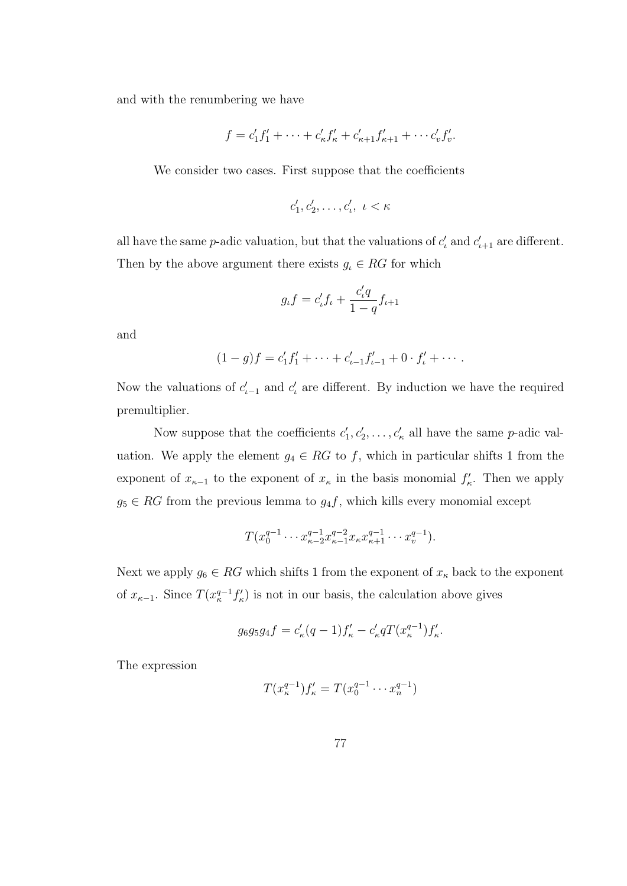and with the renumbering we have

$$
f = c'_1 f'_1 + \dots + c'_\kappa f'_\kappa + c'_{\kappa+1} f'_{\kappa+1} + \dots + c'_v f'_v.
$$

We consider two cases. First suppose that the coefficients

$$
c'_1, c'_2, \ldots, c'_\iota, \ \iota < \kappa
$$

all have the same *p*-adic valuation, but that the valuations of  $c'_{\iota}$  and  $c'_{\iota+1}$  are different. Then by the above argument there exists  $g_i \in RG$  for which

$$
g_{\iota}f=c'_{\iota}f_{\iota}+\frac{c'_{\iota}q}{1-q}f_{\iota+1}
$$

and

$$
(1-g)f = c'_1f'_1 + \cdots + c'_{\iota-1}f'_{\iota-1} + 0 \cdot f'_{\iota} + \cdots
$$

Now the valuations of  $c'_{i-1}$  and  $c'_{i}$  are different. By induction we have the required premultiplier.

Now suppose that the coefficients  $c'_1, c'_2, \ldots, c'_\kappa$  all have the same *p*-adic valuation. We apply the element  $g_4 \in RG$  to f, which in particular shifts 1 from the exponent of  $x_{\kappa-1}$  to the exponent of  $x_{\kappa}$  in the basis monomial  $f'_{\kappa}$ . Then we apply  $g_5 \in RG$  from the previous lemma to  $g_4f$ , which kills every monomial except

$$
T(x_0^{q-1} \cdots x_{\kappa-2}^{q-1} x_{\kappa-1}^{q-2} x_{\kappa} x_{\kappa+1}^{q-1} \cdots x_v^{q-1}).
$$

Next we apply  $g_6 \in RG$  which shifts 1 from the exponent of  $x_{\kappa}$  back to the exponent of  $x_{\kappa-1}$ . Since  $T(x_{\kappa}^{q-1}f_{\kappa}')$  is not in our basis, the calculation above gives

$$
g_6 g_5 g_4 f = c'_{\kappa} (q-1) f'_{\kappa} - c'_{\kappa} q T (x_{\kappa}^{q-1}) f'_{\kappa}.
$$

The expression

$$
T(x_{\kappa}^{q-1})f'_{\kappa} = T(x_0^{q-1} \cdots x_n^{q-1})
$$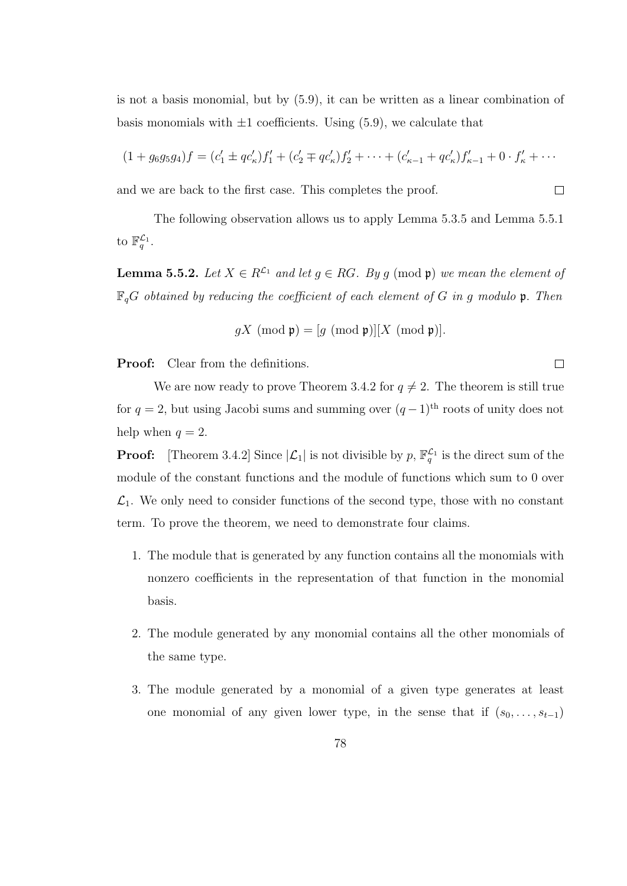is not a basis monomial, but by (5.9), it can be written as a linear combination of basis monomials with  $\pm 1$  coefficients. Using (5.9), we calculate that

$$
(1+g_6g_5g_4)f = (c'_1 \pm qc'_\kappa)f'_1 + (c'_2 \mp qc'_\kappa)f'_2 + \cdots + (c'_{\kappa-1} + qc'_\kappa)f'_{\kappa-1} + 0 \cdot f'_\kappa + \cdots)
$$

 $\Box$ 

 $\Box$ 

and we are back to the first case. This completes the proof.

The following observation allows us to apply Lemma 5.3.5 and Lemma 5.5.1 to  $\mathbb{F}_q^{\mathcal{L}_1}$ .

**Lemma 5.5.2.** Let  $X \in R^{\mathcal{L}_1}$  and let  $g \in RG$ . By g (mod p) we mean the element of  $\mathbb{F}_qG$  obtained by reducing the coefficient of each element of G in g modulo p. Then

$$
gX \pmod{\mathfrak{p}} = [g \pmod{\mathfrak{p}}][X \pmod{\mathfrak{p}}].
$$

Proof: Clear from the definitions.

We are now ready to prove Theorem 3.4.2 for  $q \neq 2$ . The theorem is still true for  $q = 2$ , but using Jacobi sums and summing over  $(q-1)$ <sup>th</sup> roots of unity does not help when  $q = 2$ .

**Proof:** [Theorem 3.4.2] Since  $|\mathcal{L}_1|$  is not divisible by p,  $\mathbb{F}_q^{\mathcal{L}_1}$  is the direct sum of the module of the constant functions and the module of functions which sum to 0 over  $\mathcal{L}_1$ . We only need to consider functions of the second type, those with no constant term. To prove the theorem, we need to demonstrate four claims.

- 1. The module that is generated by any function contains all the monomials with nonzero coefficients in the representation of that function in the monomial basis.
- 2. The module generated by any monomial contains all the other monomials of the same type.
- 3. The module generated by a monomial of a given type generates at least one monomial of any given lower type, in the sense that if  $(s_0, \ldots, s_{t-1})$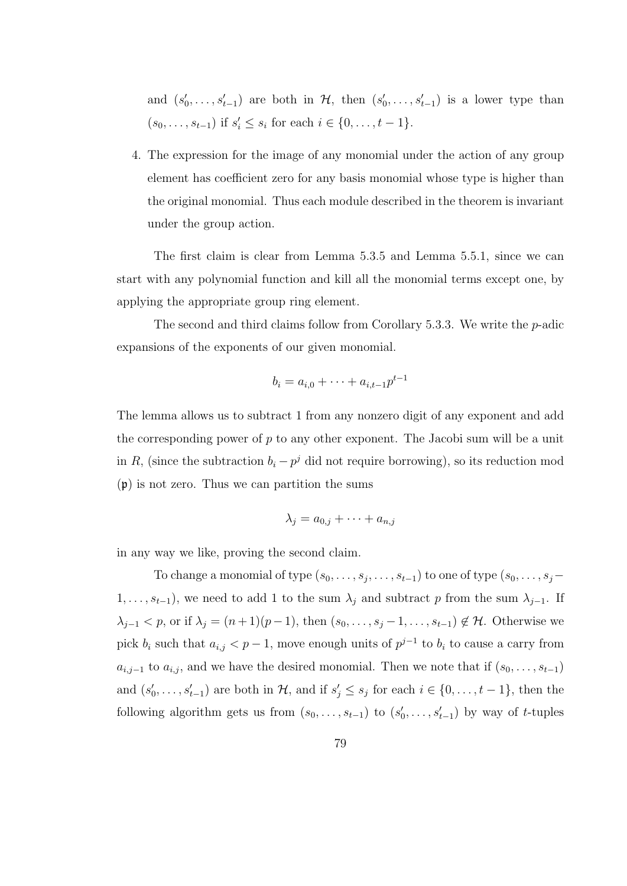and  $(s'_0, \ldots, s'_{t-1})$  are both in  $H$ , then  $(s'_0, \ldots, s'_{t-1})$  is a lower type than  $(s_0, \ldots, s_{t-1})$  if  $s'_i \leq s_i$  for each  $i \in \{0, \ldots, t-1\}.$ 

4. The expression for the image of any monomial under the action of any group element has coefficient zero for any basis monomial whose type is higher than the original monomial. Thus each module described in the theorem is invariant under the group action.

The first claim is clear from Lemma 5.3.5 and Lemma 5.5.1, since we can start with any polynomial function and kill all the monomial terms except one, by applying the appropriate group ring element.

The second and third claims follow from Corollary 5.3.3. We write the  $p$ -adic expansions of the exponents of our given monomial.

$$
b_i = a_{i,0} + \dots + a_{i,t-1}p^{t-1}
$$

The lemma allows us to subtract 1 from any nonzero digit of any exponent and add the corresponding power of  $p$  to any other exponent. The Jacobi sum will be a unit in R, (since the subtraction  $b_i - p^j$  did not require borrowing), so its reduction mod (p) is not zero. Thus we can partition the sums

$$
\lambda_j = a_{0,j} + \cdots + a_{n,j}
$$

in any way we like, proving the second claim.

To change a monomial of type  $(s_0, \ldots, s_j, \ldots, s_{t-1})$  to one of type  $(s_0, \ldots, s_j 1, \ldots, s_{t-1}$ , we need to add 1 to the sum  $\lambda_j$  and subtract p from the sum  $\lambda_{j-1}$ . If  $\lambda_{j-1} < p$ , or if  $\lambda_j = (n+1)(p-1)$ , then  $(s_0, \ldots, s_j-1, \ldots, s_{t-1}) \notin \mathcal{H}$ . Otherwise we pick  $b_i$  such that  $a_{i,j} < p-1$ , move enough units of  $p^{j-1}$  to  $b_i$  to cause a carry from  $a_{i,j-1}$  to  $a_{i,j}$ , and we have the desired monomial. Then we note that if  $(s_0, \ldots, s_{t-1})$ and  $(s'_0, \ldots, s'_{t-1})$  are both in  $\mathcal{H}$ , and if  $s'_j \leq s_j$  for each  $i \in \{0, \ldots, t-1\}$ , then the following algorithm gets us from  $(s_0, \ldots, s_{t-1})$  to  $(s'_0, \ldots, s'_{t-1})$  by way of t-tuples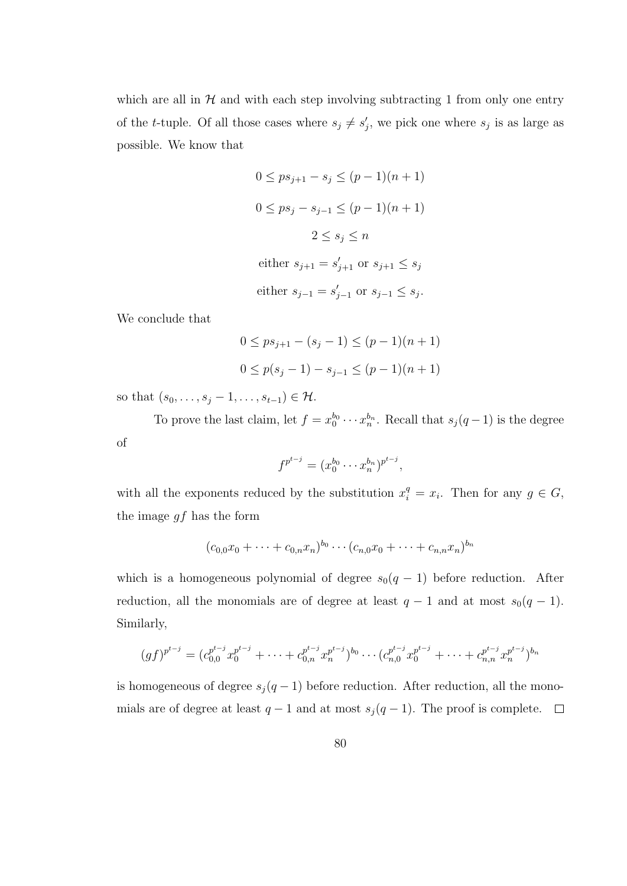which are all in  $H$  and with each step involving subtracting 1 from only one entry of the *t*-tuple. Of all those cases where  $s_j \neq s'_j$ , we pick one where  $s_j$  is as large as possible. We know that

$$
0 \le ps_{j+1} - s_j \le (p-1)(n+1)
$$
  
\n
$$
0 \le ps_j - s_{j-1} \le (p-1)(n+1)
$$
  
\n
$$
2 \le s_j \le n
$$
  
\neither  $s_{j+1} = s'_{j+1}$  or  $s_{j+1} \le s_j$   
\neither  $s_{j-1} = s'_{j-1}$  or  $s_{j-1} \le s_j$ .

We conclude that

$$
0 \le ps_{j+1} - (s_j - 1) \le (p - 1)(n + 1)
$$
  

$$
0 \le p(s_j - 1) - s_{j-1} \le (p - 1)(n + 1)
$$

so that  $(s_0, ..., s_j - 1, ..., s_{t-1}) \in \mathcal{H}$ .

To prove the last claim, let  $f = x_0^{b_0} \cdots x_n^{b_n}$ . Recall that  $s_j(q-1)$  is the degree of

$$
f^{p^{t-j}} = (x_0^{b_0} \cdots x_n^{b_n})^{p^{t-j}},
$$

with all the exponents reduced by the substitution  $x_i^q = x_i$ . Then for any  $g \in G$ , the image  $gf$  has the form

$$
(c_{0,0}x_0 + \cdots + c_{0,n}x_n)^{b_0} \cdots (c_{n,0}x_0 + \cdots + c_{n,n}x_n)^{b_n}
$$

which is a homogeneous polynomial of degree  $s_0(q-1)$  before reduction. After reduction, all the monomials are of degree at least  $q - 1$  and at most  $s_0(q - 1)$ . Similarly,

$$
(gf)^{p^{t-j}} = (c_{0,0}^{p^{t-j}} x_0^{p^{t-j}} + \dots + c_{0,n}^{p^{t-j}} x_n^{p^{t-j}})^{b_0} \cdots (c_{n,0}^{p^{t-j}} x_0^{p^{t-j}} + \dots + c_{n,n}^{p^{t-j}} x_n^{p^{t-j}})^{b_n}
$$

is homogeneous of degree  $s_j(q-1)$  before reduction. After reduction, all the monomials are of degree at least  $q-1$  and at most  $s_j(q-1)$ . The proof is complete.  $\Box$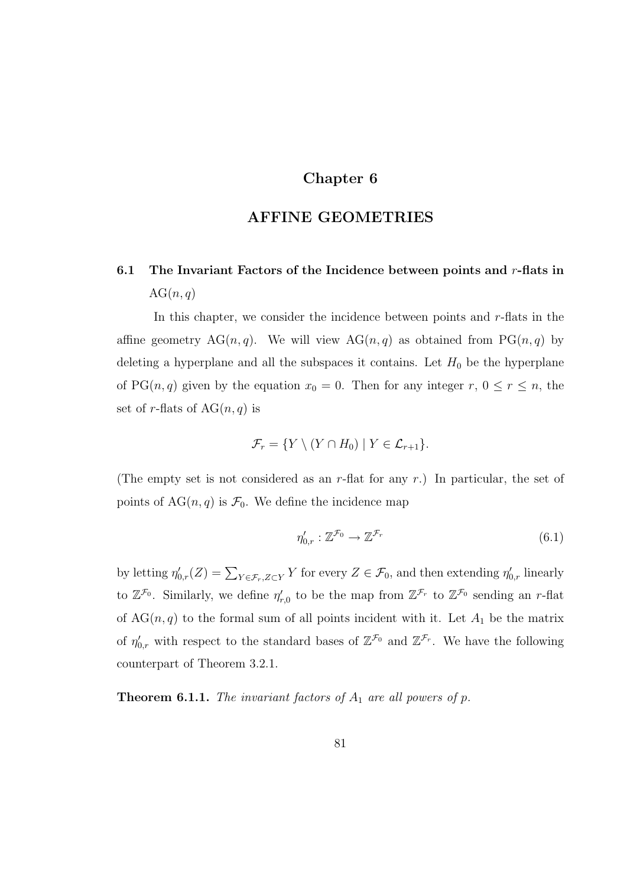## Chapter 6

## AFFINE GEOMETRIES

## 6.1 The Invariant Factors of the Incidence between points and  $r$ -flats in  $AG(n, q)$

In this chapter, we consider the incidence between points and  $r$ -flats in the affine geometry AG(n, q). We will view AG(n, q) as obtained from PG(n, q) by deleting a hyperplane and all the subspaces it contains. Let  $H_0$  be the hyperplane of PG $(n, q)$  given by the equation  $x_0 = 0$ . Then for any integer r,  $0 \le r \le n$ , the set of r-flats of  $AG(n, q)$  is

$$
\mathcal{F}_r = \{ Y \setminus (Y \cap H_0) \mid Y \in \mathcal{L}_{r+1} \}.
$$

(The empty set is not considered as an  $r$ -flat for any  $r$ .) In particular, the set of points of  $AG(n, q)$  is  $\mathcal{F}_0$ . We define the incidence map

$$
\eta_{0,r}^{\prime} : \mathbb{Z}^{\mathcal{F}_0} \to \mathbb{Z}^{\mathcal{F}_r} \tag{6.1}
$$

by letting  $\eta'_{0,r}(Z) = \sum_{Y \in \mathcal{F}_r, Z \subset Y} Y$  for every  $Z \in \mathcal{F}_0$ , and then extending  $\eta'_{0,r}$  linearly to  $\mathbb{Z}^{\mathcal{F}_0}$ . Similarly, we define  $\eta'_{r,0}$  to be the map from  $\mathbb{Z}^{\mathcal{F}_r}$  to  $\mathbb{Z}^{\mathcal{F}_0}$  sending an r-flat of  $AG(n, q)$  to the formal sum of all points incident with it. Let  $A_1$  be the matrix of  $\eta'_{0,r}$  with respect to the standard bases of  $\mathbb{Z}^{\mathcal{F}_0}$  and  $\mathbb{Z}^{\mathcal{F}_r}$ . We have the following counterpart of Theorem 3.2.1.

**Theorem 6.1.1.** The invariant factors of  $A_1$  are all powers of p.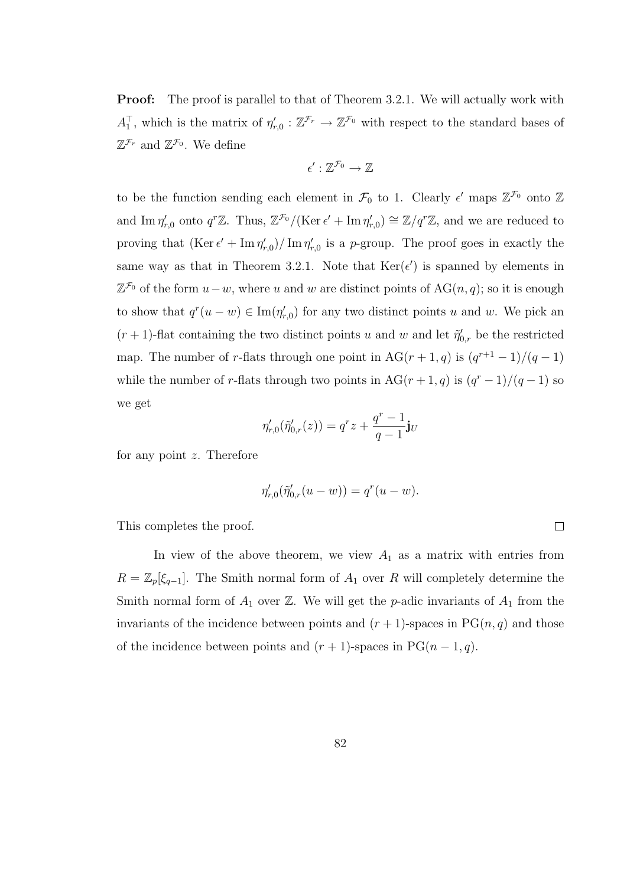**Proof:** The proof is parallel to that of Theorem 3.2.1. We will actually work with  $A_1^{\dagger}$ , which is the matrix of  $\eta'_{r,0} : \mathbb{Z}^{\mathcal{F}_r} \to \mathbb{Z}^{\mathcal{F}_0}$  with respect to the standard bases of  $\mathbb{Z}^{\mathcal{F}_{r}}$  and  $\mathbb{Z}^{\mathcal{F}_{0}}$ . We define

$$
\epsilon':\mathbb{Z}^{\mathcal{F}_0}\to\mathbb{Z}
$$

to be the function sending each element in  $\mathcal{F}_0$  to 1. Clearly  $\epsilon'$  maps  $\mathbb{Z}^{\mathcal{F}_0}$  onto  $\mathbb{Z}$ and Im  $\eta'_{r,0}$  onto  $q^r\mathbb{Z}$ . Thus,  $\mathbb{Z}^{\mathcal{F}_0}/(\text{Ker }\epsilon'+\text{Im }\eta'_{r,0}) \cong \mathbb{Z}/q^r\mathbb{Z}$ , and we are reduced to proving that  $(\text{Ker } \epsilon' + \text{Im } \eta'_{r,0}) / \text{Im } \eta'_{r,0}$  is a p-group. The proof goes in exactly the same way as that in Theorem 3.2.1. Note that  $\text{Ker}(\epsilon')$  is spanned by elements in  $\mathbb{Z}^{\mathcal{F}_0}$  of the form  $u-w$ , where u and w are distinct points of AG(n, q); so it is enough to show that  $q^r(u - w) \in \text{Im}(\eta'_{r,0})$  for any two distinct points u and w. We pick an  $(r+1)$ -flat containing the two distinct points u and w and let  $\tilde{\eta}'_{0,r}$  be the restricted map. The number of r-flats through one point in  $AG(r+1,q)$  is  $(q^{r+1}-1)/(q-1)$ while the number of r-flats through two points in  $AG(r+1, q)$  is  $(q^r-1)/(q-1)$  so we get

$$
\eta'_{r,0}(\tilde{\eta}'_{0,r}(z)) = q^r z + \frac{q^r - 1}{q - 1} j_U
$$

for any point  $z$ . Therefore

$$
\eta'_{r,0}(\tilde{\eta}'_{0,r}(u-w)) = q^r(u-w).
$$

This completes the proof.

In view of the above theorem, we view  $A_1$  as a matrix with entries from  $R = \mathbb{Z}_p[\xi_{q-1}]$ . The Smith normal form of  $A_1$  over R will completely determine the Smith normal form of  $A_1$  over  $\mathbb{Z}$ . We will get the *p*-adic invariants of  $A_1$  from the invariants of the incidence between points and  $(r + 1)$ -spaces in  $PG(n, q)$  and those of the incidence between points and  $(r + 1)$ -spaces in PG $(n - 1, q)$ .

 $\Box$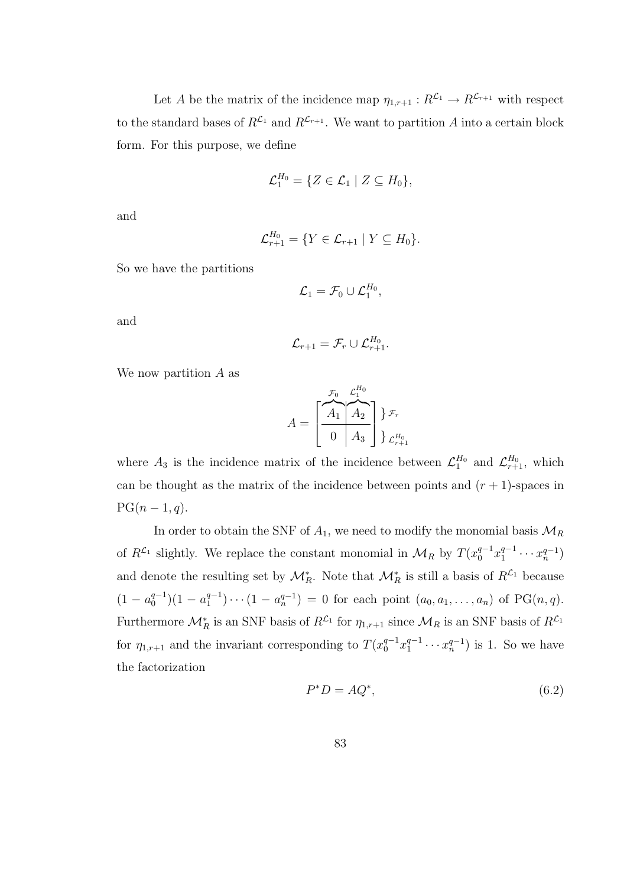Let A be the matrix of the incidence map  $\eta_{1,r+1}: R^{\mathcal{L}_1} \to R^{\mathcal{L}_{r+1}}$  with respect to the standard bases of  $R^{\mathcal{L}_1}$  and  $R^{\mathcal{L}_{r+1}}$ . We want to partition A into a certain block form. For this purpose, we define

$$
\mathcal{L}_1^{H_0} = \{ Z \in \mathcal{L}_1 \mid Z \subseteq H_0 \},\
$$

and

$$
\mathcal{L}_{r+1}^{H_0} = \{ Y \in \mathcal{L}_{r+1} \mid Y \subseteq H_0 \}.
$$

So we have the partitions

$$
\mathcal{L}_1 = \mathcal{F}_0 \cup \mathcal{L}_1^{H_0},
$$

and

$$
\mathcal{L}_{r+1} = \mathcal{F}_r \cup \mathcal{L}_{r+1}^{H_0}.
$$

We now partition A as

$$
A = \left[\begin{array}{c} \mathcal{F}_0 & \mathcal{L}_1^{H_0} \\ \hline A_1 & A_2 \\ \hline 0 & A_3 \end{array}\right] \bigg\} \mathcal{F}_r
$$

where  $A_3$  is the incidence matrix of the incidence between  $\mathcal{L}_1^{H_0}$  and  $\mathcal{L}_{r+1}^{H_0}$ , which can be thought as the matrix of the incidence between points and  $(r + 1)$ -spaces in  $PG(n-1, q)$ .

In order to obtain the SNF of  $A_1$ , we need to modify the monomial basis  $\mathcal{M}_R$ of  $R^{\mathcal{L}_1}$  slightly. We replace the constant monomial in  $\mathcal{M}_R$  by  $T(x_0^{q-1}x_1^{q-1})$  $x_1^{q-1} \cdots x_n^{q-1}$ and denote the resulting set by  $\mathcal{M}_R^*$ . Note that  $\mathcal{M}_R^*$  is still a basis of  $R^{\mathcal{L}_1}$  because  $(1 - a_0^{q-1})$  $\binom{q-1}{0}(1-a_1^{q-1})$  $\binom{q-1}{1} \cdots (1 - a_n^{q-1}) = 0$  for each point  $(a_0, a_1, \ldots, a_n)$  of  $PG(n, q)$ . Furthermore  $\mathcal{M}_R^*$  is an SNF basis of  $R^{\mathcal{L}_1}$  for  $\eta_{1,r+1}$  since  $\mathcal{M}_R$  is an SNF basis of  $R^{\mathcal{L}_1}$ for  $\eta_{1,r+1}$  and the invariant corresponding to  $T(x_0^{q-1}x_1^{q-1})$  $j_1^{q-1} \cdots x_n^{q-1}$  is 1. So we have the factorization

$$
P^*D = AQ^*,\tag{6.2}
$$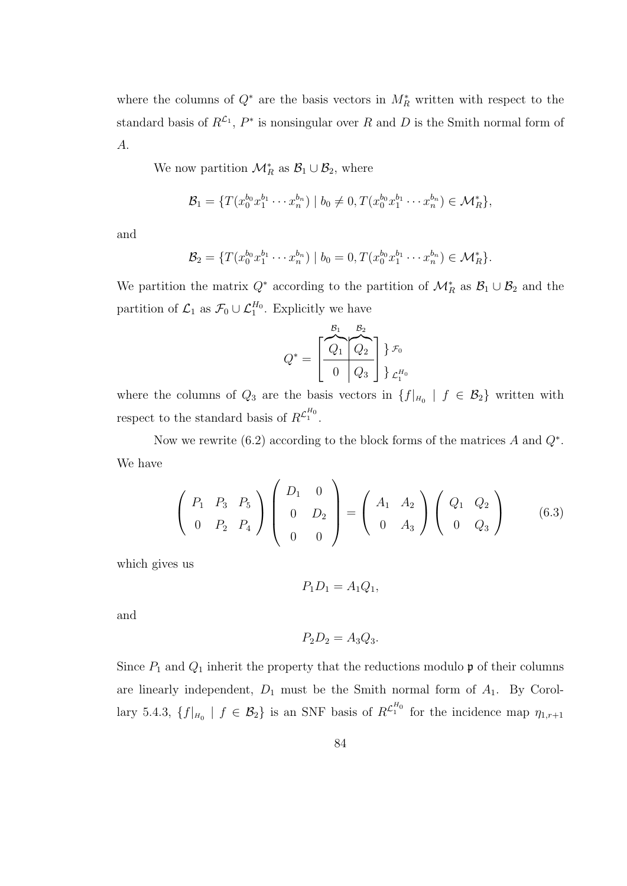where the columns of  $Q^*$  are the basis vectors in  $M_R^*$  written with respect to the standard basis of  $R^{\mathcal{L}_1}$ ,  $P^*$  is nonsingular over R and D is the Smith normal form of A.

We now partition  $\mathcal{M}_R^*$  as  $\mathcal{B}_1 \cup \mathcal{B}_2$ , where

$$
\mathcal{B}_1 = \{ T(x_0^{b_0} x_1^{b_1} \cdots x_n^{b_n}) \mid b_0 \neq 0, T(x_0^{b_0} x_1^{b_1} \cdots x_n^{b_n}) \in \mathcal{M}_R^* \},
$$

and

$$
\mathcal{B}_2 = \{ T(x_0^{b_0} x_1^{b_1} \cdots x_n^{b_n}) \mid b_0 = 0, T(x_0^{b_0} x_1^{b_1} \cdots x_n^{b_n}) \in \mathcal{M}_R^* \}.
$$

We partition the matrix  $Q^*$  according to the partition of  $\mathcal{M}_R^*$  as  $\mathcal{B}_1 \cup \mathcal{B}_2$  and the partition of  $\mathcal{L}_1$  as  $\mathcal{F}_0 \cup \mathcal{L}_1^{H_0}$ . Explicitly we have

$$
Q^* = \left[\begin{array}{c|c} B_1 & B_2 \\ \hline Q_1 & Q_2 \\ \hline 0 & Q_3 \end{array}\right] \Big\} \, {\cal F}_0 \\[4mm]
$$

where the columns of  $Q_3$  are the basis vectors in  $\{f|_{H_0} \mid f \in \mathcal{B}_2\}$  written with respect to the standard basis of  $R^{\mathcal{L}_1^{H_0}}$ .

Now we rewrite  $(6.2)$  according to the block forms of the matrices A and  $Q^*$ . We have

$$
\left(\begin{array}{ccc} P_1 & P_3 & P_5 \\ 0 & P_2 & P_4 \end{array}\right) \left(\begin{array}{ccc} D_1 & 0 \\ 0 & D_2 \\ 0 & 0 \end{array}\right) = \left(\begin{array}{ccc} A_1 & A_2 \\ 0 & A_3 \end{array}\right) \left(\begin{array}{ccc} Q_1 & Q_2 \\ 0 & Q_3 \end{array}\right) \tag{6.3}
$$

which gives us

$$
P_1D_1 = A_1Q_1,
$$

and

$$
P_2D_2 = A_3Q_3.
$$

Since  $P_1$  and  $Q_1$  inherit the property that the reductions modulo  $\mathfrak p$  of their columns are linearly independent,  $D_1$  must be the Smith normal form of  $A_1$ . By Corollary 5.4.3,  $\{f|_{H_0} \mid f \in \mathcal{B}_2\}$  is an SNF basis of  $R^{\mathcal{L}_1^{H_0}}$  for the incidence map  $\eta_{1,r+1}$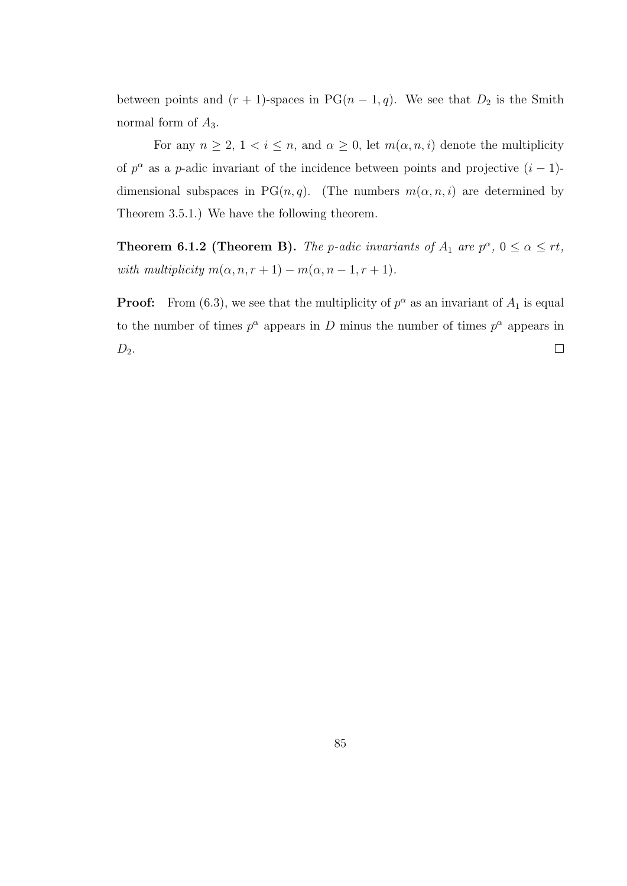between points and  $(r + 1)$ -spaces in PG $(n - 1, q)$ . We see that  $D_2$  is the Smith normal form of  $A_3$ .

For any  $n \geq 2$ ,  $1 < i \leq n$ , and  $\alpha \geq 0$ , let  $m(\alpha, n, i)$  denote the multiplicity of  $p^{\alpha}$  as a p-adic invariant of the incidence between points and projective  $(i - 1)$ dimensional subspaces in PG(n,q). (The numbers  $m(\alpha, n, i)$  are determined by Theorem 3.5.1.) We have the following theorem.

**Theorem 6.1.2 (Theorem B).** The p-adic invariants of  $A_1$  are  $p^{\alpha}$ ,  $0 \le \alpha \le rt$ , with multiplicity  $m(\alpha, n, r + 1) - m(\alpha, n - 1, r + 1)$ .

**Proof:** From (6.3), we see that the multiplicity of  $p^{\alpha}$  as an invariant of  $A_1$  is equal to the number of times  $p^{\alpha}$  appears in D minus the number of times  $p^{\alpha}$  appears in  $\Box$  $D_2$ .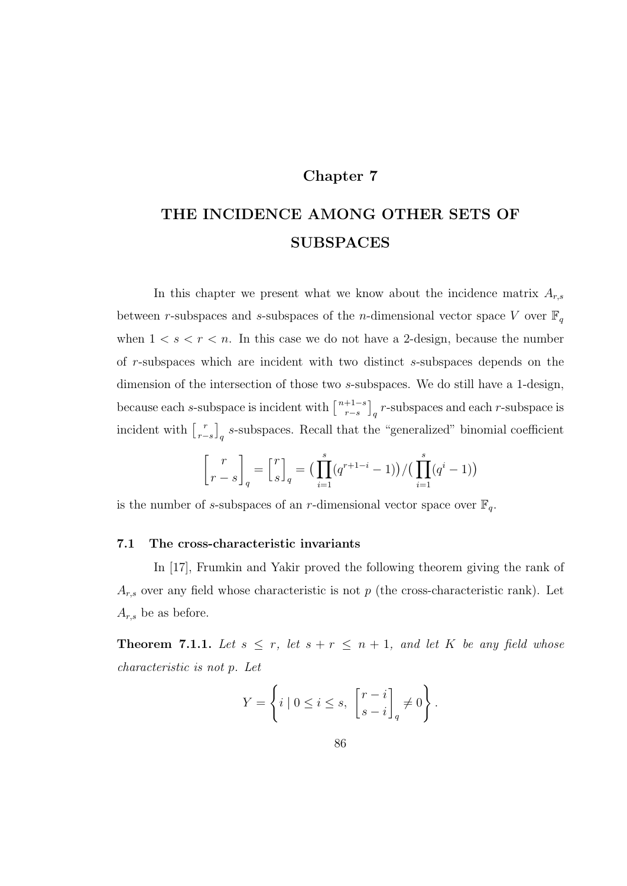## Chapter 7

# THE INCIDENCE AMONG OTHER SETS OF SUBSPACES

In this chapter we present what we know about the incidence matrix  $A_{r,s}$ between r-subspaces and s-subspaces of the *n*-dimensional vector space V over  $\mathbb{F}_q$ when  $1 < s < r < n$ . In this case we do not have a 2-design, because the number of r-subspaces which are incident with two distinct s-subspaces depends on the dimension of the intersection of those two s-subspaces. We do still have a 1-design, because each s-subspace is incident with  $\lceil \frac{n+1-s}{r-s} \rceil$  $\left. \begin{array}{l} +1 - s \\ r - s \end{array} \right]_q$  r-subspace is incident with  $\begin{bmatrix} r \\ r \end{bmatrix}$  $\begin{bmatrix} r \ r-s \end{bmatrix}_q$  s-subspaces. Recall that the "generalized" binomial coefficient

$$
\begin{bmatrix} r \\ r - s \end{bmatrix}_q = \begin{bmatrix} r \\ s \end{bmatrix}_q = \left( \prod_{i=1}^s (q^{r+1-i} - 1) \right) / \left( \prod_{i=1}^s (q^i - 1) \right)
$$

is the number of s-subspaces of an r-dimensional vector space over  $\mathbb{F}_q$ .

#### 7.1 The cross-characteristic invariants

In [17], Frumkin and Yakir proved the following theorem giving the rank of  $A_{r,s}$  over any field whose characteristic is not p (the cross-characteristic rank). Let  $A_{r,s}$  be as before.

**Theorem 7.1.1.** Let  $s \leq r$ , let  $s + r \leq n + 1$ , and let K be any field whose characteristic is not p. Let

$$
Y = \left\{ i \mid 0 \le i \le s, \begin{bmatrix} r - i \\ s - i \end{bmatrix}_q \neq 0 \right\}.
$$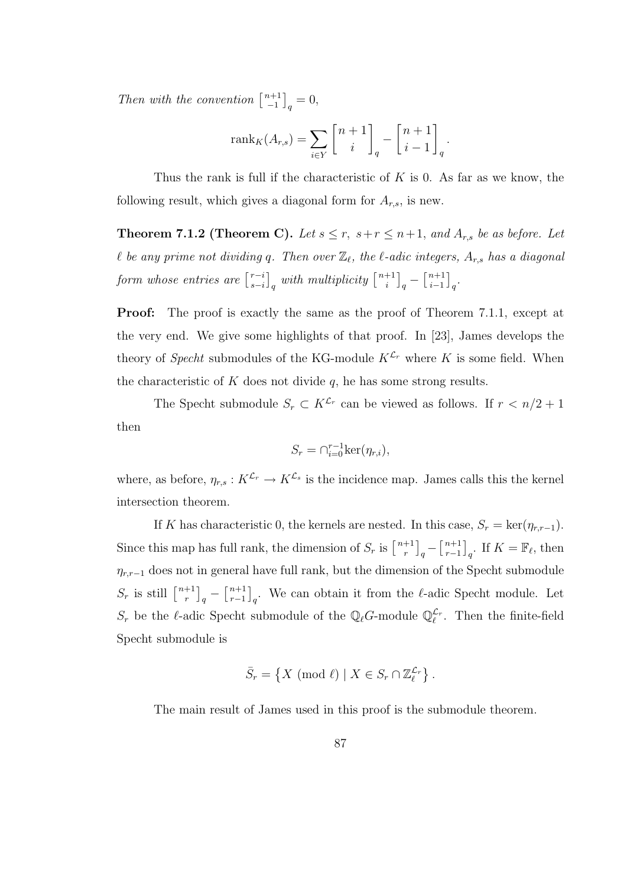Then with the convention  $\begin{bmatrix} n+1 \\ -1 \end{bmatrix}$  $_{-1}^{n+1}\big]_q = 0,$ 

$$
\operatorname{rank}_K(A_{r,s}) = \sum_{i \in Y} \begin{bmatrix} n+1 \\ i \end{bmatrix}_q - \begin{bmatrix} n+1 \\ i-1 \end{bmatrix}_q.
$$

Thus the rank is full if the characteristic of  $K$  is 0. As far as we know, the following result, which gives a diagonal form for  $A_{r,s}$ , is new.

**Theorem 7.1.2 (Theorem C).** Let  $s \leq r$ ,  $s+r \leq n+1$ , and  $A_{r,s}$  be as before. Let  $\ell$  be any prime not dividing q. Then over  $\mathbb{Z}_{\ell}$ , the  $\ell$ -adic integers,  $A_{r,s}$  has a diagonal form whose entries are  $\begin{bmatrix} r-i \end{bmatrix}$  $\binom{r-i}{s-i}_q$  with multiplicity  $\binom{n+1}{i}_q$  $\begin{bmatrix} +1 \\ i \end{bmatrix}_q - \begin{bmatrix} n+1 \\ i-1 \end{bmatrix}$  $_{i-1}^{n+1}\Big]_q.$ 

**Proof:** The proof is exactly the same as the proof of Theorem 7.1.1, except at the very end. We give some highlights of that proof. In [23], James develops the theory of Specht submodules of the KG-module  $K^{\mathcal{L}_r}$  where K is some field. When the characteristic of  $K$  does not divide  $q$ , he has some strong results.

The Specht submodule  $S_r \subset K^{\mathcal{L}_r}$  can be viewed as follows. If  $r \leq n/2 + 1$ then

$$
S_r = \bigcap_{i=0}^{r-1} \ker(\eta_{r,i}),
$$

where, as before,  $\eta_{r,s}: K^{\mathcal{L}_r} \to K^{\mathcal{L}_s}$  is the incidence map. James calls this the kernel intersection theorem.

If K has characteristic 0, the kernels are nested. In this case,  $S_r = \text{ker}(\eta_{r,r-1})$ . Since this map has full rank, the dimension of  $S_r$  is  $\lceil \frac{n+1}{r} \rceil$  $\begin{bmatrix} +1 \\ r \end{bmatrix}_q - \begin{bmatrix} n+1 \\ r-1 \end{bmatrix}$  $_{r-1}^{n+1}\big]_q$ . If  $K=\mathbb{F}_{\ell}$ , then  $\eta_{r,r-1}$  does not in general have full rank, but the dimension of the Specht submodule  $S_r$  is still  $\lceil \frac{n+1}{r} \rceil$  $\begin{bmatrix} +1 \\ r \end{bmatrix}_q - \begin{bmatrix} n+1 \\ r-1 \end{bmatrix}$  $\binom{n+1}{r-1}_q$ . We can obtain it from the  $\ell$ -adic Specht module. Let  $S_r$  be the  $\ell$ -adic Specht submodule of the  $\mathbb{Q}_{\ell}G$ -module  $\mathbb{Q}_{\ell}^{\mathcal{L}_r}$ . Then the finite-field Specht submodule is

$$
\bar{S}_r = \left\{ X \pmod{\ell} \mid X \in S_r \cap \mathbb{Z}_{\ell}^{\mathcal{L}_r} \right\}.
$$

The main result of James used in this proof is the submodule theorem.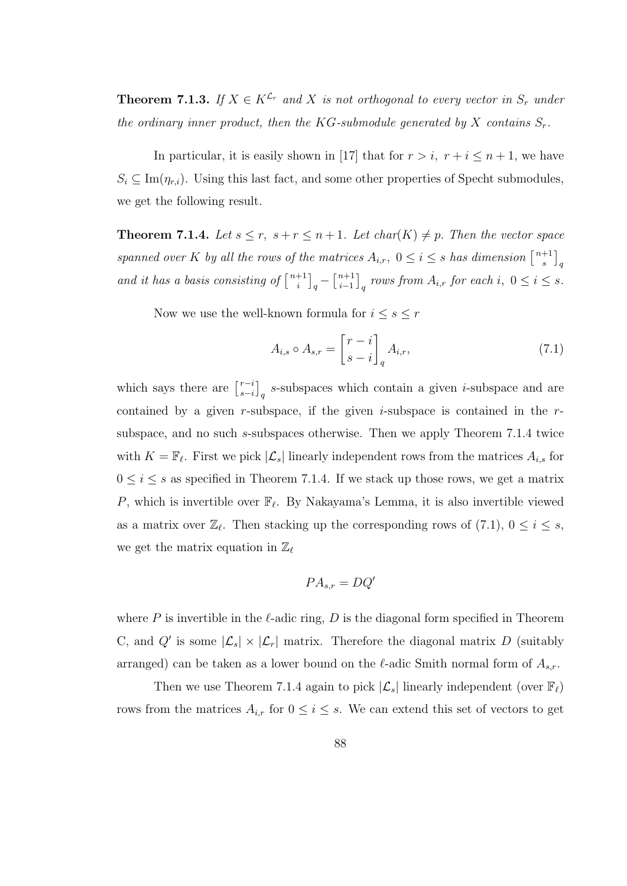**Theorem 7.1.3.** If  $X \in K^{\mathcal{L}_r}$  and X is not orthogonal to every vector in  $S_r$  under the ordinary inner product, then the KG-submodule generated by X contains  $S_r$ .

In particular, it is easily shown in [17] that for  $r > i$ ,  $r + i \leq n + 1$ , we have  $S_i \subseteq \text{Im}(\eta_{r,i})$ . Using this last fact, and some other properties of Specht submodules, we get the following result.

**Theorem 7.1.4.** Let  $s \leq r$ ,  $s + r \leq n + 1$ . Let char(K)  $\neq p$ . Then the vector space spanned over K by all the rows of the matrices  $A_{i,r}$ ,  $0 \leq i \leq s$  has dimension  $\lceil \frac{n+1}{s} \rceil$  $\left.\begin{smallmatrix} +1\ s \end{smallmatrix}\right]_q$ and it has a basis consisting of  $\lceil \frac{n+1}{i} \rceil$  $\begin{bmatrix} +1 \\ i \end{bmatrix}_q - \begin{bmatrix} n+1 \\ i-1 \end{bmatrix}$  $\left[\begin{smallmatrix} n+1 \ i-1 \end{smallmatrix}\right]_q$  rows from  $A_{i,r}$  for each  $i, 0 \leq i \leq s$ .

Now we use the well-known formula for  $i \leq s \leq r$ 

$$
A_{i,s} \circ A_{s,r} = \begin{bmatrix} r-i \\ s-i \end{bmatrix}_q A_{i,r}, \tag{7.1}
$$

which says there are  $\begin{bmatrix} r-i \\ s-i \end{bmatrix}$  $\left[\begin{array}{c} r-i \ s-i \end{array}\right]_q$  s-subspaces which contain a given *i*-subspace and are contained by a given r-subspace, if the given *i*-subspace is contained in the  $r$ subspace, and no such s-subspaces otherwise. Then we apply Theorem 7.1.4 twice with  $K = \mathbb{F}_{\ell}$ . First we pick  $|\mathcal{L}_s|$  linearly independent rows from the matrices  $A_{i,s}$  for  $0 \leq i \leq s$  as specified in Theorem 7.1.4. If we stack up those rows, we get a matrix P, which is invertible over  $\mathbb{F}_{\ell}$ . By Nakayama's Lemma, it is also invertible viewed as a matrix over  $\mathbb{Z}_{\ell}$ . Then stacking up the corresponding rows of (7.1),  $0 \leq i \leq s$ , we get the matrix equation in  $\mathbb{Z}_{\ell}$ 

$$
PA_{s,r} = DQ'
$$

where P is invertible in the  $\ell$ -adic ring, D is the diagonal form specified in Theorem C, and Q' is some  $|\mathcal{L}_s| \times |\mathcal{L}_r|$  matrix. Therefore the diagonal matrix D (suitably arranged) can be taken as a lower bound on the  $\ell$ -adic Smith normal form of  $A_{s,r}$ .

Then we use Theorem 7.1.4 again to pick  $|\mathcal{L}_s|$  linearly independent (over  $\mathbb{F}_{\ell}$ ) rows from the matrices  $A_{i,r}$  for  $0 \leq i \leq s$ . We can extend this set of vectors to get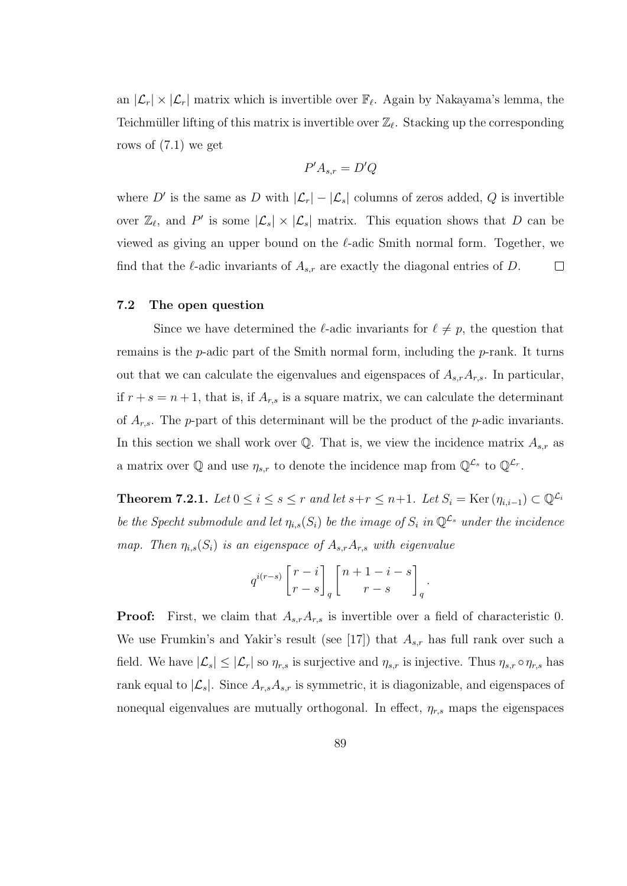an  $|\mathcal{L}_r| \times |\mathcal{L}_r|$  matrix which is invertible over  $\mathbb{F}_{\ell}$ . Again by Nakayama's lemma, the Teichmüller lifting of this matrix is invertible over  $\mathbb{Z}_{\ell}$ . Stacking up the corresponding rows of  $(7.1)$  we get

$$
P'A_{s,r} = D'Q
$$

where D' is the same as D with  $|\mathcal{L}_r| - |\mathcal{L}_s|$  columns of zeros added, Q is invertible over  $\mathbb{Z}_{\ell}$ , and P' is some  $|\mathcal{L}_s| \times |\mathcal{L}_s|$  matrix. This equation shows that D can be viewed as giving an upper bound on the  $\ell$ -adic Smith normal form. Together, we find that the  $\ell$ -adic invariants of  $A_{s,r}$  are exactly the diagonal entries of D.  $\Box$ 

#### 7.2 The open question

Since we have determined the  $\ell$ -adic invariants for  $\ell \neq p$ , the question that remains is the  $p$ -adic part of the Smith normal form, including the  $p$ -rank. It turns out that we can calculate the eigenvalues and eigenspaces of  $A_{s,r}A_{r,s}$ . In particular, if  $r + s = n + 1$ , that is, if  $A_{r,s}$  is a square matrix, we can calculate the determinant of  $A_{r,s}$ . The *p*-part of this determinant will be the product of the *p*-adic invariants. In this section we shall work over  $\mathbb{Q}$ . That is, we view the incidence matrix  $A_{s,r}$  as a matrix over Q and use  $\eta_{s,r}$  to denote the incidence map from  $\mathbb{Q}^{\mathcal{L}_s}$  to  $\mathbb{Q}^{\mathcal{L}_r}$ .

**Theorem 7.2.1.** Let  $0 \le i \le s \le r$  and let  $s+r \le n+1$ . Let  $S_i = \text{Ker}(\eta_{i,i-1}) \subset \mathbb{Q}^{\mathcal{L}_i}$ be the Specht submodule and let  $\eta_{i,s}(S_i)$  be the image of  $S_i$  in  $\mathbb{Q}^{\mathcal{L}_s}$  under the incidence map. Then  $\eta_{i,s}(S_i)$  is an eigenspace of  $A_{s,r}A_{r,s}$  with eigenvalue

$$
q^{i(r-s)}\begin{bmatrix}r-i\\r-s\end{bmatrix}_q\begin{bmatrix}n+1-i-s\\r-s\end{bmatrix}_q.
$$

**Proof:** First, we claim that  $A_{s,r}A_{r,s}$  is invertible over a field of characteristic 0. We use Frumkin's and Yakir's result (see [17]) that  $A_{s,r}$  has full rank over such a field. We have  $|\mathcal{L}_s| \leq |\mathcal{L}_r|$  so  $\eta_{r,s}$  is surjective and  $\eta_{s,r}$  is injective. Thus  $\eta_{s,r} \circ \eta_{r,s}$  has rank equal to  $|\mathcal{L}_s|$ . Since  $A_{r,s}A_{s,r}$  is symmetric, it is diagonizable, and eigenspaces of nonequal eigenvalues are mutually orthogonal. In effect,  $\eta_{r,s}$  maps the eigenspaces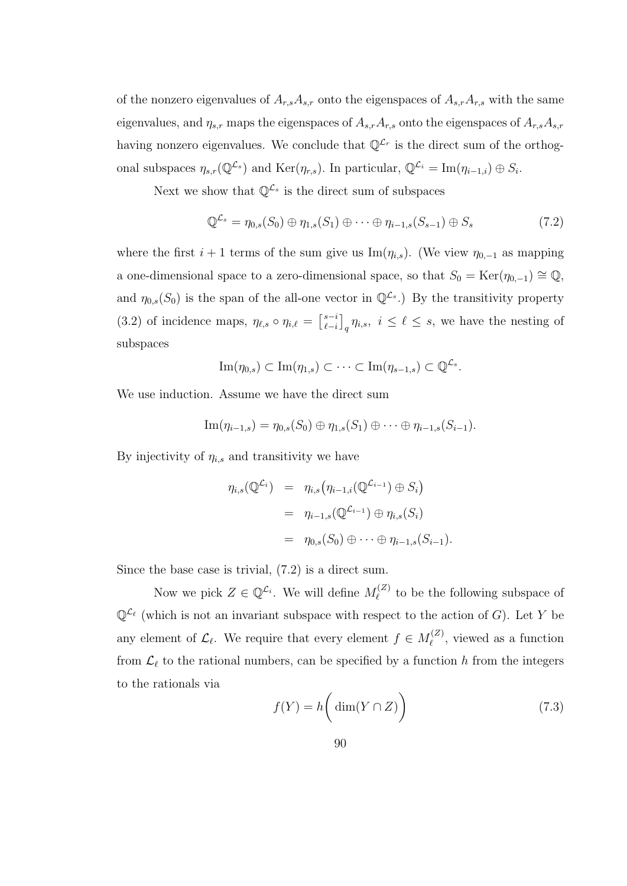of the nonzero eigenvalues of  $A_{r,s}A_{s,r}$  onto the eigenspaces of  $A_{s,r}A_{r,s}$  with the same eigenvalues, and  $\eta_{s,r}$  maps the eigenspaces of  $A_{s,r}A_{r,s}$  onto the eigenspaces of  $A_{r,s}A_{s,r}$ having nonzero eigenvalues. We conclude that  $\mathbb{Q}^{\mathcal{L}_r}$  is the direct sum of the orthogonal subspaces  $\eta_{s,r}(\mathbb{Q}^{\mathcal{L}_s})$  and  $\text{Ker}(\eta_{r,s})$ . In particular,  $\mathbb{Q}^{\mathcal{L}_i} = \text{Im}(\eta_{i-1,i}) \oplus S_i$ .

Next we show that  $\mathbb{Q}^{\mathcal{L}_s}$  is the direct sum of subspaces

$$
\mathbb{Q}^{\mathcal{L}_s} = \eta_{0,s}(S_0) \oplus \eta_{1,s}(S_1) \oplus \cdots \oplus \eta_{i-1,s}(S_{s-1}) \oplus S_s \tag{7.2}
$$

where the first  $i + 1$  terms of the sum give us Im $(\eta_{i,s})$ . (We view  $\eta_{0,-1}$  as mapping a one-dimensional space to a zero-dimensional space, so that  $S_0 = \text{Ker}(\eta_{0,-1}) \cong \mathbb{Q}$ , and  $\eta_{0,s}(S_0)$  is the span of the all-one vector in  $\mathbb{Q}^{\mathcal{L}_s}$ . By the transitivity property  $(3.2)$  of incidence maps,  $\eta_{\ell,s} \circ \eta_{i,\ell} = \begin{bmatrix} s-i \\ \ell-i \end{bmatrix}$  $\left\{\begin{matrix} s-i \\ \ell-i \end{matrix}\right\}_{q}$   $\eta_{i,s}, i \leq \ell \leq s$ , we have the nesting of subspaces

$$
\operatorname{Im}(\eta_{0,s}) \subset \operatorname{Im}(\eta_{1,s}) \subset \cdots \subset \operatorname{Im}(\eta_{s-1,s}) \subset \mathbb{Q}^{\mathcal{L}_s}.
$$

We use induction. Assume we have the direct sum

$$
\mathrm{Im}(\eta_{i-1,s}) = \eta_{0,s}(S_0) \oplus \eta_{1,s}(S_1) \oplus \cdots \oplus \eta_{i-1,s}(S_{i-1}).
$$

By injectivity of  $\eta_{i,s}$  and transitivity we have

$$
\eta_{i,s}(\mathbb{Q}^{\mathcal{L}_i}) = \eta_{i,s}(\eta_{i-1,i}(\mathbb{Q}^{\mathcal{L}_{i-1}}) \oplus S_i)
$$
  
= 
$$
\eta_{i-1,s}(\mathbb{Q}^{\mathcal{L}_{i-1}}) \oplus \eta_{i,s}(S_i)
$$
  
= 
$$
\eta_{0,s}(S_0) \oplus \cdots \oplus \eta_{i-1,s}(S_{i-1}).
$$

Since the base case is trivial, (7.2) is a direct sum.

Now we pick  $Z \in \mathbb{Q}^{\mathcal{L}_i}$ . We will define  $M^{(Z)}_{\ell}$  $\ell^{(2)}$  to be the following subspace of  $\mathbb{Q}^{\mathcal{L}_{\ell}}$  (which is not an invariant subspace with respect to the action of G). Let Y be any element of  $\mathcal{L}_{\ell}$ . We require that every element  $f \in M_{\ell}^{(Z)}$  $\ell^{(2)}$ , viewed as a function from  $\mathcal{L}_\ell$  to the rational numbers, can be specified by a function h from the integers to the rationals via

$$
f(Y) = h\left(\dim(Y \cap Z)\right) \tag{7.3}
$$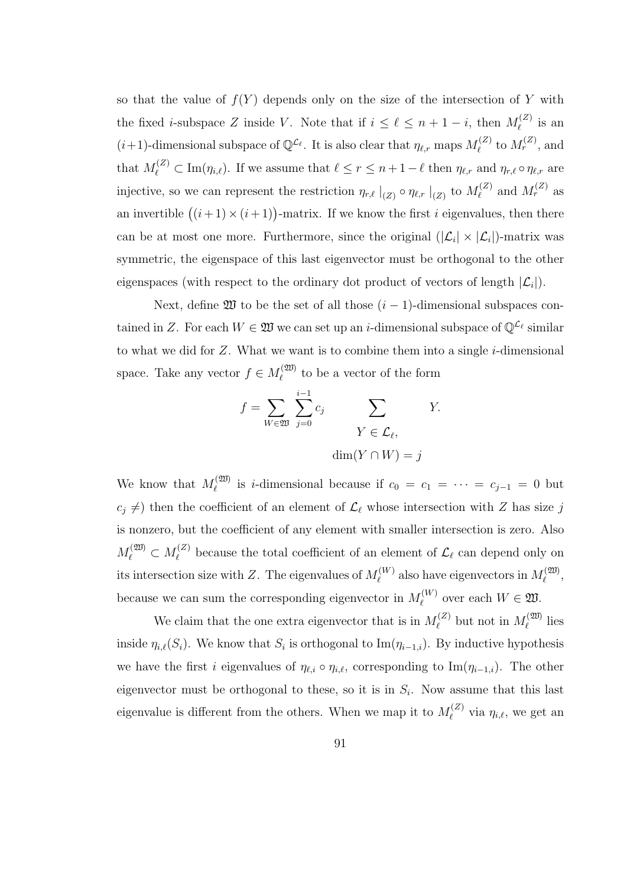so that the value of  $f(Y)$  depends only on the size of the intersection of Y with the fixed *i*-subspace Z inside V. Note that if  $i \leq \ell \leq n + 1 - i$ , then  $M_{\ell}^{(Z)}$  $\int_{\ell}^{(\mathcal{L})}$  is an  $(i+1)$ -dimensional subspace of  $\mathbb{Q}^{\mathcal{L}_{\ell}}$ . It is also clear that  $\eta_{\ell,r}$  maps  $M_{\ell}^{(Z)}$  $\mathcal{M}_\ell^{(Z)}$  to  $M_r^{(Z)}$ , and that  $M_{\ell}^{(Z)} \subset \text{Im}(\eta_{i,\ell})$ . If we assume that  $\ell \leq r \leq n+1-\ell$  then  $\eta_{\ell,r}$  and  $\eta_{r,\ell} \circ \eta_{\ell,r}$  are injective, so we can represent the restriction  $\eta_{r,\ell} \mid_{(Z)} \circ \eta_{\ell,r} \mid_{(Z)}$  to  $M_{\ell}^{(Z)}$  $\mathcal{M}_\ell^{(Z)}$  and  $M_r^{(Z)}$  as an invertible  $((i+1) \times (i+1))$ -matrix. If we know the first i eigenvalues, then there can be at most one more. Furthermore, since the original  $(|\mathcal{L}_i| \times |\mathcal{L}_i|)$ -matrix was symmetric, the eigenspace of this last eigenvector must be orthogonal to the other eigenspaces (with respect to the ordinary dot product of vectors of length  $|\mathcal{L}_i|$ ).

Next, define  $\mathfrak W$  to be the set of all those  $(i-1)$ -dimensional subspaces contained in Z. For each  $W \in \mathfrak{W}$  we can set up an *i*-dimensional subspace of  $\mathbb{Q}^{\mathcal{L}_{\ell}}$  similar to what we did for  $Z$ . What we want is to combine them into a single  $i$ -dimensional space. Take any vector  $f \in M_{\ell}^{(\mathfrak{W})}$  $\ell^{(20)}$  to be a vector of the form

$$
f = \sum_{W \in \mathfrak{W}} \sum_{j=0}^{i-1} c_j \sum_{\substack{Y \in \mathcal{L}_{\ell}, \\ \dim(Y \cap W) = j}} Y.
$$

We know that  $M_{\ell}^{(\mathfrak{W})}$ <sup>(20)</sup> is *i*-dimensional because if  $c_0 = c_1 = \cdots = c_{j-1} = 0$  but  $c_j \neq$ ) then the coefficient of an element of  $\mathcal{L}_\ell$  whose intersection with Z has size j is nonzero, but the coefficient of any element with smaller intersection is zero. Also  $M_{\ell}^{(\mathfrak{W})} \subset M_{\ell}^{(Z)}$ <sup>(2)</sup> because the total coefficient of an element of  $\mathcal{L}_{\ell}$  can depend only on its intersection size with Z. The eigenvalues of  $M_{\ell}^{(W)}$  $\ell_{\ell}^{(W)}$  also have eigenvectors in  $M_{\ell}^{(\mathfrak{W})}$  $_{\ell}^{\mathsf{row}},$ because we can sum the corresponding eigenvector in  $M_{\ell}^{(W)}$  $\ell^{(W)}$  over each  $W \in \mathfrak{W}$ .

We claim that the one extra eigenvector that is in  $M_{\ell}^{(Z)}$  $\mathcal{U}^{(Z)}_{\ell}$  but not in  $M^{(\mathfrak{W})}_{\ell}$  $\int_{\ell}^{(2D)}$  lies inside  $\eta_{i,\ell}(S_i)$ . We know that  $S_i$  is orthogonal to Im $(\eta_{i-1,i})$ . By inductive hypothesis we have the first i eigenvalues of  $\eta_{\ell,i} \circ \eta_{i,\ell}$ , corresponding to Im $(\eta_{i-1,i})$ . The other eigenvector must be orthogonal to these, so it is in  $S_i$ . Now assume that this last eigenvalue is different from the others. When we map it to  $M_{\ell}^{(Z)}$  $\eta_{\ell}^{(2)}$  via  $\eta_{i,\ell}$ , we get an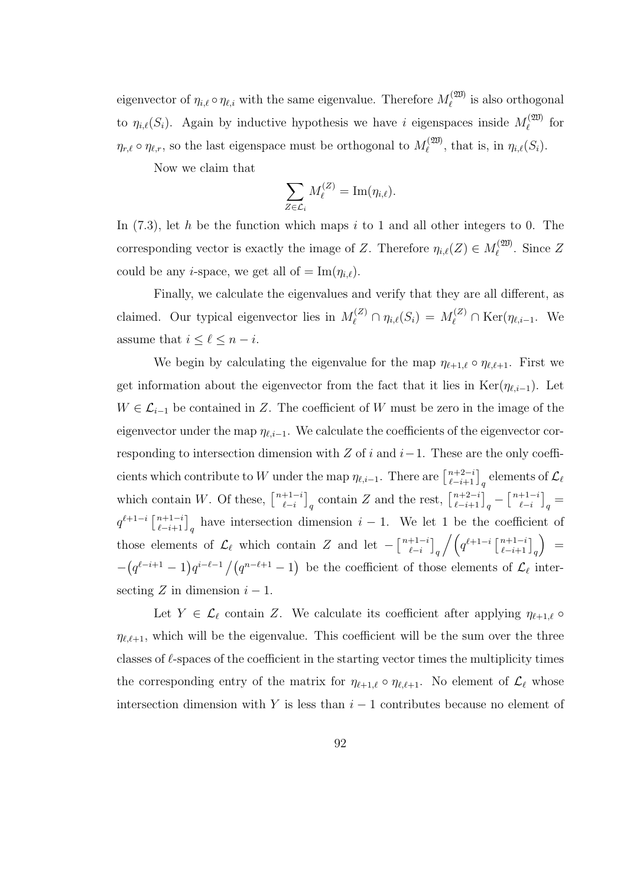eigenvector of  $\eta_{i,\ell} \circ \eta_{\ell,i}$  with the same eigenvalue. Therefore  $M_{\ell}^{(\mathfrak{W})}$  $\ell^{(20)}$  is also orthogonal to  $\eta_{i,\ell}(S_i)$ . Again by inductive hypothesis we have i eigenspaces inside  $M_{\ell}^{(\mathfrak{W})}$  $\int_{\ell}^{(2D)}$  for  $\eta_{r,\ell} \circ \eta_{\ell,r}$ , so the last eigenspace must be orthogonal to  $M_{\ell}^{(\mathfrak{W})}$  $\mathcal{U}_{\ell}^{(2D)}$ , that is, in  $\eta_{i,\ell}(S_i)$ .

Now we claim that

$$
\sum_{Z \in \mathcal{L}_i} M_{\ell}^{(Z)} = \text{Im}(\eta_{i,\ell}).
$$

In  $(7.3)$ , let h be the function which maps i to 1 and all other integers to 0. The corresponding vector is exactly the image of Z. Therefore  $\eta_{i,\ell}(Z) \in M_{\ell}^{(\mathfrak{W})}$  $\mathcal{L}^{(20)}$ . Since Z could be any *i*-space, we get all of  $= \text{Im}(\eta_{i,\ell}).$ 

Finally, we calculate the eigenvalues and verify that they are all different, as claimed. Our typical eigenvector lies in  $M_{\ell}^{(Z)} \cap \eta_{i,\ell}(S_i) = M_{\ell}^{(Z)} \cap \text{Ker}(\eta_{\ell,i-1})$ . We assume that  $i \leq \ell \leq n - i$ .

We begin by calculating the eigenvalue for the map  $\eta_{\ell+1,\ell} \circ \eta_{\ell,\ell+1}$ . First we get information about the eigenvector from the fact that it lies in Ker( $\eta_{\ell,i-1}$ ). Let  $W \in \mathcal{L}_{i-1}$  be contained in Z. The coefficient of W must be zero in the image of the eigenvector under the map  $\eta_{\ell,i-1}$ . We calculate the coefficients of the eigenvector corresponding to intersection dimension with Z of i and  $i-1$ . These are the only coefficients which contribute to W under the map  $\eta_{\ell,i-1}$ . There are  $\begin{bmatrix} n+2-i \\ \ell-i+1 \end{bmatrix}_q$  elements of  $\mathcal{L}_\ell$ which contain W. Of these,  $\begin{bmatrix} n+1-i \\ i-i \end{bmatrix}$ <sup>+1-i</sup><sup>l</sup><sub>q</sub></sub> contain Z and the rest,  $\left[\frac{n+2-i}{\ell-i+1}\right]_q - \left[\frac{n+1-i}{\ell-i}\right]_q$  $_{\ell-i}^{+1-i}\big]_q=$  $q^{\ell+1-i} \begin{bmatrix} n+1-i \\ \ell-i+1 \end{bmatrix}_q$  have intersection dimension  $i-1$ . We let 1 be the coefficient of those elements of  $\mathcal{L}_{\ell}$  which contain Z and let  $-\begin{bmatrix} n+1-i \\ \ell-i \end{bmatrix}$  $\left.\begin{array}{c} +1-i \\ \ell-i \end{array}\right]_q\Big/\Big(q^{\ell+1-i} \left[\begin{smallmatrix} n+1-i\ \ell-i+1 \end{smallmatrix}\right]_q$  $=$  $-(q^{\ell-i+1}-1)q^{i-\ell-1}/(q^{n-\ell+1}-1)$  be the coefficient of those elements of  $\mathcal{L}_{\ell}$  intersecting Z in dimension  $i-1$ .

Let  $Y \in \mathcal{L}_{\ell}$  contain Z. We calculate its coefficient after applying  $\eta_{\ell+1,\ell} \circ$  $\eta_{\ell,\ell+1}$ , which will be the eigenvalue. This coefficient will be the sum over the three classes of  $\ell$ -spaces of the coefficient in the starting vector times the multiplicity times the corresponding entry of the matrix for  $\eta_{\ell+1,\ell} \circ \eta_{\ell,\ell+1}$ . No element of  $\mathcal{L}_{\ell}$  whose intersection dimension with Y is less than  $i - 1$  contributes because no element of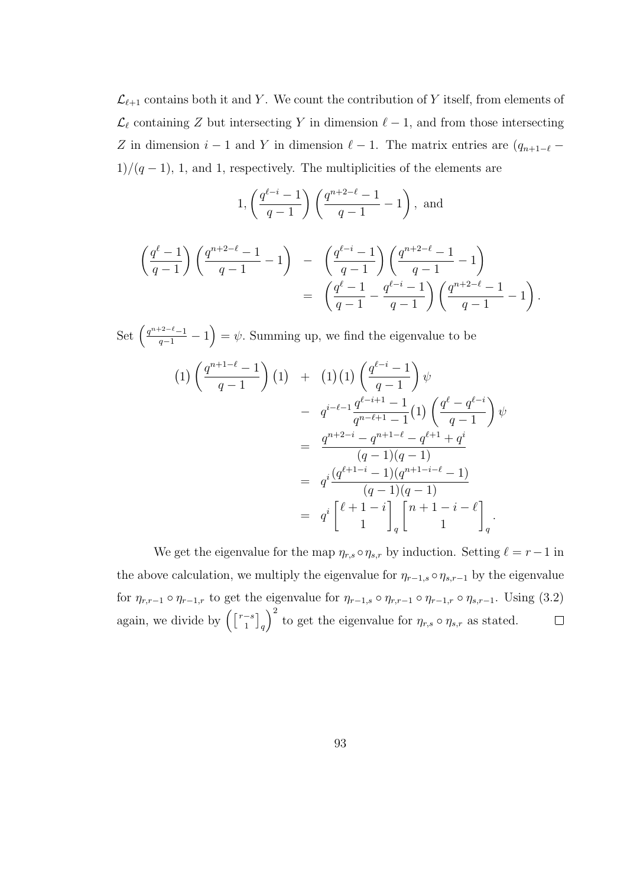$\mathcal{L}_{\ell+1}$  contains both it and Y. We count the contribution of Y itself, from elements of  $\mathcal{L}_{\ell}$  containing Z but intersecting Y in dimension  $\ell - 1$ , and from those intersecting Z in dimension  $i - 1$  and Y in dimension  $\ell - 1$ . The matrix entries are  $(q_{n+1-\ell} 1)/(q-1)$ , 1, and 1, respectively. The multiplicities of the elements are

$$
1, \left(\frac{q^{\ell-i}-1}{q-1}\right)\left(\frac{q^{n+2-\ell}-1}{q-1}-1\right), \text{ and}
$$

$$
\begin{array}{lcl} \left(\frac{q^{\ell}-1}{q-1}\right) \left(\frac{q^{n+2-\ell}-1}{q-1}-1\right) & = & \left(\frac{q^{\ell-i}-1}{q-1}\right) \left(\frac{q^{n+2-\ell}-1}{q-1}-1\right) \\ & = & \left(\frac{q^{\ell}-1}{q-1}-\frac{q^{\ell-i}-1}{q-1}\right) \left(\frac{q^{n+2-\ell}-1}{q-1}-1\right). \end{array}
$$

Set  $\left(\frac{q^{n+2-\ell}-1}{q-1}-1\right)=\psi$ . Summing up, we find the eigenvalue to be

$$
(1) \left(\frac{q^{n+1-\ell}-1}{q-1}\right)(1) + (1) (1) \left(\frac{q^{\ell-i}-1}{q-1}\right)\psi
$$
  
\n
$$
- q^{i-\ell-1}\frac{q^{\ell-i+1}-1}{q^{n-\ell+1}-1}(1) \left(\frac{q^{\ell}-q^{\ell-i}}{q-1}\right)\psi
$$
  
\n
$$
= \frac{q^{n+2-i}-q^{n+1-\ell}-q^{\ell+1}+q^{i}}{(q-1)(q-1)}
$$
  
\n
$$
= q^{i} \frac{(q^{\ell+1-i}-1)(q^{n+1-i-\ell}-1)}{(q-1)(q-1)}
$$
  
\n
$$
= q^{i} \left[\frac{\ell+1-i}{1}\right]_{q} \left[n+1-i-\ell\right]_{q}.
$$

We get the eigenvalue for the map  $\eta_{r,s} \circ \eta_{s,r}$  by induction. Setting  $\ell = r-1$  in the above calculation, we multiply the eigenvalue for  $\eta_{r-1,s} \circ \eta_{s,r-1}$  by the eigenvalue for  $\eta_{r,r-1} \circ \eta_{r-1,r}$  to get the eigenvalue for  $\eta_{r-1,s} \circ \eta_{r,r-1} \circ \eta_{r-1,r} \circ \eta_{s,r-1}$ . Using (3.2)  $\int^2$  to get the eigenvalue for  $\eta_{r,s} \circ \eta_{s,r}$  as stated. again, we divide by  $\left(\begin{array}{c} r-s \\ 1 \end{array}\right)$  $\left[\begin{smallmatrix} -s\ 1 \end{smallmatrix}\right]_q$  $\Box$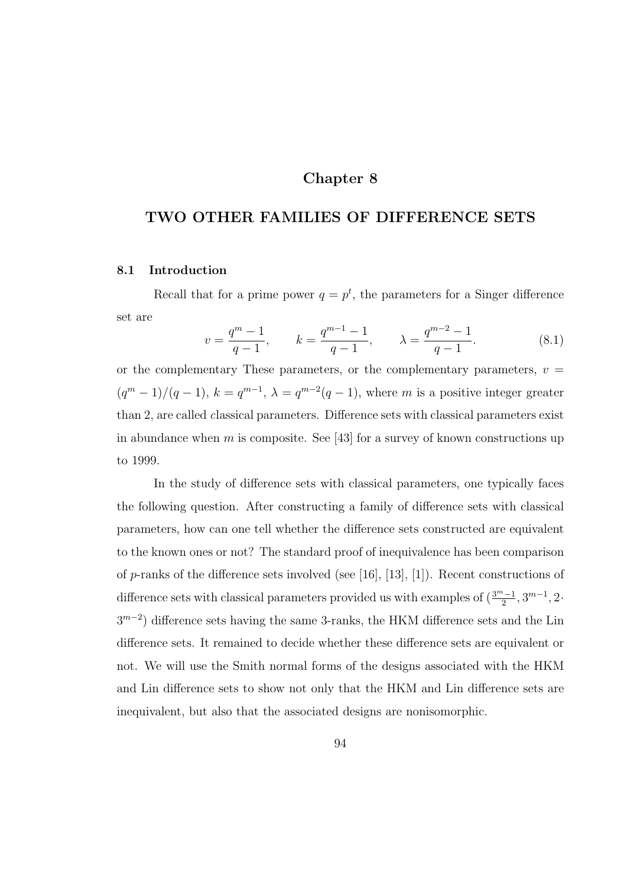### Chapter 8

## TWO OTHER FAMILIES OF DIFFERENCE SETS

#### 8.1 Introduction

Recall that for a prime power  $q = p^t$ , the parameters for a Singer difference set are

$$
v = \frac{q^m - 1}{q - 1}, \qquad k = \frac{q^{m-1} - 1}{q - 1}, \qquad \lambda = \frac{q^{m-2} - 1}{q - 1}.
$$
 (8.1)

or the complementary These parameters, or the complementary parameters,  $v =$  $(q^m-1)/(q-1), k=q^{m-1}, \lambda=q^{m-2}(q-1)$ , where m is a positive integer greater than 2, are called classical parameters. Difference sets with classical parameters exist in abundance when m is composite. See [43] for a survey of known constructions up to 1999.

In the study of difference sets with classical parameters, one typically faces the following question. After constructing a family of difference sets with classical parameters, how can one tell whether the difference sets constructed are equivalent to the known ones or not? The standard proof of inequivalence has been comparison of p-ranks of the difference sets involved (see [16], [13], [1]). Recent constructions of difference sets with classical parameters provided us with examples of  $(\frac{3^m-1}{2}, 3^{m-1}, 2$ .  $3^{m-2}$ ) difference sets having the same 3-ranks, the HKM difference sets and the Lin difference sets. It remained to decide whether these difference sets are equivalent or not. We will use the Smith normal forms of the designs associated with the HKM and Lin difference sets to show not only that the HKM and Lin difference sets are inequivalent, but also that the associated designs are nonisomorphic.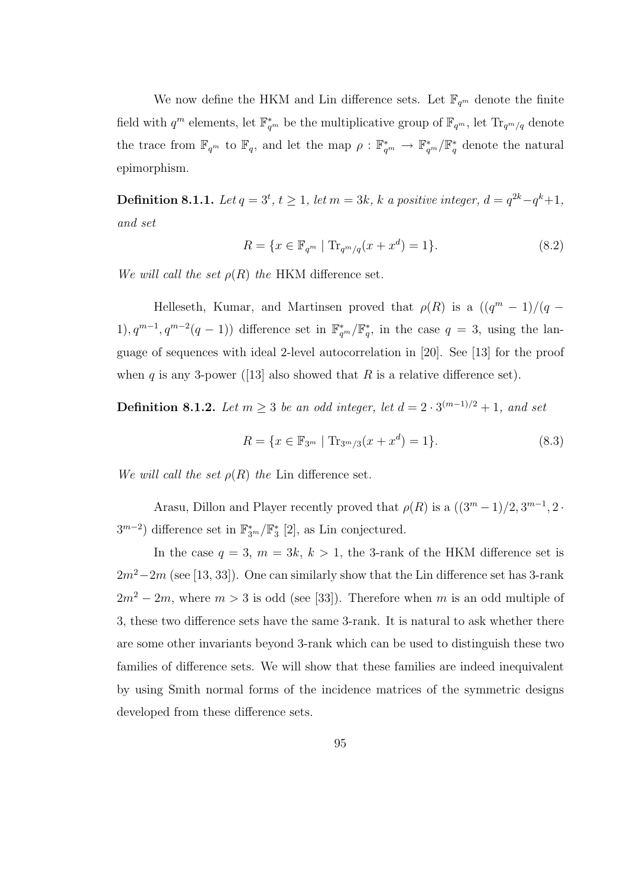We now define the HKM and Lin difference sets. Let  $\mathbb{F}_{q^m}$  denote the finite field with  $q^m$  elements, let  $\mathbb{F}_{q^m}^*$  be the multiplicative group of  $\mathbb{F}_{q^m}$ , let  $\text{Tr}_{q^m/q}$  denote the trace from  $\mathbb{F}_{q^m}$  to  $\mathbb{F}_q$ , and let the map  $\rho : \mathbb{F}_{q^m}^* \to \mathbb{F}_{q^m}^* / \mathbb{F}_{q}^*$  denote the natural epimorphism.

**Definition 8.1.1.** Let  $q = 3^t$ ,  $t \ge 1$ , let  $m = 3k$ , k a positive integer,  $d = q^{2k} - q^k + 1$ , and set

$$
R = \{ x \in \mathbb{F}_{q^m} \mid \text{Tr}_{q^m/q}(x + x^d) = 1 \}. \tag{8.2}
$$

We will call the set  $\rho(R)$  the HKM difference set.

Helleseth, Kumar, and Martinsen proved that  $\rho(R)$  is a  $((q^m - 1)/(q -$ 1),  $q^{m-1}$ ,  $q^{m-2}(q-1)$  difference set in  $\mathbb{F}_{q^m}^* / \mathbb{F}_{q}^*$ , in the case  $q=3$ , using the language of sequences with ideal 2-level autocorrelation in [20]. See [13] for the proof when q is any 3-power ([13] also showed that R is a relative difference set).

**Definition 8.1.2.** Let  $m \geq 3$  be an odd integer, let  $d = 2 \cdot 3^{(m-1)/2} + 1$ , and set

$$
R = \{x \in \mathbb{F}_{3^m} \mid \text{Tr}_{3^m/3}(x + x^d) = 1\}.
$$
\n(8.3)

We will call the set  $\rho(R)$  the Lin difference set.

Arasu, Dillon and Player recently proved that  $\rho(R)$  is a  $((3<sup>m</sup> - 1)/2, 3<sup>m-1</sup>, 2$ .  $3^{m-2}$ ) difference set in  $\mathbb{F}_{3^m}^*$   $\mathbb{F}_3^*$  [2], as Lin conjectured.

In the case  $q = 3$ ,  $m = 3k$ ,  $k > 1$ , the 3-rank of the HKM difference set is  $2m^2-2m$  (see [13, 33]). One can similarly show that the Lin difference set has 3-rank  $2m^2 - 2m$ , where  $m > 3$  is odd (see [33]). Therefore when m is an odd multiple of 3, these two difference sets have the same 3-rank. It is natural to ask whether there are some other invariants beyond 3-rank which can be used to distinguish these two families of difference sets. We will show that these families are indeed inequivalent by using Smith normal forms of the incidence matrices of the symmetric designs developed from these difference sets.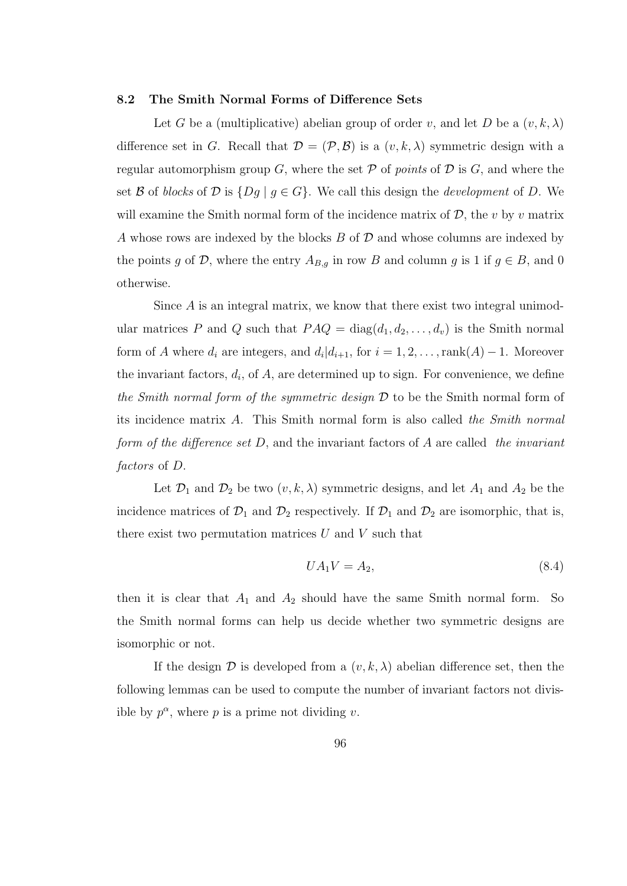#### 8.2 The Smith Normal Forms of Difference Sets

Let G be a (multiplicative) abelian group of order v, and let D be a  $(v, k, \lambda)$ difference set in G. Recall that  $\mathcal{D} = (\mathcal{P}, \mathcal{B})$  is a  $(v, k, \lambda)$  symmetric design with a regular automorphism group G, where the set  $P$  of points of  $D$  is G, and where the set B of blocks of D is  $\{Dg \mid g \in G\}$ . We call this design the *development* of D. We will examine the Smith normal form of the incidence matrix of  $\mathcal{D}$ , the v by v matrix A whose rows are indexed by the blocks  $B$  of  $D$  and whose columns are indexed by the points g of D, where the entry  $A_{B,g}$  in row B and column g is 1 if  $g \in B$ , and 0 otherwise.

Since  $A$  is an integral matrix, we know that there exist two integral unimodular matrices P and Q such that  $PAQ = diag(d_1, d_2, \ldots, d_v)$  is the Smith normal form of A where  $d_i$  are integers, and  $d_i|d_{i+1}$ , for  $i = 1, 2, \ldots, \text{rank}(A) - 1$ . Moreover the invariant factors,  $d_i$ , of A, are determined up to sign. For convenience, we define the Smith normal form of the symmetric design  $\mathcal D$  to be the Smith normal form of its incidence matrix A. This Smith normal form is also called the Smith normal form of the difference set  $D$ , and the invariant factors of  $A$  are called the invariant factors of D.

Let  $\mathcal{D}_1$  and  $\mathcal{D}_2$  be two  $(v, k, \lambda)$  symmetric designs, and let  $A_1$  and  $A_2$  be the incidence matrices of  $\mathcal{D}_1$  and  $\mathcal{D}_2$  respectively. If  $\mathcal{D}_1$  and  $\mathcal{D}_2$  are isomorphic, that is, there exist two permutation matrices  $U$  and  $V$  such that

$$
UA_1V = A_2,\t\t(8.4)
$$

then it is clear that  $A_1$  and  $A_2$  should have the same Smith normal form. So the Smith normal forms can help us decide whether two symmetric designs are isomorphic or not.

If the design  $\mathcal D$  is developed from a  $(v, k, \lambda)$  abelian difference set, then the following lemmas can be used to compute the number of invariant factors not divisible by  $p^{\alpha}$ , where p is a prime not dividing v.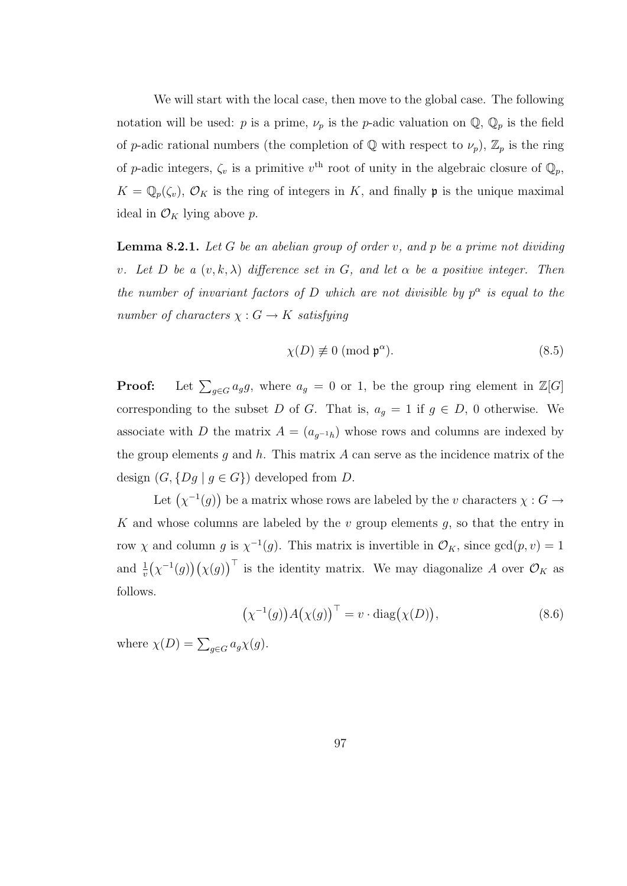We will start with the local case, then move to the global case. The following notation will be used: p is a prime,  $\nu_p$  is the p-adic valuation on  $\mathbb{Q}, \mathbb{Q}_p$  is the field of p-adic rational numbers (the completion of  $\mathbb Q$  with respect to  $\nu_p$ ),  $\mathbb Z_p$  is the ring of p-adic integers,  $\zeta_v$  is a primitive  $v^{\text{th}}$  root of unity in the algebraic closure of  $\mathbb{Q}_p$ ,  $K = \mathbb{Q}_p(\zeta_v)$ ,  $\mathcal{O}_K$  is the ring of integers in K, and finally p is the unique maximal ideal in  $\mathcal{O}_K$  lying above p.

**Lemma 8.2.1.** Let G be an abelian group of order v, and p be a prime not dividing v. Let D be a  $(v, k, \lambda)$  difference set in G, and let  $\alpha$  be a positive integer. Then the number of invariant factors of D which are not divisible by  $p^{\alpha}$  is equal to the number of characters  $\chi: G \to K$  satisfying

$$
\chi(D) \not\equiv 0 \pmod{\mathfrak{p}^{\alpha}}.
$$
\n(8.5)

**Proof:** Let  $\sum_{g \in G} a_g g$ , where  $a_g = 0$  or 1, be the group ring element in  $\mathbb{Z}[G]$ corresponding to the subset D of G. That is,  $a_g = 1$  if  $g \in D$ , 0 otherwise. We associate with D the matrix  $A = (a_{g^{-1}h})$  whose rows and columns are indexed by the group elements q and h. This matrix A can serve as the incidence matrix of the design  $(G, {Dg | g \in G})$  developed from D.

Let  $(\chi^{-1}(g))$  be a matrix whose rows are labeled by the v characters  $\chi: G \to$ K and whose columns are labeled by the  $v$  group elements  $g$ , so that the entry in row  $\chi$  and column g is  $\chi^{-1}(g)$ . This matrix is invertible in  $\mathcal{O}_K$ , since  $gcd(p, v) = 1$ and  $\frac{1}{v}(\chi^{-1}(g))(\chi(g))^{\top}$  is the identity matrix. We may diagonalize A over  $\mathcal{O}_K$  as follows.

$$
\left(\chi^{-1}(g)\right)A\big(\chi(g)\big)^{\top} = v \cdot \text{diag}\big(\chi(D)\big),\tag{8.6}
$$

where  $\chi(D) = \sum_{g \in G} a_g \chi(g)$ .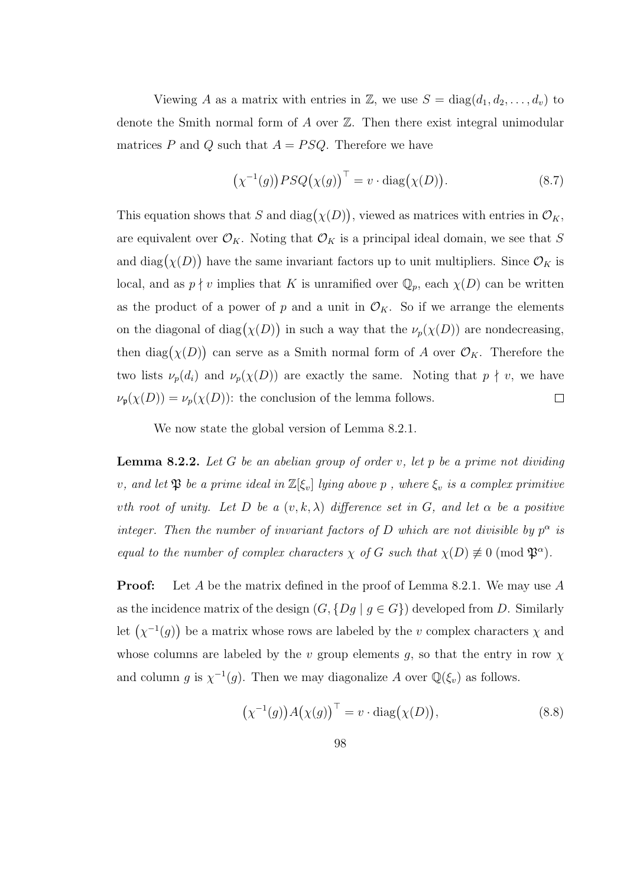Viewing A as a matrix with entries in Z, we use  $S = diag(d_1, d_2, \ldots, d_v)$  to denote the Smith normal form of  $A$  over  $\mathbb{Z}$ . Then there exist integral unimodular matrices P and Q such that  $A = PSQ$ . Therefore we have

$$
\left(\chi^{-1}(g)\right)PSQ\big(\chi(g)\big)^{\top} = v \cdot \text{diag}\big(\chi(D)\big). \tag{8.7}
$$

This equation shows that S and  $\text{diag}(\chi(D))$ , viewed as matrices with entries in  $\mathcal{O}_K$ , are equivalent over  $\mathcal{O}_K$ . Noting that  $\mathcal{O}_K$  is a principal ideal domain, we see that S and diag $(\chi(D))$  have the same invariant factors up to unit multipliers. Since  $\mathcal{O}_K$  is local, and as  $p \nmid v$  implies that K is unramified over  $\mathbb{Q}_p$ , each  $\chi(D)$  can be written as the product of a power of p and a unit in  $\mathcal{O}_K$ . So if we arrange the elements on the diagonal of diag $(\chi(D))$  in such a way that the  $\nu_p(\chi(D))$  are nondecreasing, then  $\text{diag}(\chi(D))$  can serve as a Smith normal form of A over  $\mathcal{O}_K$ . Therefore the two lists  $\nu_p(d_i)$  and  $\nu_p(\chi(D))$  are exactly the same. Noting that  $p \nmid v$ , we have  $\nu_{\mathfrak{p}}(\chi(D)) = \nu_{p}(\chi(D))$ : the conclusion of the lemma follows.  $\Box$ 

We now state the global version of Lemma 8.2.1.

**Lemma 8.2.2.** Let G be an abelian group of order v, let p be a prime not dividing v, and let  $\mathfrak P$  be a prime ideal in  $\mathbb Z[\xi_v]$  lying above p, where  $\xi_v$  is a complex primitive *vth root of unity.* Let D be a  $(v, k, \lambda)$  difference set in G, and let  $\alpha$  be a positive integer. Then the number of invariant factors of D which are not divisible by  $p^{\alpha}$  is equal to the number of complex characters  $\chi$  of G such that  $\chi(D) \not\equiv 0 \pmod{\mathfrak{P}^{\alpha}}$ .

**Proof:** Let A be the matrix defined in the proof of Lemma 8.2.1. We may use A as the incidence matrix of the design  $(G, \{Dg \mid g \in G\})$  developed from D. Similarly let  $(\chi^{-1}(g))$  be a matrix whose rows are labeled by the v complex characters  $\chi$  and whose columns are labeled by the v group elements g, so that the entry in row  $\chi$ and column g is  $\chi^{-1}(g)$ . Then we may diagonalize A over  $\mathbb{Q}(\xi_v)$  as follows.

$$
\left(\chi^{-1}(g)\right)A\big(\chi(g)\big)^{\top} = v \cdot \text{diag}\big(\chi(D)\big),\tag{8.8}
$$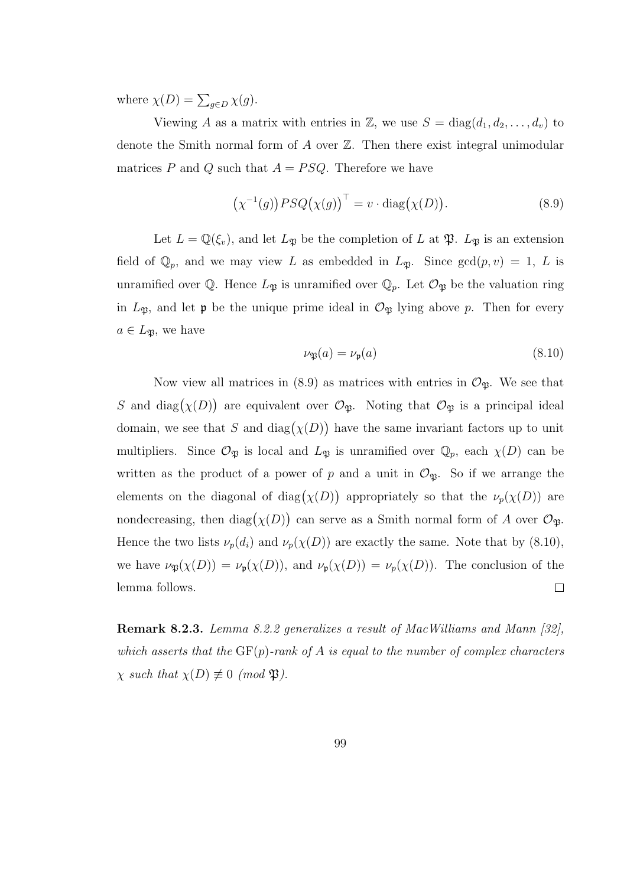where  $\chi(D) = \sum_{g \in D} \chi(g)$ .

Viewing A as a matrix with entries in Z, we use  $S = diag(d_1, d_2, \ldots, d_v)$  to denote the Smith normal form of  $A$  over  $\mathbb{Z}$ . Then there exist integral unimodular matrices P and Q such that  $A = PSQ$ . Therefore we have

$$
\left(\chi^{-1}(g)\right)PSQ\big(\chi(g)\big)^{\top} = v \cdot \text{diag}\big(\chi(D)\big). \tag{8.9}
$$

Let  $L = \mathbb{Q}(\xi_v)$ , and let  $L_{\mathfrak{P}}$  be the completion of L at  $\mathfrak{P}$ .  $L_{\mathfrak{P}}$  is an extension field of  $\mathbb{Q}_p$ , and we may view L as embedded in  $L_{\mathfrak{P}}$ . Since  $gcd(p, v) = 1, L$  is unramified over  $\mathbb{Q}$ . Hence  $L_{\mathfrak{P}}$  is unramified over  $\mathbb{Q}_p$ . Let  $\mathcal{O}_{\mathfrak{P}}$  be the valuation ring in  $L_{\mathfrak{B}}$ , and let p be the unique prime ideal in  $\mathcal{O}_{\mathfrak{B}}$  lying above p. Then for every  $a \in L_{\mathfrak{B}}$ , we have

$$
\nu_{\mathfrak{P}}(a) = \nu_{\mathfrak{p}}(a) \tag{8.10}
$$

Now view all matrices in (8.9) as matrices with entries in  $\mathcal{O}_{\mathfrak{P}}$ . We see that S and  $\text{diag}(\chi(D))$  are equivalent over  $\mathcal{O}_{\mathfrak{P}}$ . Noting that  $\mathcal{O}_{\mathfrak{P}}$  is a principal ideal domain, we see that S and  $\text{diag}(\chi(D))$  have the same invariant factors up to unit multipliers. Since  $\mathcal{O}_{\mathfrak{P}}$  is local and  $L_{\mathfrak{P}}$  is unramified over  $\mathbb{Q}_p$ , each  $\chi(D)$  can be written as the product of a power of p and a unit in  $\mathcal{O}_{\mathfrak{B}}$ . So if we arrange the elements on the diagonal of diag $(\chi(D))$  appropriately so that the  $\nu_p(\chi(D))$  are nondecreasing, then  $\text{diag}(\chi(D))$  can serve as a Smith normal form of A over  $\mathcal{O}_{\mathfrak{P}}$ . Hence the two lists  $\nu_p(d_i)$  and  $\nu_p(\chi(D))$  are exactly the same. Note that by (8.10), we have  $\nu_{\mathfrak{P}}(\chi(D)) = \nu_{\mathfrak{p}}(\chi(D))$ , and  $\nu_{\mathfrak{p}}(\chi(D)) = \nu_{p}(\chi(D))$ . The conclusion of the lemma follows.  $\Box$ 

Remark 8.2.3. Lemma 8.2.2 generalizes a result of MacWilliams and Mann [32], which asserts that the  $GF(p)$ -rank of A is equal to the number of complex characters  $\chi$  such that  $\chi(D) \not\equiv 0 \pmod{\mathfrak{P}}$ .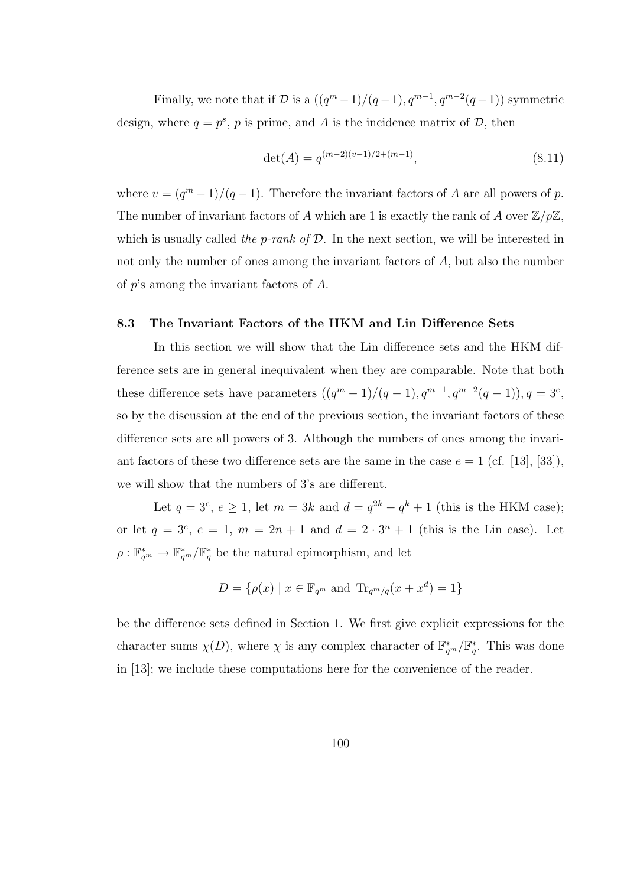Finally, we note that if D is a  $((q^m-1)/(q-1), q^{m-1}, q^{m-2}(q-1))$  symmetric design, where  $q = p^s$ , p is prime, and A is the incidence matrix of D, then

$$
\det(A) = q^{(m-2)(v-1)/2 + (m-1)},\tag{8.11}
$$

where  $v = (q^m - 1)/(q - 1)$ . Therefore the invariant factors of A are all powers of p. The number of invariant factors of A which are 1 is exactly the rank of A over  $\mathbb{Z}/p\mathbb{Z}$ , which is usually called the *p*-rank of  $D$ . In the next section, we will be interested in not only the number of ones among the invariant factors of A, but also the number of p's among the invariant factors of A.

#### 8.3 The Invariant Factors of the HKM and Lin Difference Sets

In this section we will show that the Lin difference sets and the HKM difference sets are in general inequivalent when they are comparable. Note that both these difference sets have parameters  $((q<sup>m</sup> - 1)/(q - 1), q<sup>m-1</sup>, q<sup>m-2</sup>(q - 1)), q = 3<sup>e</sup>$ , so by the discussion at the end of the previous section, the invariant factors of these difference sets are all powers of 3. Although the numbers of ones among the invariant factors of these two difference sets are the same in the case  $e = 1$  (cf. [13], [33]), we will show that the numbers of 3's are different.

Let  $q = 3^e$ ,  $e \ge 1$ , let  $m = 3k$  and  $d = q^{2k} - q^k + 1$  (this is the HKM case); or let  $q = 3^e$ ,  $e = 1$ ,  $m = 2n + 1$  and  $d = 2 \cdot 3^n + 1$  (this is the Lin case). Let  $\rho: \mathbb{F}_{q^m}^* \to \mathbb{F}_{q^m}^*/\mathbb{F}_{q}^*$  be the natural epimorphism, and let

$$
D = \{ \rho(x) \mid x \in \mathbb{F}_{q^m} \text{ and } \text{Tr}_{q^m/q}(x + x^d) = 1 \}
$$

be the difference sets defined in Section 1. We first give explicit expressions for the character sums  $\chi(D)$ , where  $\chi$  is any complex character of  $\mathbb{F}_{q^m}^* / \mathbb{F}_{q}^*$ . This was done in [13]; we include these computations here for the convenience of the reader.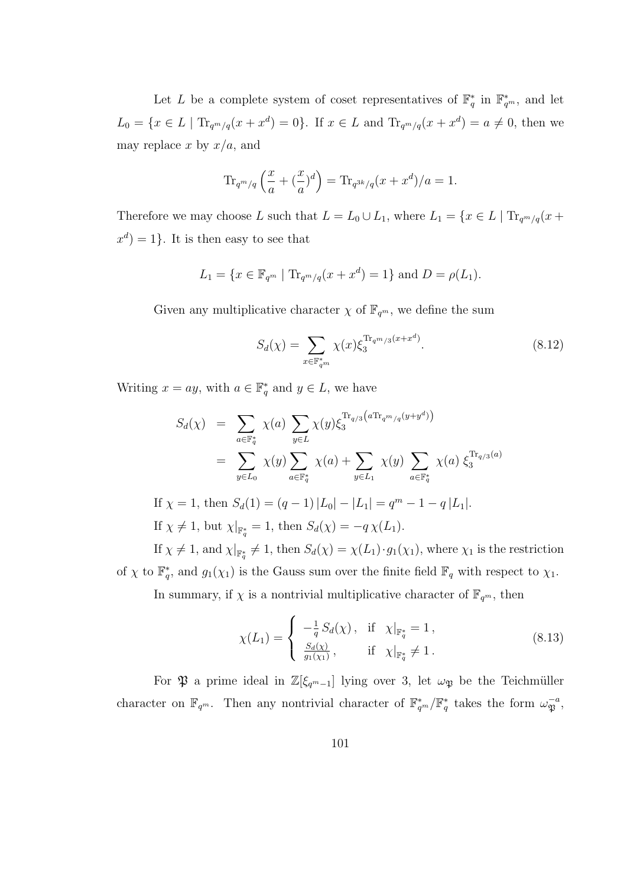Let L be a complete system of coset representatives of  $\mathbb{F}_q^*$  in  $\mathbb{F}_{q^m}^*$ , and let  $L_0 = \{x \in L \mid \text{Tr}_{q^m/q}(x + x^d) = 0\}.$  If  $x \in L$  and  $\text{Tr}_{q^m/q}(x + x^d) = a \neq 0$ , then we may replace x by  $x/a$ , and

$$
\text{Tr}_{q^m/q}\left(\frac{x}{a} + \left(\frac{x}{a}\right)^d\right) = \text{Tr}_{q^{3k}/q}(x + x^d)/a = 1.
$$

Therefore we may choose L such that  $L = L_0 \cup L_1$ , where  $L_1 = \{x \in L \mid \text{Tr}_{q^m/q}(x +$  $x^d$ ) = 1. It is then easy to see that

$$
L_1 = \{ x \in \mathbb{F}_{q^m} \mid \text{Tr}_{q^m/q}(x + x^d) = 1 \} \text{ and } D = \rho(L_1).
$$

Given any multiplicative character  $\chi$  of  $\mathbb{F}_{q^m}$ , we define the sum

$$
S_d(\chi) = \sum_{x \in \mathbb{F}_{q^m}^*} \chi(x) \xi_3^{\text{Tr}_{q^m/3}(x+x^d)}.
$$
 (8.12)

Writing  $x = ay$ , with  $a \in \mathbb{F}_q^*$  and  $y \in L$ , we have

$$
S_d(\chi) = \sum_{a \in \mathbb{F}_q^*} \chi(a) \sum_{y \in L} \chi(y) \xi_3^{\text{Tr}_{q/3}(a \text{Tr}_{q^m/q}(y+y^d))}
$$
  
\n
$$
= \sum_{y \in L_0} \chi(y) \sum_{a \in \mathbb{F}_q^*} \chi(a) + \sum_{y \in L_1} \chi(y) \sum_{a \in \mathbb{F}_q^*} \chi(a) \xi_3^{\text{Tr}_{q/3}(a)}
$$
  
\nIf  $\chi = 1$ , then  $S_d(1) = (q - 1) |L_0| - |L_1| = q^m - 1 - q |L_1|$ .  
\nIf  $\chi \neq 1$ , but  $\chi|_{\mathbb{F}_q^*} = 1$ , then  $S_d(\chi) = -q \chi(L_1)$ .  
\nIf  $\chi \neq 1$ , and  $\chi|_{\mathbb{F}_q^*} \neq 1$ , then  $S_d(\chi) = \chi(L_1) \cdot g_1(\chi_1)$ , where  $\chi_1$  is the restriction

of  $\chi$  to  $\mathbb{F}_q^*$ , and  $g_1(\chi_1)$  is the Gauss sum over the finite field  $\mathbb{F}_q$  with respect to  $\chi_1$ .

In summary, if  $\chi$  is a nontrivial multiplicative character of  $\mathbb{F}_{q^m}$ , then

$$
\chi(L_1) = \begin{cases}\n-\frac{1}{q} S_d(\chi), & \text{if } \chi|_{\mathbb{F}_q^*} = 1, \\
\frac{S_d(\chi)}{g_1(\chi_1)}, & \text{if } \chi|_{\mathbb{F}_q^*} \neq 1.\n\end{cases}
$$
\n(8.13)

For  $\mathfrak{P}$  a prime ideal in  $\mathbb{Z}[\xi_{q^m-1}]$  lying over 3, let  $\omega_{\mathfrak{P}}$  be the Teichmüller character on  $\mathbb{F}_{q^m}$ . Then any nontrivial character of  $\mathbb{F}_{q^m}^*/\mathbb{F}_q^*$  takes the form  $\omega_{\mathfrak{P}}^{-a}$ ,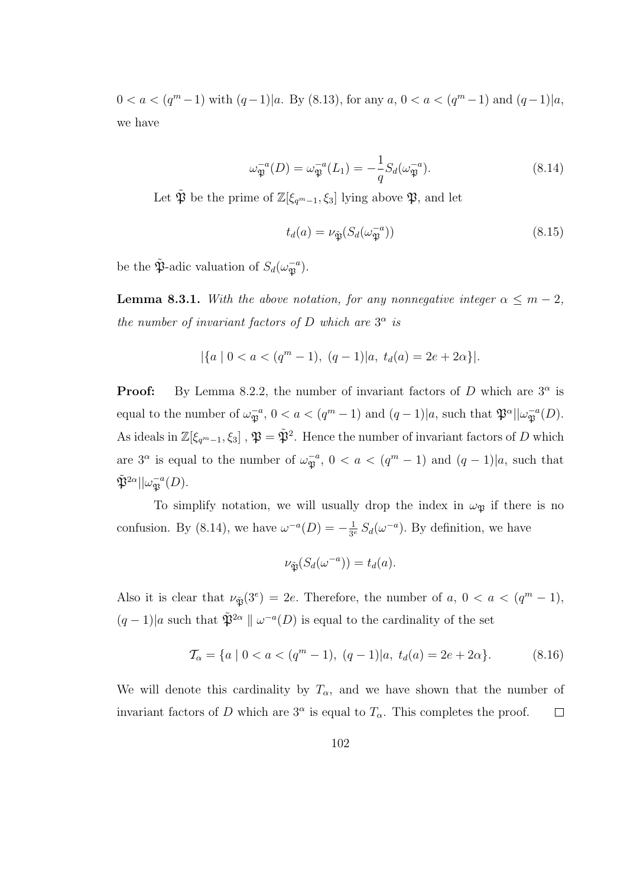$0 < a < (q^m-1)$  with  $(q-1)|a$ . By (8.13), for any  $a, 0 < a < (q^m-1)$  and  $(q-1)|a$ , we have

$$
\omega_{\mathfrak{P}}^{-a}(D) = \omega_{\mathfrak{P}}^{-a}(L_1) = -\frac{1}{q} S_d(\omega_{\mathfrak{P}}^{-a}). \tag{8.14}
$$

Let  $\mathfrak{P}$  be the prime of  $\mathbb{Z}[\xi_{q^m-1}, \xi_3]$  lying above  $\mathfrak{P}$ , and let

$$
t_d(a) = \nu_{\tilde{\mathfrak{P}}}(S_d(\omega_{\mathfrak{P}}^{-a}))
$$
\n(8.15)

be the  $\tilde{\mathfrak{P}}$ -adic valuation of  $S_d(\omega_{\mathfrak{P}}^{-a})$ .

**Lemma 8.3.1.** With the above notation, for any nonnegative integer  $\alpha \leq m-2$ , the number of invariant factors of D which are  $3^{\alpha}$  is

$$
|\{a \mid 0 < a < (q^m - 1), \ (q - 1)|a, \ t_d(a) = 2e + 2\alpha\}|.
$$

**Proof:** By Lemma 8.2.2, the number of invariant factors of D which are  $3^{\alpha}$  is equal to the number of  $\omega_{\mathfrak{P}}^{-a}$ ,  $0 < a < (q^m - 1)$  and  $(q - 1)|a$ , such that  $\mathfrak{P}^{\alpha}||\omega_{\mathfrak{P}}^{-a}(D)$ . As ideals in  $\mathbb{Z}[\xi_{q^m-1}, \xi_3]$ ,  $\mathfrak{P} = \tilde{\mathfrak{P}}^2$ . Hence the number of invariant factors of D which are  $3^{\alpha}$  is equal to the number of  $\omega_{\mathfrak{P}}^{-a}$ ,  $0 < a < (q^m - 1)$  and  $(q - 1)|a$ , such that  $\tilde{\mathfrak{P}}^{2\alpha}||\omega_{\mathfrak{P}}^{-a}(D).$ 

To simplify notation, we will usually drop the index in  $\omega_{\mathfrak{P}}$  if there is no confusion. By (8.14), we have  $\omega^{-a}(D) = -\frac{1}{3a}$  $\frac{1}{3^e} S_d(\omega^{-a})$ . By definition, we have

$$
\nu_{\tilde{\mathfrak{P}}}(S_d(\omega^{-a})) = t_d(a).
$$

Also it is clear that  $\nu_{\tilde{\mathfrak{P}}}(3^e) = 2e$ . Therefore, the number of  $a, 0 < a < (q^m - 1)$ ,  $(q-1)|a$  such that  $\tilde{\mathfrak{P}}^{2\alpha} \parallel \omega^{-a}(D)$  is equal to the cardinality of the set

$$
\mathcal{T}_{\alpha} = \{ a \mid 0 < a < (q^m - 1), \ (q - 1) \mid a, \ t_d(a) = 2e + 2\alpha \}. \tag{8.16}
$$

We will denote this cardinality by  $T_{\alpha}$ , and we have shown that the number of invariant factors of D which are  $3^{\alpha}$  is equal to  $T_{\alpha}$ . This completes the proof.  $\Box$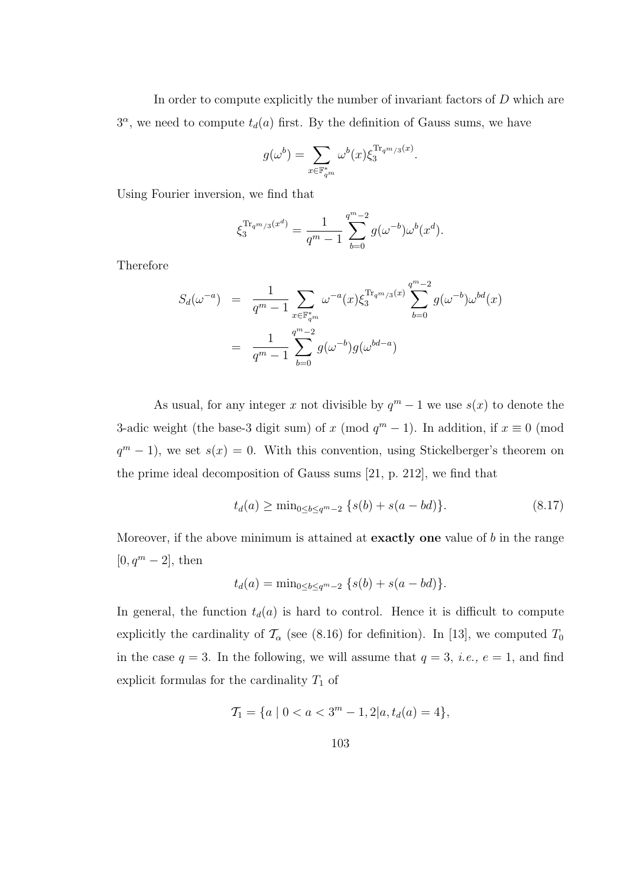In order to compute explicitly the number of invariant factors of D which are  $3^{\alpha}$ , we need to compute  $t_d(a)$  first. By the definition of Gauss sums, we have

$$
g(\omega^b) = \sum_{x \in \mathbb{F}_{q^m}^*} \omega^b(x) \xi_3^{\text{Tr}_{q^m/3}(x)}.
$$

Using Fourier inversion, we find that

$$
\xi_3^{\text{Tr}_{q^m/3}(x^d)} = \frac{1}{q^m-1} \sum_{b=0}^{q^m-2} g(\omega^{-b}) \omega^b(x^d).
$$

Therefore

$$
S_d(\omega^{-a}) = \frac{1}{q^m - 1} \sum_{x \in \mathbb{F}_{q^m}^*} \omega^{-a}(x) \xi_3^{\text{Tr}_{q^m/3}(x)} \sum_{b=0}^{q^m - 2} g(\omega^{-b}) \omega^{bd}(x)
$$
  
= 
$$
\frac{1}{q^m - 1} \sum_{b=0}^{q^m - 2} g(\omega^{-b}) g(\omega^{bd-a})
$$

As usual, for any integer x not divisible by  $q^m - 1$  we use  $s(x)$  to denote the 3-adic weight (the base-3 digit sum) of x (mod  $q^m - 1$ ). In addition, if  $x \equiv 0 \pmod{1}$  $q^m - 1$ , we set  $s(x) = 0$ . With this convention, using Stickelberger's theorem on the prime ideal decomposition of Gauss sums [21, p. 212], we find that

$$
t_d(a) \ge \min_{0 \le b \le q^m - 2} \{ s(b) + s(a - bd) \}. \tag{8.17}
$$

Moreover, if the above minimum is attained at **exactly one** value of  $b$  in the range  $[0, q<sup>m</sup> - 2]$ , then

$$
t_d(a) = \min_{0 \le b \le q^m - 2} \{s(b) + s(a - bd)\}.
$$

In general, the function  $t_d(a)$  is hard to control. Hence it is difficult to compute explicitly the cardinality of  $\mathcal{T}_{\alpha}$  (see (8.16) for definition). In [13], we computed  $T_0$ in the case  $q = 3$ . In the following, we will assume that  $q = 3$ , *i.e.*,  $e = 1$ , and find explicit formulas for the cardinality  $T_1$  of

$$
\mathcal{T}_1 = \{a \mid 0 < a < 3^m - 1, 2 | a, t_d(a) = 4\},
$$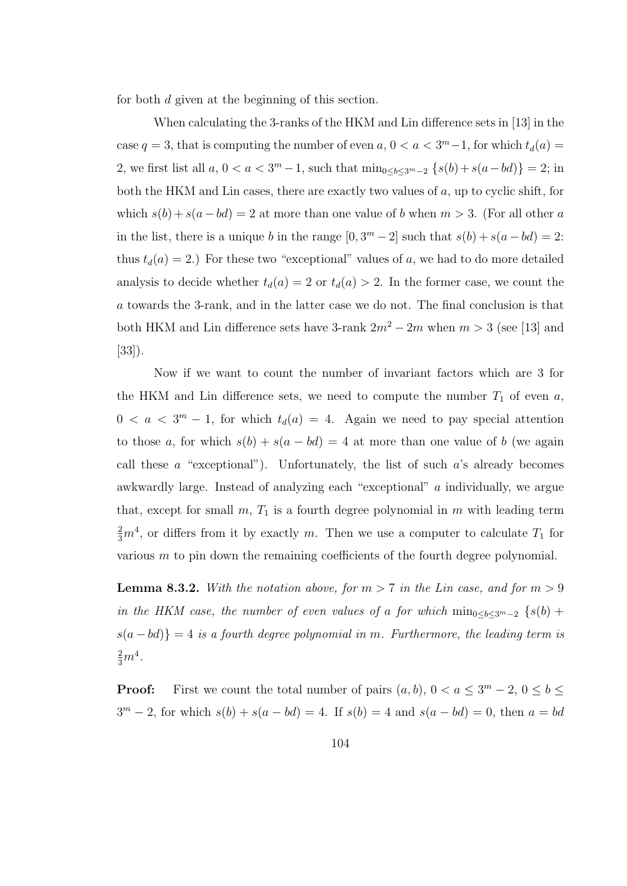for both d given at the beginning of this section.

When calculating the 3-ranks of the HKM and Lin difference sets in [13] in the case  $q = 3$ , that is computing the number of even  $a, 0 < a < 3<sup>m</sup>-1$ , for which  $t<sub>d</sub>(a) =$ 2, we first list all  $a, 0 < a < 3<sup>m</sup> - 1$ , such that  $\min_{0 \le b \le 3<sup>m</sup> - 2} \{s(b) + s(a - bd)\} = 2$ ; in both the HKM and Lin cases, there are exactly two values of  $a$ , up to cyclic shift, for which  $s(b) + s(a - bd) = 2$  at more than one value of b when  $m > 3$ . (For all other a in the list, there is a unique b in the range  $[0, 3<sup>m</sup> - 2]$  such that  $s(b) + s(a - bd) = 2$ : thus  $t_d(a) = 2$ .) For these two "exceptional" values of a, we had to do more detailed analysis to decide whether  $t_d(a) = 2$  or  $t_d(a) > 2$ . In the former case, we count the a towards the 3-rank, and in the latter case we do not. The final conclusion is that both HKM and Lin difference sets have 3-rank  $2m^2 - 2m$  when  $m > 3$  (see [13] and [33]).

Now if we want to count the number of invariant factors which are 3 for the HKM and Lin difference sets, we need to compute the number  $T_1$  of even  $a$ ,  $0 < a < 3<sup>m</sup> - 1$ , for which  $t<sub>d</sub>(a) = 4$ . Again we need to pay special attention to those a, for which  $s(b) + s(a - bd) = 4$  at more than one value of b (we again call these  $a$  "exceptional"). Unfortunately, the list of such  $a$ 's already becomes awkwardly large. Instead of analyzing each "exceptional" a individually, we argue that, except for small  $m$ ,  $T_1$  is a fourth degree polynomial in  $m$  with leading term  $\frac{2}{3}m^4$ , or differs from it by exactly m. Then we use a computer to calculate  $T_1$  for various  $m$  to pin down the remaining coefficients of the fourth degree polynomial.

**Lemma 8.3.2.** With the notation above, for  $m > 7$  in the Lin case, and for  $m > 9$ in the HKM case, the number of even values of a for which  $\min_{0 \leq b \leq 3^m-2} \{s(b) +$  $s(a - bd)$ } = 4 is a fourth degree polynomial in m. Furthermore, the leading term is  $\frac{2}{3}m^4$ .

**Proof:** First we count the total number of pairs  $(a, b)$ ,  $0 < a \leq 3^m - 2$ ,  $0 \leq b \leq$  $3<sup>m</sup> - 2$ , for which  $s(b) + s(a - bd) = 4$ . If  $s(b) = 4$  and  $s(a - bd) = 0$ , then  $a = bd$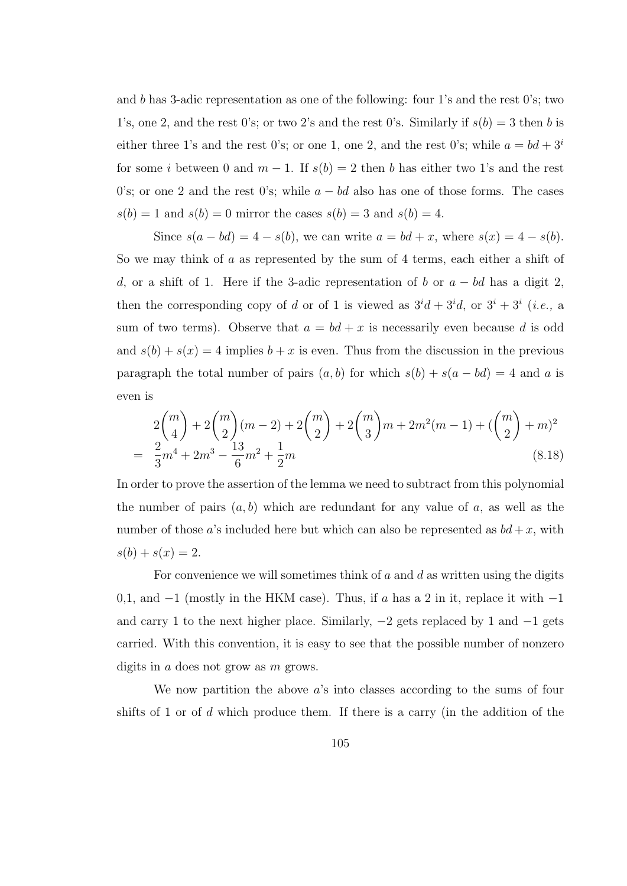and b has 3-adic representation as one of the following: four 1's and the rest 0's; two 1's, one 2, and the rest 0's; or two 2's and the rest 0's. Similarly if  $s(b) = 3$  then b is either three 1's and the rest 0's; or one 1, one 2, and the rest 0's; while  $a = bd + 3^i$ for some *i* between 0 and  $m - 1$ . If  $s(b) = 2$  then b has either two 1's and the rest 0's; or one 2 and the rest 0's; while  $a - bd$  also has one of those forms. The cases  $s(b) = 1$  and  $s(b) = 0$  mirror the cases  $s(b) = 3$  and  $s(b) = 4$ .

Since  $s(a - bd) = 4 - s(b)$ , we can write  $a = bd + x$ , where  $s(x) = 4 - s(b)$ . So we may think of a as represented by the sum of 4 terms, each either a shift of d, or a shift of 1. Here if the 3-adic representation of b or  $a - bd$  has a digit 2, then the corresponding copy of d or of 1 is viewed as  $3^i d + 3^i d$ , or  $3^i + 3^i$  (*i.e.*, a sum of two terms). Observe that  $a = bd + x$  is necessarily even because d is odd and  $s(b) + s(x) = 4$  implies  $b + x$  is even. Thus from the discussion in the previous paragraph the total number of pairs  $(a, b)$  for which  $s(b) + s(a - bd) = 4$  and a is even is

$$
2\binom{m}{4} + 2\binom{m}{2}(m-2) + 2\binom{m}{2} + 2\binom{m}{3}m + 2m^2(m-1) + \left(\binom{m}{2} + m\right)^2
$$
  
= 
$$
\frac{2}{3}m^4 + 2m^3 - \frac{13}{6}m^2 + \frac{1}{2}m
$$
(8.18)

In order to prove the assertion of the lemma we need to subtract from this polynomial the number of pairs  $(a, b)$  which are redundant for any value of a, as well as the number of those a's included here but which can also be represented as  $bd + x$ , with  $s(b) + s(x) = 2.$ 

For convenience we will sometimes think of  $a$  and  $d$  as written using the digits 0,1, and  $-1$  (mostly in the HKM case). Thus, if a has a 2 in it, replace it with  $-1$ and carry 1 to the next higher place. Similarly,  $-2$  gets replaced by 1 and  $-1$  gets carried. With this convention, it is easy to see that the possible number of nonzero digits in a does not grow as m grows.

We now partition the above a's into classes according to the sums of four shifts of 1 or of d which produce them. If there is a carry (in the addition of the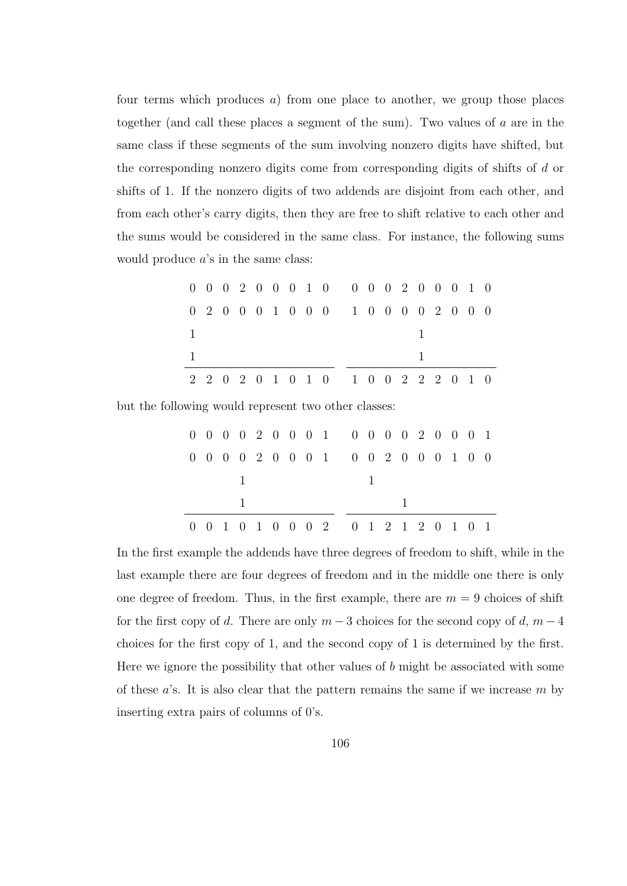four terms which produces  $a$ ) from one place to another, we group those places together (and call these places a segment of the sum). Two values of  $a$  are in the same class if these segments of the sum involving nonzero digits have shifted, but the corresponding nonzero digits come from corresponding digits of shifts of d or shifts of 1. If the nonzero digits of two addends are disjoint from each other, and from each other's carry digits, then they are free to shift relative to each other and the sums would be considered in the same class. For instance, the following sums would produce  $a$ 's in the same class:

| 0 0 0 2 0 0 0 1 0 0 0 0 2 0 0 0 1 0 |  |  |  |  |  |                |  |  |
|-------------------------------------|--|--|--|--|--|----------------|--|--|
| 0 2 0 0 0 1 0 0 0 1 0 0 0 0 2 0 0 0 |  |  |  |  |  |                |  |  |
| $\overline{1}$                      |  |  |  |  |  | $\overline{1}$ |  |  |
| $\overline{1}$                      |  |  |  |  |  | $\overline{1}$ |  |  |
| 2 2 0 2 0 1 0 1 0 1 0 0 2 2 2 0 1 0 |  |  |  |  |  |                |  |  |

but the following would represent two other classes:

|                                                                                                                                                                                                                                |  |  |  |  |                                                |  |  |  | 0 0 0 0 2 0 0 0 1 0 0 0 0 2 0 0 0 1 |
|--------------------------------------------------------------------------------------------------------------------------------------------------------------------------------------------------------------------------------|--|--|--|--|------------------------------------------------|--|--|--|-------------------------------------|
|                                                                                                                                                                                                                                |  |  |  |  |                                                |  |  |  | 0 0 0 0 2 0 0 0 1 0 0 2 0 0 0 1 0 0 |
| and the contract of the contract of the contract of the contract of the contract of the contract of the contract of the contract of the contract of the contract of the contract of the contract of the contract of the contra |  |  |  |  | . The contract of the contract of $\mathbb{1}$ |  |  |  |                                     |
| $\sim$ 1                                                                                                                                                                                                                       |  |  |  |  |                                                |  |  |  |                                     |
|                                                                                                                                                                                                                                |  |  |  |  |                                                |  |  |  | 0 0 1 0 1 0 0 0 2 0 1 2 1 2 0 1 0 1 |

In the first example the addends have three degrees of freedom to shift, while in the last example there are four degrees of freedom and in the middle one there is only one degree of freedom. Thus, in the first example, there are  $m = 9$  choices of shift for the first copy of d. There are only  $m-3$  choices for the second copy of d,  $m-4$ choices for the first copy of 1, and the second copy of 1 is determined by the first. Here we ignore the possibility that other values of  $b$  might be associated with some of these  $a$ 's. It is also clear that the pattern remains the same if we increase  $m$  by inserting extra pairs of columns of 0's.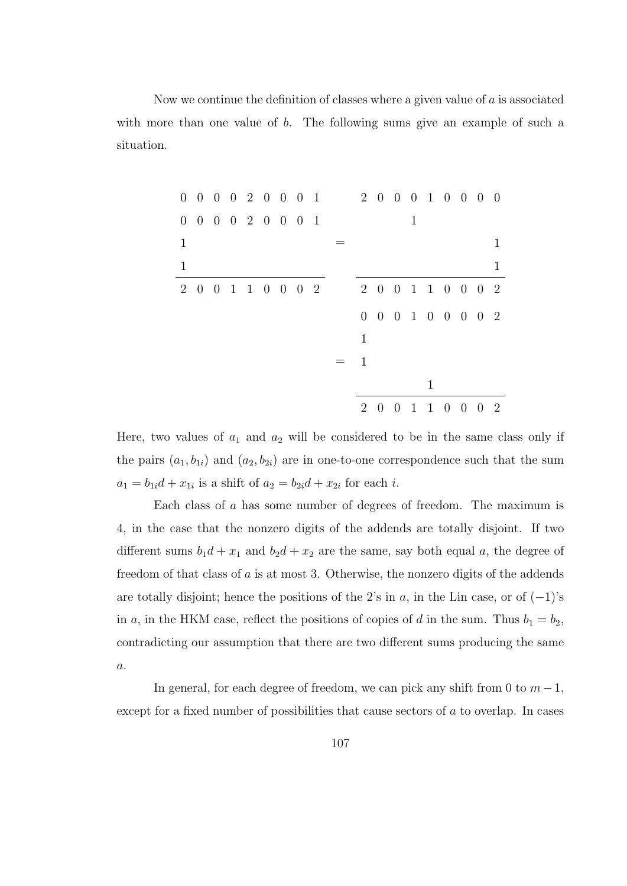Now we continue the definition of classes where a given value of  $a$  is associated with more than one value of b. The following sums give an example of such a situation.

|                |  |  |                 |  |                   | 0 0 0 0 2 0 0 0 1 2 0 0 0 1 0 0 0 0 |                   |     |                   |   |              |             |                |                |              |
|----------------|--|--|-----------------|--|-------------------|-------------------------------------|-------------------|-----|-------------------|---|--------------|-------------|----------------|----------------|--------------|
| $\overline{0}$ |  |  | 0 0 0 2 0 0 0 1 |  |                   |                                     |                   |     |                   | 1 |              |             |                |                |              |
| 1              |  |  |                 |  |                   |                                     |                   |     |                   |   |              |             |                |                | 1            |
| 1              |  |  |                 |  |                   |                                     |                   |     |                   |   |              |             |                |                | $\mathbf{1}$ |
|                |  |  |                 |  | 2 0 0 1 1 0 0 0 2 |                                     | 2 0 0 1 1 0 0 0 2 |     |                   |   |              |             |                |                |              |
|                |  |  |                 |  |                   |                                     |                   |     | 0 0 0 1 0 0 0 0 2 |   |              |             |                |                |              |
|                |  |  |                 |  |                   |                                     | 1                 |     |                   |   |              |             |                |                |              |
|                |  |  |                 |  |                   |                                     | -1                |     |                   |   |              |             |                |                |              |
|                |  |  |                 |  |                   |                                     |                   |     |                   |   | $\mathbf{1}$ |             |                |                |              |
|                |  |  |                 |  |                   |                                     |                   | 2 0 | $\overline{0}$    | 1 |              | $1 \quad 0$ | $\overline{0}$ | $\overline{0}$ | <sup>2</sup> |

Here, two values of  $a_1$  and  $a_2$  will be considered to be in the same class only if the pairs  $(a_1, b_{1i})$  and  $(a_2, b_{2i})$  are in one-to-one correspondence such that the sum  $a_1 = b_{1i}d + x_{1i}$  is a shift of  $a_2 = b_{2i}d + x_{2i}$  for each *i*.

Each class of  $a$  has some number of degrees of freedom. The maximum is 4, in the case that the nonzero digits of the addends are totally disjoint. If two different sums  $b_1d + x_1$  and  $b_2d + x_2$  are the same, say both equal a, the degree of freedom of that class of  $a$  is at most 3. Otherwise, the nonzero digits of the addends are totally disjoint; hence the positions of the 2's in a, in the Lin case, or of  $(-1)$ 's in a, in the HKM case, reflect the positions of copies of d in the sum. Thus  $b_1 = b_2$ , contradicting our assumption that there are two different sums producing the same a.

In general, for each degree of freedom, we can pick any shift from 0 to  $m-1$ , except for a fixed number of possibilities that cause sectors of a to overlap. In cases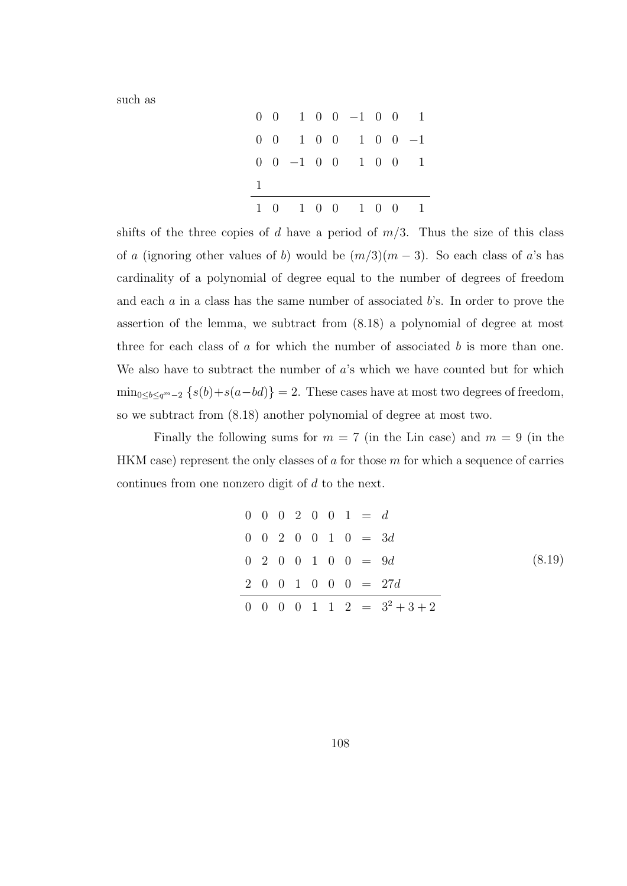such as

|                |  |  | $0 \t 0 \t 1 \t 0 \t 0 \t -1 \t 0 \t 0 \t 1$ |  |  |
|----------------|--|--|----------------------------------------------|--|--|
|                |  |  | $0 \t 0 \t 1 \t 0 \t 0 \t 1 \t 0 \t 0 \t -1$ |  |  |
|                |  |  | $0 \t 0 \t -1 \t 0 \t 0 \t 1 \t 0 \t 0 \t 1$ |  |  |
| $\overline{1}$ |  |  |                                              |  |  |
|                |  |  | 1 0 1 0 0 1 0 0 1                            |  |  |

shifts of the three copies of d have a period of  $m/3$ . Thus the size of this class of a (ignoring other values of b) would be  $(m/3)(m-3)$ . So each class of a's has cardinality of a polynomial of degree equal to the number of degrees of freedom and each  $a$  in a class has the same number of associated  $b$ 's. In order to prove the assertion of the lemma, we subtract from (8.18) a polynomial of degree at most three for each class of  $a$  for which the number of associated  $b$  is more than one. We also have to subtract the number of  $a$ 's which we have counted but for which  $\min_{0 \le b \le q^{m}-2} \{s(b)+s(a-bd)\} = 2.$  These cases have at most two degrees of freedom, so we subtract from (8.18) another polynomial of degree at most two.

Finally the following sums for  $m = 7$  (in the Lin case) and  $m = 9$  (in the HKM case) represent the only classes of  $a$  for those  $m$  for which a sequence of carries continues from one nonzero digit of d to the next.

|  |  |  | $0 \t0 \t0 \t2 \t0 \t0 \t1 = d$  |                                           |  |        |
|--|--|--|----------------------------------|-------------------------------------------|--|--------|
|  |  |  | $0 \t0 \t2 \t0 \t0 \t1 \t0 = 3d$ |                                           |  |        |
|  |  |  | $0 \t2 \t0 \t0 \t1 \t0 \t0 = 9d$ |                                           |  | (8.19) |
|  |  |  |                                  | $2\ 0\ 0\ 1\ 0\ 0\ 0\ =\ 27d$             |  |        |
|  |  |  |                                  | $0 \t0 \t0 \t0 \t1 \t1 \t2 = 3^2 + 3 + 2$ |  |        |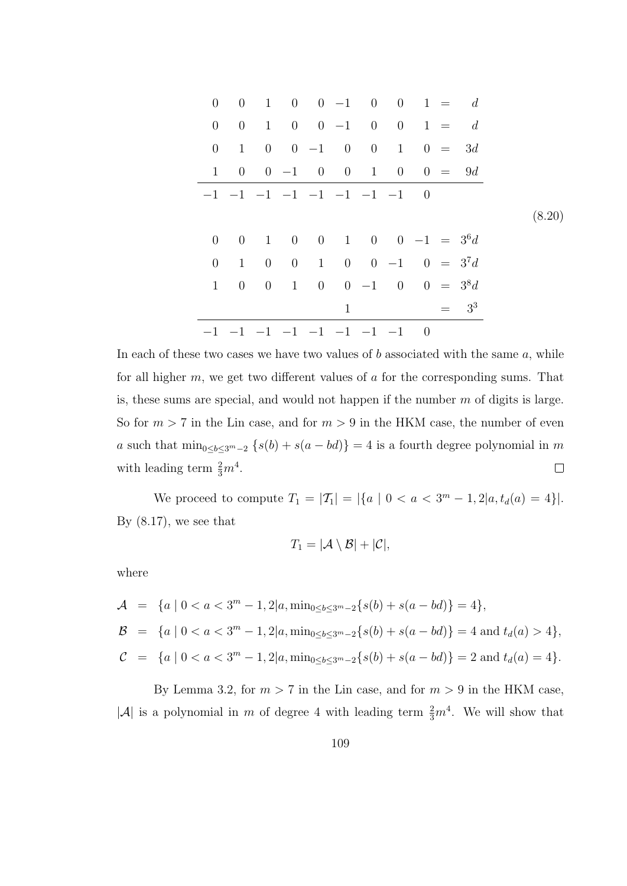| 0              |                |  |              | $0 \t 1 \t 0 \t 0 \t -1 \t 0 \t 0 \t 1 = d$ |  |           |        |
|----------------|----------------|--|--------------|---------------------------------------------|--|-----------|--------|
| $\overline{0}$ | $\overline{0}$ |  |              | $1 \t 0 \t 0 \t -1 \t 0 \t 0 \t 1 = d$      |  |           |        |
| $\overline{0}$ | $\mathbf{1}$   |  |              | $0 \t 0 \t -1 \t 0 \t 0 \t 1 \t 0 =$        |  | 3d        |        |
| $\mathbf{1}$   | $\overline{0}$ |  |              | $0 \t -1 \t 0 \t 0 \t 1 \t 0 \t 0 = 9d$     |  |           |        |
|                |                |  |              |                                             |  |           |        |
|                |                |  |              |                                             |  |           | (8.20) |
| $\overline{0}$ |                |  |              | 0 1 0 0 1 0 0 -1 = $3^6d$                   |  |           |        |
| $\overline{0}$ | 1              |  |              | 0 0 1 0 0 -1 0 = $3^7d$                     |  |           |        |
| $\mathbf{1}$   | $\overline{0}$ |  |              | 0 1 0 0 -1 0 0 = $3^{8}d$                   |  |           |        |
|                |                |  | $\mathbf{1}$ |                                             |  | $=$ $3^3$ |        |
|                |                |  |              |                                             |  |           |        |

In each of these two cases we have two values of  $b$  associated with the same  $a$ , while for all higher  $m$ , we get two different values of  $a$  for the corresponding sums. That is, these sums are special, and would not happen if the number  $m$  of digits is large. So for  $m > 7$  in the Lin case, and for  $m > 9$  in the HKM case, the number of even a such that  $\min_{0 \le b \le 3^m-2} \{s(b) + s(a - bd)\} = 4$  is a fourth degree polynomial in m with leading term  $\frac{2}{3}m^4$ .  $\Box$ 

We proceed to compute  $T_1 = |T_1| = |\{a \mid 0 < a < 3^m - 1, 2|a, t_d(a) = 4\}|.$ By  $(8.17)$ , we see that

$$
T_1=|\mathcal{A}\setminus\mathcal{B}|+|\mathcal{C}|,
$$

where

$$
\begin{aligned}\n\mathcal{A} &= \{a \mid 0 < a < 3^m - 1, 2|a, \min_{0 \le b \le 3^m - 2} \{s(b) + s(a - bd)\} = 4\}, \\
\mathcal{B} &= \{a \mid 0 < a < 3^m - 1, 2|a, \min_{0 \le b \le 3^m - 2} \{s(b) + s(a - bd)\} = 4 \text{ and } t_d(a) > 4\}, \\
\mathcal{C} &= \{a \mid 0 < a < 3^m - 1, 2|a, \min_{0 \le b \le 3^m - 2} \{s(b) + s(a - bd)\} = 2 \text{ and } t_d(a) = 4\}.\n\end{aligned}
$$

By Lemma 3.2, for  $m > 7$  in the Lin case, and for  $m > 9$  in the HKM case, |A| is a polynomial in m of degree 4 with leading term  $\frac{2}{3}m^4$ . We will show that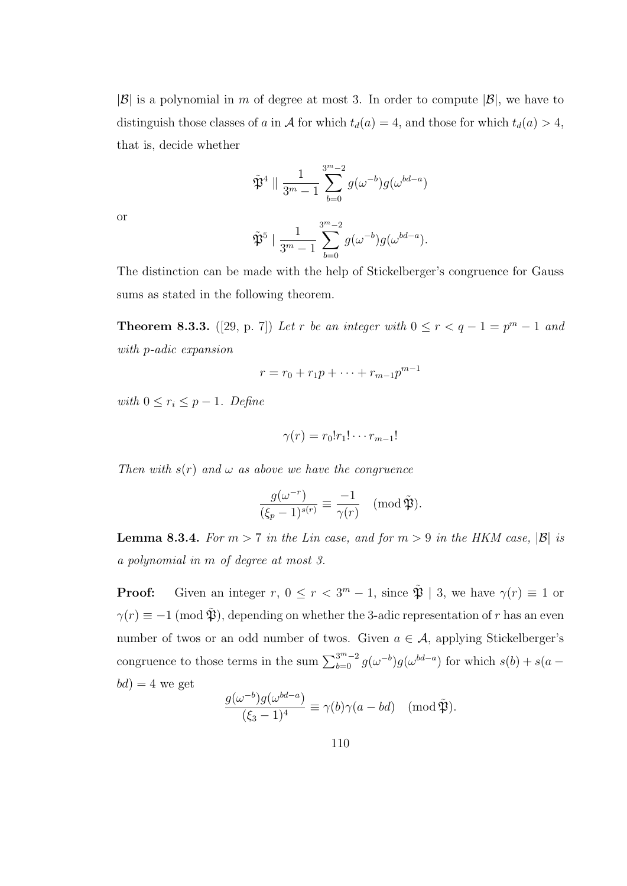$|\mathcal{B}|$  is a polynomial in m of degree at most 3. In order to compute  $|\mathcal{B}|$ , we have to distinguish those classes of a in A for which  $t_d(a) = 4$ , and those for which  $t_d(a) > 4$ , that is, decide whether

$$
\tilde{\mathfrak{P}}^4 \parallel \frac{1}{3^m-1} \sum_{b=0}^{3^m-2} g(\omega^{-b}) g(\omega^{bd-a})
$$

or

$$
\tilde{\mathfrak{P}}^{5} \mid \frac{1}{3^m-1} \sum_{b=0}^{3^m-2} g(\omega^{-b}) g(\omega^{bd-a}).
$$

The distinction can be made with the help of Stickelberger's congruence for Gauss sums as stated in the following theorem.

**Theorem 8.3.3.** ([29, p. 7]) Let r be an integer with  $0 \le r < q-1 = p^m-1$  and with p-adic expansion

$$
r = r_0 + r_1 p + \dots + r_{m-1} p^{m-1}
$$

with  $0 \leq r_i \leq p-1$ . Define

$$
\gamma(r) = r_0! r_1! \cdots r_{m-1}!
$$

Then with  $s(r)$  and  $\omega$  as above we have the congruence

$$
\frac{g(\omega^{-r})}{(\xi_p - 1)^{s(r)}} \equiv \frac{-1}{\gamma(r)} \pmod{\tilde{\mathfrak{P}}}.
$$

**Lemma 8.3.4.** For  $m > 7$  in the Lin case, and for  $m > 9$  in the HKM case,  $|\mathcal{B}|$  is a polynomial in m of degree at most 3.

**Proof:** Given an integer  $r, 0 \le r < 3^m - 1$ , since  $\tilde{\mathfrak{P}} \mid 3$ , we have  $\gamma(r) \equiv 1$  or  $\gamma(r) \equiv -1 \pmod{\tilde{\mathfrak{P}}}$ , depending on whether the 3-adic representation of r has an even number of twos or an odd number of twos. Given  $a \in \mathcal{A}$ , applying Stickelberger's congruence to those terms in the sum  $\sum_{b=0}^{3^m-2} g(\omega^{-b}) g(\omega^{bd-a})$  for which  $s(b) + s(a$  $bd$ ) = 4 we get

$$
\frac{g(\omega^{-b})g(\omega^{bd-a})}{(\xi_3-1)^4} \equiv \gamma(b)\gamma(a-bd) \pmod{\tilde{\mathfrak{P}}}.
$$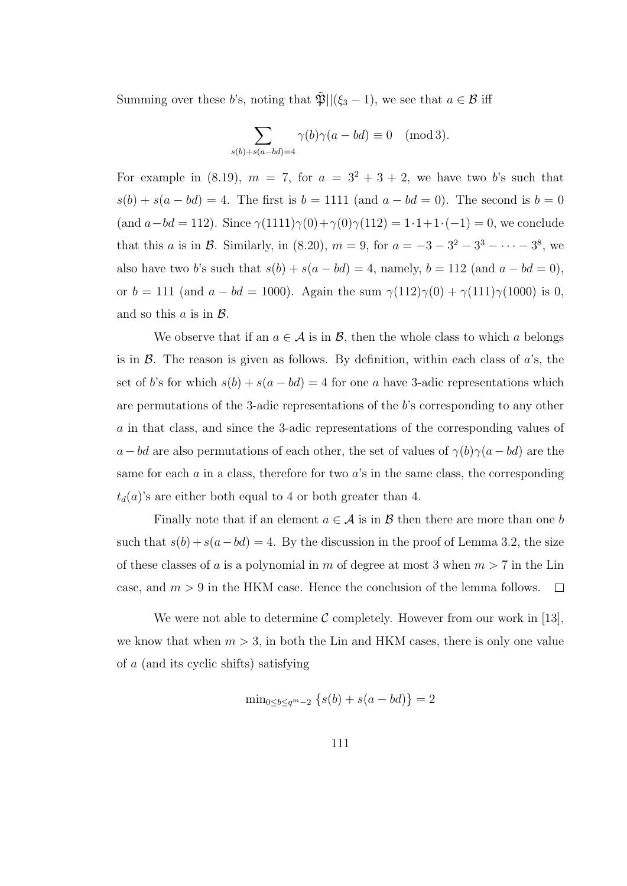Summing over these b's, noting that  $\tilde{\mathfrak{P}}$  ||( $\xi_3 - 1$ ), we see that  $a \in \mathcal{B}$  iff

$$
\sum_{s(b)+s(a-bd)=4} \gamma(b)\gamma(a-bd) \equiv 0 \pmod{3}.
$$

For example in (8.19),  $m = 7$ , for  $a = 3^2 + 3 + 2$ , we have two b's such that  $s(b) + s(a - bd) = 4$ . The first is  $b = 1111$  (and  $a - bd = 0$ ). The second is  $b = 0$ (and  $a-bd = 112$ ). Since  $\gamma(1111)\gamma(0) + \gamma(0)\gamma(112) = 1 \cdot 1 + 1 \cdot (-1) = 0$ , we conclude that this *a* is in *B*. Similarly, in (8.20),  $m = 9$ , for  $a = -3 - 3^2 - 3^3 - \cdots - 3^8$ , we also have two b's such that  $s(b) + s(a - bd) = 4$ , namely,  $b = 112$  (and  $a - bd = 0$ ), or  $b = 111$  (and  $a - bd = 1000$ ). Again the sum  $\gamma(112)\gamma(0) + \gamma(111)\gamma(1000)$  is 0, and so this  $a$  is in  $\mathcal{B}$ .

We observe that if an  $a \in \mathcal{A}$  is in  $\mathcal{B}$ , then the whole class to which a belongs is in  $\beta$ . The reason is given as follows. By definition, within each class of  $a$ 's, the set of b's for which  $s(b) + s(a - bd) = 4$  for one a have 3-adic representations which are permutations of the 3-adic representations of the b's corresponding to any other a in that class, and since the 3-adic representations of the corresponding values of  $a - bd$  are also permutations of each other, the set of values of  $\gamma(b)\gamma(a - bd)$  are the same for each  $a$  in a class, therefore for two  $a$ 's in the same class, the corresponding  $t_d(a)$ 's are either both equal to 4 or both greater than 4.

Finally note that if an element  $a \in \mathcal{A}$  is in  $\mathcal{B}$  then there are more than one b such that  $s(b) + s(a-bd) = 4$ . By the discussion in the proof of Lemma 3.2, the size of these classes of a is a polynomial in m of degree at most 3 when  $m > 7$  in the Lin case, and  $m > 9$  in the HKM case. Hence the conclusion of the lemma follows.  $\Box$ 

We were not able to determine C completely. However from our work in [13], we know that when  $m > 3$ , in both the Lin and HKM cases, there is only one value of a (and its cyclic shifts) satisfying

$$
\min_{0 \le b \le q^m - 2} \left\{ s(b) + s(a - bd) \right\} = 2
$$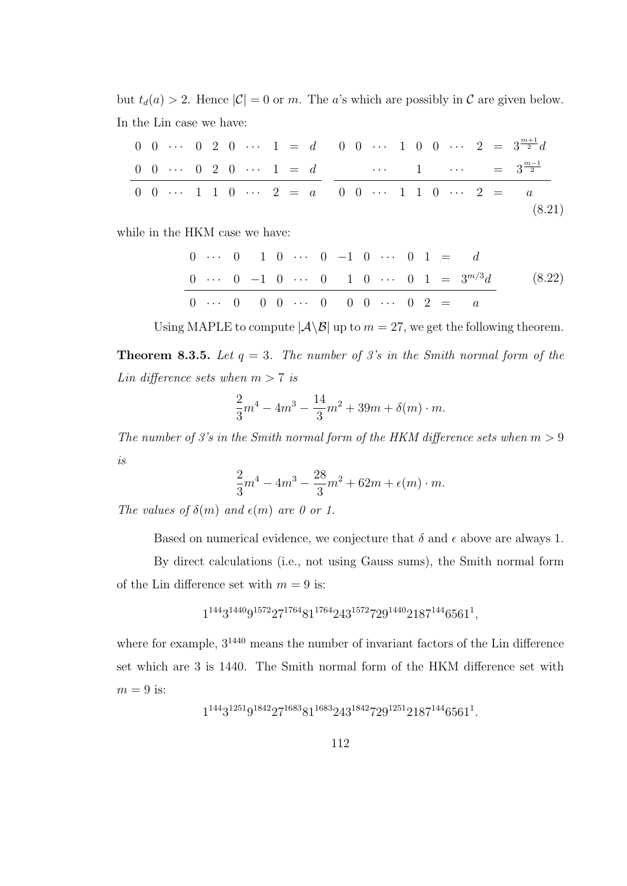but  $t_d(a) > 2$ . Hence  $|\mathcal{C}| = 0$  or m. The a's which are possibly in C are given below. In the Lin case we have:

|  |  |  |  |  |  |  |  |  | $0 \t 0 \t \cdots \t 0 \t 2 \t 0 \t \cdots \t 1 = d \t 0 \t 0 \t \cdots \t 1 \t 0 \t 0 \t \cdots \t 2 = 3^{\frac{m+1}{2}}d$ |
|--|--|--|--|--|--|--|--|--|-----------------------------------------------------------------------------------------------------------------------------|
|  |  |  |  |  |  |  |  |  | $0 \t 0 \t \cdots \t 0 \t 2 \t 0 \t \cdots \t 1 = d \t \cdots \t 1 \t \cdots \t = \t 3^{\frac{m-1}{2}}$                     |
|  |  |  |  |  |  |  |  |  | $0 \t 0 \t \cdots \t 1 \t 1 \t 0 \t \cdots \t 2 = a \t 0 \t 0 \t \cdots \t 1 \t 1 \t 0 \t \cdots \t 2 = a$                  |
|  |  |  |  |  |  |  |  |  | (8.21)                                                                                                                      |

while in the HKM case we have:

$$
\begin{array}{ccccccccccccccc}\n0 & \cdots & 0 & 1 & 0 & \cdots & 0 & -1 & 0 & \cdots & 0 & 1 & = & d \\
0 & \cdots & 0 & -1 & 0 & \cdots & 0 & 1 & 0 & \cdots & 0 & 1 & = & 3^{m/3}d \\
\hline\n0 & \cdots & 0 & 0 & 0 & \cdots & 0 & 0 & 0 & \cdots & 0 & 2 & = & a\n\end{array} (8.22)
$$

Using MAPLE to compute  $|\mathcal{A}\backslash\mathcal{B}|$  up to  $m=27$ , we get the following theorem.

**Theorem 8.3.5.** Let  $q = 3$ . The number of 3's in the Smith normal form of the Lin difference sets when  $m > 7$  is

$$
\frac{2}{3}m^4 - 4m^3 - \frac{14}{3}m^2 + 39m + \delta(m) \cdot m.
$$

The number of 3's in the Smith normal form of the HKM difference sets when  $m > 9$ is

$$
\frac{2}{3}m^4 - 4m^3 - \frac{28}{3}m^2 + 62m + \epsilon(m) \cdot m.
$$

The values of  $\delta(m)$  and  $\epsilon(m)$  are 0 or 1.

Based on numerical evidence, we conjecture that  $\delta$  and  $\epsilon$  above are always 1.

By direct calculations (i.e., not using Gauss sums), the Smith normal form of the Lin difference set with  $m = 9$  is:

$$
1^{144}3^{1440}9^{1572}27^{1764}81^{1764}243^{1572}729^{1440}2187^{144}6561^1,
$$

where for example,  $3^{1440}$  means the number of invariant factors of the Lin difference set which are 3 is 1440. The Smith normal form of the HKM difference set with  $m = 9$  is:

 $1^{144}3^{1251}9^{1842}27^{1683}81^{1683}243^{1842}729^{1251}2187^{144}6561^1.\\$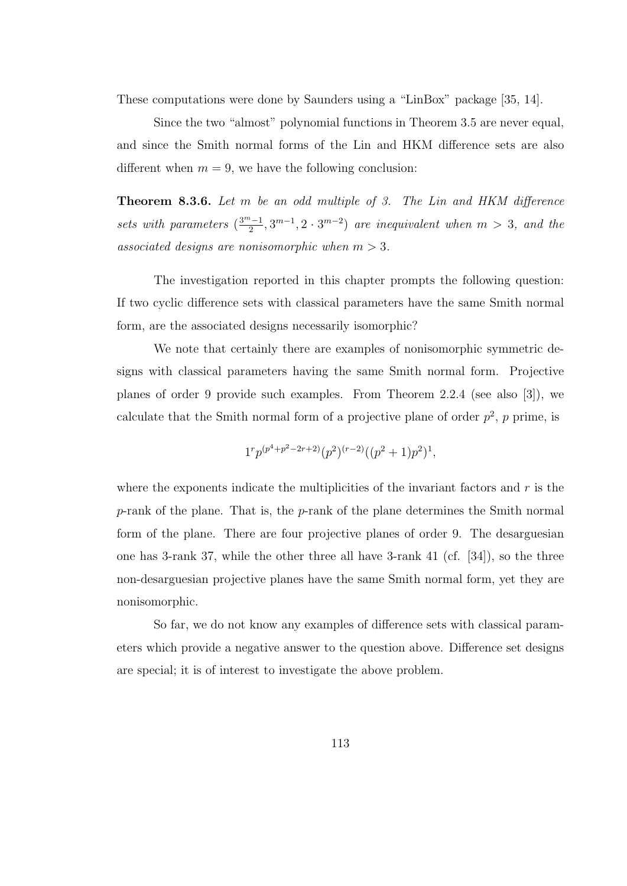These computations were done by Saunders using a "LinBox" package [35, 14].

Since the two "almost" polynomial functions in Theorem 3.5 are never equal, and since the Smith normal forms of the Lin and HKM difference sets are also different when  $m = 9$ , we have the following conclusion:

Theorem 8.3.6. Let m be an odd multiple of 3. The Lin and HKM difference sets with parameters  $\left(\frac{3^m-1}{2}\right)$  $\frac{n-1}{2}, 3^{m-1}, 2 \cdot 3^{m-2})$  are inequivalent when  $m > 3$ , and the associated designs are nonisomorphic when  $m > 3$ .

The investigation reported in this chapter prompts the following question: If two cyclic difference sets with classical parameters have the same Smith normal form, are the associated designs necessarily isomorphic?

We note that certainly there are examples of nonisomorphic symmetric designs with classical parameters having the same Smith normal form. Projective planes of order 9 provide such examples. From Theorem 2.2.4 (see also [3]), we calculate that the Smith normal form of a projective plane of order  $p^2$ , p prime, is

$$
1^{r} p^{(p^4+p^2-2r+2)}(p^2)^{(r-2)}((p^2+1)p^2)^1,
$$

where the exponents indicate the multiplicities of the invariant factors and  $r$  is the p-rank of the plane. That is, the p-rank of the plane determines the Smith normal form of the plane. There are four projective planes of order 9. The desarguesian one has 3-rank 37, while the other three all have 3-rank 41 (cf. [34]), so the three non-desarguesian projective planes have the same Smith normal form, yet they are nonisomorphic.

So far, we do not know any examples of difference sets with classical parameters which provide a negative answer to the question above. Difference set designs are special; it is of interest to investigate the above problem.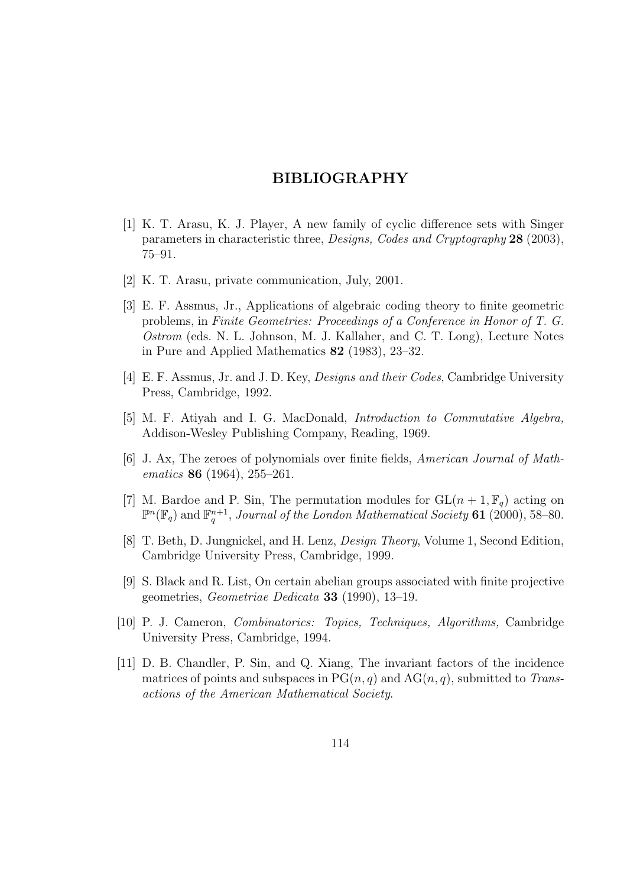## BIBLIOGRAPHY

- [1] K. T. Arasu, K. J. Player, A new family of cyclic difference sets with Singer parameters in characteristic three, Designs, Codes and Cryptography 28 (2003), 75–91.
- [2] K. T. Arasu, private communication, July, 2001.
- [3] E. F. Assmus, Jr., Applications of algebraic coding theory to finite geometric problems, in Finite Geometries: Proceedings of a Conference in Honor of T. G. Ostrom (eds. N. L. Johnson, M. J. Kallaher, and C. T. Long), Lecture Notes in Pure and Applied Mathematics 82 (1983), 23–32.
- [4] E. F. Assmus, Jr. and J. D. Key, Designs and their Codes, Cambridge University Press, Cambridge, 1992.
- [5] M. F. Atiyah and I. G. MacDonald, Introduction to Commutative Algebra, Addison-Wesley Publishing Company, Reading, 1969.
- [6] J. Ax, The zeroes of polynomials over finite fields, American Journal of Mathematics 86 (1964), 255–261.
- [7] M. Bardoe and P. Sin, The permutation modules for  $GL(n+1,\mathbb{F}_q)$  acting on  $\mathbb{P}^n(\mathbb{F}_q)$  and  $\mathbb{F}_q^{n+1}$ , Journal of the London Mathematical Society 61 (2000), 58–80.
- [8] T. Beth, D. Jungnickel, and H. Lenz, Design Theory, Volume 1, Second Edition, Cambridge University Press, Cambridge, 1999.
- [9] S. Black and R. List, On certain abelian groups associated with finite projective geometries, Geometriae Dedicata 33 (1990), 13–19.
- [10] P. J. Cameron, Combinatorics: Topics, Techniques, Algorithms, Cambridge University Press, Cambridge, 1994.
- [11] D. B. Chandler, P. Sin, and Q. Xiang, The invariant factors of the incidence matrices of points and subspaces in  $PG(n, q)$  and  $AG(n, q)$ , submitted to Transactions of the American Mathematical Society.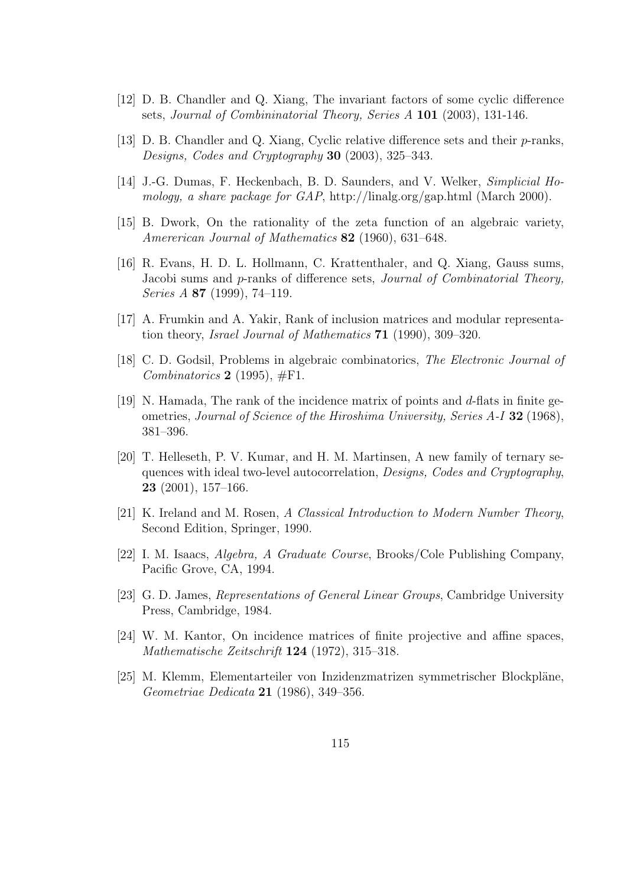- [12] D. B. Chandler and Q. Xiang, The invariant factors of some cyclic difference sets, Journal of Combininatorial Theory, Series A 101 (2003), 131-146.
- [13] D. B. Chandler and Q. Xiang, Cyclic relative difference sets and their p-ranks, Designs, Codes and Cryptography 30 (2003), 325–343.
- [14] J.-G. Dumas, F. Heckenbach, B. D. Saunders, and V. Welker, Simplicial Homology, a share package for GAP, http://linalg.org/gap.html (March 2000).
- [15] B. Dwork, On the rationality of the zeta function of an algebraic variety, Amererican Journal of Mathematics 82 (1960), 631–648.
- [16] R. Evans, H. D. L. Hollmann, C. Krattenthaler, and Q. Xiang, Gauss sums, Jacobi sums and p-ranks of difference sets, Journal of Combinatorial Theory, Series A 87 (1999), 74–119.
- [17] A. Frumkin and A. Yakir, Rank of inclusion matrices and modular representation theory, Israel Journal of Mathematics 71 (1990), 309–320.
- [18] C. D. Godsil, Problems in algebraic combinatorics, The Electronic Journal of Combinatorics 2 (1995),  $\#\mathrm{F1}$ .
- [19] N. Hamada, The rank of the incidence matrix of points and d-flats in finite geometries, Journal of Science of the Hiroshima University, Series A-I 32 (1968), 381–396.
- [20] T. Helleseth, P. V. Kumar, and H. M. Martinsen, A new family of ternary sequences with ideal two-level autocorrelation, Designs, Codes and Cryptography, 23 (2001), 157–166.
- [21] K. Ireland and M. Rosen, A Classical Introduction to Modern Number Theory, Second Edition, Springer, 1990.
- [22] I. M. Isaacs, Algebra, A Graduate Course, Brooks/Cole Publishing Company, Pacific Grove, CA, 1994.
- [23] G. D. James, Representations of General Linear Groups, Cambridge University Press, Cambridge, 1984.
- [24] W. M. Kantor, On incidence matrices of finite projective and affine spaces, Mathematische Zeitschrift 124 (1972), 315–318.
- [25] M. Klemm, Elementarteiler von Inzidenzmatrizen symmetrischer Blockpl¨ane, Geometriae Dedicata 21 (1986), 349–356.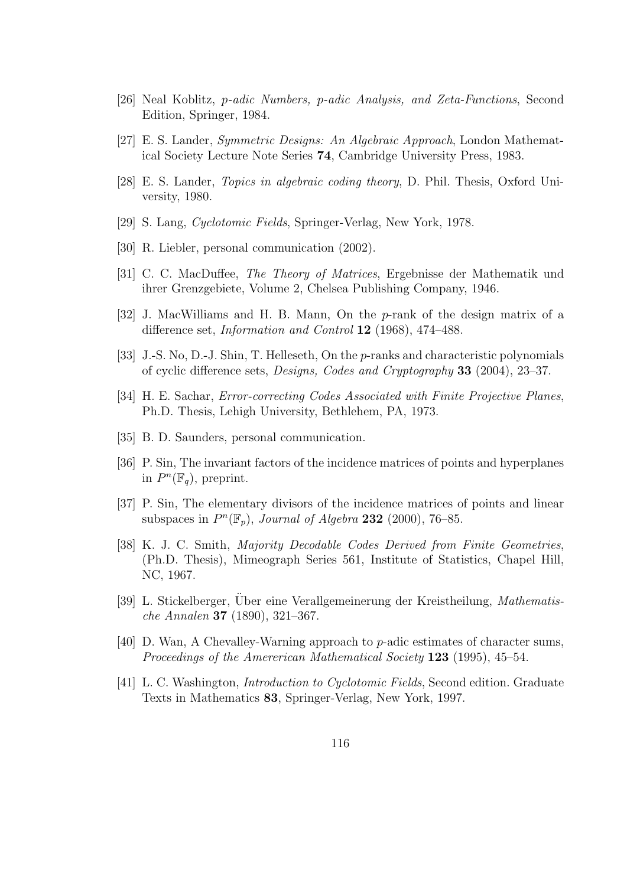- [26] Neal Koblitz, p-adic Numbers, p-adic Analysis, and Zeta-Functions, Second Edition, Springer, 1984.
- [27] E. S. Lander, Symmetric Designs: An Algebraic Approach, London Mathematical Society Lecture Note Series 74, Cambridge University Press, 1983.
- [28] E. S. Lander, Topics in algebraic coding theory, D. Phil. Thesis, Oxford University, 1980.
- [29] S. Lang, Cyclotomic Fields, Springer-Verlag, New York, 1978.
- [30] R. Liebler, personal communication (2002).
- [31] C. C. MacDuffee, The Theory of Matrices, Ergebnisse der Mathematik und ihrer Grenzgebiete, Volume 2, Chelsea Publishing Company, 1946.
- [32] J. MacWilliams and H. B. Mann, On the p-rank of the design matrix of a difference set, *Information and Control* **12** (1968), 474–488.
- [33] J.-S. No, D.-J. Shin, T. Helleseth, On the p-ranks and characteristic polynomials of cyclic difference sets, Designs, Codes and Cryptography 33 (2004), 23–37.
- [34] H. E. Sachar, Error-correcting Codes Associated with Finite Projective Planes, Ph.D. Thesis, Lehigh University, Bethlehem, PA, 1973.
- [35] B. D. Saunders, personal communication.
- [36] P. Sin, The invariant factors of the incidence matrices of points and hyperplanes in  $P^n(\mathbb{F}_q)$ , preprint.
- [37] P. Sin, The elementary divisors of the incidence matrices of points and linear subspaces in  $P^n(\mathbb{F}_p)$ , Journal of Algebra 232 (2000), 76–85.
- [38] K. J. C. Smith, Majority Decodable Codes Derived from Finite Geometries, (Ph.D. Thesis), Mimeograph Series 561, Institute of Statistics, Chapel Hill, NC, 1967.
- [39] L. Stickelberger, Uber eine Verallgemeinerung der Kreistheilung, Mathematische Annalen 37 (1890), 321–367.
- [40] D. Wan, A Chevalley-Warning approach to p-adic estimates of character sums, Proceedings of the Amererican Mathematical Society 123 (1995), 45–54.
- [41] L. C. Washington, Introduction to Cyclotomic Fields, Second edition. Graduate Texts in Mathematics 83, Springer-Verlag, New York, 1997.